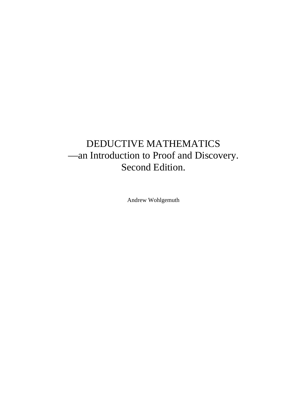# DEDUCTIVE MATHEMATICS —an Introduction to Proof and Discovery. Second Edition.

Andrew Wohlgemuth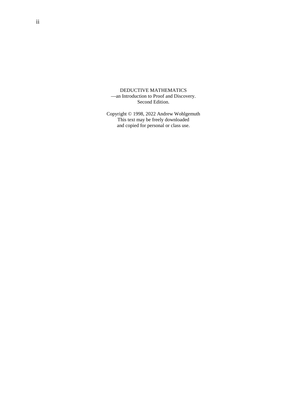DEDUCTIVE MATHEMATICS —an Introduction to Proof and Discovery. Second Edition.

Copyright © 1998, 2022 Andrew Wohlgemuth This text may be freely downloaded and copied for personal or class use.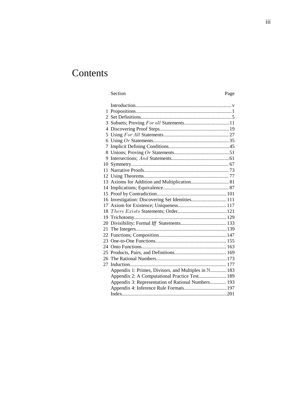# **Contents**

#### Section Page

| 13 Axioms for Addition and Multiplication 81         |  |
|------------------------------------------------------|--|
|                                                      |  |
|                                                      |  |
| 16 Investigation: Discovering Set Identities 111     |  |
|                                                      |  |
|                                                      |  |
|                                                      |  |
|                                                      |  |
|                                                      |  |
|                                                      |  |
|                                                      |  |
|                                                      |  |
|                                                      |  |
|                                                      |  |
|                                                      |  |
| Appendix 1: Primes, Divisors, and Multiples in N 183 |  |
| Appendix 2: A Computational Practice Test 189        |  |
| Appendix 3: Representation of Rational Numbers 193   |  |
|                                                      |  |
|                                                      |  |
|                                                      |  |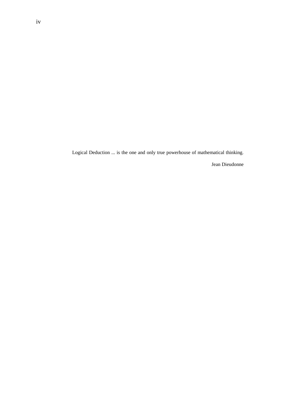Logical Deduction ... is the one and only true powerhouse of mathematical thinking.

Jean Dieudonne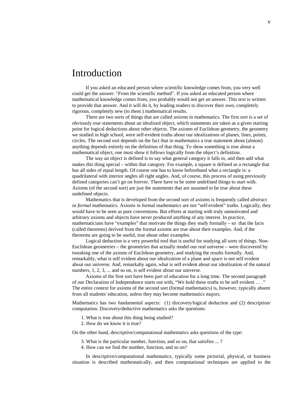# Introduction

If you asked an educated person where scientific knowledge comes from, you very well could get the answer: "From the scientific method". If you asked an educated person where mathematical knowledge comes from, you probably would not get an answer. This text is written to provide that answer. And it will do it, by leading readers to discover their own, completely rigorous, completely new (to them ) mathematical results.

There are two sorts of things that are called axioms in mathematics. The first sort is a set of obviously true statements about an idealized object, which statements are taken as a given starting point for logical deductions about other objects. The axioms of Euclidean geometry, the geometry we studied in high school, were self-evident truths about our idealizations of planes, lines, points, circles. The second sort depends on the fact that in mathematics a true statement about (almost) anything depends entirely on the definition of that thing. To show something is true about a mathematical object, one must show it follows logically from the object's definition.

The way an object is defined is to say what general category it falls in, and then add what makes this thing special – within that category. For example, a square is defined as a rectangle that has all sides of equal length. Of course one has to know beforehand what a rectangle is: a quadrilateral with interior angles all right angles. And, of course, this process of using previously defined categories can't go on forever. There have to be some undefined things to start with. Axioms (of the second sort) are just the statements that are assumed to be true about these undefined objects.

Mathematics that is developed from the second sort of axioms is frequently called *abstract* or *formal* mathematics. Axioms in formal mathematics are not "self-evident" truths. Logically, they would have to be seen as pure conventions. But efforts at starting with truly unmotivated and arbitrary axioms and objects have never produced anything of any interest. In practice, mathematicians have "examples" that motivate the things they study formally  $-$  so that the facts (called theorems) derived from the formal axioms are true about their examples. And, if the theorems are going to be useful, true about other examples.

Logical deduction is a very powerful tool that is useful for studying all sorts of things. Non-Euclidean geometries – the geometries that actually model our real universe – were discovered by tweaking one of the axioms of Euclidean geometry, and studying the results formally. And, remarkably, what is self evident about our idealization of a plane and space is not self evident about our universe. And, remarkaby again, what is self evident about our idealization of the natural numbers, 1, 2, 3, ... and so on, is self evident about our universe.

Axioms of the first sort have been part of education for a long time. The second paragraph of our Declaration of Independence starts out with, "We hold these truths to be self evident … ." The entire context for axioms of the second sort (formal mathematics) is, however, typically absent from all students' education, unless they may become mathematics majors.

Mathematics has two fundamental aspects: (1) discovery/logical deduction and (2) description/ computation. Discovery/deductive mathematics asks the questions:

- 1. What is true about this thing being studied?
- 2. How do we know it is true?

On the other hand, descriptive/computational mathematics asks questions of the type:

- 3. What is the particular number, function, and so on, that satisfies ... ?
- 4. How can we find the number, function, and so on?

In descriptive/computational mathematics, typically some pictorial, physical, or business situation is described mathematically, and then computational techniques are applied to the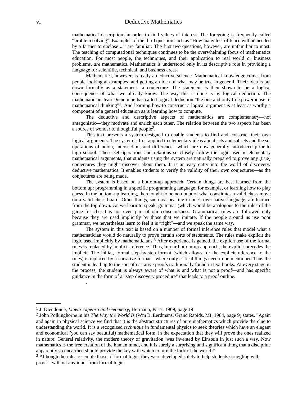mathematical description, in order to find values of interest. The foregoing is frequently called "problem solving". Examples of the third question such as "How many feet of fence will be needed by a farmer to enclose ..." are familiar. The first two questions, however, are unfamiliar to most. The teaching of computational techniques continues to be the overwhelming focus of mathematics education. For most people, the techniques, and their application to real world or business problems, are mathematics. Mathematics is understood only in its descriptive role in providing a language for scientific, technical, and business areas.

Mathematics, however, is really a deductive science. Mathematical knowledge comes from people looking at examples, and getting an idea of what may be true in general. Their idea is put down formally as a statement—a conjecture. The statement is then shown to be a logical consequence of what we already know. The way this is done is by logical deduction. The mathematician Jean Dieudonne has called logical deduction "the one and only true powerhouse of mathematical thinking"<sup>1</sup>. And learning how to construct a logical argument is at least as worthy a component of a general education as is learning how to compute.

The deductive and descriptive aspects of mathematics are complementary—not antagonistic—they motivate and enrich each other. The relation between the two aspects has been a source of wonder to thoughtful people<sup>2</sup>.

This text presents a system designed to enable students to find and construct their own logical arguments. The system is first applied to elementary ideas about sets and subsets and the set operations of union, intersection, and difference—which are now generally introduced prior to high school. These set operations and relations so closely follow the logic used in elementary mathematical arguments, that students using the system are naturally prepared to prove any (true) conjectures they might discover about them. It is an easy entry into the world of discovery/ deductive mathematics. It enables students to verify the validity of their own conjectures—as the conjectures are being made.

The system is based on a bottom-up approach. Certain things are best learned from the bottom up: programming in a specific programming language, for example, or learning how to play chess. In the bottom-up learning, there ought to be no doubt of what constitutes a valid chess move on a valid chess board. Other things, such as speaking in one's own native language, are learned from the top down. As we learn to speak, grammar (which would be analogous to the rules of the game for chess) is not even part of our consciousness. Grammatical rules are followed only because they are used implicitly by those that we imitate. If the people around us use poor grammar, we nevertheless learn to feel it is "right"—and we speak the same way.

The system in this text is based on a number of formal inference rules that model what a mathematician would do naturally to prove certain sorts of statements. The rules make explicit the logic used implicitly by mathematicians.<sup>3</sup> After experience is gained, the explicit use of the formal rules is replaced by implicit reference. Thus, in our bottom-up approach, the explicit precedes the implicit. The initial, formal step-by-step format (which allows for the explicit reference to the rules) is replaced by a narrative format—where only critical things need to be mentioned Thus the student is lead up to the sort of narrative proofs traditionally found in text books. At every stage in the process, the student is always aware of what is and what is not a proof—and has specific guidance in the form of a "step discovery procedure" that leads to a proof outline.

.

<sup>&</sup>lt;sup>1</sup> J. Dieudonne, *Linear Algebra and Geometry*, Hermann, Paris, 1969, page 14.

<sup>&</sup>lt;sup>2</sup> John Polkinghorne in his *The Way the World Is* (Wm B. Eerdmans, Grand Rapids, MI, 1984, page 9) states, "Again and again in physical science we find that it is the abstract structures of pure mathematics which provide the clue to understanding the world. It is a recognized *technique* in fundamental physics to seek theories which have an elegant and economical (you can say beautiful) mathematical form, in the expectation that they will prove the ones realized in nature. General relativity, the modern theory of gravitation, was invented by Einstein in just such a way. Now mathematics is the free creation of the human mind, and it is surely a surprising and significant thing that a discipline apparently so unearthed should provide the key with which to turn the lock of the world."

<sup>&</sup>lt;sup>3</sup> Although the rules resemble those of formal logic, they were developed solely to help students struggling with proof—without any input from formal logic.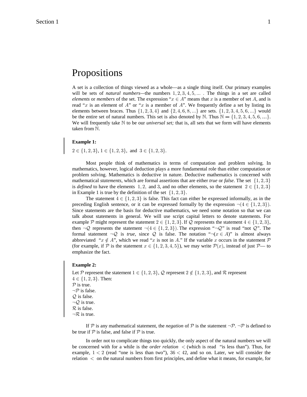# Propositions

A set is a collection of things viewed as a whole—as a single thing itself. Our primary examples will be sets of *natural numbers*—the numbers  $1, 2, 3, 4, 5, ...$  The things in a set are called *elements* or *members* of the set. The expression " $x \in A$ " means that x is a member of set A, and is read "x is an element of  $A$ " or "x is a member of  $A$ ". We frequently define a set by listing its elements between braces. Thus  $\{1, 2, 3, 4\}$  and  $\{2, 4, 6, 8, ...\}$  are sets.  $\{1, 2, 3, 4, 5, 6, ...\}$  would be the entire set of natural numbers. This set is also denoted by N. Thus  $\mathbb{N} = \{1, 2, 3, 4, 5, 6, ...\}$ . We will frequently take  $\mathbb N$  to be our *universal set*; that is, all sets that we form will have elements taken from  $\mathbb N$ .

#### **Example 1:**

 $2 \in \{1, 2, 3\}, 1 \in \{1, 2, 3\}, \text{ and } 3 \in \{1, 2, 3\}.$ 

Most people think of mathematics in terms of computation and problem solving. In mathematics, however, logical deduction plays a more fundamental role than either computation or problem solving. Mathematics is deductive in nature. Deductive mathematics is concerned with mathematical *statements*, which are formal assertions that are either *true* or *false*. The set  $\{1, 2, 3\}$ is defined to have the elements 1, 2, and 3, and no other elements, so the statement  $2 \in \{1, 2, 3\}$ in Example 1 is true by the definition of the set  $\{1, 2, 3\}$ .

The statement  $4 \in \{1, 2, 3\}$  is false. This fact can either be expressed informally, as in the preceding English sentence, or it can be expressed formally by the expression  $\neg (4 \in \{1, 2, 3\})$ . Since statements are the basis for deductive mathematics, we need some notation so that we can talk about statements in general. We will use script capital letters to denote statements. For example P might represent the statement  $2 \in \{1, 2, 3\}$ . If Q represents the statement  $4 \in \{1, 2, 3\}$ , then  $\neg Q$  represents the statement  $\neg (4 \in \{1, 2, 3\})$ . The expression " $\neg Q$ " is read "not  $Q$ ". The formal statement  $\neg Q$  is *true*, since Q is false. The notation " $\neg ( x \in A )$ " is almost always abbreviated " $x \notin A$ ", which we read "x is not in A." If the variable x occurs in the statement P (for example, if  $\mathcal P$  is the statement  $x \in \{1, 2, 3, 4, 5\}$ ), we may write  $\mathcal P(x)$ , instead of just  $\mathcal P$ — to emphasize the fact.

#### **Example 2:**

Let P represent the statement  $1 \in \{1, 2, 3\}$ , Q represent  $2 \notin \{1, 2, 3\}$ , and R represent  $4 \in \{1, 2, 3\}$ . Then:  $P$  is true.  $\neg \mathcal{P}$  is false.  $Q$  is false.  $\neg Q$  is true.  $\mathcal R$  is false.  $\neg \mathcal{R}$  is true.

If P is any mathematical statement, the *negation* of P is the statement  $\neg P$ .  $\neg P$  is defined to be true if  $P$  is false, and false if  $P$  is true.

In order not to complicate things too quickly, the only aspect of the natural numbers we will be concerned with for a while is the *order relation*  $\langle$  (which is read "is less than"). Thus, for example,  $1 < 2$  (read "one is less than two"),  $36 < 42$ , and so on. Later, we will consider the relation  $\epsilon$  on the natural numbers from first principles, and define what it means, for example, for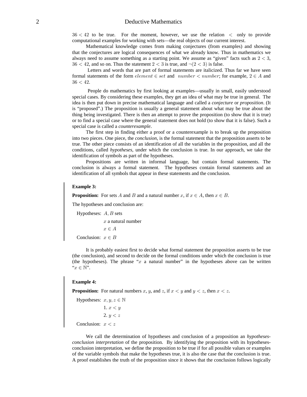$36 < 42$  to be true. For the moment, however, we use the relation  $\langle$  only to provide computational examples for working with sets—the real objects of our current interest.

Mathematical knowledge comes from making conjectures (from examples) and showing that the conjectures are logical consequences of what we already know. Thus in mathematics we always need to assume something as a starting point. We assume as "given" facts such as  $2 < 3$ ,  $36 < 42$ , and so on. Thus the statement  $2 < 3$  is true, and  $\neg (2 < 3)$  is false.

 Letters and words that are part of formal statements are italicized. Thus far we have seen formal statements of the form  $element \in set$  and  $number < number$ ; for example,  $2 \in A$  and  $36 < 42.$ 

 People do mathematics by first looking at examples—usually in small, easily understood special cases. By considering these examples, they get an idea of what may be true in general. The idea is then put down in precise mathematical language and called a *conjecture* or *proposition*. (It is "proposed".) The proposition is usually a general statement about what may be true about the thing being investigated. There is then an attempt to prove the proposition (to show that it is true) or to find a special case where the general statement does not hold (to show that it is false). Such a special case is called a *counterexample*.

The first step in finding either a proof or a counterexample is to break up the proposition into two pieces. One piece, the *conclusion*, is the formal statement that the proposition asserts to be true. The other piece consists of an identification of all the variables in the proposition, and all the conditions, called *hypotheses*, under which the conclusion is true. In our approach, we take the identification of symbols as part of the hypotheses.

Propositions are written in informal language, but contain formal statements. The conclusion is always a formal statement. The hypotheses contain formal statements and an identification of all symbols that appear in these statements and the conclusion.

#### **Example 3:**

**Proposition:** For sets A and B and a natural number x, if  $x \in A$ , then  $x \in B$ .

The hypotheses and conclusion are:

Hypotheses:  $A, B$  sets  $x$  a natural number  $x \in A$ Conclusion:  $x \in B$ 

It is probably easiest first to decide what formal statement the proposition asserts to be true (the conclusion), and second to decide on the formal conditions under which the conclusion is true (the hypotheses). The phrase " $x$  a natural number" in the hypotheses above can be written  $``x\in \mathbb{N}" .$ 

#### **Example 4:**

**Proposition:** For natural numbers x, y, and z, if  $x < y$  and  $y < z$ , then  $x < z$ .

Hypotheses:  $x, y, z \in \mathbb{N}$ 1.  $x < y$ 2.  $y < z$ Conclusion:  $x < z$ 

We call the determination of hypotheses and conclusion of a proposition an *hypothesesconclusion interpretation* of the proposition. By identifying the proposition with its hypothesesconclusion interpretation, we define the proposition to be true if for all possible values or examples of the variable symbols that make the hypotheses true, it is also the case that the conclusion is true. A proof establishes the truth of the proposition since it shows that the conclusion follows logically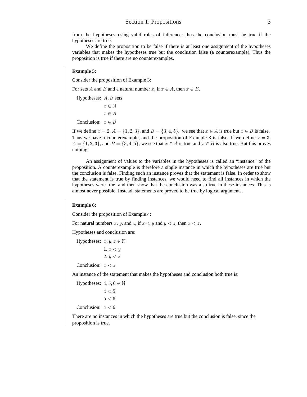from the hypotheses using valid rules of inference: thus the conclusion must be true if the hypotheses are true.

We define the proposition to be false if there is at least one assignment of the hypotheses variables that makes the hypotheses true but the conclusion false (a counterexample). Thus the proposition is true if there are no counterexamples.

#### **Example 5:**

Consider the proposition of Example 3:

For sets A and B and a natural number x, if  $x \in A$ , then  $x \in B$ .

Hypotheses:  $A, B$  sets

 $x \in \mathbb{N}$  $x \in A$ 

Conclusion:  $x \in B$ 

If we define  $x = 2$ ,  $A = \{1, 2, 3\}$ , and  $B = \{3, 4, 5\}$ , we see that  $x \in A$  is true but  $x \in B$  is false. Thus we have a counterexample, and the proposition of Example 3 is false. If we define  $x = 3$ ,  $A = \{1, 2, 3\}$ , and  $B = \{3, 4, 5\}$ , we see that  $x \in A$  is true and  $x \in B$  is also true. But this proves nothing.

An assignment of values to the variables in the hypotheses is called an "instance" of the proposition. A counterexample is therefore a single instance in which the hypotheses are true but the conclusion is false. Finding such an instance proves that the statement is false. In order to show that the statement is true by finding instances, we would need to find all instances in which the hypotheses were true, and then show that the conclusion was also true in these instances. This is almost never possible. Instead, statements are proved to be true by logical arguments.

#### **Example 6:**

Consider the proposition of Example 4:

For natural numbers x, y, and z, if  $x < y$  and  $y < z$ , then  $x < z$ .

Hypotheses and conclusion are:

Hypotheses:  $x, y, z \in \mathbb{N}$ 1.  $x < y$ 2.  $y < z$ 

Conclusion:  $x < z$ 

An instance of the statement that makes the hypotheses and conclusion both true is:

Hypotheses:  $4, 5, 6 \in \mathbb{N}$  $4 < 5$  $5 < 6$ Conclusion:  $4 < 6$ 

There are no instances in which the hypotheses are true but the conclusion is false, since the proposition is true.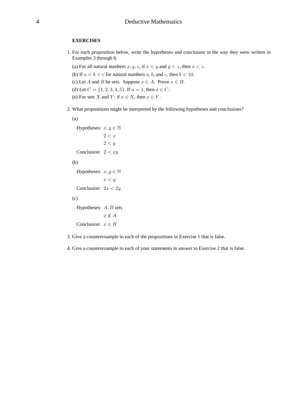#### **EXERCISES**

- 1. For each proposition below, write the hypotheses and conclusion in the way they were written in Examples 3 through 6.
	- (a) For all natural numbers x, y, z, if  $x < y$  and  $y < z$ , then  $x < z$ .
	- (b) If  $a < b < c$  for natural numbers a, b, and c, then  $b < 10$ .
	- (c) Let A and B be sets. Suppose  $x \in A$ . Prove  $x \in B$ .
	- (d) Let  $C = \{1, 2, 3, 4, 5\}$ . If  $a = 1$ , then  $a \in C$ .
	- (e) For sets X and Y: if  $x \in X$ , then  $x \in Y$ .
- 2. What propositions might be interpreted by the following hypotheses and conclusions?

```
(a)
  Hypotheses: x, y \in \mathbb{N}2 < x2 < yConclusion: 2 < xy(b)
  Hypotheses: x, y \in \mathbb{N}x < yConclusion: 2x < 2y(c)
  Hypotheses: A, B sets
```
Conclusion:  $x \in B$ 

 $x\notin A$ 

3. Give a counterexample to each of the propositions in Exercise 1 that is false.

4. Give a counterexample to each of your statements in answer to Exercise 2 that is false.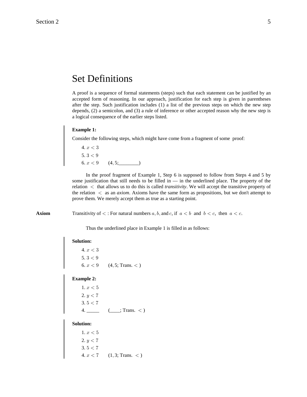# Set Definitions

A proof is a sequence of formal statements (steps) such that each statement can be justified by an accepted form of reasoning. In our approach, justification for each step is given in parentheses after the step. Such justification includes (1) a list of the previous steps on which the new step depends, (2) a semicolon, and (3) a rule of inference or other accepted reason why the new step is a logical consequence of the earlier steps listed.

## **Example 1:**

Consider the following steps, which might have come from a fragment of some proof:

4.  $x < 3$ 5.  $3 < 9$ 6.  $x < 9$  (4, 5; 1)

In the proof fragment of Example 1, Step 6 is supposed to follow from Steps 4 and 5 by some justification that still needs to be filled in — in the underlined place. The property of the relation  $\lt$  that allows us to do this is called *transitivity*. We will accept the transitive property of the relation  $\langle$  as an *axiom*. Axioms have the same form as propositions, but we don't attempt to prove them. We merely accept them as true as a starting point.

**Axiom** Transitivity of  $\lt$ : For natural numbers a, b, and c, if  $a \lt b$  and  $b \lt c$ , then  $a \lt c$ .

Thus the underlined place in Example 1 is filled in as follows:

#### **Solution:**

4.  $x < 3$ 5.  $3 < 9$  $6. x < 9$   $(4, 5;$  Trans.  $<$  )

#### **Example 2:**

1.  $x < 5$  $2. y < 7$  $3.5 < 7$  $4.$  \_\_\_\_\_\_\_\_ (\_\_\_\_; Trans. < )

### **Solution:**

1.  $x < 5$  $2. y < 7$  $3.5 < 7$ 4.  $x < 7$  (1, 3; Trans. < )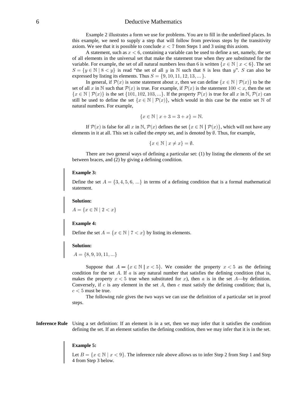Example 2 illustrates a form we use for problems. You are to fill in the underlined places. In this example, we need to supply a step that will follow from previous steps by the transitivity axiom. We see that it is possible to conclude  $x < 7$  from Steps 1 and 3 using this axiom.

A statement, such as  $x < 6$ , containing a variable can be used to define a set, namely, the set of all elements in the universal set that make the statement true when they are substituted for the variable. For example, the set of all natural numbers less than 6 is written  $\{x \in \mathbb{N} \mid x < 6\}$ . The set  $S = \{y \in \mathbb{N} \mid 8 < y\}$  is read "the set of all y in N such that 8 is less than y". S can also be expressed by listing its elements. Thus  $S = \{9, 10, 11, 12, 13, \dots\}$ .

In general, if  $\mathcal{P}(x)$  is some statement about x, then we can define  $\{x \in \mathbb{N} \mid \mathcal{P}(x)\}\$  to be the set of all x in N such that  $\mathcal{P}(x)$  is true. For example, if  $\mathcal{P}(x)$  is the statement  $100 < x$ , then the set  $\{x \in \mathbb{N} \mid \mathcal{P}(x)\}$  is the set  $\{101, 102, 103, ...\}$ . If the property  $\mathcal{P}(x)$  is true for all x in  $\mathbb{N}, \mathcal{P}(x)$  can still be used to define the set  $\{x \in \mathbb{N} \mid \mathcal{P}(x)\}$ , which would in this case be the entire set  $\mathbb N$  of natural numbers. For example,

$$
\{x \in \mathbb{N} \mid x + 3 = 3 + x\} = \mathbb{N}.
$$

If  $\mathcal{P}(x)$  is false for all x in N,  $\mathcal{P}(x)$  defines the set  $\{x \in \mathbb{N} \mid \mathcal{P}(x)\}\)$ , which will not have any elements in it at all. This set is called the *empty* set, and is denoted by  $\emptyset$ . Thus, for example,

$$
\{x \in \mathbb{N} \mid x \neq x\} = \emptyset.
$$

There are two general ways of defining a particular set: (1) by listing the elements of the set between braces, and (2) by giving a defining condition.

#### **Example 3:**

Define the set  $A = \{3, 4, 5, 6, ...\}$  in terms of a defining condition that is a formal mathematical statement.

#### **Solution:**

 $A = \{x \in \mathbb{N} \mid 2 < x\}$ 

### **Example 4:**

Define the set  $A = \{x \in \mathbb{N} \mid 7 < x\}$  by listing its elements.

#### **Solution:**

$$
A = \{8, 9, 10, 11, \ldots\}
$$

Suppose that  $A = \{x \in \mathbb{N} \mid x < 5\}$ . We consider the property  $x < 5$  as the defining condition for the set  $A$ . If  $a$  is any natural number that satisfies the defining condition (that is, makes the property  $x < 5$  true when substituted for x), then a is in the set A—by definition. Conversely, if c is any element in the set A, then c must satisfy the defining condition; that is,  $c < 5$  must be true.

The following rule gives the two ways we can use the definition of a particular set in proof steps.

**Inference Rule** Using a set definition: If an element is in a set, then we may infer that it satisfies the condition defining the set. If an element satisfies the defining condition, then we may infer that it is in the set.

#### **Example 5:**

Let  $B = \{x \in \mathbb{N} \mid x < 9\}$ . The inference rule above allows us to infer Step 2 from Step 1 and Step 4 from Step 3 below.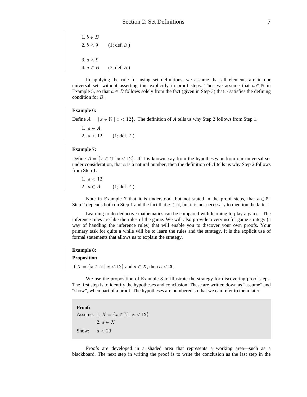1.  $b \in B$ 2.  $b < 9$  (1; def. B)  $3. a < 9$ 4.  $a \in B$  (3; def. B)

In applying the rule for using set definitions, we assume that all elements are in our universal set, without asserting this explicitly in proof steps. Thus we assume that  $a \in \mathbb{N}$  in Example 5, so that  $a \in B$  follows solely from the fact (given in Step 3) that a satisfies the defining condition for  $B$ .

#### **Example 6:**

Define  $A = \{x \in \mathbb{N} \mid x < 12\}$ . The definition of A tells us why Step 2 follows from Step 1.

1.  $a\in A$ 2.  $a < 12$  (1; def. A)

#### **Example 7:**

Define  $A = \{x \in \mathbb{N} \mid x < 12\}$ . If it is known, say from the hypotheses or from our universal set under consideration, that  $a$  is a natural number, then the definition of  $A$  tells us why Step 2 follows from Step 1.

1.  $a < 12$ 2.  $a \in A$  (1; def. A)

Note in Example 7 that it is understood, but not stated in the proof steps, that  $a \in \mathbb{N}$ . Step 2 depends both on Step 1 and the fact that  $a \in \mathbb{N}$ , but it is not necessary to mention the latter.

Learning to do deductive mathematics can be compared with learning to play a game. The inference rules are like the rules of the game. We will also provide a very useful game strategy (a way of handling the inference rules) that will enable you to discover your own proofs. Your primary task for quite a while will be to learn the rules and the strategy. It is the explicit use of formal statements that allows us to explain the strategy.

#### **Example 8:**

# **Proposition**

If  $X = \{x \in \mathbb{N} \mid x < 12\}$  and  $a \in X$ , then  $a < 20$ .

We use the proposition of Example 8 to illustrate the strategy for discovering proof steps. The first step is to identify the hypotheses and conclusion. These are written down as "assume" and "show", when part of a proof. The hypotheses are numbered so that we can refer to them later.

**Proof:** Assume: 1.  $X = \{ x \in \mathbb{N} \mid x < 12 \}$ 2.  $a \in X$ Show:  $a < 20$ 

Proofs are developed in a shaded area that represents a working area—such as a blackboard. The next step in writing the proof is to write the conclusion as the last step in the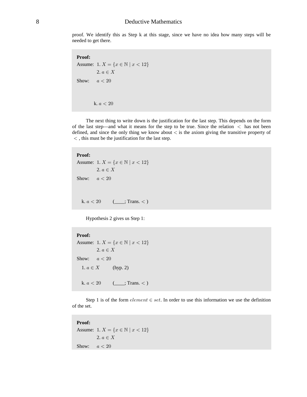proof. We identify this as Step k at this stage, since we have no idea how many steps will be needed to get there.

**Proof:** Assume: 1.  $X = \{ x \in \mathbb{N} \mid x < 12 \}$ 2.  $a \in X$ Show:  $a < 20$ k.  $a < 20$ 

The next thing to write down is the justification for the last step. This depends on the form of the last step—and what it means for the step to be true. Since the relation  $\langle$  has not been defined, and since the only thing we know about  $\lt$  is the axiom giving the transitive property of  $\le$ , this must be the justification for the last step.

## **Proof:**

Assume: 1.  $X = \{ x \in \mathbb{N} \mid x < 12 \}$ 2.  $a \in X$ Show:  $a < 20$ k.  $a < 20$  (\_\_\_; Trans. < )

Hypothesis 2 gives us Step 1:

```
Proof:
Assume: 1. X = \{ x \in \mathbb{N} \mid x < 12 \}2. a \in XShow: a < 201. a \in X (hyp. 2)
  k. a < 20 ( ___; Trans. < )
```
Step 1 is of the form  $element \in set$ . In order to use this information we use the definition of the set.

```
Proof:
Assume: 1. X = \{ x \in \mathbb{N} \mid x < 12 \}2. a \in XShow: a < 20
```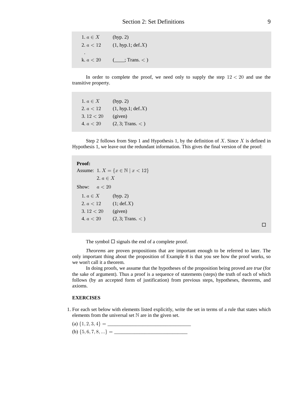1.  $a \in X$  (hyp. 2) 2.  $a < 12$  (1, hyp.1; def. X) . k.  $a < 20$  (\_\_\_; Trans. < )

In order to complete the proof, we need only to supply the step  $12 < 20$  and use the transitive property.

1.  $a \in X$  (hyp. 2) 2.  $a < 12$  (1, hyp.1; def. X) 3.  $12 < 20$  (given) 4.  $a < 20$  (2, 3; Trans. < )

Step 2 follows from Step 1 and Hypothesis 1, by the definition of X. Since X is defined in Hypothesis 1, we leave out the redundant information. This gives the final version of the proof:

#### **Proof:**

```
Assume: 1. X = \{ x \in \mathbb{N} \mid x < 12 \}2. a \in XShow: a < 201. a \in X (hyp. 2)
  2. a < 12 (1; def. X)
  3. 12 < 20 (given)
  4. a < 20 (2, 3; Trans. < )
```
 $\Box$ 

The symbol  $\Box$  signals the end of a complete proof.

*Theorems* are proven propositions that are important enough to be referred to later. The only important thing about the proposition of Example 8 is that you see how the proof works, so we won't call it a theorem.

In doing proofs, we assume that the hypotheses of the proposition being proved are *true* (for the sake of argument). Thus a proof is a sequence of statements (steps) the truth of each of which follows (by an accepted form of justification) from previous steps, hypotheses, theorems, and axioms.

### **EXERCISES**

1. For each set below with elements listed explicitly, write the set in terms of a rule that states which elements from the universal set  $\mathbb N$  are in the given set.

(a) \_\_\_\_\_\_\_\_\_\_\_\_\_\_\_\_\_\_\_\_\_\_\_\_\_\_\_\_\_\_\_\_\_ Ö"ß #ß \$ß %× œ (b) \_\_\_\_\_\_\_\_\_\_\_\_\_\_\_\_\_\_\_\_\_\_\_\_\_\_\_\_\_ Ö&ß 'ß (ß )ß ÞÞÞ× œ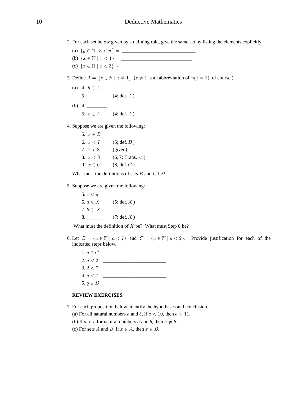- 2. For each set below given by a defining rule, give the same set by listing the elements explicitly.
	- (a) \_\_\_\_\_\_\_\_\_\_\_\_\_\_\_\_\_\_\_\_\_\_\_\_\_\_\_\_\_ ÖC − ± \$ B C × œ ! (b) \_\_\_\_\_\_\_\_\_\_\_\_\_\_\_\_\_\_\_\_\_\_\_\_\_\_\_\_ ÖB − ± B B "× œ !
	- (c) \_\_\_\_\_\_\_\_\_\_\_\_\_\_\_\_\_\_\_\_\_\_\_\_\_\_\_\_ ÖB − ± B B \$× œ !
- 3. Define  $A = \{ z \in \mathbb{N} \mid z \neq 1 \}$ .  $(z \neq 1$  is an abbreviation of  $\neg(z = 1)$ , of course.)
	- (a) 4.  $b \in A$ 5. \_\_\_\_\_\_\_\_\_\_\_ (4; def.  $A$ )
	- (b)  $4.$ 5.  $c \in A$  (4; def. A).
- 4. Suppose we are given the following:

5.  $x \in B$ 6.  $x < 7$  (5; def. B) 7.  $7 < 8$  (given) 8.  $x < 8$  (6,7; Trans. < ) 9.  $x \in C$  (8; def. C)

What must the definitions of sets  $B$  and  $C$  be?

5. Suppose we are given the following:

 $5. 1 < a$ 6.  $a \in X$  (5; def. X) 7.  $b \in X$  $8.$  (7; def. X)

What must the definition of  $X$  be? What must Step 8 be?

6. Let  $B = \{a \in \mathbb{N} \mid a < 7\}$  and  $C = \{a \in \mathbb{N} \mid a < 2\}$ . Provide justification for each of the indicated steps below.

1.  $q \in C$  2. \_\_\_\_\_\_\_\_\_\_\_\_\_\_\_\_\_\_\_\_\_\_\_\_\_ ;B#  $3.2 < 7$  4. \_\_\_\_\_\_\_\_\_\_\_\_\_\_\_\_\_\_\_\_\_\_\_\_\_ ;B( 5. \_\_\_\_\_\_\_\_\_\_\_\_\_\_\_\_\_\_\_\_\_\_\_\_\_ ;−F

# **REVIEW EXERCISES**

- 7. For each proposition below, identify the hypotheses and conclusion.
	- (a) For all natural numbers a and b, if  $a < 10$ , then  $b < 11$ .
	- (b) If  $a < b$  for natural numbers a and b, then  $a \neq b$ .
	- (c) For sets A and B, if  $x \in A$ , then  $x \in B$ .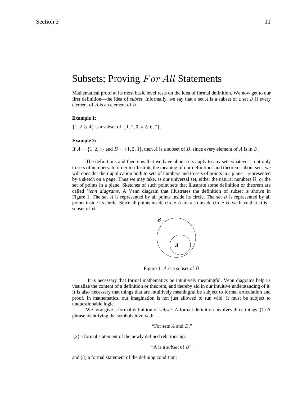# Subsets; Proving  $For All Statements$

Mathematical proof at its most basic level rests on the idea of formal definition. We now get to our first definition—the idea of *subset*. Informally, we say that a set A is a subset of a set B if every element of  $A$  is an element of  $B$ .

#### **Example 1:**

 $\{1, 2, 3, 4\}$  is a subset of  $\{1, 2, 3, 4, 5, 6, 7\}.$ 

### **Example 2:**

If  $A = \{1, 2, 3\}$  and  $B = \{1, 2, 3\}$ , then A is a subset of B, since every element of A is in B.

The definitions and theorems that we have about sets apply to any sets whatever—not only to sets of numbers. In order to illustrate the meaning of our definitions and theorems about sets, we will consider their application both to sets of numbers and to sets of points in a plane—represented by a sketch on a page. Thus we may take, as our universal set, either the natural numbers  $N$ , or the set of points in a plane. Sketches of such point sets that illustrate some definition or theorem are called *Venn diagrams*. A Venn diagram that illustrates the definition of subset is shown in Figure 1. The set A is represented by all points inside its circle. The set B is represented by all points inside its circle. Since all points inside circle  $A$  are also inside circle  $B$ , we have that  $A$  is a subset of  $B$ .



Figure 1.  $A$  is a subset of  $B$ 

 It is necessary that formal mathematics be intuitively meaningful. Venn diagrams help us visualize the content of a definition or theorem, and thereby aid in our intuitive understanding of it. It is also necessary that things that are intuitively meaningful be subject to formal articulation and proof. In mathematics, our imagination is not just allowed to run wild. It must be subject to unquestionable logic.

We now give a formal definition of *subset*. A formal definition involves three things. (1) A phrase identifying the symbols involved:

"For sets  $A$  and  $B$ ,"

(2) a formal statement of the newly defined relationship:

```
"A is a subset of B"
```
and (3) a formal statement of the defining condition: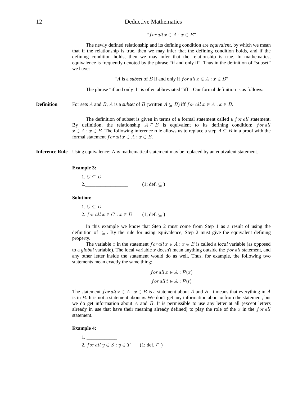"for all 
$$
x \in A : x \in B
$$
"

The newly defined relationship and its defining condition are *equivalent*, by which we mean that if the relationship is true, then we may infer that the defining condition holds, and if the defining condition holds, then we may infer that the relationship is true. In mathematics, equivalence is frequently denoted by the phrase "if and only if". Thus in the definition of "subset" we have:

" A is a *subset* of B if and only if  $for all x \in A : x \in B$ "

The phrase "if and only if" is often abbreviated "iff". Our formal definition is as follows:

**Definition** For sets A and B, A is a subset of B (written  $A \subseteq B$ ) iff for all  $x \in A : x \in B$ .

The definition of subset is given in terms of a formal statement called a  $for$  all statement. By definition, the relationship  $A \subseteq B$  is equivalent to its defining condition: for all  $x \in A : x \in B$ . The following inference rule allows us to replace a step  $A \subseteq B$  in a proof with the formal statement for all  $x \in A : x \in B$ .

**Inference Rule** Using equivalence: Any mathematical statement may be replaced by an equivalent statement.

# **Example 3:**

1.  $C \subseteq D$ 2.  $2.$  (1; def.  $\subseteq$  )

**Solution:**

1.  $C \subseteq D$ 2. for all  $x \in C : x \in D$   $(1; \text{def. } \subseteq)$ 

In this example we know that Step 2 must come from Step 1 as a result of using the definition of  $\subseteq$ . By the rule for using equivalence, Step 2 must give the equivalent defining property.

The variable x in the statement  $for all x \in A : x \in B$  is called a *local* variable (as opposed to a *global* variable). The local variable x doesn't mean anything outside the  $for$  all statement, and any other letter inside the statement would do as well. Thus, for example, the following two statements mean exactly the same thing:

for all 
$$
x \in A : \mathcal{P}(x)
$$
  
for all  $t \in A : \mathcal{P}(t)$ 

The statement  $for all x \in A : x \in B$  is a statement about A and B. It means that everything in A is in  $B$ . It is not a statement about  $x$ . We don't get any information about  $x$  from the statement, but we do get information about  $A$  and  $B$ . It is permissible to use any letter at all (except letters already in use that have their meaning already defined) to play the role of the x in the  $for all$ statement.

#### **Example 4:**

 $1.$   $\frac{1}{2}$   $\frac{1}{2}$   $\frac{1}{2}$   $\frac{1}{2}$   $\frac{1}{2}$   $\frac{1}{2}$   $\frac{1}{2}$   $\frac{1}{2}$   $\frac{1}{2}$   $\frac{1}{2}$   $\frac{1}{2}$   $\frac{1}{2}$   $\frac{1}{2}$   $\frac{1}{2}$   $\frac{1}{2}$   $\frac{1}{2}$   $\frac{1}{2}$   $\frac{1}{2}$   $\frac{1}{2}$   $\frac{1}{2}$   $\frac{1}{2}$   $\frac{1}{$ 2. for all  $y \in S : y \in T$  (1; def.  $\subseteq$ )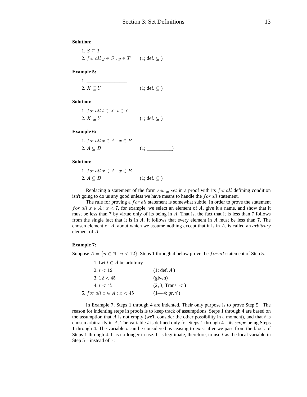**Solution:** 1.  $S \subseteq T$ 

2. for all  $y \in S : y \in T$  (1; def.  $\subseteq$ )

**Example 5:**

 1. \_\_\_\_\_\_\_\_\_\_\_\_\_\_\_\_  $2. X \subseteq Y$  (1; def.  $\subseteq$  )

**Solution:**

1. for all  $t \in X$ :  $t \in Y$  $2. X \subseteq Y$  (1; def.  $\subseteq$  )

**Example 6:**

1. for all  $x \in A : x \in B$ 2. (1; \_\_\_\_\_\_\_\_\_\_) E©F

**Solution:**

1. for all  $x \in A : x \in B$ 2.  $A \subseteq B$  (1; def.  $\subseteq$  )

Replacing a statement of the form  $set \subseteq set$  in a proof with its for all defining condition isn't going to do us any good unless we have means to handle the  $for$  all statement.

The rule for proving a for all statement is somewhat subtle. In order to prove the statement for all  $x \in A : x < 7$ , for example, we select an element of A, give it a name, and show that it must be less than  $7$  by virtue only of its being in  $A$ . That is, the fact that it is less than  $7$  follows from the single fact that it is in  $A$ . It follows that every element in  $A$  must be less than 7. The chosen element of  $A$ , about which we assume nothing except that it is in  $A$ , is called an *arbitrary* element of  $A$ .

# **Example 7:**

Suppose  $A = \{n \in \mathbb{N} \mid n < 12\}$ . Steps 1 through 4 below prove the *for all* statement of Step 5.

| $(1; \text{def. } A)$ |
|-----------------------|
| (given)               |
| (2, 3; Trans. <)      |
| $(1-4; pr. \forall)$  |
|                       |

In Example 7, Steps 1 through 4 are indented. Their only purpose is to prove Step 5. The reason for indenting steps in proofs is to keep track of assumptions. Steps 1 through 4 are based on the assumption that  $A$  is not empty (we'll consider the other possibility in a moment), and that  $t$  is chosen arbitrarily in  $\Lambda$ . The variable t is defined only for Steps 1 through 4—its *scope* being Steps 1 through 4. The variable  $t$  can be considered as ceasing to exist after we pass from the block of Steps 1 through 4. It is no longer in use. It is legitimate, therefore, to use  $t$  as the local variable in Step 5—instead of  $x$ :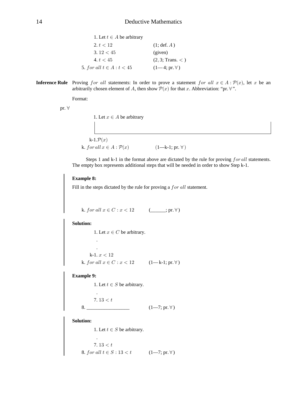| 1. Let $t \in A$ be arbitrary |                       |
|-------------------------------|-----------------------|
| 2. $t < 12$                   | $(1; \text{def. } A)$ |
| 3.12 < 45                     | (given)               |
| 4. t < 45                     | (2, 3; Trans. <)      |
| 5. for all $t \in A : t < 45$ | $(1-4; pr. \forall)$  |

**Inference Rule** Proving for all statements: In order to prove a statement for all  $x \in A : \mathcal{P}(x)$ , let x be an arbitrarily chosen element of A, then show  $\mathcal{P}(x)$  for that x. Abbreviation: "pr.  $\forall$ ".

Format:

pr.  $\forall$ 

| 1. Let $x \in A$ be arbitrary         |                        |  |
|---------------------------------------|------------------------|--|
|                                       |                        |  |
|                                       |                        |  |
| k-1. $\mathcal{P}(x)$                 |                        |  |
| k. for all $x \in A : \mathcal{P}(x)$ | $(1—k-1; pr. \forall)$ |  |

Steps 1 and k-1 in the format above are dictated by the rule for proving  $for$  all statements. The empty box represents additional steps that will be needed in order to show Step k-1.

#### **Example 8:**

Fill in the steps dictated by the rule for proving a  $for$  all statement.

k. for all  $x \in C : x < 12$  (\_\_\_\_; pr.  $\forall$ )

**Solution:**

1. Let  $x \in C$  be arbitrary. . . k-1.  $x < 12$ k. *for all*  $x \in C : x < 12$   $(1-k-1; pr. \forall)$ 

**Example 9:**

1. Let  $t \in S$  be arbitrary.

 $7.13 < t$ 

.

.

8. \_\_\_\_\_\_\_\_\_\_\_\_\_\_\_\_\_ (1—7; pr. ) a

**Solution:**

1. Let  $t \in S$  be arbitrary.

 $7.13 < t$ 8. for all  $t \in S : 13 < t$  (1-7; pr.  $\forall$ )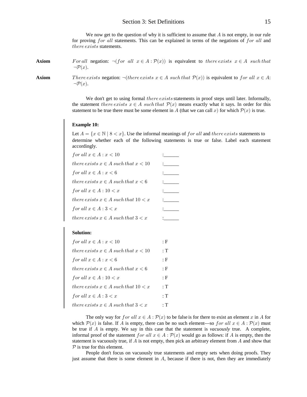# Section 3: Set Definitions 15

We now get to the question of why it is sufficient to assume that  $A$  is not empty, in our rule for proving for all statements. This can be explained in terms of the negations of for all and  $there exists$  statements.

**Axiom** For all negation:  $\neg (for \ all \ x \in A : \mathcal{P}(x))$  is equivalent to there exists  $x \in A$  such that  $\neg \mathcal{P}(x)$ .

**Axiom** There exists negation:  $\neg$ (there exists  $x \in A$  such that  $\mathcal{P}(x)$ ) is equivalent to for all  $x \in A$ :  $\neg \mathcal{P}(x)$ .

> We don't get to using formal there exists statements in proof steps until later. Informally, the statement there exists  $x \in A$  such that  $\mathcal{P}(x)$  means exactly what it says. In order for this statement to be true there must be some element in A (that we can call x) for which  $\mathcal{P}(x)$  is true.

#### **Example 10:**

Let  $A = \{x \in \mathbb{N} \mid 8 < x\}$ . Use the informal meanings of for all and there exists statements to determine whether each of the following statements is true or false. Label each statement accordingly.

| for all $x \in A : x < 10$                  |  |
|---------------------------------------------|--|
| $there exists x \in A such that x < 10$     |  |
| for all $x \in A : x < 6$                   |  |
| $there\ exists\ x\in A\ such\ that\ x< 6$   |  |
| for all $x \in A : 10 < x$                  |  |
| $there\ exists\ x\in A\ such\ that\ 10 < x$ |  |
| for all $x \in A: 3 < x$                    |  |
| $there\ exists\ x\in A\ such\ that\ 3 < x$  |  |
|                                             |  |

#### **Solution:**

| for all $x \in A : x < 10$                | : F            |
|-------------------------------------------|----------------|
| there exists $x \in A$ such that $x < 10$ | $:\mathrm{T}%$ |
| for all $x \in A : x < 6$                 | : F            |
| there exists $x \in A$ such that $x < 6$  | : F            |
| for all $x \in A : 10 < x$                | : F            |
| there exists $x \in A$ such that $10 < x$ | : T            |
| for all $x \in A: 3 < x$                  | : T            |
| there exists $x \in A$ such that $3 < x$  | : T            |

The only way for for all  $x \in A : \mathcal{P}(x)$  to be false is for there to exist an element x in A for which  $\mathcal{P}(x)$  is false. If A is empty, there can be no such element—so for all  $x \in A : \mathcal{P}(x)$  must be true if  $\tilde{A}$  is empty. We say in this case that the statement is *vacuously* true. A complete, informal proof of the statement for all  $x \in A : \mathcal{P}(x)$  would go as follows: if A is empty, then the statement is vacuously true, if  $A$  is not empty, then pick an arbitrary element from  $A$  and show that  $P$  is true for this element.

People don't focus on vacuously true statements and empty sets when doing proofs. They just assume that there is some element in  $A$ , because if there is not, then they are immediately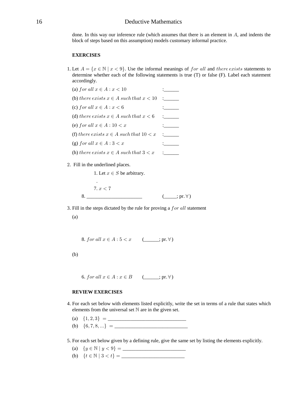done. In this way our inference rule (which assumes that there is an element in  $A$ , and indents the block of steps based on this assumption) models customary informal practice.

### **EXERCISES**

- 1. Let  $A = \{x \in \mathbb{N} \mid x < 9\}$ . Use the informal meanings of for all and there exists statements to determine whether each of the following statements is true (T) or false (F). Label each statement accordingly.
	- (a) for all  $x \in A : x < 10$  :\_\_\_\_\_\_\_ (b) :\_\_\_\_\_\_ >2/</ /B3=>= B − E =?-2 >2+> B B "! (c) for all  $x \in A : x < 6$  : (d) there exists  $x \in A$  such that  $x < 6$  : (e) for all  $x \in A : 10 < x$  :
	- (f) there exists  $x \in A$  such that  $10 < x$  :\_\_\_\_\_\_
	- (g) for all  $x \in A : 3 < x$  :
	- (h) there exists  $x \in A$  such that  $3 < x$ :
- 2. Fill in the underlined places.

.

1. Let  $x \in S$  be arbitrary.

 $7. x < 7$ 8. \_\_\_\_\_\_\_\_\_\_\_\_\_\_\_\_\_\_\_\_\_\_ (\_\_\_\_\_; pr. ) a

3. Fill in the steps dictated by the rule for proving a  $for$  all statement

(a)

8. for all  $x \in A : 5 < x \quad (\_\_\_\mathfrak{p} \in B)$ 

(b)

6. for all  $x \in A : x \in B$   $(\underline{\hspace{1cm}}; \text{pr. } \forall)$ 

# **REVIEW EXERCISES**

- 4. For each set below with elements listed explicitly, write the set in terms of a rule that states which elements from the universal set  $\mathbb N$  are in the given set.
	- (a) \_\_\_\_\_\_\_\_\_\_\_\_\_\_\_\_\_\_\_\_\_\_\_\_\_\_\_\_\_\_\_ Ö"ß #ß \$× œ
	- (b) \_\_\_\_\_\_\_\_\_\_\_\_\_\_\_\_\_\_\_\_\_\_\_\_\_\_\_\_\_ Ö'ß (ß )ß ÞÞÞ× œ
- 5. For each set below given by a defining rule, give the same set by listing the elements explicitly.
	- (a) \_\_\_\_\_\_\_\_\_\_\_\_\_\_\_\_\_\_\_\_\_\_\_\_\_ ÖC − ± C B \*× œ !
	- (b) \_\_\_\_\_\_\_\_\_\_\_\_\_\_\_\_\_\_\_\_\_\_\_\_\_ Ö> − ± \$ B >× œ !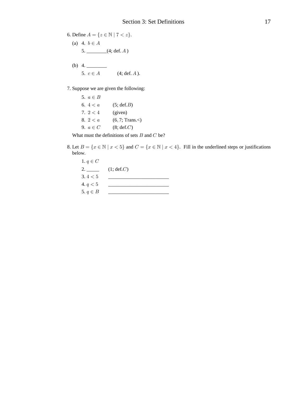6. Define 
$$
A = \{z \in \mathbb{N} | 7 < z\}.
$$
  
\n(a) 4.  $b \in A$   
\n5. (4; def. A)  
\n(b) 4.

7. Suppose we are given the following:

5.  $a \in B$ 6.  $4 < a$  (5; def. *B*) 7.  $2 < 4$  (given) 8.  $2 < a$  (6,7; Trans. $<$ ) 9.  $a \in C$  (8; def. *C*)

What must the definitions of sets  $B$  and  $C$  be?

8. Let  $B = \{x \in \mathbb{N} \mid x < 5\}$  and  $C = \{x \in \mathbb{N} \mid x < 4\}$ . Fill in the underlined steps or justifications below.

1.  $q \in C$ 2.  $\frac{1}{2}$  (1; def. *C*)  $3.4 < 5$  4. \_\_\_\_\_\_\_\_\_\_\_\_\_\_\_\_\_\_\_\_\_\_\_\_ ;B&  $5. q \in B$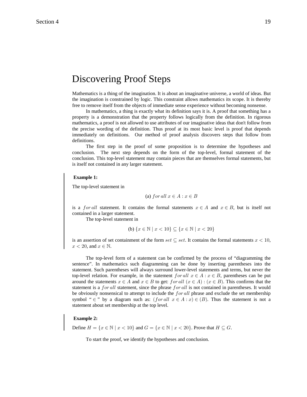# Discovering Proof Steps

Mathematics is a thing of the imagination. It is about an imaginative universe, a world of ideas. But the imagination is constrained by logic. This constraint allows mathematics its scope. It is thereby free to remove itself from the objects of immediate sense experience without becoming nonsense.

In mathematics, a thing is exactly what its definition says it is. A proof that something has a property is a demonstration that the property follows logically from the definition. In rigorous mathematics, a proof is not allowed to use attributes of our imaginative ideas that don't follow from the precise wording of the definition. Thus proof at its most basic level is proof that depends immediately on definitions. Our method of proof analysis discovers steps that follow from definitions.

The first step in the proof of some proposition is to determine the hypotheses and conclusion. The next step depends on the form of the top-level, formal statement of the conclusion. This top-level statement may contain pieces that are themselves formal statements, but is itself not contained in any larger statement.

#### **Example 1:**

The top-level statement in

(a) for all 
$$
x \in A : x \in B
$$

is a for all statement. It contains the formal statements  $x \in A$  and  $x \in B$ , but is itself not contained in a larger statement.

The top-level statement in

(b) 
$$
{x \in \mathbb{N} \mid x < 10} \subseteq {x \in \mathbb{N} \mid x < 20}
$$

is an assertion of set containment of the form set  $\subseteq$  set. It contains the formal statements  $x < 10$ ,  $x < 20$ , and  $x \in \mathbb{N}$ .

The top-level form of a statement can be confirmed by the process of "diagramming the sentence". In mathematics such diagramming can be done by inserting parentheses into the statement. Such parentheses will always surround lower-level statements and terms, but never the top-level relation. For example, in the statement  $for all x \in A : x \in B$ , parentheses can be put around the statements  $x \in A$  and  $x \in B$  to get: for all  $(x \in A)$ :  $(x \in B)$ . This confirms that the statement is a for all statement, since the phrase for all is not contained in parentheses. It would be obviously nonsensical to attempt to include the  $for all$  phrase and exclude the set membership symbol "  $\in$ " by a diagram such as:  $(for all x \in A : x) \in (B)$ . Thus the statement is not a statement about set membership at the top level.

#### **Example 2:**

Define  $H = \{x \in \mathbb{N} \mid x < 10\}$  and  $G = \{x \in \mathbb{N} \mid x < 20\}$ . Prove that  $H \subseteq G$ .

To start the proof, we identify the hypotheses and conclusion.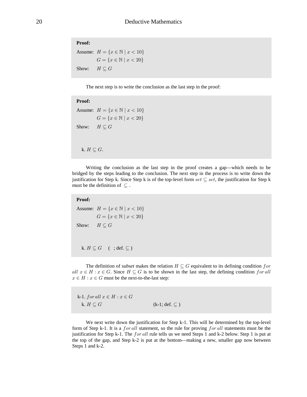**Proof:** Assume:  $H = \{x \in \mathbb{N} \mid x < 10\}$  $G = \{x \in \mathbb{N} \mid x < 20\}$ Show:  $H \subset G$ 

The next step is to write the conclusion as the last step in the proof:

# **Proof:**

```
Assume: H = \{x \in \mathbb{N} \mid x < 10\}G = \{x \in \mathbb{N} \mid x < 20\}Show: H \subseteq Gk. H \subseteq G.
```
Writing the conclusion as the last step in the proof creates a gap—which needs to be bridged by the steps leading to the conclusion. The next step in the process is to write down the justification for Step k. Since Step k is of the top-level form set  $\subseteq$  set, the justification for Step k must be the definition of  $\subseteq$ .

# **Proof:**

```
Assume: H = \{x \in \mathbb{N} \mid x < 10\}G = \{x \in \mathbb{N} \mid x < 20\}Show: H \subset Gk. H \subseteq G (; def. \subseteq)
```
The definition of *subset* makes the relation  $H \subseteq G$  equivalent to its defining condition *for* all  $x \in H : x \in G$ . Since  $H \subseteq G$  is to be shown in the last step, the defining condition for all  $x \in H : x \in G$  must be the next-to-the-last step:

k-1. for all  $x \in H : x \in G$ k.  $H \subseteq G$  (k-1; def.  $\subseteq$  )

We next write down the justification for Step k-1. This will be determined by the top-level form of Step k-1. It is a for all statement, so the rule for proving for all statements must be the justification for Step k-1. The *for all* rule tells us we need Steps 1 and k-2 below. Step 1 is put at the top of the gap, and Step k-2 is put at the bottom—making a new, smaller gap now between Steps 1 and k-2.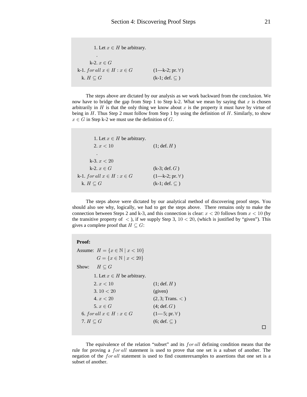| 1. Let $x \in H$ be arbitrary.   |                         |
|----------------------------------|-------------------------|
| ٠                                |                         |
| k-2. $x \in G$                   |                         |
| k-1. for all $x \in H : x \in G$ | $(1-k-2; pr. \forall)$  |
| k. $H \subseteq G$               | $(k-1; def. \subseteq)$ |

The steps above are dictated by our analysis as we work backward from the conclusion. We now have to bridge the gap from Step 1 to Step k-2. What we mean by saying that x is chosen arbitrarily in  $H$  is that the only thing we know about  $x$  is the property it must have by virtue of being in  $H$ . Thus Step 2 must follow from Step 1 by using the definition of  $H$ . Similarly, to show  $x \in G$  in Step k-2 we must use the definition of G.

| 1. Let $x \in H$ be arbitrary.   |                        |
|----------------------------------|------------------------|
| 2. $x < 10$                      | $(1; \text{def. } H)$  |
| ٠                                |                        |
| k-3. $x < 20$                    |                        |
| k-2. $x \in G$                   | $(k-3; def. G)$        |
| k-1. for all $x \in H : x \in G$ | $(1-k-2; pr. \forall)$ |
| k. $H \subseteq G$               | $(k-1; def. \subset)$  |

The steps above were dictated by our analytical method of discovering proof steps. You should also see why, logically, we had to get the steps above. There remains only to make the connection between Steps 2 and k-3, and this connection is clear:  $x < 20$  follows from  $x < 10$  (by the transitive property of  $\langle$ ), if we supply Step 3, 10  $\langle$  20, (which is justified by "given"). This gives a complete proof that  $H \subseteq G$ :

| <b>Proof:</b>                                  |                       |
|------------------------------------------------|-----------------------|
| Assume: $H = \{x \in \mathbb{N} \mid x < 10\}$ |                       |
| $G = \{x \in \mathbb{N} \mid x < 20\}$         |                       |
| Show: $H \subseteq G$                          |                       |
| 1. Let $x \in H$ be arbitrary.                 |                       |
| 2. $x < 10$                                    | $(1; \text{def. } H)$ |
| 3.10 < 20                                      | (given)               |
| 4. x < 20                                      | (2, 3; Trans. <)      |
| $5, x \in G$                                   | $(4; \text{def}, G)$  |
| 6. for all $x \in H : x \in G$                 | $(1-5; pr. \forall)$  |
| 7. $H \subseteq G$                             | $(6; def. \subset)$   |
|                                                |                       |

The equivalence of the relation "subset" and its  $for all$  defining condition means that the rule for proving a  $for all$  statement is used to prove that one set is a subset of another. The negation of the  $for all$  statement is used to find counterexamples to assertions that one set is a subset of another.

 $\Box$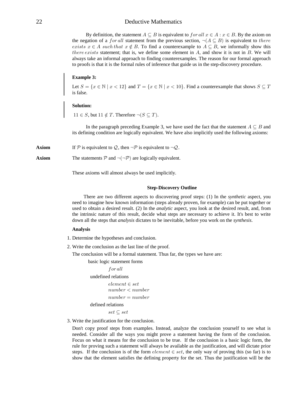By definition, the statement  $A \subseteq B$  is equivalent to  $for all x \in A : x \in B$ . By the axiom on the negation of a *for all* statement from the previous section,  $\neg (A \subseteq B)$  is equivalent to there *exists*  $x \in A$  *such that*  $x \notin B$ . To find a counterexample to  $A \subseteq B$ , we informally show this *there exists* statement; that is, we define some element in  $A$ , and show it is not in  $B$ . We will always take an informal approach to finding counterexamples. The reason for our formal approach to proofs is that it is the formal rules of inference that guide us in the step-discovery procedure.

#### **Example 3:**

Let  $S = \{x \in \mathbb{N} \mid x < 12\}$  and  $T = \{x \in \mathbb{N} \mid x < 10\}$ . Find a counterexample that shows  $S \subseteq T$ is false.

#### **Solution:**

 $11 \in S$ , but  $11 \notin T$ . Therefore  $\neg (S \subseteq T)$ .

In the paragraph preceding Example 3, we have used the fact that the statement  $A \subseteq B$  and its defining condition are logically equivalent. We have also implicitly used the following axioms:

**Axiom** If P is equivalent to Q, then  $\neg$ P is equivalent to  $\neg$ Q.

**Axiom** The statements  $P$  and  $\neg(\neg P)$  are logically equivalent.

These axioms will almost always be used implicitly.

#### **Step-Discovery Outline**

There are two different aspects to discovering proof steps: (1) In the *synthetic* aspect, you need to imagine how known information (steps already proven, for example) can be put together or used to obtain a desired result. (2) In the *analytic* aspect, you look at the desired result, and, from the intrinsic nature of this result, decide what steps are necessary to achieve it. It's best to write down all the steps that *analysis* dictates to be inevitable, before you work on the *synthesis*.

#### **Analysis**

- 1. Determine the hypotheses and conclusion.
- 2. Write the conclusion as the last line of the proof.

The conclusion will be a formal statement. Thus far, the types we have are:

basic logic statement forms

```
for allundefined relations
        element \in setnumber < numbernumber = numberdefined relations
        set \subseteq set
```
3. Write the justification for the conclusion.

Don't copy proof steps from examples. Instead, analyze the conclusion yourself to see what is needed. Consider all the ways you might prove a statement having the form of the conclusion. Focus on what it means for the conclusion to be true. If the conclusion is a basic logic form, the rule for proving such a statement will always be available as the justification, and will dictate prior steps. If the conclusion is of the form  $element \in set$ , the only way of proving this (so far) is to show that the element satisfies the defining property for the set. Thus the justification will be the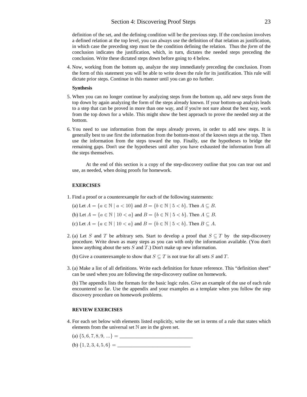# Section 4: Discovering Proof Steps 23

definition of the set, and the defining condition will be the previous step. If the conclusion involves a defined relation at the top level, you can always use the definition of that relation as justification, in which case the preceding step must be the condition defining the relation. Thus the *form* of the conclusion indicates the justification, which, in turn, dictates the needed steps preceding the conclusion. Write these dictated steps down before going to 4 below.

4. Now, working from the bottom up, analyze the step immediately preceding the conclusion. From the form of this statement you will be able to write down the rule for its justification. This rule will dictate prior steps. Continue in this manner until you can go no further.

#### **Synthesis**

- 5. When you can no longer continue by analyzing steps from the bottom up, add new steps from the top down by again analyzing the form of the steps already known. If your bottom-up analysis leads to a step that can be proved in more than one way, and if you're not sure about the best way, work from the top down for a while. This might show the best approach to prove the needed step at the bottom.
- 6. You need to use information from the steps already proven, in order to add new steps. It is generally best to use first the information from the bottom-most of the known steps at the top. Then use the information from the steps toward the top. Finally, use the hypotheses to bridge the remaining gaps. Don't use the hypotheses until after you have exhausted the information from all the steps themselves.

At the end of this section is a copy of the step-discovery outline that you can tear out and use, as needed, when doing proofs for homework.

#### **EXERCISES**

1. Find a proof or a counterexample for each of the following statements:

(a) Let  $A = \{a \in \mathbb{N} \mid a < 10\}$  and  $B = \{b \in \mathbb{N} \mid b < b\}$ . Then  $A \subseteq B$ .

(b) Let  $A = \{a \in \mathbb{N} \mid 10 < a\}$  and  $B = \{b \in \mathbb{N} \mid 5 < b\}$ . Then  $A \subseteq B$ .

(c) Let  $A = \{a \in \mathbb{N} \mid 10 < a\}$  and  $B = \{b \in \mathbb{N} \mid 5 < b\}$ . Then  $B \subseteq A$ .

- 2. (a) Let S and T be arbitrary sets. Start to develop a proof that  $S \subseteq T$  by the step-discovery procedure. Write down as many steps as you can with only the information available. (You don't know anything about the sets  $S$  and  $T$ .) Don't make up new information.
	- (b) Give a counterexample to show that  $S \subseteq T$  is not true for all sets S and T.
- 3. (a) Make a list of all definitions. Write each definition for future reference. This "definition sheet" can be used when you are following the step-discovery outline on homework.

(b) The appendix lists the formats for the basic logic rules. Give an example of the use of each rule encountered so far. Use the appendix and your examples as a template when you follow the step discovery procedure on homework problems.

#### **REVIEW EXERCISES**

- 4. For each set below with elements listed explicitly, write the set in terms of a rule that states which elements from the universal set  $\mathbb N$  are in the given set.
	- (a) \_\_\_\_\_\_\_\_\_\_\_\_\_\_\_\_\_\_\_\_\_\_\_\_\_\_\_\_\_ Ö&ß 'ß (ß )ß \*ß ÞÞÞ× œ
	- (b) \_\_\_\_\_\_\_\_\_\_\_\_\_\_\_\_\_\_\_\_\_\_\_\_\_\_\_\_\_ Ö"ß #ß \$ß %ß &ß '× œ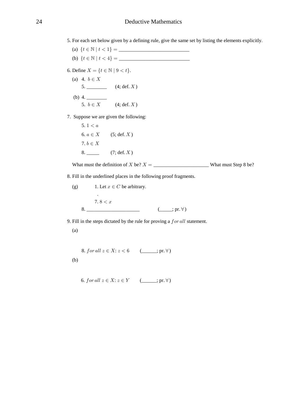5. For each set below given by a defining rule, give the same set by listing the elements explicitly.

(a) \_\_\_\_\_\_\_\_\_\_\_\_\_\_\_\_\_\_\_\_\_\_\_\_\_\_\_\_ Ö> − ± > B "× œ ! (b) \_\_\_\_\_\_\_\_\_\_\_\_\_\_\_\_\_\_\_\_\_\_\_\_\_\_\_\_ Ö> − ± > B %× œ !

- 6. Define  $X = \{ t \in \mathbb{N} \mid 9 < t \}.$ 
	- (a) 4.  $b \in X$ 5. \_\_\_\_\_\_\_\_\_\_ (4; def.  $X$ ) (b) 4.  $\frac{4}{\sqrt{2}}$ 5.  $b \in X$  (4; def. X)
- 7. Suppose we are given the following:

5. 
$$
1 < a
$$
  
\n6.  $a \in X$  (5; def. X)  
\n7.  $b \in X$   
\n8. (7; def. X)

What must the definition of be? \_\_\_\_\_\_\_\_\_\_\_\_\_\_\_\_\_\_\_\_\_\_ What must Step 8 be? \ \œ

8. Fill in the underlined places in the following proof fragments.

(g) 1. Let 
$$
x \in C
$$
 be arbitrary.  
\n
$$
\vdots
$$
\n
$$
7.8 < x
$$
\n8.

9. Fill in the steps dictated by the rule for proving a  $for$  all statement.

(a)

8. for all 
$$
z \in X
$$
:  $z < 6$  (\_\_\_\_\_\_\_\_\_. pr.  $\forall$ )  
(b)

6. for all 
$$
z \in X
$$
:  $z \in Y$  (\_\_\_\_\_\_\_\_\_.pr.  $\forall$ )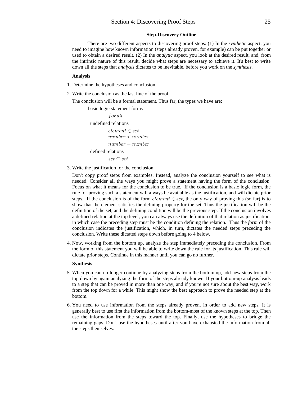#### **Step-Discovery Outline**

There are two different aspects to discovering proof steps: (1) In the *synthetic* aspect, you need to imagine how known information (steps already proven, for example) can be put together or used to obtain a desired result. (2) In the *analytic* aspect, you look at the desired result, and, from the intrinsic nature of this result, decide what steps are necessary to achieve it. It's best to write down all the steps that *analysis* dictates to be inevitable, before you work on the *synthesis*.

#### **Analysis**

- 1. Determine the hypotheses and conclusion.
- 2. Write the conclusion as the last line of the proof.

The conclusion will be a formal statement. Thus far, the types we have are:

```
basic logic statement forms
         for allundefined relations
         element \in setnumber < numbernumber = numberdefined relations
         set \subseteq set
```
3. Write the justification for the conclusion.

Don't copy proof steps from examples. Instead, analyze the conclusion yourself to see what is needed. Consider all the ways you might prove a statement having the form of the conclusion. Focus on what it means for the conclusion to be true. If the conclusion is a basic logic form, the rule for proving such a statement will always be available as the justification, and will dictate prior steps. If the conclusion is of the form  $element \in set$ , the only way of proving this (so far) is to show that the element satisfies the defining property for the set. Thus the justification will be the definition of the set, and the defining condition will be the previous step. If the conclusion involves a defined relation at the top level, you can always use the definition of that relation as justification, in which case the preceding step must be the condition defining the relation. Thus the *form* of the conclusion indicates the justification, which, in turn, dictates the needed steps preceding the conclusion. Write these dictated steps down before going to 4 below.

4. Now, working from the bottom up, analyze the step immediately preceding the conclusion. From the form of this statement you will be able to write down the rule for its justification. This rule will dictate prior steps. Continue in this manner until you can go no further.

#### **Synthesis**

- 5. When you can no longer continue by analyzing steps from the bottom up, add new steps from the top down by again analyzing the form of the steps already known. If your bottom-up analysis leads to a step that can be proved in more than one way, and if you're not sure about the best way, work from the top down for a while. This might show the best approach to prove the needed step at the bottom.
- 6. You need to use information from the steps already proven, in order to add new steps. It is generally best to use first the information from the bottom-most of the known steps at the top. Then use the information from the steps toward the top. Finally, use the hypotheses to bridge the remaining gaps. Don't use the hypotheses until after you have exhausted the information from all the steps themselves.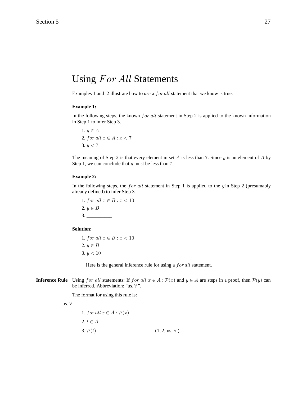# Using For All Statements

Examples 1 and 2 illustrate how to use a for all statement that we know is true.

#### **Example 1:**

In the following steps, the known  $for$  all statement in Step 2 is applied to the known information in Step 1 to infer Step 3.

1.  $y \in A$ 2. for all  $x \in A : x < 7$ 3.  $y < 7$ 

The meaning of Step 2 is that every element in set  $A$  is less than 7. Since  $y$  is an element of  $A$  by Step 1, we can conclude that  $y$  must be less than 7.

# **Example 2:**

In the following steps, the for all statement in Step 1 is applied to the  $y$  in Step 2 (presumably already defined) to infer Step 3.

1. for all  $x \in B : x < 10$ 2.  $y \in B$ 3. \_\_\_\_\_\_\_\_\_\_

# **Solution:**

1. for all  $x \in B : x < 10$ 2.  $y \in B$  $3. y < 10$ 

Here is the general inference rule for using a  $for$  all statement.

**Inference Rule** Using for all statements: If for all  $x \in A : \mathcal{P}(x)$  and  $y \in A$  are steps in a proof, then  $\mathcal{P}(y)$  can be inferred. Abbreviation: "us.  $\forall$ ".

The format for using this rule is:

us.  $\forall$ 

1. 
$$
\text{for all } x \in A : \mathcal{P}(x)
$$
  
2.  $t \in A$   
3.  $\mathcal{P}(t)$  (1, 2; us.  $\forall$ )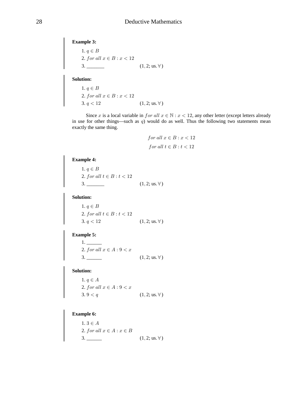**Example 3:**

1.  $q \in B$ 2. for all  $x \in B : x < 12$ 3. \_\_\_\_\_\_\_ (1 2; us. ) ß a

**Solution:**

1.  $q \in B$ 2. for all  $x \in B : x < 12$ 3.  $q < 12$  (1, 2; us.  $\forall$ )

Since x is a local variable in  $for$  all  $x \in \mathbb{N} : x < 12$ , any other letter (except letters already in use for other things—such as  $q$ ) would do as well. Thus the following two statements mean exactly the same thing.

$$
for all x \in B : x < 12
$$
\n
$$
for all t \in B : t < 12
$$

#### **Example 4:**

1.  $q \in B$ 2. for all  $t \in B : t < 12$ 3. \_\_\_\_\_\_\_ (1, 2; us.  $\forall$ )

**Solution:**

1.  $q \in B$ 2. for all  $t \in B : t < 12$ 3.  $q < 12$  (1, 2; us.  $\forall$ )

# **Example 5:**

 1. \_\_\_\_\_\_ 2. for all  $x \in A : 9 < x$ 3.  $(1, 2; \text{us. } \forall)$ 

**Solution:**

1.  $q \in A$ 2. for all  $x \in A : 9 < x$ 3.  $9 < q$  (1, 2; us.  $\forall$ )

# **Example 6:**

 $1.3 \in A$ 2. for all  $x \in A : x \in B$ 3. \_\_\_\_\_\_\_ (1,2; us.  $\forall$ )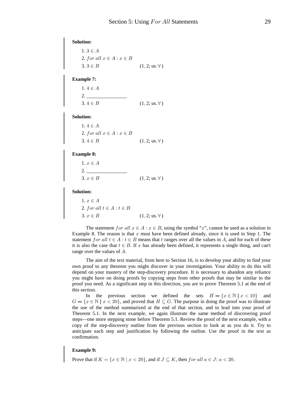**Solution:**  $1.3 \in A$ 2. for all  $x \in A : x \in B$ 3. 3 ∈ B  $(1, 2; \text{us. } \forall)$ 

#### **Example 7:**

| $1.4 \in A$ |                               |
|-------------|-------------------------------|
|             |                               |
| $3.4 \in B$ | $(1, 2; \text{us. } \forall)$ |

#### **Solution:**

| $1.4 \in A$                    |                              |
|--------------------------------|------------------------------|
| 2. for all $x \in A : x \in B$ |                              |
| $3.4 \in B$                    | $(1, 2; \text{us.} \forall)$ |

# **Example 8:**

| $1, x \in A$ |                               |
|--------------|-------------------------------|
|              |                               |
| $3, x \in B$ | $(1, 2; \text{us. } \forall)$ |

#### **Solution:**

1.  $x\in A$ 2. for all  $t \in A : t \in B$  $(1, 2; \text{us. } \forall)$ 

The statement for all  $x \in A : x \in B$ , using the symbol "x", cannot be used as a solution in Example 8. The reason is that  $x$  must have been defined already, since it is used in Step 1. The statement for all  $t \in A : t \in B$  means that t ranges over all the values in A, and for each of these it is also the case that  $t \in B$ . If x has already been defined, it represents a single thing, and can't range over the values of  $A$ .

The aim of the text material, from here to Section 16, is to develop your ability to find your own proof to any theorem you might discover in your investigation. Your ability to do this will depend on your mastery of the step-discovery procedure. It is necessary to abandon any reliance you might have on doing proofs by copying steps from other proofs that may be similar to the proof you need. As a significant step in this direction, you are to prove Theorem 5.1 at the end of this section.

In the previous section we defined the sets  $H = \{x \in \mathbb{N} \mid x < 10\}$  and  $G = \{x \in \mathbb{N} \mid x < 20\}$ , and proved that  $H \subseteq G$ . The purpose in doing the proof was to illustrate the use of the method summarized at the end of that section, and to lead into your proof of Theorem 5.1. In the next example, we again illustrate the same method of discovering proof steps—one more stepping stone before Theorem 5.1. Review the proof of the next example, with a copy of the step-discovery outline from the previous section to look at as you do it. Try to anticipate each step and justification by following the outline. Use the proof in the text as confirmation.

## **Example 9:**

Prove that if  $K = \{x \in \mathbb{N} \mid x < 20\}$ , and if  $J \subseteq K$ , then for all  $a \in J : a < 20$ .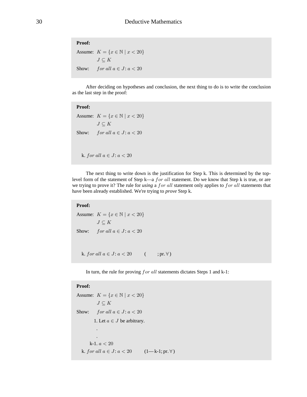# **Proof:**

Assume:  $K = \{x \in \mathbb{N} \mid x < 20\}$  $J\subseteq K$ Show: for all  $a \in J$ :  $a < 20$ 

After deciding on hypotheses and conclusion, the next thing to do is to write the conclusion as the last step in the proof:

# **Proof:**

Assume:  $K = \{x \in \mathbb{N} \mid x < 20\}$  $J\subseteq K$ Show: for all  $a \in J$ :  $a < 20$ 

k. for all  $a \in J$ :  $a < 20$ 

The next thing to write down is the justification for Step k. This is determined by the toplevel form of the statement of Step k—a *for all* statement. Do we know that Step k is true, or are we trying to prove it? The rule for *using* a for all statement only applies to for all statements that have been already established. We're trying to *prove* Step k.

#### **Proof:**

```
Assume: K = \{x \in \mathbb{N} \mid x < 20\}J\subseteq KShow: for all a \in J: a < 20k. for all a \in J: a < 20 ( ; pr. \forall)
```
In turn, the rule for proving  $for$  all statements dictates Steps 1 and k-1:

# **Proof:**

```
Assume: K = \{x \in \mathbb{N} \mid x < 20\}J\subseteq KShow: for all a \in J: a < 201. Let a \in J be arbitrary.
 .
 .
       k-1. a < 20k. for all a \in J: a < 20 (1 - k - 1; pr. \forall)
```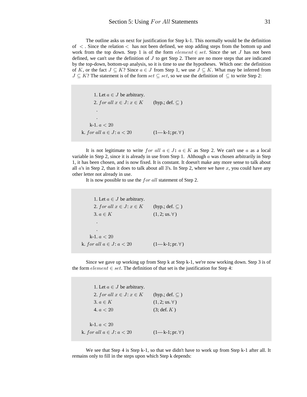The outline asks us next for justification for Step k-1. This normally would be the definition of  $\lt$ . Since the relation  $\lt$  has not been defined, we stop adding steps from the bottom up and work from the top down. Step 1 is of the form  $element \in set$ . Since the set J has not been defined, we can't use the definition of  $J$  to get Step 2. There are no more steps that are indicated by the top-down, bottom-up analysis, so it is time to use the hypotheses. Which one: the definition of K, or the fact  $J \subseteq K$ ? Since  $a \in J$  from Step 1, we use  $J \subseteq K$ . What may be inferred from  $J \subseteq K$ ? The statement is of the form set  $\subseteq$  set, so we use the definition of  $\subseteq$  to write Step 2:

1. Let  $a \in J$  be arbitrary. 2. for all  $x \in J$ :  $x \in K$  (hyp.; def.  $\subseteq$  ) . . k-1.  $a < 20$ k. for all  $a \in J$ :  $a < 20$   $(1 - k - 1; pr. \forall)$ 

It is not legitimate to write for all  $a \in J$ :  $a \in K$  as Step 2. We can't use a as a local variable in Step 2, since it is already in use from Step 1. Although  $\alpha$  was chosen arbitrarily in Step 1, it has been chosen, and is now fixed. It is constant. It doesn't make any more sense to talk about all  $a$ 's in Step 2, than it does to talk about all 3's. In Step 2, where we have  $x$ , you could have any other letter not already in use.

It is now possible to use the  $for$  all statement of Step 2.

1. Let  $a \in J$  be arbitrary. 2. for all  $x \in J$ :  $x \in K$  (hyp.; def.  $\subseteq$  ) 3.  $a \in K$  (1, 2; us.  $\forall$ ) . . k-1.  $a < 20$ k. for all  $a \in J$ :  $a < 20$   $(1-k-1; pr. \forall)$ 

Since we gave up working up from Step k at Step k-1, we're now working down. Step 3 is of the form  $element \in set$ . The definition of that set is the justification for Step 4:

1. Let  $a \in J$  be arbitrary. 2. for all  $x \in J$ :  $x \in K$  (hyp.; def.  $\subseteq$  ) 3.  $a \in K$  (1, 2; us. ∀) 4.  $a < 20$  (3; def. K)  $k-1.$   $a < 20$ k. for all  $a \in J: a < 20$   $(1-k-1; pr. \forall)$ 

We see that Step 4 is Step k-1, so that we didn't have to work up from Step k-1 after all. It remains only to fill in the steps upon which Step k depends: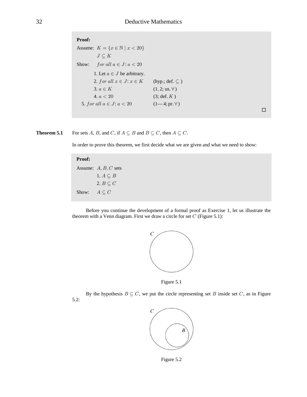## Proof:

Assume:  $K = \{x \in \mathbb{N} \mid x < 20\}$  $J\subseteq K$ for all  $a \in J$ :  $a < 20$ Show: 1. Let  $a \in J$  be arbitrary. 2. for all  $x \in J: x \in K$ (hyp.; def.  $\subseteq$  ) 3.  $a \in K$  $(1, 2; \text{us. } \forall)$  $4. a < 20$  $(3; \text{def. } K)$ 5. for all  $a \in J$ :  $a < 20$  $(1-4; pr. \forall)$ 

$$
\Box
$$

For sets A, B, and C, if  $A \subseteq B$  and  $B \subseteq C$ , then  $A \subseteq C$ . Theorem 5.1

In order to prove this theorem, we first decide what we are given and what we need to show:

### Proof:

Assume:  $A, B, C$  sets 1.  $A \subseteq B$ 2.  $B \subseteq C$  $A\subseteq C$ Show:

Before you continue the development of a formal proof as Exercise 1, let us illustrate the theorem with a Venn diagram. First we draw a circle for set  $C$  (Figure 5.1):



Figure 5.1

By the hypothesis  $B \subseteq C$ , we put the circle representing set B inside set C, as in Figure  $5.2:$ 



Figure 5.2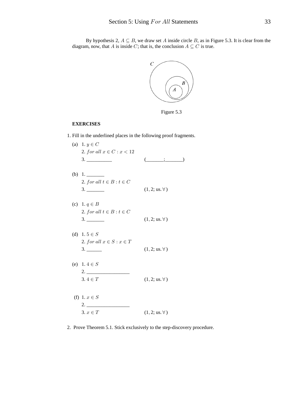By hypothesis 2,  $A \subseteq B$ , we draw set A inside circle B, as in Figure 5.3. It is clear from the diagram, now, that A is inside C; that is, the conclusion  $A \subseteq C$  is true.



Figure 5.3

## **EXERCISES**

1. Fill in the underlined places in the following proof fragments.

| (a) 1. $y \in C$               |                                                       |
|--------------------------------|-------------------------------------------------------|
| 2. for all $x \in C: x < 12$   |                                                       |
|                                | $(\underline{\hspace{1cm}};\underline{\hspace{1cm}})$ |
|                                |                                                       |
|                                |                                                       |
| 2. for all $t \in B : t \in C$ |                                                       |
|                                | $(1, 2; \text{us. } \forall)$                         |
|                                |                                                       |
| (c) 1. $q \in B$               |                                                       |
| 2. for all $t \in B : t \in C$ |                                                       |
|                                | $(1, 2; \text{us. } \forall)$                         |
|                                |                                                       |
| (d) 1.5 $\in$ S                |                                                       |
| 2. for all $x \in S : x \in T$ |                                                       |
|                                | $(1, 2; \text{us. } \forall)$                         |
|                                |                                                       |
| (e) 1.4 $\in$ S                |                                                       |
|                                |                                                       |
| $3.4 \in T$                    | $(1, 2; \text{us. } \forall)$                         |
|                                |                                                       |
| (f) 1. $x \in S$               |                                                       |
| 2.                             |                                                       |
| $3. x \in T$                   | $(1, 2; \text{us. } \forall)$                         |
|                                |                                                       |

2. Prove Theorem 5.1. Stick exclusively to the step-discovery procedure.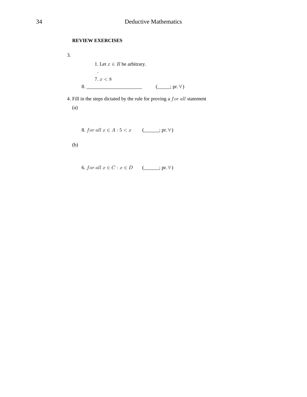## **REVIEW EXERCISES**

3.

1. Let  $x \in R$  be arbitrary.  $\bar{\mathcal{A}}$ 7.  $x < 8$ 

4. Fill in the steps dictated by the rule for proving a for all statement

 $(a)$ 

8. for all  $x \in A : 5 < x$  (\_\_\_\_; pr.  $\forall$ )

 $(b)$ 

6. for all  $x \in C : x \in D$  (\_\_\_\_; pr.  $\forall$ )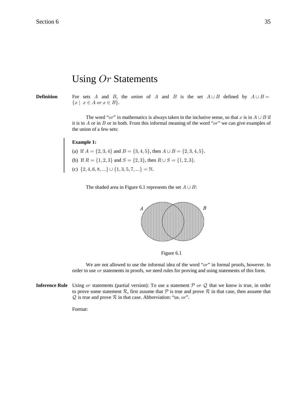# Using  $Or$  Statements

**Definition** For sets A and B, the *union* of A and B is the set  $A \cup B$  defined by  $A \cup B =$  $\{x \mid x \in A \text{ or } x \in B\}.$ 

> The word "or" in mathematics is always taken in the inclusive sense, so that x is in  $A \cup B$  if it is in A or in B or in both. From this informal meaning of the word " $or$ " we can give examples of the union of a few sets:

#### **Example 1:**

(a) If  $A = \{2, 3, 4\}$  and  $B = \{3, 4, 5\}$ , then  $A \cup B = \{2, 3, 4, 5\}$ . (b) If  $R = \{1, 2, 3\}$  and  $S = \{2, 3\}$ , then  $R \cup S = \{1, 2, 3\}$ . (c)  $\{2, 4, 6, 8, ...\} \cup \{1, 3, 5, 7, ...\} = \mathbb{N}.$ 

The shaded area in Figure 6.1 represents the set  $A \cup B$ :



Figure 6.1

We are not allowed to use the informal idea of the word " $or$ " in formal proofs, however. In order to use  $or$  statements in proofs, we need rules for proving and using statements of this form.

**Inference Rule** Using or statements (partial version): To use a statement  $\mathcal{P}$  or  $\mathcal{Q}$  that we know is true, in order to prove some statement  $\mathcal R$ , first assume that  $\mathcal P$  is true and prove  $\mathcal R$  in that case, then assume that  $Q$  is true and prove  $R$  in that case. Abbreviation: "us. or".

Format: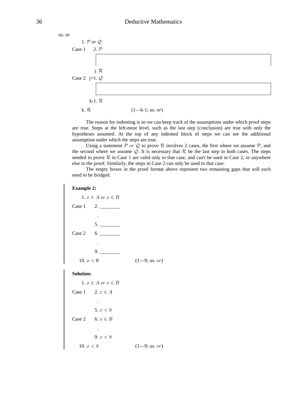| us. or                     |                       |  |
|----------------------------|-----------------------|--|
| 1. $P$ or $Q$              |                       |  |
| $2. \mathcal{P}$<br>Case 1 |                       |  |
|                            |                       |  |
| j. $R$                     |                       |  |
| Case 2 j+1. $Q$            |                       |  |
|                            |                       |  |
| k-1. $R$                   |                       |  |
| k. $R$                     | $(1 - k - 1; us. or)$ |  |

The reason for indenting is so we can keep track of the assumptions under which proof steps are true. Steps at the left-most level, such as the last step (conclusion) are true with only the hypotheses assumed. At the top of any indented block of steps we can see the additional assumption under which the steps are true.

Using a statement  $P$  or  $Q$  to prove  $R$  involves 2 cases, the first where we assume  $P$ , and the second where we assume  $Q$ . It is necessary that  $R$  be the last step in both cases. The steps needed to prove  $R$  in Case 1 are valid only in that case, and can't be used in Case 2, or anywhere else in the proof. Similarly, the steps in Case 2 can only be used in that case.

The empty boxes in the proof format above represent two remaining gaps that will each need to be bridged.

**Example 2:**

1.  $x \in A$  or  $x \in B$ Case 1 2. . 5. \_\_\_\_\_\_\_\_ Case 2 6. . 9. \_\_\_\_\_\_\_\_ 10.  $x < 8$  (1—9; us. or) **Solution:** 1.  $x \in A$  or  $x \in B$ Case 1 2.  $x \in A$  . 5.  $x < 8$ Case 2 6.  $x \in B$  . 9.  $x < 8$ 10.  $x < 8$  (1—9; us. or)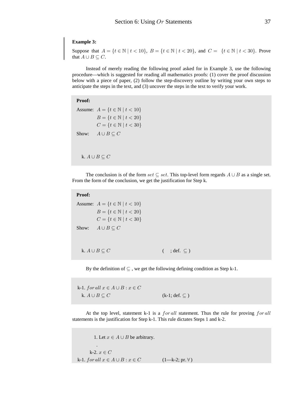#### **Example 3:**

Suppose that  $A = \{t \in \mathbb{N} \mid t < 10\}$ ,  $B = \{t \in \mathbb{N} \mid t < 20\}$ , and  $C = \{t \in \mathbb{N} \mid t < 30\}$ . Prove that  $A \cup B \subseteq C$ .

Instead of merely reading the following proof asked for in Example 3, use the following procedure—which is suggested for reading all mathematics proofs: (1) cover the proof discussion below with a piece of paper, (2) follow the step-discovery outline by writing your own steps to anticipate the steps in the text, and (3) uncover the steps in the text to verify your work.

#### **Proof:**

Assume:  $A = \{t \in \mathbb{N} \mid t < 10\}$  $B = \{t \in \mathbb{N} \mid t < 20\}$  $C = \{t \in \mathbb{N} \mid t < 30\}$ Show:  $A \cup B \subseteq C$ 

k.  $A \cup B \subseteq C$ 

The conclusion is of the form set  $\subseteq$  set. This top-level form regards  $A \cup B$  as a single set. From the form of the conclusion, we get the justification for Step k.

```
 Proof:
Assume: A = \{t \in \mathbb{N} \mid t < 10\}B = \{t \in \mathbb{N} \mid t < 20\}C = \{t \in \mathbb{N} \mid t < 30\}Show: A \cup B \subseteq Ck. A \cup B \subseteq C ( ; def. \subseteq )
```
By the definition of  $\subseteq$ , we get the following defining condition as Step k-1.

k-1. for all  $x \in A \cup B : x \in C$ k.  $A \cup B \subseteq C$  (k-1; def.  $\subseteq$  )

At the top level, statement k-1 is a *for all* statement. Thus the rule for proving *for all* statements is the justification for Step k-1. This rule dictates Steps 1 and k-2.

1. Let  $x \in A \cup B$  be arbitrary. . k-2.  $x \in C$ k-1.  $for all x \in A \cup B : x \in C$  (1—k-2; pr.  $\forall$ )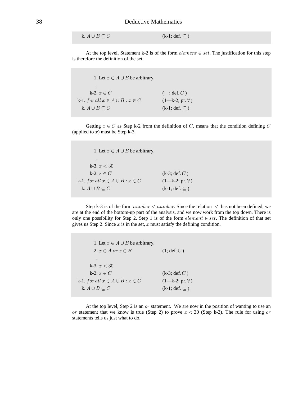k.  $A \cup B \subseteq C$  (k-1; def.  $\subseteq$  )

At the top level, Statement k-2 is of the form  $element \in set$ . The justification for this step is therefore the definition of the set.

1. Let  $x \in A \cup B$  be arbitrary. . k-2.  $x \in C$  (; def. C) k-1.  $for all x \in A \cup B : x \in C$  (1—k-2; pr.  $\forall$ ) k.  $A \cup B \subseteq C$  (k-1; def.  $\subseteq$  )

Getting  $x \in C$  as Step k-2 from the definition of C, means that the condition defining C (applied to  $x$ ) must be Step k-3.

1. Let  $x \in A \cup B$  be arbitrary. . k-3.  $x < 30$ k-2.  $x \in C$  (k-3; def. C) k-1.  $for all x \in A \cup B : x \in C$  (1—k-2; pr.  $\forall$ ) k.  $A \cup B \subseteq C$  (k-1; def.  $\subseteq$  )

Step k-3 is of the form  $number < number$ . Since the relation  $\lt$  has not been defined, we are at the end of the bottom-up part of the analysis, and we now work from the top down. There is only one possibility for Step 2. Step 1 is of the form *element*  $\in$  set. The definition of that set gives us Step 2. Since  $x$  is in the set,  $x$  must satisfy the defining condition.

1. Let  $x \in A \cup B$  be arbitrary. 2.  $x \in A$  or  $x \in B$  (1; def.  $\cup$ ) . k-3.  $x < 30$ k-2.  $x \in C$  (k-3; def. C) k-1.  $for all x \in A \cup B : x \in C$  (1—k-2; pr.  $\forall$ ) k.  $A \cup B \subseteq C$  (k-1; def.  $\subseteq$  )

At the top level, Step 2 is an  $or$  statement. We are now in the position of wanting to use an or statement that we know is true (Step 2) to prove  $x < 30$  (Step k-3). The rule for using or statements tells us just what to do.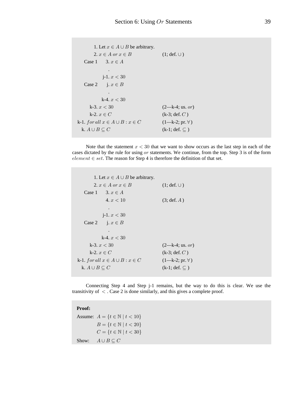```
1. Let x \in A \cup B be arbitrary.
      2. x \in A or x \in B (1; def. \cup)
  Case 1 3. x \in A .
         j-1. x < 30Case 2 j. x \in B .
         k-4. x < 30k-3. x < 30 (2-k-4; \text{us. or})k-2. x \in C (k-3; def. C)
k-1. for all x \in A \cup B : x \in C (1—k-2; pr. \forall)
 k. A \cup B \subseteq C (k-1; def. \subseteq )
```
Note that the statement  $x < 30$  that we want to show occurs as the last step in each of the cases dictated by the rule for using  $or$  statements. We continue, from the top. Step 3 is of the form  $element \in set$ . The reason for Step 4 is therefore the definition of that set.

```
1. Let x \in A \cup B be arbitrary.
       2. x \in A or x \in B (1; def. \cup)
    Case 1 3. x \in A4. x < 10 (3; def. A)
 .
          j-1. x < 30Case 2 j. x \in B .
          k-4. x < 30k-3. x < 30 (2-k-4; \text{us. } or)k-2. x \in C (k-3; def. C)
 k-1. for all x \in A \cup B : x \in C (1—k-2; pr. \forall)
   k. A \cup B \subseteq C (k-1; def. \subseteq )
```
Connecting Step 4 and Step j-1 remains, but the way to do this is clear. We use the transitivity of  $\langle$ . Case 2 is done similarly, and this gives a complete proof.

**Proof:**

Assume:  $A = \{t \in \mathbb{N} \mid t < 10\}$  $B = \{t \in \mathbb{N} \mid t < 20\}$  $C = \{t \in \mathbb{N} \mid t < 30\}$ Show:  $A \cup B \subseteq C$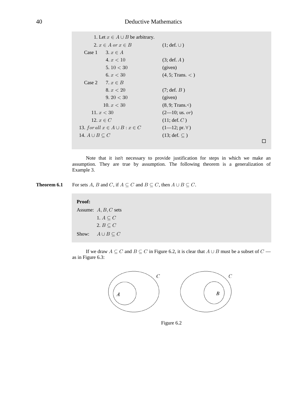|                            | 1. Let $x \in A \cup B$ be arbitrary.  |                        |
|----------------------------|----------------------------------------|------------------------|
|                            | 2. $x \in A$ or $x \in B$              | $(1; def. \cup)$       |
| Case 1                     | $3. x \in A$                           |                        |
|                            | 4. x < 10                              | (3; def. A)            |
|                            | 5. $10 < 30$                           | (given)                |
|                            | 6. $x < 30$                            | (4, 5; Trans. <)       |
|                            | Case 2 7. $x \in B$                    |                        |
|                            | 8. x < 20                              | $(7; \text{def. } B)$  |
|                            | 9.20 < 30                              | (given)                |
|                            | 10. $x < 30$                           | (8, 9; Trans. <)       |
|                            | 11. $x < 30$                           | $(2-10;$ us. or)       |
|                            | 12. $x \in C$                          | (11; def. C)           |
|                            | 13. for all $x \in A \cup B : x \in C$ | $(1-12; pr. \forall)$  |
| 14. $A \cup B \subseteq C$ |                                        | $(13; def. \subseteq)$ |
|                            |                                        |                        |

Note that it isn't necessary to provide justification for steps in which we make an assumption. They are true by assumption. The following theorem is a generalization of Example 3.

Theorem 6.1 For sets A, B and C, if  $A \subseteq C$  and  $B \subseteq C$ , then  $A \cup B \subseteq C$ .

## Proof:

Assume:  $A, B, C$  sets  $1. A \subseteq C$ 2.  $B \subseteq C$  $A\cup B\subseteq C$ Show:

If we draw  $A \subseteq C$  and  $B \subseteq C$  in Figure 6.2, it is clear that  $A \cup B$  must be a subset of  $C$  as in Figure 6.3:



Figure 6.2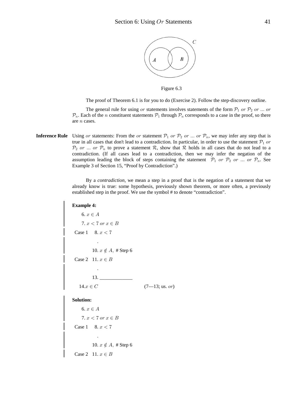

Figure 6.3

The proof of Theorem 6.1 is for you to do (Exercise 2). Follow the step-discovery outline.

The general rule for using or statements involves statements of the form  $\mathcal{P}_1$  or  $\mathcal{P}_2$  or ... or  $\mathcal{P}_n$ . Each of the *n* constituent statements  $\mathcal{P}_1$  through  $\mathcal{P}_n$  corresponds to a case in the proof, so there are  $n$  cases.

**Inference Rule** Using or statements: From the or statement  $P_1$  or  $P_2$  or ... or  $P_n$ , we may infer any step that is true in all cases that don't lead to a contradiction. In particular, in order to use the statement  $\mathcal{P}_1$  or  $\mathcal{P}_2$  or ... or  $\mathcal{P}_n$  to prove a statement R, show that R holds in all cases that do not lead to a contradiction. (If all cases lead to a contradiction, then we may infer the negation of the assumption leading the block of steps containing the statement  $P_1$  or  $P_2$  or ... or  $P_n$ . See Example 3 of Section 15, "Proof by Contradiction".)

> By a *contradiction*, we mean a step in a proof that is the negation of a statement that we already know is true: some hypothesis, previously shown theorem, or more often, a previously established step in the proof. We use the symbol # to denote "contradiction".

```
Example 4:
   6. x \in A7. x < 7 or x \in BCase 1 8. x < 7 .
        10. x \notin A, # Step 6
 Case 2 11. x \in B .
         13. _____________
  14.x \in C (7—13; us. or)
Solution:
   6. x \in A7. x < 7 or x \in BCase 1 8. x < 7 .
        10. x \notin A, # Step 6
 Case 2 11. x \in B
```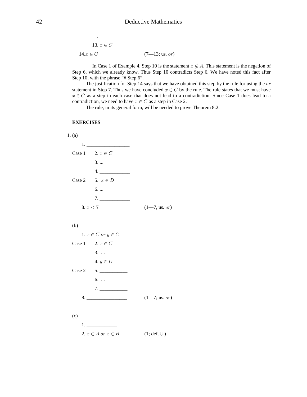13.  $x \in C$  $14.x \in C$  $(7-13;$  us. or)

In Case 1 of Example 4, Step 10 is the statement  $x \notin A$ . This statement is the negation of Step 6, which we already know. Thus Step 10 contradicts Step 6. We have noted this fact after Step 10, with the phrase "# Step 6".

The justification for Step 14 says that we have obtained this step by the rule for using the  $or$ statement in Step 7. Thus we have concluded  $x \in C$  by the rule. The rule states that we must have  $x \in C$  as a step in each case that does not lead to a contradiction. Since Case 1 does lead to a contradiction, we need to have  $x \in C$  as a step in Case 2.

The rule, in its general form, will be needed to prove Theorem 8.2.

#### **EXERCISES**

| 1. (a) |                           |                          |
|--------|---------------------------|--------------------------|
|        | 1.                        |                          |
|        | Case 1 2. $x \in C$       |                          |
|        | $3. \ldots$               |                          |
|        | 4.                        |                          |
|        | Case 2 5. $x \in D$       |                          |
|        | 6.                        |                          |
|        | 7.                        |                          |
|        | 8. x < 7                  | $(1 - 7, \text{us. or})$ |
|        |                           |                          |
| (b)    |                           |                          |
|        | 1. $x \in C$ or $y \in C$ |                          |
|        | Case 1 2. $x \in C$       |                          |
|        | $3. \ldots$               |                          |
|        | 4. $y \in D$              |                          |
|        | Case 2 5.                 |                          |
|        | 6.                        |                          |
|        | 7.                        |                          |
|        | 8.                        | $(1 - 7; us. or)$        |
|        |                           |                          |
| (c)    |                           |                          |
|        |                           |                          |
|        | 2. $x \in A$ or $x \in B$ | $(1; def. \cup)$         |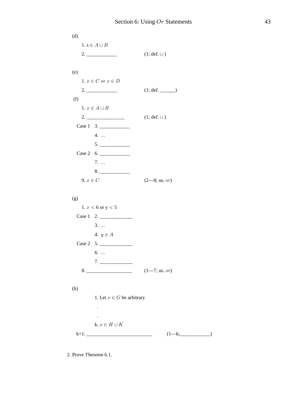$(d)$  $1. s \in A \cup B$  $(1; \text{def. } \cup)$  $(e)$ 1.  $x \in C$  or  $x \in D$  $(1; \text{def.} \_$  $(f)$ 1.  $x \in A \cup B$  $(1; \text{def.} \cup)$ Case 1 3. 4. ...  $5. \underline{\hspace{2cm}}$ Case 2  $6.$ 7. ...  $8.$ 9.  $x \in C$  $(2-8; \text{us. or})$  $(g)$ 1.  $x < 6$  or  $y < 5$ Case  $1 \quad 2.$  $3. \ldots$ 4.  $y \in A$ Case 2  $5.$ 6. ...  $7.$  $(h)$ 1. Let  $x \in G$  be arbitrary  $\mathcal{L}^{\mathcal{L}}$  $\sim$ k.  $x\in H\cup K$  $k+1$ .  $(1-k;\underline{\hspace{2cm}})$ 

2. Prove Theorem 6.1.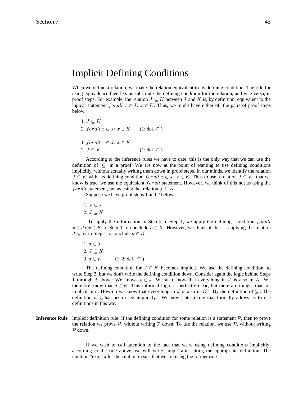## Implicit Defining Conditions

When we define a relation, we make the relation equivalent to its defining condition. The rule for using equivalence then lets us substitute the defining condition for the relation, and vice versa, in proof steps. For example, the relation  $J \subseteq K$  between J and K is, by definition, equivalent to the logical statement  $for all x \in J$ :  $x \in K$ . Thus, we might have either of the pairs of proof steps below.

```
1. J \subset K2. for all x \in J: x \in K (1; def. \subseteq)
1. for all x \in J: x \in K
```
 $2. J \subseteq K$  (1; def.  $\subseteq$  )

According to the inference rules we have to date, this is the only way that we can use the definition of  $\subseteq$  in a proof. We are now at the point of wanting to use defining conditions implicitly, without actually writing them down in proof steps. In our minds, we identify the relation  $J \subseteq K$  with its defining condition for all  $x \in J$ :  $x \in K$ . Thus to use a relation  $J \subseteq K$  that we know is true, we use the equivalent  $for all$  statement. However, we think of this not as using the f or all statement, but as using the relation  $J \subseteq K$ .

Suppose we have proof steps 1 and 2 below.

1.  $a \in J$ 

2.  $J \subseteq K$ 

To apply the information in Step 2 to Step 1, we apply the defining condition  $for$  all  $x \in J: x \in K$  to Step 1 to conclude  $a \in K$ . However, we think of this as applying the relation  $J \subseteq K$  to Step 1 to conclude  $a \in K$ .

1.  $a \in J$ 2.  $J \subset K$ 3.  $a \in K$  (1, 2; def. ⊆)

The defining condition for  $J \subseteq K$  becomes implicit. We use the defining condition, to write Step 3, but we don't write the defining condition down. Consider again the logic behind Steps 1 through 3 above: We know  $a \in J$ . We also know that everything in J is also in K. We therefore know that  $a \in K$ . This informal logic is perfectly clear, but there are things that are implicit in it. How do we know that everything in J is also in K? By the definition of  $\subseteq$ . The definition of  $\subseteq$  has been used implicitly. We now state a rule that formally allows us to use definitions in this way.

**Inference Rule** Implicit definition rule: If the defining condition for some relation is a statement  $P$ , then to prove the relation we prove  $P$ , without writing  $P$  down. To use the relation, we use  $P$ , without writing  $P$  down.

> If we wish to call attention to the fact that we're using defining conditions implicitly, according to the rule above, we will write "imp." after citing the appropriate definition. The notation "exp." after the citation means that we are using the former rule.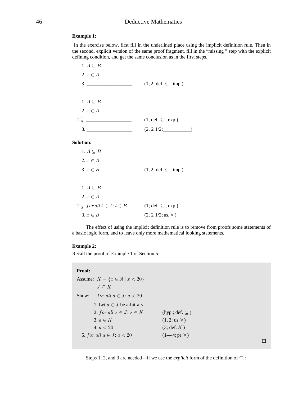## 46 Deductive Mathematics

## **Example 1:**

 In the exercise below, first fill in the underlined place using the implicit definition rule. Then in the second, explicit version of the same proof fragment, fill in the "missing " step with the explicit defining condition, and get the same conclusion as in the first steps.

| 1. $A \subseteq B$                                                                          |                                               |
|---------------------------------------------------------------------------------------------|-----------------------------------------------|
| $2. x \in A$                                                                                |                                               |
| $\begin{array}{c}\n3. \ \ \phantom{3}\n\end{array}$                                         | $(1, 2; \text{def. } \subseteq, \text{imp.})$ |
|                                                                                             |                                               |
| 1. $A \subseteq B$                                                                          |                                               |
| $2, x \in A$                                                                                |                                               |
| $2\frac{1}{2}$ .                                                                            | $(1; \text{def. } \subseteq, \text{exp.})$    |
| $\begin{array}{c} 3. \begin{array}{c} \begin{array}{c} \end{array} \end{array} \end{array}$ | $(2, 2 \frac{1}{2};$                          |
| <b>Solution:</b>                                                                            |                                               |
| 1. $A \subseteq B$                                                                          |                                               |
| $2. x \in A$                                                                                |                                               |
| $3. x \in B$                                                                                | $(1, 2; \text{def. } \subseteq, \text{imp.})$ |
|                                                                                             |                                               |
| 1. $A \subseteq B$                                                                          |                                               |
| $2, x \in A$                                                                                |                                               |
| $2\frac{1}{2}$ . for all $t \in A$ : $t \in B$                                              | $(1; def. \subseteq, exp.)$                   |
| 3. $x \in B$                                                                                | $(2, 2 \frac{1}{2}; \text{us}, \forall)$      |

The effect of using the implicit definition rule is to remove from proofs some statements of a basic logic form, and to leave only more mathematical looking statements.

#### **Example 2:**

Recall the proof of Example 1 of Section 5:

#### **Proof:**

| Assume: $K = \{x \in \mathbb{N} \mid x < 20\}$ |                               |
|------------------------------------------------|-------------------------------|
| $J\subseteq K$                                 |                               |
| for all $a \in J$ : $a < 20$<br>Show:          |                               |
| 1. Let $a \in J$ be arbitrary.                 |                               |
| 2. for all $x \in J: x \in K$                  | (hyp.; def. $\subseteq$ )     |
| 3. $a \in K$                                   | $(1, 2; \text{us. } \forall)$ |
| 4. $a < 20$                                    | $(3; \text{def. } K)$         |
| 5. for all $a \in J$ : $a < 20$                | $(1-4; pr. \forall)$          |
|                                                |                               |

 $\Box$ 

Steps 1, 2, and 3 are needed—if we use the *explicit* form of the definition of  $\subseteq$ :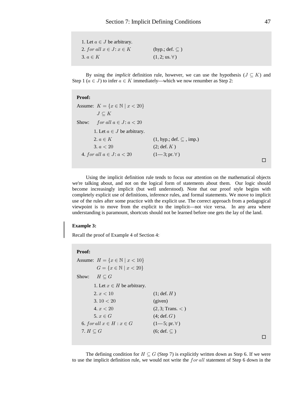| 1. Let $a \in J$ be arbitrary. |                               |
|--------------------------------|-------------------------------|
| 2. for all $x \in J: x \in K$  | (hyp.; def. $\subseteq$ )     |
| $3. a \in K$                   | $(1, 2; \text{us. } \forall)$ |

By using the *implicit* definition rule, however, we can use the hypothesis ( $J \subseteq K$ ) and Step 1 ( $a \in J$ ) to infer  $a \in K$  immediately—which we now renumber as Step 2:

| .                                              |                                  |
|------------------------------------------------|----------------------------------|
| Assume: $K = \{x \in \mathbb{N} \mid x < 20\}$ |                                  |
| $J \subset K$                                  |                                  |
| for all $a \in J$ : $a < 20$<br>Show:          |                                  |
| 1. Let $a \in J$ be arbitrary.                 |                                  |
| 2. $a \in K$                                   | $(1, hyp.; def. \subset , imp.)$ |
| 3. $a < 20$                                    | $(2; \text{def. } K)$            |
| 4. for all $a \in J$ : $a < 20$                | $(1-3; pr. \forall)$             |
|                                                |                                  |

Using the implicit definition rule tends to focus our attention on the mathematical objects we're talking about, and not on the logical form of statements about them. Our logic should become increasingly implicit (but well understood). Note that our proof style begins with completely explicit use of definitions, inference rules, and formal statements. We move to implicit use of the rules after some practice with the explicit use. The correct approach from a pedagogical viewpoint is to move from the explicit to the implicit—not vice versa. In any area where understanding is paramount, shortcuts should not be learned before one gets the lay of the land.

#### **Example 3:**

**Proof:**

Recall the proof of Example 4 of Section 4:

#### **Proof:**

```
Assume: H = \{x \in \mathbb{N} \mid x < 10\}G = \{x \in \mathbb{N} \mid x < 20\}Show: H \subset G1. Let x \in H be arbitrary.
       2. x < 10 (1; def. H)
      3. 10 < 20 (given)
      4. x < 20 (2, 3; Trans. < )
      5. x \in G (4; def. G)
 6. for all x \in H : x \in G (1-5; \text{pr. } \forall)7. H \subseteq G (6; def. \subseteq )
```
 $\Box$ 

The defining condition for  $H \subseteq G$  (Step 7) is explicitly written down as Step 6. If we were to use the implicit definition rule, we would not write the  $for$  all statement of Step 6 down in the

 $\Box$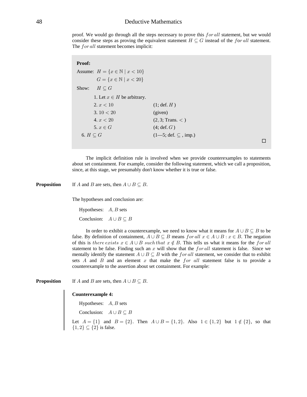## 48 Deductive Mathematics

proof. We would go through all the steps necessary to prove this for all statement, but we would consider these steps as proving the equivalent statement  $H \subseteq G$  instead of the for all statement. The for all statement becomes implicit:

| Proof:                                         |                                               |
|------------------------------------------------|-----------------------------------------------|
| Assume: $H = \{x \in \mathbb{N} \mid x < 10\}$ |                                               |
| $G = \{x \in \mathbb{N} \mid x < 20\}$         |                                               |
| $H\subseteq G$<br>Show:                        |                                               |
| 1. Let $x \in H$ be arbitrary.                 |                                               |
| 2. $x < 10$                                    | $(1; \text{def. } H)$                         |
| 3.10 < 20                                      | (given)                                       |
| 4. $x < 20$                                    | (2, 3; Trans. <)                              |
| 5. $x \in G$                                   | $(4; \text{def}, G)$                          |
| 6. $H \subset G$                               | $(1-5; \text{def. } \subseteq , \text{imp.})$ |
|                                                |                                               |

The implicit definition rule is involved when we provide counterexamples to statements about set containment. For example, consider the following statement, which we call a proposition, since, at this stage, we presumably don't know whether it is true or false.

**Proposition** If A and B are sets, then  $A \cup B \subseteq B$ .

The hypotheses and conclusion are:

Hypotheses:  $A, B$  sets Conclusion:  $A \cup B \subseteq B$ 

In order to exhibit a counterexample, we need to know what it means for  $A \cup B \subseteq B$  to be false. By definition of containment,  $A \cup B \subseteq B$  means  $for all x \in A \cup B : x \in B$ . The negation of this is there exists  $x \in A \cup B$  such that  $x \notin B$ . This tells us what it means for the for all statement to be false. Finding such an x will show that the for all statement is false. Since we mentally identify the statement  $A \cup B \subseteq B$  with the for all statement, we consider that to exhibit sets A and B and an element x that make the for all statement false is to provide a counterexample to the assertion about set containment. For example:

**Proposition** If A and B are sets, then  $A \cup B \subseteq B$ .

#### **Counterexample 4:**

Hypotheses:  $A, B$  sets

Conclusion:  $A \cup B \subseteq B$ 

Let  $A = \{1\}$  and  $B = \{2\}$ . Then  $A \cup B = \{1,2\}$ . Also  $1 \in \{1,2\}$  but  $1 \notin \{2\}$ , so that  $\{1,2\} \subseteq \{2\}$  is false.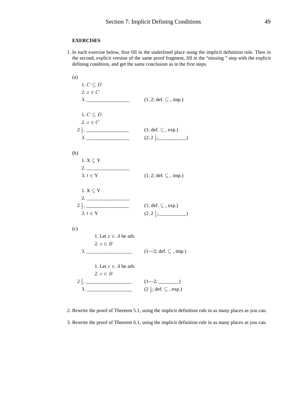#### **EXERCISES**

1. In each exercise below, first fill in the underlined place using the implicit definition rule. Then in the second, explicit version of the same proof fragment, fill in the "missing " step with the explicit defining condition, and get the same conclusion as in the first steps.

| (a)                      |                                                       |
|--------------------------|-------------------------------------------------------|
| 1. $C\subseteq D$        |                                                       |
| 2. $x\in C$              |                                                       |
|                          | $(1, 2; \text{def. } \subseteq, \text{imp.})$         |
|                          |                                                       |
| 1. $C \subseteq D$       |                                                       |
| $2. x \in C$             |                                                       |
| $2\frac{1}{2}$ .         | $(1; \text{def. } \subseteq, \text{exp.})$            |
|                          |                                                       |
|                          | $(2, 2\frac{1}{2};$                                   |
|                          |                                                       |
| (b)                      |                                                       |
| $1.$ X $\subseteq$ Y     |                                                       |
|                          |                                                       |
| $3. t \in Y$             | $(1, 2; \text{def. } \subseteq, \text{imp.})$         |
|                          |                                                       |
| $1.$ X $\subseteq$ Y     |                                                       |
|                          |                                                       |
| $2\frac{1}{2}$ .         | $(1; def. \subseteq, exp.)$                           |
| 3. $t \in Y$             | $(2, 2\frac{1}{2};$                                   |
|                          |                                                       |
| (c)                      |                                                       |
| 1. Let $x \in A$ be arb. |                                                       |
| 2. $x \in B$             |                                                       |
|                          | $(1-2; \text{def. } \subseteq, \text{imp.})$          |
|                          |                                                       |
| 1. Let $x \in A$ be arb. |                                                       |
|                          |                                                       |
| 2. $x \in B$             |                                                       |
| $2\frac{1}{2}$ .         |                                                       |
|                          | $(2\frac{1}{2}; \text{def. } \subseteq, \text{exp.})$ |

2. Rewrite the proof of Theorem 5.1, using the implicit definition rule in as many places as you can. 3. Rewrite the proof of Theorem 6.1, using the implicit definition rule in as many places as you can.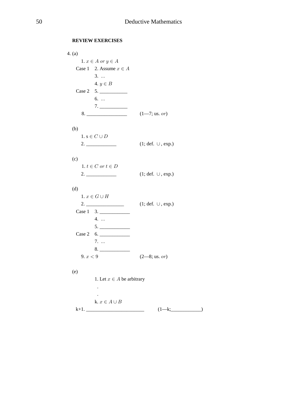#### **REVIEW EXERCISES**

```
4. (a)1. x \in A or y \in ACase 1 2. Assume x \in A3. ...
        4. y \in BCase 2 5.
        6. ...
        7.8.(1 - 7; \text{us. or})(b)1. s \in C \cup D(1; def. \cup, exp.)(c)1. t \in C or t \in D2.(1; \text{def. } \cup, \text{exp.})(d)1. x \in G \cup HCase 1 \quad 3.4. ...
        5. \underline{\hspace{2cm}}Case 2 6.
        7. ...
        8.9. x < 9(2-8; us. or)(e)1. Let x \in A be arbitrary
         \mathcal{L}^{\mathcal{L}}k. x\in A\cup B
```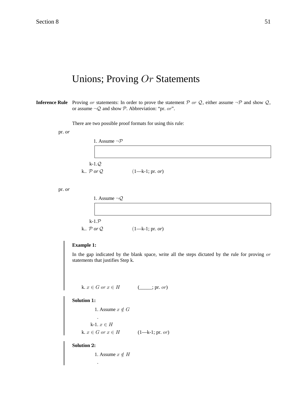# Unions; Proving  $Or$  Statements

**Inference Rule** Proving or statements: In order to prove the statement P or Q, either assume  $\neg$ P and show Q, or assume  $\neg Q$  and show P. Abbreviation: "pr. or".

There are two possible proof formats for using this rule:

pr. *or* 

1. Assume 
$$
\neg P
$$
  
\n  
\n $k-1.Q$   
\n $k \cdot P \text{ or } Q$  (1—k-1; pr. or)

pr. *or* 

| 1. Assume $\neg Q$                |                       |  |  |
|-----------------------------------|-----------------------|--|--|
|                                   |                       |  |  |
|                                   |                       |  |  |
| $k-1.P$                           |                       |  |  |
| k. $\mathcal{P}$ or $\mathcal{Q}$ | $(1 - k - 1; pr. or)$ |  |  |

## **Example 1:**

In the gap indicated by the blank space, write all the steps dictated by the rule for proving  $or$ statements that justifies Step k.

k. 
$$
x \in G
$$
 or  $x \in H$  (\_\_\_\_\_\_\_\_\_.pr. or)

**Solution 1:** 

1. Assume  $x \notin G$  . k-1.  $x \in H$ k.  $x \in G$  or  $x \in H$  (1—k-1; pr. or)

**Solution 2:** 

.

1. Assume  $x \notin H$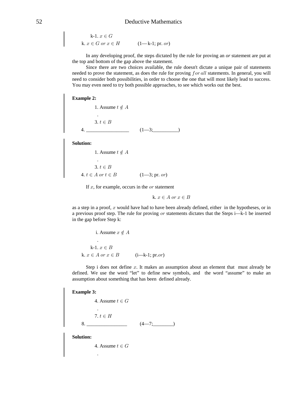## 52 Deductive Mathematics

k-1. 
$$
x \in G
$$
  
k.  $x \in G$  or  $x \in H$  (1—k-1; pr. or)

In any developing proof, the steps dictated by the rule for proving an or statement are put at the top and bottom of the gap above the statement.

Since there are two choices available, the rule doesn't dictate a unique pair of statements needed to prove the statement, as does the rule for proving  $for$  all statements. In general, you will need to consider both possibilities, in order to choose the one that will most likely lead to success. You may even need to try both possible approaches, to see which works out the best.

#### **Example 2:**

1. Assume  $t \notin A$  . 3.  $t \in B$ 4.  $(1-3;$ 

**Solution:**

.

1. Assume  $t \notin A$ 

3.  $t \in B$ 4.  $t \in A$  or  $t \in B$   $(1-3; \text{pr. or})$ 

If  $x$ , for example, occurs in the  $\alpha r$  statement

k.  $x \in A$  or  $x \in B$ 

as a step in a proof,  $x$  would have had to have been already defined, either in the hypotheses, or in a previous proof step. The rule for proving or statements dictates that the Steps i—k-1 be inserted in the gap before Step k:

i. Assume 
$$
x \notin A
$$
  
\n  
\n k-1.  $x \in B$   
\nk.  $x \in A$  or  $x \in B$  (i—k-1; pr.or)

Step i does not define  $x$ . It makes an assumption about an element that must already be defined. We use the word "let" to define new symbols, and the word "assume" to make an assumption about something that has been defined already.

#### **Example 3:**

```
4. Assume t \in G .
   7. t \in H8. (4-7;
```
**Solution:**

.

4. Assume  $t \in G$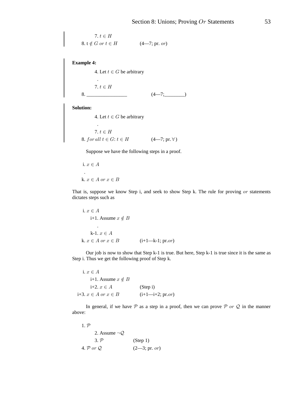7.  $t \in H$ 8.  $t \notin G$  or  $t \in H$  (4—7; pr. or)

**Example 4:**

4. Let  $t \in G$  be arbitrary . 7.  $t \in H$  $8.$  (4—7; )

**Solution:**

4. Let  $t \in G$  be arbitrary . 7.  $t \in H$ 8. for all  $t \in G$ :  $t \in H$   $(4-7; \text{pr. } \forall)$ 

Suppose we have the following steps in a proof.

i. 
$$
x \in A
$$
  
.  
k.  $x \in A$  or  $x \in B$ 

That is, suppose we know Step i, and seek to show Step k. The rule for proving  $or$  statements dictates steps such as

i. 
$$
x \in A
$$
  
\nii+1. Assume  $x \notin B$   
\n  
\n k-1.  $x \in A$   
\n k.  $x \in A$  or  $x \in B$  (i+1—k-1; pr.or)

Our job is now to show that Step k-1 is true. But here, Step k-1 is true since it is the same as Step i. Thus we get the following proof of Step k.

i.  $x \in A$ i+1. Assume  $x \notin B$ i+2.  $x \in A$  (Step i) i+3.  $x \in A$  or  $x \in B$  − (i+1—i+2; pr. or)

In general, if we have  $P$  as a step in a proof, then we can prove  $P$  or  $Q$  in the manner above:

| $1, \mathcal{P}$                    |                 |
|-------------------------------------|-----------------|
| 2. Assume $\neg Q$                  |                 |
| 3. P                                | (Stop 1)        |
| 4. $\mathcal{P}$ or $\mathcal{Q}$ . | $(2-3; pr. or)$ |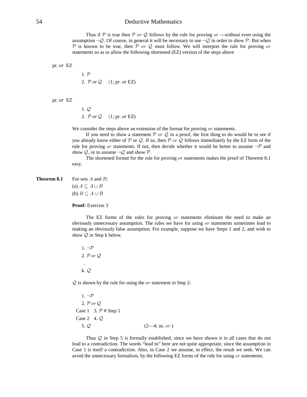## 54 Deductive Mathematics

Thus if P is true then P or Q follows by the rule for proving or —without even using the assumption  $\neg Q$ . Of course, in general it will be necessary to use  $\neg Q$  in order to show P. But when  $\mathcal P$  is known to be true, then  $\mathcal P$  or  $\mathcal Q$  must follow. We will interpret the rule for proving or statements so as to allow the following shortened (EZ) version of the steps above

pr. EZ *or* 

 $1. P$ 2.  $\mathcal{P}$  or  $\mathcal{Q}$  (1; pr. or **EZ**)

pr. EZ *or* 

 $1. \mathcal{Q}$ 2.  $\mathcal{P}$  or  $\mathcal{Q}$  (1; pr. or EZ)

We consider the steps above an extension of the format for proving  $or$  statements.

If you need to show a statement  $P$  or  $Q$  in a proof, the first thing to do would be to see if you already know either of  $\mathcal P$  or  $\mathcal Q$ . If so, then  $\mathcal P$  or  $\mathcal Q$  follows immediately by the EZ form of the rule for proving or statements. If not, then decide whether it would be better to assume  $\neg \mathcal{P}$  and show  $Q$ , or to assume  $\neg Q$  and show  $P$ .

The shortened format for the rule for proving  $or$  statements makes the proof of Theorem 8.1 easy.

**Theorem 8.1** For sets  $A$  and  $B$ :

(a)  $A \subseteq A \cup B$ (b)  $B \subseteq A \cup B$ 

**Proof:** Exercise 3

The EZ forms of the rules for proving  $or$  statements eliminate the need to make an obviously unnecessary assumption. The rules we have for using  $or$  statements sometimes lead to making an obviously false assumption. For example, suppose we have Steps 1 and 2, and wish to show  $Q$  in Step k below.

 $1. \neg P$ 2.  $\mathcal{P}$  or  $\mathcal{Q}$  . k. *Q* 

 $Q$  is shown by the rule for using the *or* statement in Step 2:

 $1. \neg P$ 2.  $\mathcal{P}$  or  $\mathcal{Q}$ Case 1 3.  $\mathcal{P}$  # Step 1 Case 2 4.  $\mathcal{Q}$ 5.  $\mathcal{Q}$  (2—4; us. or)

Thus  $Q$  in Step 5 is formally established, since we have shown it in all cases that do not lead to a contradiction. The words "lead to" here are not quite appropriate, since the assumption in Case 1 is itself a contradiction. Also, in Case 2 we assume, in effect, the result we seek. We can avoid the unnecessary formalism, by the following EZ forms of the rule for using or statements.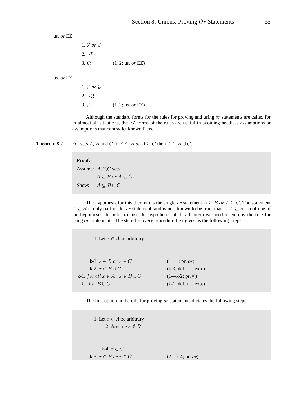us. or EZ

1.  $P$  or  $Q$  $2. \neg P$ 3.  $Q$  (1, 2; us. *or* EZ)

us. or EZ

1.  $P$  or  $Q$  $2. \neg Q$ 3.  $P$  (1, 2; us. *or* EZ)

Although the standard forms for the rules for proving and using  $or$  statements are called for in almost all situations, the EZ forms of the rules are useful in avoiding needless assumptions or assumptions that contradict known facts.

**Theorem 8.2** For sets A, B and C, if  $A \subseteq B$  or  $A \subseteq C$  then  $A \subseteq B \cup C$ .

#### **Proof:**

```
Assume: A, B, C sets
           A \subseteq B or A \subseteq CShow: A \subseteq B \cup C
```
The hypothesis for this theorem is the single or statement  $A \subseteq B$  or  $A \subseteq C$ . The statement  $A \subseteq B$  is only part of the *or* statement, and is not known to be true; that is,  $A \subseteq B$  is not one of the hypotheses. In order to use the hypotheses of this theorem we need to employ the rule for using  $or$  statements. The step-discovery procedure first gives us the following steps:

1. Let  $x \in A$  be arbitrary . . k-3.  $x \in B$  or  $x \in C$  ; pr. or) k-2.  $x \in B \cup C$  (k-3; def.  $\cup$ , exp.) k-1.  $for all x \in A : x \in B \cup C$  (1—k-2; pr.  $\forall$ ) k.  $A \subseteq B \cup C$  (k-1; def.  $\subseteq$ , exp.)

The first option in the rule for proving  $or$  statements dictates the following steps:

1. Let  $x \in A$  be arbitrary 2. Assume  $x \notin B$  . . k-4.  $x \in C$ k-3.  $x \in B$  or  $x \in C$  (2—k-4; pr. or)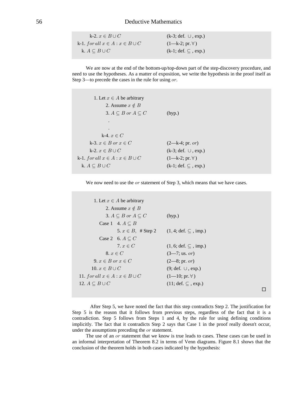## 56 Deductive Mathematics

| k-2. $x \in B \cup C$                   | $(k-3; def. \cup, exp.)$      |
|-----------------------------------------|-------------------------------|
| k-1. for all $x \in A : x \in B \cup C$ | $(1-k-2; pr. \forall)$        |
| k. $A \subseteq B \cup C$               | $(k-1; def. \subseteq, exp.)$ |

We are now at the end of the bottom-up/top-down part of the step-discovery procedure, and need to use the hypotheses. As a matter of exposition, we write the hypothesis in the proof itself as Step 3—to precede the cases in the rule for using  $or$ .

| 1. Let $x \in A$ be arbitrary           |                               |
|-----------------------------------------|-------------------------------|
| 2. Assume $x \notin B$                  |                               |
| 3. $A \subseteq B$ or $A \subseteq C$   | (hyp.)                        |
|                                         |                               |
|                                         |                               |
| k-4. $x \in C$                          |                               |
| k-3. $x \in B$ or $x \in C$             | $(2—k-4; pr. or)$             |
| k-2. $x \in B \cup C$                   | $(k-3; def. \cup, exp.)$      |
| k-1. for all $x \in A : x \in B \cup C$ | $(1-k-2; pr. \forall)$        |
| k. $A \subseteq B \cup C$               | $(k-1; def. \subseteq, exp.)$ |

We now need to use the  $or$  statement of Step 3, which means that we have cases.

```
1. Let x \in A be arbitrary
           2. Assume x \notin B3. A \subseteq B or A \subseteq C (hyp.)
         Case 1 4. A \subseteq B5. x \in B, # Step 2 (1, 4; def. \subseteq, imp.)
         Case 2 6. A \subseteq C7. x \in C (1, 6; def. \subseteq, imp.)
           8. x \in C (3—7; us. or)
      9. x \in B or x \in C (2—8; pr. or)
     10. x \in B \cup C (9; def. \cup, exp.)
11. for all x \in A : x \in B \cup C (1—10; pr. \forall)
12. A \subseteq B \cup C (11; def. \subseteq, exp.)
                                                                                  \Box
```
 After Step 5, we have noted the fact that this step contradicts Step 2. The justification for Step 5 is the reason that it follows from previous steps, regardless of the fact that it is a contradiction. Step 5 follows from Steps 1 and 4, by the rule for using defining conditions implicitly. The fact that it contradicts Step 2 says that Case 1 in the proof really doesn't occur, under the assumptions preceding the  $\alpha r$  statement.

The use of an  $or$  statement that we know is true leads to cases. These cases can be used in an informal interpretation of Theorem 8.2 in terms of Venn diagrams. Figure 8.1 shows that the conclusion of the theorem holds in both cases indicated by the hypothesis: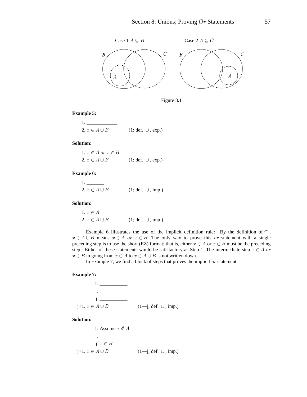



**Example 5:**

 1. \_\_\_\_\_\_\_\_\_\_\_\_ 2.  $x \in A \cup B$  (1; def.  $\cup$ , exp.)

**Solution:**

1.  $x \in A$  or  $x \in B$ 2.  $x \in A \cup B$  (1; def.  $\cup$ , exp.)

**Example 6:**

 1. \_\_\_\_\_\_\_ 2.  $x \in A \cup B$  (1; def.  $\cup$ , imp.)

**Solution:**

1.  $x\in A$ 2.  $x \in A \cup B$  (1; def.  $\cup$ , imp.)

Example 6 illustrates the use of the implicit definition rule: By the definition of  $\subseteq$ ,  $x \in A \cup B$  means  $x \in A$  or  $x \in B$ . The only way to prove this or statement with a single preceding step is to use the short (EZ) format; that is, either  $x \in A$  or  $x \in B$  must be the preceding step. Either of these statements would be satisfactory as Step 1. The intermediate step  $x \in A$  or  $x \in B$  in going from  $x \in A$  to  $x \in A \cup B$  is not written down.

In Example 7, we find a block of steps that proves the implicit  $or$  statement.

**Example 7:**  $1.$   $\frac{1}{2}$   $\frac{1}{2}$   $\frac{1}{2}$   $\frac{1}{2}$   $\frac{1}{2}$   $\frac{1}{2}$   $\frac{1}{2}$   $\frac{1}{2}$   $\frac{1}{2}$   $\frac{1}{2}$   $\frac{1}{2}$   $\frac{1}{2}$   $\frac{1}{2}$   $\frac{1}{2}$   $\frac{1}{2}$   $\frac{1}{2}$   $\frac{1}{2}$   $\frac{1}{2}$   $\frac{1}{2}$   $\frac{1}{2}$   $\frac{1}{2}$   $\frac{1}{$ 

 .  $j.$ j+1.  $x \in A \cup B$  (1—j; def. ∪, imp.)

**Solution:**

1. Assume  $x \notin A$  . j.  $x \in B$ j+1.  $x \in A \cup B$  (1—j; def.  $\cup$ , imp.)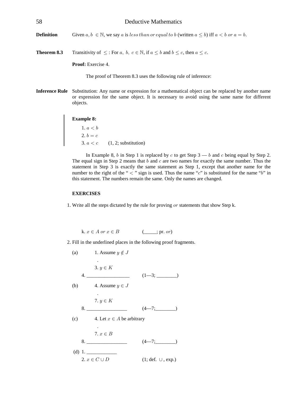58 Deductive Mathematics **Definition** Given  $a, b \in \mathbb{N}$ , we say a is less than or equal to b (written  $a \leq b$ ) iff  $a < b$  or  $a = b$ .

**Theorem 8.3** Transitivity of  $\leq$ : For a, b,  $c \in \mathbb{N}$ , if  $a \leq b$  and  $b \leq c$ , then  $a \leq c$ .

**Proof:** Exercise 4.

The proof of Theorem 8.3 uses the following rule of inference:

**Inference Rule** Substitution: Any name or expression for a mathematical object can be replaced by another name or expression for the same object. It is necessary to avoid using the same name for different objects.

**Example 8:**

1.  $a < b$ 2.  $b = c$ 3.  $a < c$  (1, 2; substitution)

In Example 8, b in Step 1 is replaced by c to get Step  $3 - b$  and c being equal by Step 2. The equal sign in Step 2 means that b and c are two names for exactly the same number. Thus the statement in Step 3 is exactly the same statement as Step 1, except that another name for the number to the right of the "  $\lt$  " sign is used. Thus the name " $c$ " is substituted for the name " $b$ " in this statement. The numbers remain the same. Only the names are changed.

#### **EXERCISES**

1. Write all the steps dictated by the rule for proving  $or$  statements that show Step k.

k. 
$$
x \in A
$$
 or  $x \in B$  (\_\_\_\_\_\_\_\_\_.pr. or)

2. Fill in the underlined places in the following proof fragments.

(a) 1. Assume 
$$
y \notin J
$$
  
\n3.  $y \in K$   
\n4.   
\n(b) 4. Assume  $y \in J$   
\n7.  $y \in K$   
\n8.   
\n1.  $(1-3; \underline{\hspace{1cm}})$   
\n(1-3; \underline{\hspace{1cm}})  
\n(1-3; \underline{\hspace{1cm}})  
\n(1-3; \underline{\hspace{1cm}})  
\n(1-3; \underline{\hspace{1cm}})  
\n(1-3; \underline{\hspace{1cm}})  
\n(1-3; \underline{\hspace{1cm}})  
\n(1-3; \underline{\hspace{1cm}})  
\n(1-3; \underline{\hspace{1cm}})  
\n(1-3; \underline{\hspace{1cm}})  
\n(1-3; \underline{\hspace{1cm}})  
\n(1-3; \underline{\hspace{1cm}})  
\n(1-3; \underline{\hspace{1cm}})  
\n(1-3; \underline{\hspace{1cm}})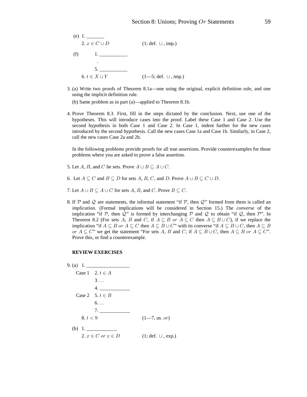

3. (a) Write two proofs of Theorem 8.1a—one using the original, explicit definition rule, and one using the implicit definition rule.

(b) Same problem as in part (a)—applied to Theorem 8.1b.

4. Prove Theorem 8.3. First, fill in the steps dictated by the conclusion. Next, use one of the hypotheses. This will introduce cases into the proof. Label these Case 1 and Case 2. Use the second hypothesis in both Case 1 and Case 2. In Case 1, indent further for the new cases introduced by the second hypothesis. Call the new cases Case 1a and Case 1b. Similarly, in Case 2, call the new cases Case 2a and 2b.

In the following problems provide proofs for all true assertions. Provide counterexamples for those problems where you are asked to prove a false assertion.

- 5. Let A, B, and C be sets. Prove  $A \cup B \subseteq A \cup C$ .
- 6. Let  $A \subseteq C$  and  $B \subseteq D$  for sets A, B, C, and D. Prove  $A \cup B \subseteq C \cup D$ .
- 7. Let  $A \cup B \subseteq A \cup C$  for sets A, B, and C. Prove  $B \subseteq C$ .
- 8. If  $P$  and  $Q$  are statements, the informal statement "if  $P$ , then  $Q$ " formed from them is called an *implication.* (Formal implications will be considered in Section 15.) The *converse* of the implication "if  $P$ , then  $Q$ " is formed by interchanging  $P$  and  $Q$  to obtain "if  $Q$ , then  $P$ ". In Theorem 8.2 (For sets A, B and C, if  $A \subseteq B$  or  $A \subseteq C$  then  $A \subseteq B \cup C$ ), if we replace the implication "if  $A \subseteq B$  or  $A \subseteq C$  then  $A \subseteq B \cup C$ " with its converse "if  $A \subseteq B \cup C$ , then  $A \subseteq B$ or  $A \subseteq C$ " we get the statement "For sets A, B and C, if  $A \subseteq B \cup C$ , then  $A \subseteq B$  or  $A \subseteq C$ ". Prove this, or find a counterexample.

#### **REVIEW EXERCISES**

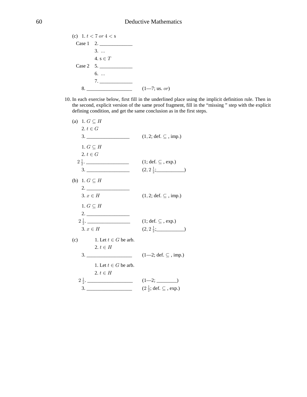

10. In each exercise below, first fill in the underlined place using the implicit definition rule. Then in the second, explicit version of the same proof fragment, fill in the "missing " step with the explicit defining condition, and get the same conclusion as in the first steps.

| (a) 1. $G \subseteq H$              |                                                       |
|-------------------------------------|-------------------------------------------------------|
| 2. $t \in G$                        |                                                       |
|                                     | $(1, 2; \text{def. } \subseteq, \text{imp.})$         |
| 1. $G \subseteq H$                  |                                                       |
| $2, t \in G$                        |                                                       |
| $2\frac{1}{2}$ .                    | $(1; def. \subseteq, exp.)$                           |
|                                     | $(2, 2\frac{1}{2};$                                   |
| (b) 1. $G \subseteq H$              |                                                       |
|                                     |                                                       |
| $3. x \in H$                        | $(1, 2; \text{def. } \subseteq, \text{imp.})$         |
| 1. $G \subseteq H$                  |                                                       |
|                                     |                                                       |
| $2\frac{1}{2}$ .                    | $(1; def. \subseteq, exp.)$                           |
| $3. x \in H$                        | $(2, 2\frac{1}{2}; \_)$                               |
| (c) 1. Let $t \in G$ be arb.        |                                                       |
| 2. $t \in H$                        |                                                       |
|                                     | $(1-2; \text{def. } \subseteq, \text{imp.})$          |
| 1. Let $t \in G$ be arb.            |                                                       |
| 2. $t \in H$                        |                                                       |
| $2\frac{1}{2}$ .                    | $(1-2;$                                               |
| $\begin{array}{c}\n3.\n\end{array}$ | $(2\frac{1}{2}; \text{def. } \subseteq, \text{exp.})$ |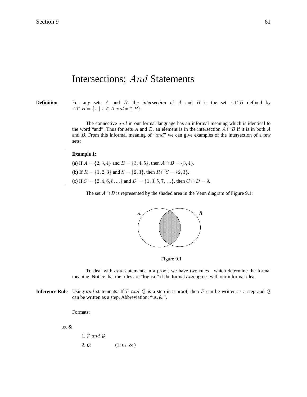# Intersections; And Statements

**Definition** For any sets A and B, the *intersection* of A and B is the set  $A \cap B$  defined by  $A \cap B = \{x \mid x \in A \text{ and } x \in B\}.$ 

> The connective and in our formal language has an informal meaning which is identical to the word "and". Thus for sets A and B, an element is in the intersection  $A \cap B$  if it is in both A and  $B$ . From this informal meaning of "and" we can give examples of the intersection of a few sets:

#### **Example 1:**

(a) If  $A = \{2, 3, 4\}$  and  $B = \{3, 4, 5\}$ , then  $A \cap B = \{3, 4\}$ . (b) If  $R = \{1, 2, 3\}$  and  $S = \{2, 3\}$ , then  $R \cap S = \{2, 3\}$ . (c) If  $C = \{2, 4, 6, 8, ...\}$  and  $D = \{1, 3, 5, 7, ...\}$ , then  $C \cap D = \emptyset$ .

The set  $A \cap B$  is represented by the shaded area in the Venn diagram of Figure 9.1:



Figure 9.1

To deal with and statements in a proof, we have two rules—which determine the formal meaning. Notice that the rules are "logical" if the formal  $and$  agrees with our informal idea.

**Inference Rule** Using and statements: If  $P$  and  $Q$  is a step in a proof, then  $P$  can be written as a step and  $Q$ can be written as a step. Abbreviation: "us. & ".

Formats:

us. &

1.  $P$  and  $Q$ 

2.  $Q$  (1; us. & )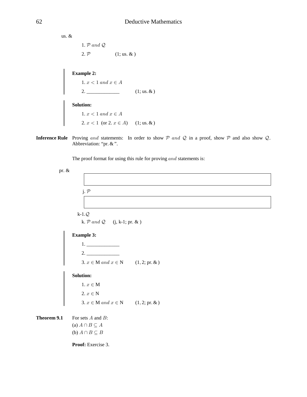us. & 1.  $P$  and  $Q$ . 2.  $P$  (1; us. & )

**Example 2:**

1.  $x < 1$  and  $x \in A$ 2. \_\_\_\_\_\_\_\_\_\_\_\_\_ (1; us. & )

#### **Solution:**

1.  $x < 1$  and  $x \in A$ 2.  $x < 1$  (or 2.  $x \in A$ ) (1; us. & )

**Inference Rule** Proving and statements: In order to show  $P$  and  $Q$  in a proof, show  $P$  and also show  $Q$ . Abbreviation: "pr. & ".

The proof format for using this rule for proving  $and$  statements is:

pr. &

j.  $P$ 

 $k-1.Q$ k.  $P$  and  $Q$  (j, k-1; pr. & )

## **Example 3:**

 1. \_\_\_\_\_\_\_\_\_\_\_\_\_ 2. \_\_\_\_\_\_\_\_\_\_\_\_\_ 3.  $x \in M$  and  $x \in N$  (1, 2; pr. & )

## **Solution:**

1.  $x\in\mathbf{M}$ 2.  $x \in N$ 3.  $x \in M$  and  $x \in N$  (1, 2; pr. & )

**Theorem 9.1** For sets  $A$  and  $B$ : (a)  $A \cap B \subseteq A$ (b)  $A \cap B \subseteq B$ 

**Proof:** Exercise 3.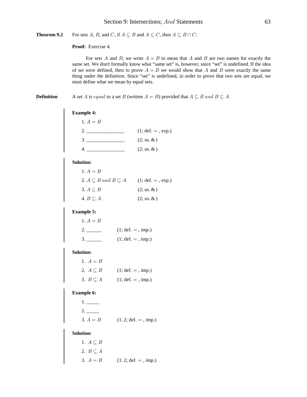Theorem 9.2 For sets A, B, and C, if  $A \subseteq B$  and  $A \subseteq C$ , then  $A \subseteq B \cap C$ .

Proof: Exercise 4.

For sets A and B, we write  $A = B$  to mean that A and B are two names for exactly the same set. We don't formally know what "same set" is, however, since "set" is undefined. If the idea of set were defined, then to prove  $A = B$  we would show that A and B were exactly the same thing under the definition. Since "set" is undefined, in order to prove that two sets are equal, we must define what we mean by equal sets.

**Definition** 

A set A is equal to a set B (written  $A = B$ ) provided that  $A \subseteq B$  and  $B \subseteq A$ .

| <b>Example 4:</b> |  |
|-------------------|--|
|                   |  |

| 1. $A = B$ |                     |
|------------|---------------------|
|            | $(1; def. =, exp.)$ |
|            | $(2; us. \&)$       |
|            | $(2; us. \&)$       |

#### **Solution:**

| 1. $A = B$                             |                      |
|----------------------------------------|----------------------|
| 2. $A \subseteq B$ and $B \subseteq A$ | $(1; def. = , exp.)$ |
| 3. $A \subseteq B$                     | $(2; us, \&)$        |
| 4. $B \subseteq A$                     | $(2; us, \&)$        |

#### **Example 5:**

| 1. $A = B$    |                      |
|---------------|----------------------|
| $\mathcal{L}$ | $(1; def. = , imp.)$ |
| $\beta$ .     | $(1; def. = , imp.)$ |

#### **Solution:**

| 1. $A = B$         |                      |
|--------------------|----------------------|
| 2. $A \subseteq B$ | $(1; def. = , imp.)$ |
| 3. $B \subseteq A$ | $(1; def. = , imp.)$ |

### **Example 6:**

| 2.         |                                       |
|------------|---------------------------------------|
| 3. $A = B$ | $(1, 2; \text{def.} = , \text{imp.})$ |

#### **Solution:**

| 1. $A \subseteq B$ |                                       |
|--------------------|---------------------------------------|
| 2. $B \subseteq A$ |                                       |
| 3. $A = B$         | $(1, 2; \text{def.} = , \text{imp.})$ |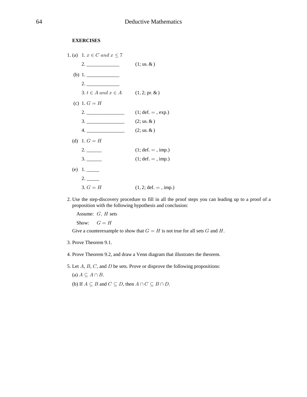## **EXERCISES**

| 1. (a) 1. $x \in C$ and $x \le 7$        |                                       |
|------------------------------------------|---------------------------------------|
|                                          | $(1;$ us. $\&)$                       |
|                                          |                                       |
|                                          |                                       |
| 3. $t \in A$ and $x \in A$ (1, 2; pr. &) |                                       |
| (c) 1. $G = H$                           |                                       |
|                                          | $(1; def. = , exp.)$                  |
|                                          | $(2; us. \&)$                         |
| 4.                                       | $(2; us. \&)$                         |
| (d) 1. $G = H$                           |                                       |
| 2.                                       | $(1; def. = , imp.)$                  |
|                                          | $(1; def. = , imp.)$                  |
| (e) $1.$                                 |                                       |
| 2.                                       |                                       |
| 3. $G = H$                               | $(1, 2; \text{def.} = , \text{imp.})$ |

2. Use the step-discovery procedure to fill in all the proof steps you can leading up to a proof of a proposition with the following hypothesis and conclusion:

Assume:  $G, H$  sets

Show:  ${\cal G}={\cal H}$ 

Give a counterexample to show that  $G = H$  is not true for all sets G and H.

- 3. Prove Theorem 9.1.
- 4. Prove Theorem 9.2, and draw a Venn diagram that illustrates the theorem.
- 5. Let  $A, B, C$ , and  $D$  be sets. Prove or disprove the following propositions: (a)  $A \subseteq A \cap B$ .
	- (b) If  $A \subseteq B$  and  $C \subseteq D$ , then  $A \cap C \subseteq B \cap D$ .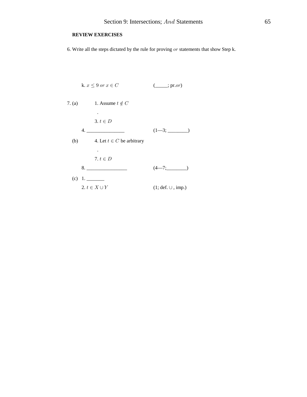## **REVIEW EXERCISES**

6. Write all the steps dictated by the rule for proving  $or$  statements that show Step k.

k. 
$$
x \le 9
$$
 or  $x \in C$  (....; pr.or)  
\n7. (a) 1. Assume  $t \notin C$   
\n3.  $t \in D$   
\n4.   
\n(1-3; ....)  
\n(b) 4. Let  $t \in C$  be arbitrary  
\n
$$
\vdots
$$
\n7.  $t \in D$   
\n8.   
\n(4-7; ....)  
\n(c) 1.   
\n2.  $t \in X \cup Y$  (1; def.  $\cup$ , imp.)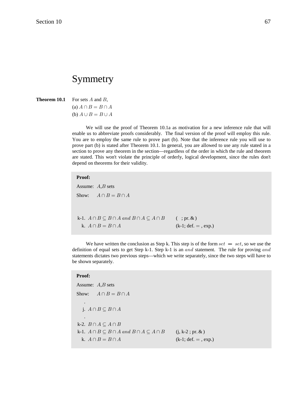# Symmetry

**Theorem 10.1** For sets  $A$  and  $B$ ,

(a)  $A \cap B = B \cap A$ (b)  $A \cup B = B \cup A$ 

We will use the proof of Theorem 10.1a as motivation for a new inference rule that will enable us to abbreviate proofs considerably. The final version of the proof will employ this rule. You are to employ the same rule to prove part (b). Note that the inference rule you will use to prove part (b) is stated after Theorem 10.1. In general, you are allowed to use any rule stated in a section to prove any theorem in the section—regardless of the order in which the rule and theorem are stated. This won't violate the principle of orderly, logical development, since the rules don't depend on theorems for their validity.

#### **Proof:**

Assume:  $A, B$  sets Show:  $A \cap B = B \cap A$ k-1.  $A \cap B \subseteq B \cap A$  and  $B \cap A \subseteq A \cap B$  (; pr. & ) k.  $A \cap B = B \cap A$  (k-1; def. = , exp.)

We have written the conclusion as Step k. This step is of the form  $set = set$ , so we use the definition of equal sets to get Step k-1. Step k-1 is an and statement. The rule for proving and statements dictates two previous steps—which we write separately, since the two steps will have to be shown separately.

### **Proof:**

Assume:  $A, B$  sets Show:  $A \cap B = B \cap A$  . j.  $A \cap B \subseteq B \cap A$  . k-2.  $B \cap A \subseteq A \cap B$ k-1.  $A \cap B \subseteq B \cap A$  and  $B \cap A \subseteq A \cap B$  (j, k-2; pr. & ) k.  $A \cap B = B \cap A$  (k-1; def. = , exp.)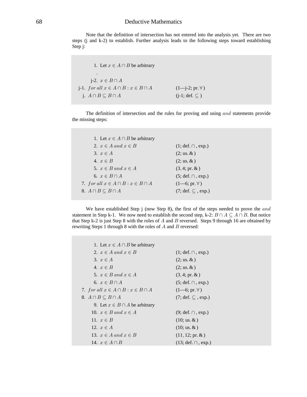## 68 Deductive Mathematics

Note that the definition of intersection has not entered into the analysis yet. There are two steps (j and k-2) to establish. Further analysis leads to the following steps toward establishing Step j:

1. Let  $x \in A \cap B$  be arbitrary . j-2.  $x \in B \cap A$ j-1. for all  $x \in A \cap B : x \in B \cap A$  (1—j-2; pr.  $\forall$ ) j.  $A \cap B \subseteq B \cap A$  (j-1; def.  $\subseteq$  )

The definition of intersection and the rules for proving and using and statements provide the missing steps:

| 1. Let $x \in A \cap B$ be arbitrary         |                             |
|----------------------------------------------|-----------------------------|
| 2. $x \in A$ and $x \in B$                   | $(1; def. \cap, exp.)$      |
| 3. $x \in A$                                 | $(2; us. \&)$               |
| 4. $x \in B$                                 | $(2; us. \&)$               |
| 5. $x \in B$ and $x \in A$                   | $(3, 4; pr. \& )$           |
| 6. $x \in B \cap A$                          | $(5; def. \cap, exp.)$      |
| 7. for all $x \in A \cap B : x \in B \cap A$ | $(1-6; pr. \forall)$        |
| 8. $A \cap B \subseteq B \cap A$             | $(7; def. \subseteq, exp.)$ |

We have established Step j (now Step 8), the first of the steps needed to prove the  $and$ statement in Step k-1. We now need to establish the second step, k-2:  $B \cap A \subseteq A \cap B$ . But notice that Step k-2 is just Step 8 with the roles of  $A$  and  $B$  reversed. Steps 9 through 16 are obtained by rewriting Steps 1 through 8 with the roles of  $A$  and  $B$  reversed:

| 1. Let $x \in A \cap B$ be arbitrary         |                           |
|----------------------------------------------|---------------------------|
| 2. $x \in A$ and $x \in B$                   | $(1; def. \cap, exp.)$    |
| 3. $x \in A$                                 | $(2; us, \&)$             |
| 4. $x \in B$                                 | $(2; us. \&)$             |
| 5. $x \in B$ and $x \in A$                   | $(3, 4; pr. \& )$         |
| 6. $x \in B \cap A$                          | $(5; def. \cap, exp.)$    |
| 7. for all $x \in A \cap B : x \in B \cap A$ | $(1-6; pr. \forall)$      |
| 8. $A \cap B \subseteq B \cap A$             | $(7; def. \subset, exp.)$ |
| 9. Let $x \in B \cap A$ be arbitrary         |                           |
| 10. $x \in B$ and $x \in A$                  | $(9; def. \cap, exp.)$    |
| 11. $x \in B$                                | $(10; \text{us.} \& )$    |
| 12. $x \in A$                                | $(10; \text{us.} \& )$    |
| 13. $x \in A$ and $x \in B$                  | $(11, 12; pr. \& )$       |
| 14. $x \in A \cap B$                         | $(13; def. \cap, exp.)$   |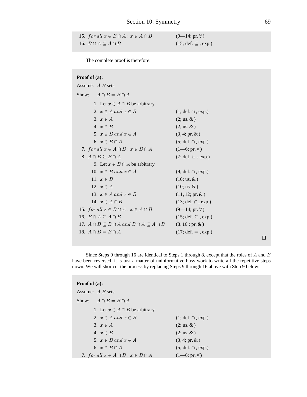| 15. for all $x \in B \cap A : x \in A \cap B$ | $(9-14; pr. \forall)$                       |
|-----------------------------------------------|---------------------------------------------|
| 16. $B \cap A \subseteq A \cap B$             | $(15; \text{def. } \subseteq, \text{exp.})$ |

The complete proof is therefore:

| Proof of (a):                                                       |                              |
|---------------------------------------------------------------------|------------------------------|
| Assume: $A,B$ sets                                                  |                              |
| $A \cap B = B \cap A$<br>Show:                                      |                              |
| 1. Let $x \in A \cap B$ be arbitrary                                |                              |
| 2. $x \in A$ and $x \in B$                                          | $(1; def. \cap, exp.)$       |
| 3. $x \in A$                                                        | $(2; us. \&)$                |
| 4. $x \in B$                                                        | $(2; us. \&)$                |
| 5. $x \in B$ and $x \in A$                                          | $(3, 4; pr. \& )$            |
| 6. $x \in B \cap A$                                                 | $(5; def. \cap, exp.)$       |
| 7. for all $x \in A \cap B : x \in B \cap A$                        | $(1-6; pr. \forall)$         |
| 8. $A \cap B \subseteq B \cap A$                                    | $(7; def. \subseteq, exp.)$  |
| 9. Let $x \in B \cap A$ be arbitrary                                |                              |
| 10. $x \in B$ and $x \in A$                                         | $(9; def. \cap, exp.)$       |
| 11. $x \in B$                                                       | $(10; \text{us.} \& )$       |
| 12. $x \in A$                                                       | $(10; \text{us.} \& )$       |
| 13. $x \in A$ and $x \in B$                                         | $(11, 12; pr. \& )$          |
| 14. $x \in A \cap B$                                                | $(13; def. \cap, exp.)$      |
| 15. for all $x \in B \cap A : x \in A \cap B$                       | $(9-14; pr. \forall)$        |
| 16. $B \cap A \subseteq A \cap B$                                   | $(15; def. \subseteq, exp.)$ |
| 17. $A \cap B \subseteq B \cap A$ and $B \cap A \subseteq A \cap B$ | $(8, 16; pr. \& )$           |
| 18. $A \cap B = B \cap A$                                           | $(17; def. = , exp.)$        |
|                                                                     |                              |

Since Steps 9 through 16 are identical to Steps 1 through 8, except that the roles of  $A$  and  $B$ have been reversed, it is just a matter of uninformative busy work to write all the repetitive steps down. We will shortcut the process by replacing Steps 9 through 16 above with Step 9 below:

| <b>Proof of (a):</b>                         |                        |  |
|----------------------------------------------|------------------------|--|
| Assume: $A,B$ sets                           |                        |  |
| $A \cap B = B \cap A$<br>Show:               |                        |  |
| 1. Let $x \in A \cap B$ be arbitrary         |                        |  |
| 2. $x \in A$ and $x \in B$                   | $(1; def. \cap, exp.)$ |  |
| 3. $x \in A$                                 | $(2; us, \&)$          |  |
| 4. $x \in B$                                 | $(2; us, \&)$          |  |
| 5. $x \in B$ and $x \in A$                   | $(3, 4; pr. \& )$      |  |
| 6. $x \in B \cap A$                          | $(5; def. \cap, exp.)$ |  |
| 7. for all $x \in A \cap B : x \in B \cap A$ | $(1-6; pr. \forall)$   |  |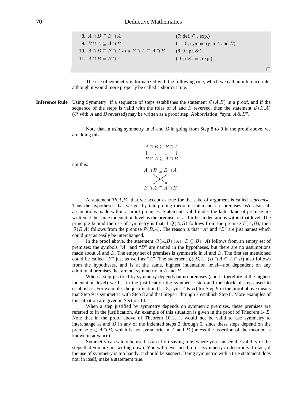| 8. $A \cap B \subseteq B \cap A$                                    | $(7; \text{def. } \subseteq, \text{exp.})$ |
|---------------------------------------------------------------------|--------------------------------------------|
| 9. $B \cap A \subseteq A \cap B$                                    | $(1-8;$ symmetry in A and B)               |
| 10. $A \cap B \subseteq B \cap A$ and $B \cap A \subseteq A \cap B$ | $(8, 9; pr. \& )$                          |
| 11. $A \cap B = B \cap A$                                           | $(10; def. = , exp.)$                      |
|                                                                     |                                            |
|                                                                     |                                            |

The use of symmetry is formalized with the following rule, which we call an inference rule, although it would more properly be called a shortcut rule.

**Inference Rule** Using Symmetry: If a sequence of steps establishes the statement  $Q(A,B)$  in a proof, and if the sequence of the steps is valid with the roles of A and B reversed, then the statement  $\mathcal{Q}(B,A)$ ( $Q$  with A and B reversed) may be written as a proof step. Abbreviation: "sym.  $A \& B$ ".

> Note that in using symmetry in A and B in going from Step 8 to 9 in the proof above, we are doing this:



A statement  $\mathcal{P}(A,B)$  that we accept as true for the sake of argument is called a *premise*. Thus the hypotheses that we get by interpreting theorem statements are premises. We also call assumptions made within a proof premises. Statements valid under the latter kind of premise are written at the same indentation level as the premise, or as further indentations within that level. The principle behind the use of symmetry is that if  $\mathcal{Q}(A, B)$  follows from the premise  $\mathcal{P}(A, B)$ , then  $Q(B,A)$  follows from the premise  $P(B,A)$ . The reason is that "A" and "B" are just names which could just as easily be interchanged.

In the proof above, the statement  $Q(A,B)$   $(A \cap B \subseteq B \cap A)$  follows from an empty set of premises: the symbols " $A$ " and " $B$ " are named in the hypotheses, but there are no assumptions made about  $A$  and  $B$ . The empty set of premises is symmetric in  $A$  and  $B$ . The first set mentioned could be called "B" just as well as "A". The statement  $Q(B,A)$   $(B \cap A \subseteq A \cap B)$  also follows from the hypotheses, and is at the same, highest indentation level—not dependent on any additional premises that are not symmetric in  $A$  and  $B$ .

When a step justified by symmetry depends on no premises (and is therefore at the highest indentation level) we list in the justification the symmetric step and the block of steps used to establish it. For example, the justification  $(1-8; sym. A & B)$  for Step 9 in the proof above means that Step 9 is symmetric with Step 8 and that Steps 1 through 7 establish Step 8. More examples of this situation are given in Section 14.

When a step justified by symmetry depends on symmetric premises, these premises are referred to in the justification. An example of this situation is given in the proof of Theorem 14.5. Note that in the proof above of Theorem 10.1a it would not be valid to use symmetry to interchange A and B in any of the indented steps 2 through 6, since these steps depend on the premise  $x \in A \cap B$ , which is not symmetric in A and B (unless the assertion of the theorem is known in advance).

Symmetry can safely be used as an effort saving rule, where you can see the validity of the steps that you are not writing down. You will never need to use symmetry to do proofs. In fact, if the use of symmetry is too handy, it should be suspect. Being symmetric with a true statement does not, in itself, make a statement true.

not this: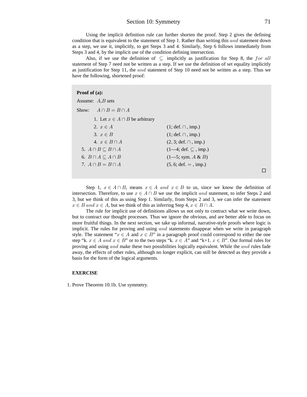# Section 10: Symmetry 71

Using the implicit definition rule can further shorten the proof. Step 2 gives the defining condition that is equivalent to the statement of Step 1. Rather than writing this and statement down as a step, we use it, implicitly, to get Steps 3 and 4. Similarly, Step 6 follows immediately from Steps 3 and 4, by the implicit use of the condition defining intersection.

Also, if we use the definition of  $\subseteq$  implicitly as justification for Step 8, the for all statement of Step 7 need not be written as a step. If we use the definition of set equality implicitly as justification for Step 11, the and statement of Step 10 need not be written as a step. Thus we have the following, shortened proof:

#### **Proof of (a):**

| Assume: $A,B$ sets                   |                                               |
|--------------------------------------|-----------------------------------------------|
| $A \cap B = B \cap A$<br>Show:       |                                               |
| 1. Let $x \in A \cap B$ be arbitrary |                                               |
| 2. $x \in A$                         | $(1; def. \cap , imp.)$                       |
| 3. $x \in B$                         | $(1; def. \cap , imp.)$                       |
| 4. $x \in B \cap A$                  | $(2, 3; def. \cap, imp.)$                     |
| 5. $A \cap B \subseteq B \cap A$     | $(1-4; \text{def. } \subseteq , \text{imp.})$ |
| 6. $B \cap A \subseteq A \cap B$     | $(1-5; sym. A & B)$                           |
| 7. $A \cap B = B \cap A$             | $(5, 6; \text{def.} = , \text{imp.})$         |
|                                      |                                               |

Step 1,  $x \in A \cap B$ , means  $x \in A$  and  $x \in B$  to us, since we know the definition of intersection. Therefore, to use  $x \in A \cap B$  we use the implicit and statement, to infer Steps 2 and 3, but we think of this as using Step 1. Similarly, from Steps 2 and 3, we can infer the statement  $x \in B$  and  $x \in A$ , but we think of this as inferring Step 4,  $x \in B \cap A$ .

The rule for implicit use of definitions allows us not only to contract what we write down, but to contract our thought processes. Thus we ignore the obvious, and are better able to focus on more fruitful things. In the next section, we take up informal, narrative-style proofs where logic is implicit. The rules for proving and using  $and$  statements disappear when we write in paragraph style. The statement " $x \in A$  and  $x \in B$ " in a paragraph proof could correspond to either the one step "k.  $x \in A$  and  $x \in B$ " or to the two steps "k.  $x \in A$ " and "k+1.  $x \in B$ ". Our formal rules for proving and using and make these two possibilities logically equivalent. While the and rules fade away, the effects of other rules, although no longer explicit, can still be detected as they provide a basis for the form of the logical arguments.

#### **EXERCISE**

1. Prove Theorem 10.1b. Use symmetry.

 $\Box$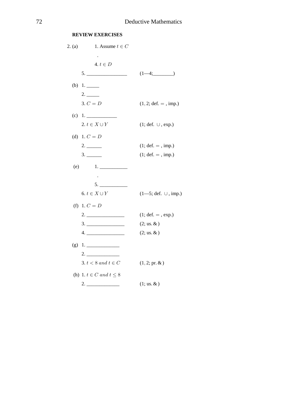# **REVIEW EXERCISES**

| 2. (a) | 1. Assume $t \in C$             |                                         |
|--------|---------------------------------|-----------------------------------------|
|        | $\sim$                          |                                         |
|        | 4. $t \in D$                    |                                         |
|        |                                 | $(1-4;$                                 |
|        | (b) $1.$                        |                                         |
|        | 2.                              |                                         |
|        | $3. C = D$                      | $(1, 2; \text{def.} = , \text{imp.})$   |
|        | $(c)$ 1.                        |                                         |
|        | 2. $t \in X \cup Y$             | $(1; def. \cup, exp.)$                  |
|        | (d) 1. $C = D$                  |                                         |
|        |                                 | $(1; def. = , imp.)$                    |
|        |                                 | $(1; def. = , imp.)$                    |
| (e)    | 1.                              |                                         |
|        | $\,$ .                          |                                         |
|        | 5.                              |                                         |
|        | 6. $t \in X \cup Y$             | $(1-5; \text{def. } \cup, \text{imp.})$ |
|        | (f) 1. $C = D$                  |                                         |
|        |                                 | $(1; def. =, exp.)$                     |
|        |                                 | $(2; \text{us.} \& )$                   |
|        |                                 | $(2; us. \&)$                           |
|        | $(g)$ 1.                        |                                         |
|        |                                 |                                         |
|        | 3. $t < 8$ and $t \in C$        | $(1, 2; pr. \& )$                       |
|        | (h) 1. $t \in C$ and $t \leq 8$ |                                         |
|        |                                 | $(1; \text{us.} \& )$                   |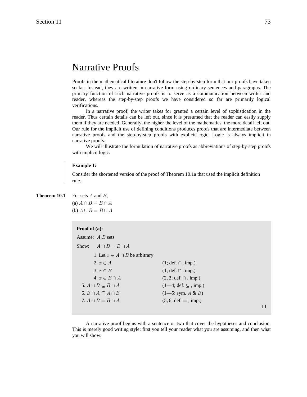# Narrative Proofs

Proofs in the mathematical literature don't follow the step-by-step form that our proofs have taken so far. Instead, they are written in narrative form using ordinary sentences and paragraphs. The primary function of such narrative proofs is to serve as a communication between writer and reader, whereas the step-by-step proofs we have considered so far are primarily logical verifications.

In a narrative proof, the writer takes for granted a certain level of sophistication in the reader. Thus certain details can be left out, since it is presumed that the reader can easily supply them if they are needed. Generally, the higher the level of the mathematics, the more detail left out. Our rule for the implicit use of defining conditions produces proofs that are intermediate between narrative proofs and the step-by-step proofs with explicit logic. Logic is always implicit in narrative proofs.

We will illustrate the formulation of narrative proofs as abbreviations of step-by-step proofs with implicit logic.

### **Example 1:**

Consider the shortened version of the proof of Theorem 10.1a that used the implicit definition rule.

# **Theorem 10.1** For sets  $A$  and  $B$ ,

(a)  $A \cap B = B \cap A$ (b)  $A \cup B = B \cup A$ 

# **Proof of (a):** Assume:  $A, B$  sets Show:  $A \cap B = B \cap A$ 1. Let  $x \in A ∩ B$  be arbitrary 2.  $x \in A$  (1; def.  $\cap$ , imp.) 3.  $x \in B$  (1; def.  $\cap$ , imp.) 4.  $x \in B \cap A$  (2, 3; def. ∩, imp.)  $5. A \cap B \subseteq B \cap A$  (1—4; def.  $\subseteq$ , imp.) 6.  $B \cap A \subseteq A \cap B$  (1—5; sym.  $A \& B$ ) 7.  $A \cap B = B \cap A$  (5, 6; def. = , imp.)

A narrative proof begins with a sentence or two that cover the hypotheses and conclusion. This is merely good writing style: first you tell your reader what you are assuming, and then what you will show:

 $\Box$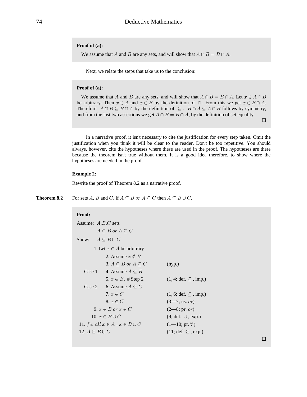#### **Proof of (a):**

We assume that A and B are any sets, and will show that  $A \cap B = B \cap A$ .

Next, we relate the steps that take us to the conclusion:

#### **Proof of (a):**

We assume that A and B are any sets, and will show that  $A \cap B = B \cap A$ . Let  $x \in A \cap B$ be arbitrary. Then  $x \in A$  and  $x \in B$  by the definition of  $\cap$ . From this we get  $x \in B \cap A$ . Therefore  $A \cap B \subseteq B \cap A$  by the definition of  $\subseteq$ .  $B \cap A \subseteq A \cap B$  follows by symmetry, and from the last two assertions we get  $A \cap B = B \cap A$ , by the definition of set equality.

 $\Box$ 

In a narrative proof, it isn't necessary to cite the justification for every step taken. Omit the justification when you think it will be clear to the reader. Don't be too repetitive. You should always, however, cite the hypotheses where these are used in the proof. The hypotheses are there because the theorem isn't true without them. It is a good idea therefore, to show where the hypotheses are needed in the proof.

### **Example 2:**

Rewrite the proof of Theorem 8.2 as a narrative proof.

**Theorem 8.2** For sets A, B and C, if  $A \subseteq B$  or  $A \subseteq C$  then  $A \subseteq B \cup C$ .

# **Proof:** Assume:  $A, B, C$  sets  $A \subseteq B$  or  $A \subseteq C$ Show:  $A \subseteq B \cup C$ 1. Let  $x \in A$  be arbitrary 2. Assume  $x \notin B$ 3.  $A \subseteq B$  or  $A \subseteq C$  (hyp.) Case 1 4. Assume  $A \subseteq B$ 5.  $x \in B$ , # Step 2 (1, 4; def.  $\subseteq$ , imp.) Case 2 6. Assume  $A \subseteq C$ 7.  $x \in C$  (1, 6; def.  $\subseteq$  , imp.) 8.  $x \in C$  (3—7; us. or) 9.  $x \in B$  or  $x \in C$  (2—8; pr. or) 10.  $x \in B \cup C$  (9; def.  $\cup$ , exp.) 11. for all  $x \in A : x \in B \cup C$  (1—10; pr.  $\forall$ ) 12.  $A \subseteq B \cup C$  (11; def.  $\subseteq$  , exp.)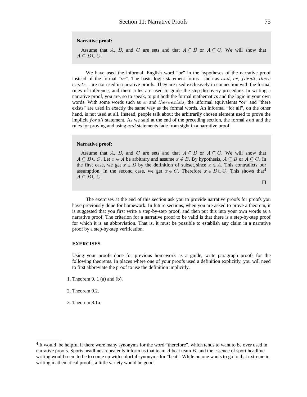#### **Narrative proof:**

Assume that A, B, and C are sets and that  $A \subseteq B$  or  $A \subseteq C$ . We will show that  $A\subseteq B\cup C$ .

We have used the informal, English word "or" in the hypotheses of the narrative proof instead of the formal "or". The basic logic statement forms—such as and, or, for all, there  $exists$ —are not used in narrative proofs. They are used exclusively in connection with the formal rules of inference, and these rules are used to guide the step-discovery procedure. In writing a narrative proof, you are, so to speak, to put both the formal mathematics and the logic in your own words. With some words such as *or* and *there exists*, the informal equivalents "or" and "there exists" are used in exactly the same way as the formal words. An informal "for all", on the other hand, is not used at all. Instead, people talk about the arbitrarily chosen element used to prove the implicit for all statement. As we said at the end of the preceding section, the formal and and the rules for proving and using and statements fade from sight in a narrative proof.

#### **Narrative proof:**

Assume that A, B, and C are sets and that  $A \subseteq B$  or  $A \subseteq C$ . We will show that  $A \subseteq B \cup C$ . Let  $x \in A$  be arbitrary and assume  $x \notin B$ . By hypothesis,  $A \subseteq B$  or  $A \subseteq C$ . In the first case, we get  $x \in B$  by the definition of subset, since  $x \in A$ . This contradicts our assumption. In the second case, we get  $x \in C$ . Therefore  $x \in B \cup C$ . This shows that<sup>4</sup>  $A\subseteq B\cup C$ .

 $\Box$ 

The exercises at the end of this section ask you to provide narrative proofs for proofs you have previously done for homework. In future sections, when you are asked to prove a theorem, it is suggested that you first write a step-by-step proof, and then put this into your own words as a narrative proof. The criterion for a narrative proof to be valid is that there is a step-by-step proof for which it is an abbreviation. That is, it must be possible to establish any claim in a narrative proof by a step-by-step verification.

#### **EXERCISES**

Using your proofs done for previous homework as a guide, write paragraph proofs for the following theorems. In places where one of your proofs used a definition explicitly, you will need to first abbreviate the proof to use the definition implicitly.

- 1. Theorem 9. 1 (a) and (b).
- 2. Theorem 9.2.
- 3. Theorem 8.1a

<sup>4</sup> It would be helpful if there were many synonyms for the word "therefore", which tends to want to be over used in narrative proofs. Sports headlines repeatedly inform us that team  $A$  beat team  $B$ , and the essence of sport headline writing would seem to be to come up with colorful synonyms for "beat". While no one wants to go to that extreme in writing mathematical proofs, a little variety would be good.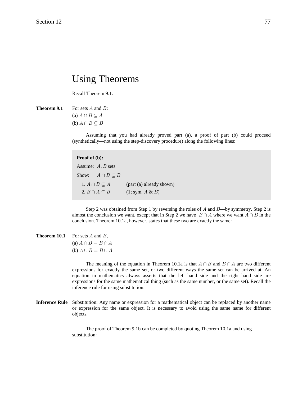# Using Theorems

Recall Theorem 9.1.

**Theorem 9.1** For sets  $A$  and  $B$ : (a)  $A \cap B \subseteq A$ (b)  $A \cap B \subseteq B$ 

> Assuming that you had already proved part (a), a proof of part (b) could proceed (synthetically—not using the step-discovery procedure) along the following lines:

### **Proof of (b):**

Assume:  $A, B$  sets Show:  $A \cap B \subseteq B$ 1.  $A \cap B \subseteq A$  (part (a) already shown) 2.  $B \cap A \subseteq B$  (1; sym.  $A \& B$ )

Step 2 was obtained from Step 1 by reversing the roles of  $A$  and  $B$ —by symmetry. Step 2 is almost the conclusion we want, except that in Step 2 we have  $B \cap A$  where we want  $A \cap B$  in the conclusion. Theorem 10.1a, however, states that these two are exactly the same:

**Theorem 10.1** For sets *A* and *B*,  
(a) 
$$
A \cap B = B \cap A
$$
  
(b)  $A \cup B = B \cup A$ 

The meaning of the equation in Theorem 10.1a is that  $A \cap B$  and  $B \cap A$  are two different expressions for exactly the same set, or two different ways the same set can be arrived at. An equation in mathematics always asserts that the left hand side and the right hand side are expressions for the same mathematical thing (such as the same number, or the same set). Recall the inference rule for using substitution:

**Inference Rule** Substitution: Any name or expression for a mathematical object can be replaced by another name or expression for the same object. It is necessary to avoid using the same name for different objects.

> The proof of Theorem 9.1b can be completed by quoting Theorem 10.1a and using substitution: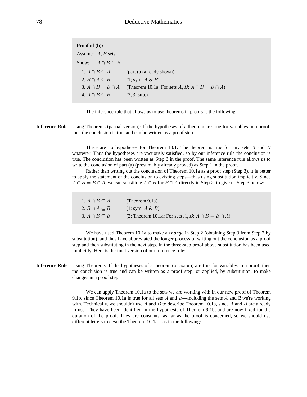| <b>Proof of (b):</b>         |                                                        |
|------------------------------|--------------------------------------------------------|
| Assume: $A, B$ sets          |                                                        |
| Show: $A \cap B \subseteq B$ |                                                        |
| 1. $A \cap B \subseteq A$    | (part (a) already shown)                               |
| 2. $B \cap A \subseteq B$    | (1; sym. A & B)                                        |
| $3. A \cap B = B \cap A$     | (Theorem 10.1a: For sets $A, B: A \cap B = B \cap A$ ) |
| 4. $A \cap B \subseteq B$    | (2, 3; sub.)                                           |



**Inference Rule** Using Theorems (partial version): If the hypotheses of a theorem are true for variables in a proof, then the conclusion is true and can be written as a proof step.

> There are no hypotheses for Theorem 10.1. The theorem is true for any sets  $A$  and  $B$ whatever. Thus the hypotheses are vacuously satisfied, so by our inference rule the conclusion is true. The conclusion has been written as Step 3 in the proof. The same inference rule allows us to write the conclusion of part (a) (presumably already proved) as Step 1 in the proof.

> Rather than writing out the conclusion of Theorem 10.1a as a proof step (Step 3), it is better to apply the statement of the conclusion to existing steps—thus using substitution implicitly. Since  $A \cap B = B \cap A$ , we can substitute  $A \cap B$  for  $B \cap A$  directly in Step 2, to give us Step 3 below:

| $1. A \cap B \subseteq A$ | (Theorem $9.1a$ )                                         |
|---------------------------|-----------------------------------------------------------|
| 2. $B \cap A \subseteq B$ | (1; sym. A & B)                                           |
| 3. $A \cap B \subseteq B$ | (2; Theorem 10.1a: For sets $A, B: A \cap B = B \cap A$ ) |

We have used Theorem 10.1a to make a *change* in Step 2 (obtaining Step 3 from Step 2 by substitution), and thus have abbreviated the longer process of writing out the conclusion as a proof step and then substituting in the next step. In the three-step proof above substitution has been used implicitly. Here is the final version of our inference rule:

**Inference Rule** Using Theorems: If the hypotheses of a theorem (or axiom) are true for variables in a proof, then the conclusion is true and can be written as a proof step, or applied, by substitution, to make changes in a proof step.

> We can apply Theorem 10.1a to the sets we are working with in our new proof of Theorem 9.1b, since Theorem 10.1a is true for all sets  $A$  and  $B$ —including the sets  $A$  and  $B$  we're working with. Technically, we shouldn't use A and B to describe Theorem 10.1a, since A and B are already in use. They have been identified in the hypothesis of Theorem 9.1b, and are now fixed for the duration of the proof. They are constants, as far as the proof is concerned, so we should use different letters to describe Theorem 10.1a—as in the following: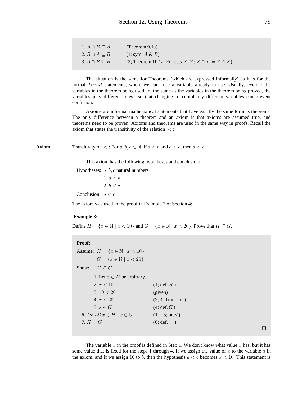| $1. A \cap B \subseteq A$ | (Theorem $9.1a$ )                                         |
|---------------------------|-----------------------------------------------------------|
| 2. $B \cap A \subseteq B$ | (1; sym. A & B)                                           |
| 3. $A \cap B \subseteq B$ | (2; Theorem 10.1a: For sets $X, Y: X \cap Y = Y \cap X$ ) |

The situation is the same for Theorems (which are expressed informally) as it is for the formal  $for all$  statements, where we can't use a variable already in use. Usually, even if the variables in the theorem being used are the same as the variables in the theorem being proved, the variables play different roles—so that changing to completely different variables can prevent confusion.

Axioms are informal mathematical statements that have exactly the same form as theorems. The only difference between a theorem and an axiom is that axioms are assumed true, and theorems need to be proven. Axioms and theorems are used in the same way in proofs. Recall the axiom that states the transitivity of the relation  $\langle$ :

**Axiom** Transitivity of  $\lt$ : For  $a, b, c \in \mathbb{N}$ , if  $a \lt b$  and  $b \lt c$ , then  $a \lt c$ .

This axiom has the following hypotheses and conclusion:

Hypotheses:  $a, b, c$  natural numbers

1.  $a < b$  $2. b < c$ 

Conclusion:  $a < c$ 

The axiom was used in the proof in Example 2 of Section 4:

#### **Example 3:**

Define  $H = \{x \in \mathbb{N} \mid x < 10\}$  and  $G = \{x \in \mathbb{N} \mid x < 20\}$ . Prove that  $H \subseteq G$ .

#### **Proof:**

| Assume: $H = \{x \in \mathbb{N} \mid x < 10\}$ |                       |
|------------------------------------------------|-----------------------|
| $G = \{x \in \mathbb{N} \mid x < 20\}$         |                       |
| Show: $H \subseteq G$                          |                       |
| 1. Let $x \in H$ be arbitrary.                 |                       |
| 2. x < 10                                      | $(1; \text{def. } H)$ |
| 3.10 $<$ 20                                    | (given)               |
| 4. x < 20                                      | (2, 3; Trans. <)      |
| 5. $x \in G$                                   | $(4; \text{def}, G)$  |
| 6. for all $x \in H : x \in G$                 | $(1-5; pr. \forall)$  |
| 7. $H \subseteq G$                             | $(6; def. \subset)$   |
|                                                |                       |

 $\Box$ 

The variable x in the proof is defined in Step 1. We don't know what value x has, but it has some value that is fixed for the steps 1 through 4. If we assign the value of x to the variable  $\alpha$  in the axiom, and if we assign 10 to b, then the hypothesis  $a < b$  becomes  $x < 10$ . This statement is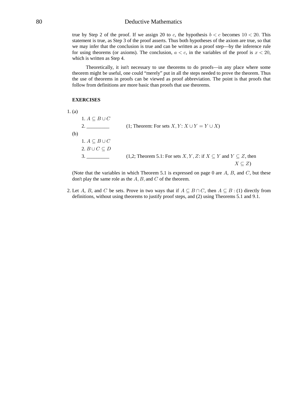### 80 Deductive Mathematics

true by Step 2 of the proof. If we assign 20 to c, the hypothesis  $b < c$  becomes  $10 < 20$ . This statement is true, as Step 3 of the proof asserts. Thus both hypotheses of the axiom are true, so that we may infer that the conclusion is true and can be written as a proof step—by the inference rule for using theorems (or axioms). The conclusion,  $a < c$ , in the variables of the proof is  $x < 20$ , which is written as Step 4.

Theoretically, it isn't necessary to use theorems to do proofs—in any place where some theorem might be useful, one could "merely" put in all the steps needed to prove the theorem. Thus the use of theorems in proofs can be viewed as proof abbreviation. The point is that proofs that follow from definitions are more basic than proofs that use theorems.

#### **EXERCISES**

| 1. (a)                    |                                                                                    |
|---------------------------|------------------------------------------------------------------------------------|
| $1. A \subseteq B \cup C$ |                                                                                    |
| 2.                        | (1; Theorem: For sets $X, Y: X \cup Y = Y \cup X$ )                                |
| (b)                       |                                                                                    |
| $1. A \subseteq B \cup C$ |                                                                                    |
| 2. $B \cup C \subseteq D$ |                                                                                    |
| 3.                        | (1,2; Theorem 5.1: For sets X, Y, Z: if $X \subseteq Y$ and $Y \subseteq Z$ , then |
|                           | $X\subseteq Z$                                                                     |

(Note that the variables in which Theorem 5.1 is expressed on page 0 are  $A, B$ , and  $C$ , but these don't play the same role as the  $A, B$ , and  $C$  of the theorem.

2. Let A, B, and C be sets. Prove in two ways that if  $A \subseteq B \cap C$ , then  $A \subseteq B$ : (1) directly from definitions, without using theorems to justify proof steps, and (2) using Theorems 5.1 and 9.1.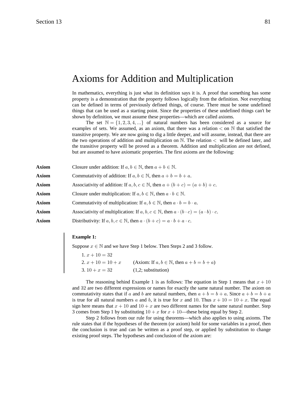# Axioms for Addition and Multiplication

In mathematics, everything is just what its definition says it is. A proof that something has some property is a demonstration that the property follows logically from the definition. Not everything can be defined in terms of previously defined things, of course. There must be some undefined things that can be used as a starting point. Since the properties of these undefined things can't be shown by definition, we must assume these properties—which are called axioms.

The set  $\mathbb{N} = \{1, 2, 3, 4, ...\}$  of natural numbers has been considered as a source for examples of sets. We assumed, as an axiom, that there was a relation  $\lt$  on  $\mathbb N$  that satisfied the transitive property. We are now going to dig a little deeper, and will assume, instead, that there are the two operations of addition and multiplication on  $\mathbb N$ . The relation  $\lt$  will be defined later, and the transitive property will be proved as a theorem. Addition and multiplication are not defined, but are assumed to have axiomatic properties. The first axioms are the following:

| <b>Axiom</b> | Closure under addition: If $a, b \in \mathbb{N}$ , then $a + b \in \mathbb{N}$ .                                  |
|--------------|-------------------------------------------------------------------------------------------------------------------|
| <b>Axiom</b> | Commutativity of addition: If $a, b \in \mathbb{N}$ , then $a + b = b + a$ .                                      |
| <b>Axiom</b> | Associativity of addition: If $a, b, c \in \mathbb{N}$ , then $a + (b + c) = (a + b) + c$ .                       |
| <b>Axiom</b> | Closure under multiplication: If $a, b \in \mathbb{N}$ , then $a \cdot b \in \mathbb{N}$ .                        |
| <b>Axiom</b> | Commutativity of multiplication: If $a, b \in \mathbb{N}$ , then $a \cdot b = b \cdot a$ .                        |
| <b>Axiom</b> | Associativity of multiplication: If $a, b, c \in \mathbb{N}$ , then $a \cdot (b \cdot c) = (a \cdot b) \cdot c$ . |
| <b>Axiom</b> | Distributivity: If $a, b, c \in \mathbb{N}$ , then $a \cdot (b + c) = a \cdot b + a \cdot c$ .                    |
|              |                                                                                                                   |

#### **Example 1:**

Suppose  $x \in \mathbb{N}$  and we have Step 1 below. Then Steps 2 and 3 follow.

| 1. $x + 10 = 32$   |                                                           |
|--------------------|-----------------------------------------------------------|
| $2x + 10 = 10 + x$ | (Axiom: If $a, b \in \mathbb{N}$ , then $a + b = b + a$ ) |
| $3.10 + x = 32$    | $(1,2;$ substitution)                                     |

The reasoning behind Example 1 is as follows: The equation in Step 1 means that  $x + 10$ and 32 are two different expressions or names for exactly the same natural number. The axiom on commutativity states that if a and b are natural numbers, then  $a + b = b + a$ . Since  $a + b = b + a$ is true for all natural numbers a and b, it is true for x and 10. Thus  $x + 10 = 10 + x$ . The equal sign here means that  $x + 10$  and  $10 + x$  are two different names for the same natural number. Step 3 comes from Step 1 by substituting  $10 + x$  for  $x + 10$ —these being equal by Step 2.

Step 2 follows from our rule for using theorems—which also applies to using axioms. The rule states that if the hypotheses of the theorem (or axiom) hold for some variables in a proof, then the conclusion is true and can be written as a proof step, or applied by substitution to change existing proof steps. The hypotheses and conclusion of the axiom are: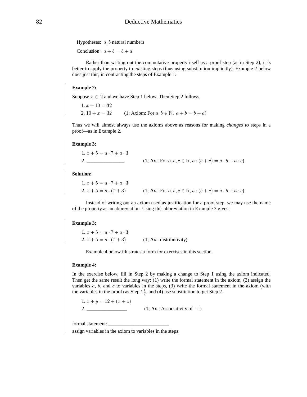Hypotheses:  $a, b$  natural numbers

Conclusion:  $a + b = b + a$ 

Rather than writing out the commutative property itself as a proof step (as in Step 2), it is better to apply the property to existing steps (thus using substitution implicitly). Example 2 below does just this, in contracting the steps of Example 1.

#### **Example 2:**

Suppose  $x \in \mathbb{N}$  and we have Step 1 below. Then Step 2 follows.

 $1. x + 10 = 32$ 2.  $10 + x = 32$  (1; Axiom: For  $a, b \in \mathbb{N}, a + b = b + a$ )

Thus we will almost always use the axioms above as reasons for making *changes to* steps in a proof—as in Example 2.

#### **Example 3:**

1. 
$$
x + 5 = a \cdot 7 + a \cdot 3
$$
  
2. \_\_\_\_\_\_\_\_\_\_ (1; Ax.: For  $a, b, c \in \mathbb{N}, a \cdot (b + c) = a \cdot b + a \cdot c$ )

**Solution:**

```
1. x+5=a \cdot 7+a \cdot 32. x + 5 = a \cdot (7 + 3) (1; Ax.: For a, b, c \in \mathbb{N}, a \cdot (b + c) = a \cdot b + a \cdot c)
```
Instead of writing out an axiom used as justification for a proof step, we may use the name of the property as an abbreviation. Using this abbreviation in Example 3 gives:

#### **Example 3:**

1.  $x + 5 = a \cdot 7 + a \cdot 3$ 2.  $x + 5 = a \cdot (7 + 3)$  (1; Ax.: distributivity)

Example 4 below illustrates a form for exercises in this section.

#### **Example 4:**

In the exercise below, fill in Step 2 by making a change to Step 1 using the axiom indicated. Then get the same result the long way: (1) write the formal statement in the axiom, (2) assign the variables  $a, b$ , and  $c$  to variables in the steps, (3) write the formal statement in the axiom (with the variables in the proof) as Step  $1\frac{1}{2}$ , and (4) use substitution to get Step 2.

1.  $x + y = 12 + (x + z)$ 2.  $\frac{1}{2}$  (1; Ax.: Associativity of +)

formal statement:

assign variables in the axiom to variables in the steps: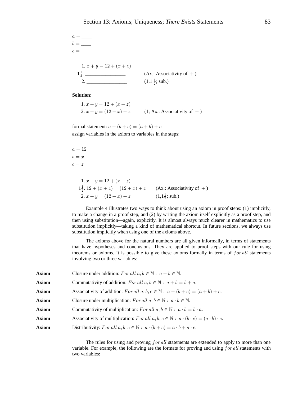$a = \underline{\qquad}$  $b = \_\_$  $c = \overline{\phantom{a}}$ 1.  $x + y = 12 + (x + z)$  1 . \_\_\_\_\_\_\_\_\_\_\_\_\_\_\_\_ (Ax.: Associativity of ) " # S 2. \_\_\_\_\_\_\_\_\_\_\_\_\_\_\_\_ (1,1 ; sub.) " #

**Solution:**

1.  $x + y = 12 + (x + z)$ 2.  $x + y = (12 + x) + z$  (1; Ax.: Associativity of +)

formal statement:  $a + (b + c) = (a + b) + c$ 

assign variables in the axiom to variables in the steps:

```
a = 12b = xc=z1. x + y = 12 + (x + z)1\frac{1}{2}. 12 + (x + z) = (12 + x) + z (Ax.: Associativity of +)
2. x + y = (12 + x) + z (1,1<sup>1</sup>/<sub>2</sub>; sub.)
```
Example 4 illustrates two ways to think about using an axiom in proof steps: (1) implicitly, to make a change in a proof step, and (2) by writing the axiom itself explicitly as a proof step, and then using substitution—again, explicitly. It is almost always much clearer in mathematics to use substitution implicitly—taking a kind of mathematical shortcut. In future sections, we always use substitution implicitly when using one of the axioms above.

The axioms above for the natural numbers are all given informally, in terms of statements that have hypotheses and conclusions. They are applied to proof steps with our rule for using theorems or axioms. It is possible to give these axioms formally in terms of  $for all$  statements involving two or three variables:

| <b>Axiom</b> | Closure under addition: For all $a, b \in \mathbb{N}$ : $a + b \in \mathbb{N}$ .                                  |
|--------------|-------------------------------------------------------------------------------------------------------------------|
| <b>Axiom</b> | Commutativity of addition: For all $a, b \in \mathbb{N}$ : $a + b = b + a$ .                                      |
| Axiom        | Associativity of addition: For all $a, b, c \in \mathbb{N}$ : $a + (b + c) = (a + b) + c$ .                       |
| <b>Axiom</b> | Closure under multiplication: For all $a, b \in \mathbb{N}$ : $a \cdot b \in \mathbb{N}$ .                        |
| Axiom        | Commutativity of multiplication: For all $a, b \in \mathbb{N}$ : $a \cdot b = b \cdot a$ .                        |
| Axiom        | Associativity of multiplication: For all $a, b, c \in \mathbb{N}$ : $a \cdot (b \cdot c) = (a \cdot b) \cdot c$ . |
| <b>Axiom</b> | Distributivity: For all $a, b, c \in \mathbb{N}$ : $a \cdot (b + c) = a \cdot b + a \cdot c$ .                    |

The rules for using and proving  $for$  all statements are extended to apply to more than one variable. For example, the following are the formats for proving and using  $for$  all statements with two variables: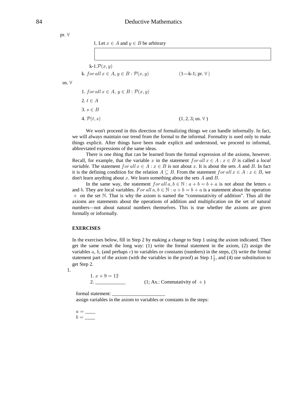pr.  $\forall$ 

us.  $\forall$ 

1. Let  $x \in A$  and  $y \in B$  be arbitrary

k-1. $\mathcal{P}(x, y)$ k. for all  $x \in A, y \in B$ :  $\mathcal{P}(x, y)$  $(1-k-1; pr. \forall)$ 1. for all  $x \in A$ ,  $y \in B$ :  $\mathcal{P}(x, y)$  $2, t \in A$  $3. s \in B$ 4.  $\mathcal{P}(t,s)$  $(1, 2, 3; \text{us. } \forall)$ 

We won't proceed in this direction of formalizing things we can handle informally. In fact, we will always maintain our trend from the formal to the informal. Formality is used only to make things explicit. After things have been made explicit and understood, we proceed to informal, abbreviated expressions of the same ideas.

There is one thing that can be learned from the formal expression of the axioms, however. Recall, for example, that the variable x in the statement for all  $x \in A : x \in B$  is called a *local variable.* The statement  $for all x \in A : x \in B$  is not about x. It is about the sets A and B. In fact it is the defining condition for the relation  $A \subseteq B$ . From the statement  $for all x \in A : x \in B$ , we don't learn anything about x. We learn something about the sets  $A$  and  $B$ .

In the same way, the statement  $for all$   $a, b \in \mathbb{N} : a + b = b + a$  is not about the letters a and b. They are local variables. For all  $a, b \in \mathbb{N}$ :  $a + b = b + a$  is a statement about the operation + on the set N. That is why the axiom is named the "commutativity of addition". Thus all the axioms are statements about the operations of addition and multiplication on the set of natural numbers—not about natural numbers themselves. This is true whether the axioms are given formally or informally.

#### **EXERCISES**

In the exercises below, fill in Step 2 by making a change to Step 1 using the axiom indicated. Then get the same result the long way: (1) write the formal statement in the axiom, (2) assign the variables  $a, b$ , (and perhaps  $c$ ) to variables or constants (numbers) in the steps, (3) write the formal statement part of the axiom (with the variables in the proof) as Step  $1\frac{1}{2}$ , and (4) use substitution to get Step 2.

1.

 $1. x + 9 = 12$ 2.  $(1; Ax.: Commutativity of +)$ 

formal statement:

assign variables in the axiom to variables or constants in the steps:

 $a = \underline{\hspace{2cm}}$  $b =$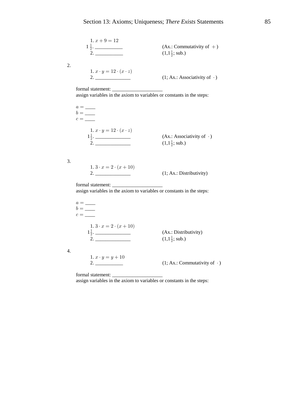

assign variables in the axiom to variables or constants in the steps:

 $a = \underline{\hspace{2cm}}$  $b=\_\_$  $c = \underline{\hspace{2cm}}$  $1.3 \cdot x = 2 \cdot (x + 10)$  $\frac{1\frac{1}{2}}{2}$ . (Ax.: Distributivity)  $(1,1\frac{1}{2};$  sub.) 1.  $x \cdot y = y + 10$  $(1; Ax.: Commutativity of \cdot)$ 

formal statement:

 $\overline{4}$ .

assign variables in the axiom to variables or constants in the steps: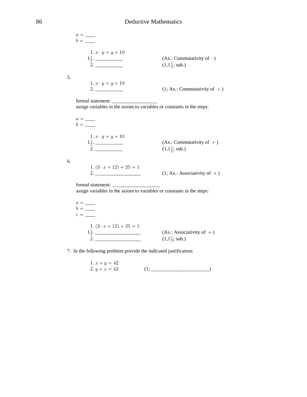| 1. $x \cdot y = y + 10$<br>$1\frac{1}{2}$ .<br>2. | (Ax.: Commutativity of $\cdot$ )<br>$(1,1\frac{1}{2};$ sub.) |
|---------------------------------------------------|--------------------------------------------------------------|
| 1. $x \cdot y = y + 10$<br>2.                     | $(1; Ax.: Commutativity of +)$                               |

6.

assign variables in the axiom to variables or constants in the steps:

 $a = \underline{\hspace{2cm}}$  $b=\_\_$ 1.  $x \cdot y = y + 10$  $\frac{1\frac{1}{2}}{2}$  $(Ax.:$  Commutativity of  $+)$  $(1,1\frac{1}{2};$  sub.) 1.  $(3 \cdot x + 12) + 25 = 1$  $2.$  $(1; Ax.: Associativity of +)$ 

formal statement: \_\_\_\_\_\_\_\_

assign variables in the axiom to variables or constants in the steps:

$$
a = \underline{\hspace{1cm}}
$$
  
\n
$$
b = \underline{\hspace{1cm}}
$$
  
\n
$$
c = \underline{\hspace{1cm}}
$$
  
\n1.  $(3 \cdot x + 12) + 25 = 1$   
\n1<sup>1</sup>/<sub>2</sub>. (Ax.: Associativity of +)  
\n2. (1,1<sup>1</sup>/<sub>2</sub>; sub.)

7. In the following problem provide the indicated justification:

1. 
$$
x + y = 42
$$
  
2.  $y + x = 42$  (1; \_\_\_\_\_\_\_\_\_\_\_\_\_\_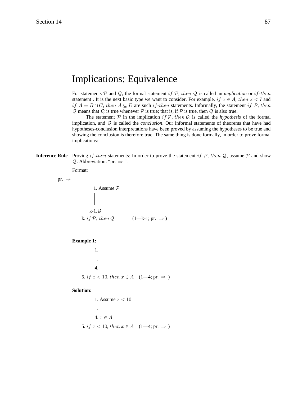# **Implications**; Equivalence

For statements P and Q, the formal statement if P, then Q is called an implication or if-then statement. It is the next basic type we want to consider. For example, if  $x \in A$ , then  $x < 7$  and if  $A = B \cap C$ , then  $A \subseteq D$  are such if-then statements. Informally, the statement if  $\mathcal{P}$ , then  $Q$  means that  $Q$  is true whenever  $P$  is true; that is, if  $P$  is true, then  $Q$  is also true.

The statement  $P$  in the implication if  $P$ , then Q is called the hypothesis of the formal implication, and  $Q$  is called the *conclusion*. Our informal statements of theorems that have had hypotheses-conclusion interpretations have been proved by assuming the hypotheses to be true and showing the conclusion is therefore true. The same thing is done formally, in order to prove formal implications:

**Inference Rule** Proving if-then statements: In order to prove the statement if  $P$ , then  $Q$ , assume  $P$  and show  $Q$ . Abbreviation: "pr.  $\Rightarrow$  ".

Format:

pr.  $\Rightarrow$ 

| 1. Assume $P$               |                            |  |
|-----------------------------|----------------------------|--|
|                             |                            |  |
| $k-1.Q$                     |                            |  |
| k. <i>if</i> $P$ , then $Q$ | $(1-k-1; pr. \Rightarrow)$ |  |



**Solution:** 

1. Assume  $x < 10$ .<br>  $\label{eq:4} \begin{split} \mathbf{4.} \; x \in A \end{split}$ 5. *if*  $x < 10$ , *then*  $x \in A$  (1-4; pr.  $\Rightarrow$ )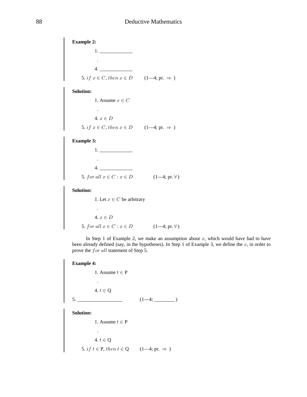**Example 2:**  $1.$  $\mathbb{Z}^2$  $4.$ 5. if  $x \in C$ , then  $x \in D$  (1-4; pr.  $\Rightarrow$ ) **Solution:** 1. Assume  $x \in C$ 4.  $x \in D$ 5. if  $x \in C$ , then  $x \in D$   $(1-4; pr. \Rightarrow )$ **Example 3:**  $1. \underline{\hspace{2cm}}$  $4.$ 5. for all  $x \in C : x \in D$  (1-4; pr.  $\forall$ ) **Solution:** 1. Let  $x \in C$  be arbitrary  $\mathcal{L}^{\pm}$ 4.  $x \in D$ 5. for all  $x \in C : x \in D$  (1-4; pr.  $\forall$ ) In Step 1 of Example 2, we make an assumption about  $x$ , which would have had to have been already defined (say, in the hypotheses). In Step 1 of Example 3, we define the  $x$ , in order to prove the for all statement of Step 5. **Example 4:** 1. Assume  $t \in P$  $\mathcal{L}$ 4.  $t \in Q$  $(1-4;$ 5.

**Solution:** 

1. Assume  $t \in P$  $\sim$ 4.  $t \in Q$ 5. *if*  $t \in P$ , *then*  $t \in Q$  (1—4; pr.  $\Rightarrow$ )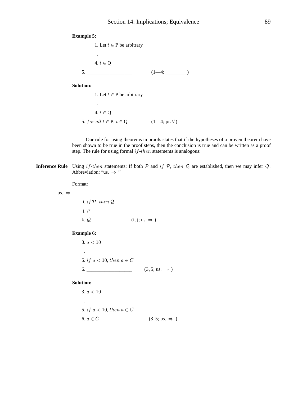

Our rule for using theorems in proofs states that if the hypotheses of a proven theorem have been shown to be true in the proof steps, then the conclusion is true and can be written as a proof step. The rule for using formal  $if$ -then statements is analogous:

**Inference Rule** Using if-then statements: If both  $P$  and if  $P$ , then  $Q$  are established, then we may infer  $Q$ . Abbreviation: "us.  $\Rightarrow$  "

Format:

us.  $\Rightarrow$ 

i. if  $P$ , then  $Q$  $j. P$ k.  $Q$  (i, j; us.  $\Rightarrow$  )

**Example 6:** 

 $3. a < 10$ 

**Solution:** 

**Solution:**<br>
3.  $a < 10$ <br>
.<br>
5. if  $a < 10$ , then  $a \in C$ <br>
6  $a \in C$  (3, 5; us.  $\Rightarrow$ )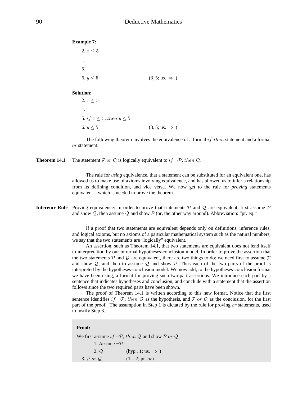**Example 7:** 2.  $x \leq 5$  . 5. \_\_\_\_\_\_\_\_\_\_\_\_\_\_\_\_\_\_\_ 6.  $y \le 5$  (3, 5; us.  $\Rightarrow$ ) **Solution:** 2.  $x \leq 5$  . 5. if  $x \leq 5$ , then  $y \leq 5$ 6.  $y \le 5$  (3, 5; us.  $\Rightarrow$ )

The following theorem involves the equivalence of a formal  $if$ -then statement and a formal or statement:

**Theorem 14.1** The statement P or Q is logically equivalent to if  $\neg$ P, then Q.

The rule for *using* equivalence, that a statement can be substituted for an equivalent one, has allowed us to make use of axioms involving equivalence, and has allowed us to infer a relationship from its defining condition, and vice versa. We now get to the rule for *proving* statements equivalent—which is needed to prove the theorem.

**Inference Rule** Proving equivalence: In order to prove that statements  $P$  and  $Q$  are equivalent, first assume  $P$ and show  $Q$ , then assume  $Q$  and show  $P$  (or, the other way around). Abbreviation: "pr. eq."

> If a proof that two statements are equivalent depends only on definitions, inference rules, and logical axioms, but no axioms of a particular mathematical system such as the natural numbers, we say that the two statements are "logically" equivalent.

> An assertion, such as Theorem 14.1, that two statements are equivalent does not lend itself to interpretation by our informal hypotheses-conclusion model. In order to prove the assertion that the two statements P and Q are equivalent, there are two things to do: we need first to assume P and show  $Q$ , and then to assume  $Q$  and show  $P$ . Thus each of the two parts of the proof is interpreted by the hypotheses-conclusion model. We now add, to the hypotheses-conclusion format we have been using, a format for proving such two-part assertions. We introduce each part by a sentence that indicates hypotheses and conclusion, and conclude with a statement that the assertion follows since the two required parts have been shown.

> The proof of Theorem 14.1 is written according to this new format. Notice that the first sentence identifies  $if \neg P$ , then Q as the hypothesis, and P or Q as the conclusion, for the first part of the proof. The assumption in Step 1 is dictated by the rule for proving  $or$  statements, used to justify Step 3.

#### **Proof:**

We first assume if  $\neg P$ , then Q and show P or Q. 1. Assume  $\neg \mathcal{P}$ 2.  $Q$  (hyp., 1; us.  $\Rightarrow$  ) 3.  $P$  or  $Q$   $(1-2; pr. or)$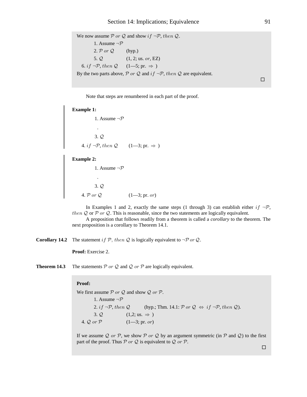We now assume P or Q and show if  $\neg P$ , then Q. 1. Assume  $\neg \mathcal{P}$ 2.  $\mathcal{P}$  or  $\mathcal{Q}$  (hyp.)  $5. Q$  $(1, 2; \text{us. or, EZ})$ 6. if  $\neg \mathcal{P}$ , then  $\mathcal{Q}$   $(1-5; \text{pr.} \Rightarrow)$ By the two parts above,  $P$  or  $Q$  and  $if \neg P, then Q$  are equivalent.

 $\Box$ 

91

Note that steps are renumbered in each part of the proof.

#### **Example 1:**

1. Assume  $\neg \mathcal{P}$  $3.Q$ 4. if  $\neg P$ , then  $Q$  (1-3; pr.  $\Rightarrow$ )

**Example 2:** 

1. Assume  $\neg \mathcal{P}$  $\ddot{\phantom{a}}$  $3.Q$ 4.  $\mathcal{P}$  or  $\mathcal{Q}$  (1—3; pr. or)

In Examples 1 and 2, exactly the same steps (1 through 3) can establish either if  $\neg P$ . then  $Q$  or  $P$  or  $Q$ . This is reasonable, since the two statements are logically equivalent.

A proposition that follows readily from a theorem is called a *corollary* to the theorem. The next proposition is a corollary to Theorem 14.1.

**Corollary 14.2** The statement if  $P$ , then  $Q$  is logically equivalent to  $\neg P$  or  $Q$ .

**Proof:** Exercise 2.

The statements  $P$  or  $Q$  and  $Q$  or  $P$  are logically equivalent. Theorem 14.3

#### Proof:

We first assume  $P$  or  $Q$  and show  $Q$  or  $P$ . 1. Assume  $\neg \mathcal{P}$ 2. if  $\neg P$ , then Q (hyp.; Thm. 14.1: P or Q  $\Leftrightarrow$  if  $\neg P$ , then Q). 3.  $Q$  (1,2; us.  $\Rightarrow$ ) 4.  $Q$  or  $P$  $(1-3; pr. or)$ 

If we assume Q or P, we show P or Q by an argument symmetric (in P and Q) to the first part of the proof. Thus  $P$  or  $Q$  is equivalent to  $Q$  or  $P$ .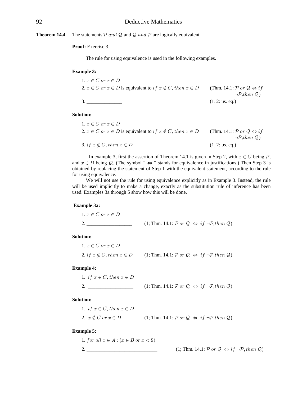**Theorem 14.4** The statements  $P$  and  $Q$  and  $Q$  and  $P$  are logically equivalent.

**Proof:** Exercise 3.

The rule for using equivalence is used in the following examples.

**Example 3:**

1. 
$$
x \in C
$$
 or  $x \in D$   
\n2.  $x \in C$  or  $x \in D$  is equivalent to if  $x \notin C$ , then  $x \in D$  (Thm. 14.1:  $P$  or  $Q \Leftrightarrow if$   
\n $\neg P, then Q$ )  
\n3. (1, 2: us. eq.)

#### **Solution:**

| $1. x \in C$ or $x \in D$                                                   |                                                             |
|-----------------------------------------------------------------------------|-------------------------------------------------------------|
| 2. $x \in C$ or $x \in D$ is equivalent to if $x \notin C$ , then $x \in D$ | (Thm. 14.1: $\mathcal P$ or $\mathcal Q \Leftrightarrow if$ |
|                                                                             | $\neg$ <i>P</i> ,then $\mathcal{Q}$ )                       |
| 3. if $x \notin C$ , then $x \in D$                                         | $(1, 2:$ us. eq.)                                           |

In example 3, first the assertion of Theorem 14.1 is given in Step 2, with  $x \in C$  being  $P$ , and  $x \in D$  being Q. (The symbol "  $\Leftrightarrow$  " stands for equivalence in justifications.) Then Step 3 is obtained by replacing the statement of Step 1 with the equivalent statement, according to the rule for using equivalence.

We will not use the rule for using equivalence explicitly as in Example 3. Instead, the rule will be used implicitly to make a change, exactly as the substitution rule of inference has been used. Examples 3a through 5 show how this will be done.

**Example 3a:**

1.  $x \in C$  or  $x \in D$ 2. \_\_\_\_\_\_\_\_\_\_\_\_\_\_\_\_\_\_ (1; Thm. 14.1: , ) cd c d 9< Í 30 c >2/8

**Solution:**

1.  $x \in C$  or  $x \in D$ 2. if  $x \notin C$ , then  $x \in D$  (1; Thm. 14.1:  $\mathcal{P}$  or  $\mathcal{Q} \Leftrightarrow if \neg \mathcal{P}, then \mathcal{Q}$ )

**Example 4:**

| 1. if $x \in C$ , then $x \in D$ |                                                                                                                              |  |
|----------------------------------|------------------------------------------------------------------------------------------------------------------------------|--|
|                                  | $(1; Thm. 14.1: \mathcal{P} \text{ or } \mathcal{Q} \Leftrightarrow \text{ if } \neg \mathcal{P}, \text{then } \mathcal{Q})$ |  |

**Solution:**

1. if  $x \in C$ , then  $x \in D$ 2.  $x \notin C$  or  $x \in D$  (1; Thm. 14.1:  $\mathcal{P}$  or  $\mathcal{Q} \Leftrightarrow if \neg \mathcal{P}, then \mathcal{Q}$ )

**Example 5:**

1. for all  $x \in A : (x \in B \text{ or } x < 9)$ 2. \_\_\_\_\_\_\_\_\_\_\_\_\_\_\_\_\_\_\_\_\_\_\_\_\_\_\_\_ (1; Thm. 14.1: ) cd c d 9< Í 30 c ß >2/8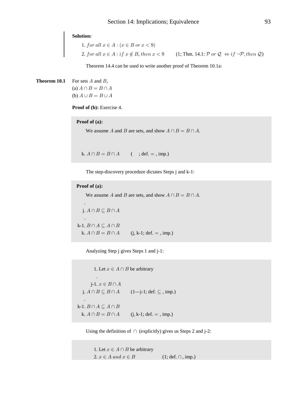# **Solution:**

1. for all  $x \in A : (x \in B \text{ or } x < 9)$ 2. for all  $x \in A : if x \notin B$ , then  $x < 9$  (1; Thm. 14.1: P or  $Q \Leftrightarrow if \neg P, then Q$ )

Theorem 14.4 can be used to write another proof of Theorem 10.1a:

**Theorem 10.1** For sets  $A$  and  $B$ , (a)  $A \cap B = B \cap A$ (b)  $A \cup B = B \cup A$ 

Proof of (b): Exercise 4.

### Proof of (a):

We assume A and B are sets, and show  $A \cap B = B \cap A$ .

k.  $A \cap B = B \cap A$  (; def. = , imp.)

The step-discovery procedure dictates Steps j and k-1:

```
Proof of (a):
```
We assume A and B are sets, and show  $A \cap B = B \cap A$ .

j.  $A \cap B \subseteq B \cap A$ 

k-1.  $B \cap A \subseteq A \cap B$ k.  $A \cap B = B \cap A$  $(j, k-1; def. = , imp.)$ 

Analyzing Step j gives Steps 1 and j-1:

1. Let  $x \in A \cap B$  be arbitrary  $\mathcal{L}_{\mathbf{a}}$ j-1.  $x \in B \cap A$ j.  $A \cap B \subseteq B \cap A$  (1—j-1; def.  $\subseteq$  , imp.) k-1.  $B \cap A \subseteq A \cap B$ k.  $A \cap B = B \cap A$  (j, k-1; def. = , imp.)

Using the definition of  $\cap$  (explicitly) gives us Steps 2 and j-2:

1. Let  $x \in A \cap B$  be arbitrary 2.  $x \in A$  and  $x \in B$  $(1; def. \cap , imp.)$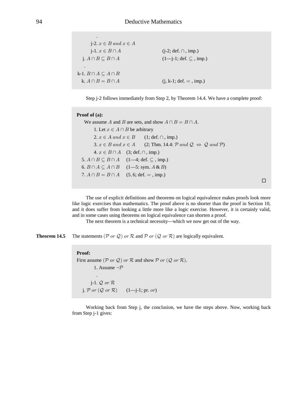| $i-2. \; x \in B \; and \; x \in A$ |                                                     |
|-------------------------------------|-----------------------------------------------------|
| $i-1. x \in B \cap A$               | $(j-2; def. \cap, imp.)$                            |
| $i. A \cap B \subseteq B \cap A$    | $(1 - j - 1; \text{def. } \subseteq , \text{imp.})$ |
| ٠                                   |                                                     |
| k-1. $B \cap A \subseteq A \cap B$  |                                                     |
| k. $A \cap B = B \cap A$            | $(j, k-1; def. = , imp.)$                           |

Step j-2 follows immediately from Step 2, by Theorem 14.4. We have a complete proof:

#### **Proof of (a):**

```
We assume A and B are sets, and show A \cap B = B \cap A.
       1. Let x \in A \cap B be arbitrary
      2. x \in A and x \in B (1; def. \cap, imp.)
      3. x \in B and x \in A (2; Thm. 14.4: P and Q \Leftrightarrow Q and P)
      4. x \in B \cap A (3; def. \cap, imp.)
5. A \cap B \subseteq B \cap A (1—4; def. \subseteq, imp.)
6. B \cap A \subseteq A \cap B (1—5: sym. A \& B)
7. A \cap B = B \cap A (5, 6; def. = , imp.)
```
The use of explicit definitions and theorems on logical equivalence makes proofs look more like logic exercises than mathematics. The proof above is no shorter than the proof in Section 10, and it does suffer from looking a little more like a logic exercise. However, it is certainly valid, and in some cases using theorems on logical equivalence can shorten a proof.

 $\Box$ 

The next theorem is a technical necessity—which we now get out of the way.

**Theorem 14.5** The statements  $(\mathcal{P} \text{ or } \mathcal{Q})$  or  $\mathcal{R}$  and  $\mathcal{P} \text{ or } (\mathcal{Q} \text{ or } \mathcal{R})$  are logically equivalent.

# **Proof:** First assume  $(\mathcal{P}$  or  $\mathcal{Q})$  or  $\mathcal{R}$  and show  $\mathcal{P}$  or  $(\mathcal{Q}$  or  $\mathcal{R})$ . 1. Assume  $\neg \mathcal{P}$  . j-1.  $Q$  or  $R$ j.  $\mathcal P$  or  $(\mathcal Q$  or  $\mathcal R)$  (1—j-1; pr. or)

Working back from Step j, the conclusion, we have the steps above. Now, working back from Step j-1 gives: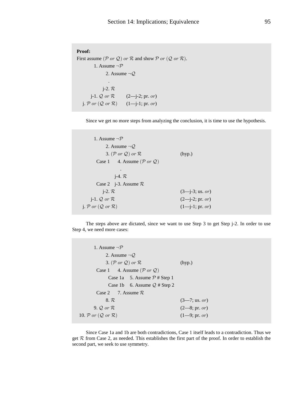```
Proof:
First assume (\mathcal{P} or \mathcal{Q}) or \mathcal{R} and show \mathcal{P} or (\mathcal{Q} or \mathcal{R}).
            1. Assume \neg \mathcal{P}2. Assume \neg Q .
                 j-2. Rj-1. Q or R (2—j-2; pr. or)
   j. \mathcal P or (\mathcal Q or \mathcal R) (1—j-1; pr. or)
```
Since we get no more steps from analyzing the conclusion, it is time to use the hypothesis.

```
1. Assume \neg \mathcal{P}2. Assume \neg Q3. (\mathcal{P} \text{ or } \mathcal{Q}) \text{ or } \mathcal{R} (hyp.)
        Case 1 4. Assume (\mathcal{P} or \mathcal{Q}) .
                j-4. \mathcal{R}Case 2 j-3. Assume \mathcal{R}j-2. R (3—j-3; us. or)
     j-1. Q or R (2—j-2; pr. or)
  j. \mathcal{P} or (\mathcal{Q} or \mathcal{R}) (1—j-1; pr. or)
```
The steps above are dictated, since we want to use Step 3 to get Step j-2. In order to use Step 4, we need more cases:

| 1. Assume $\neg \mathcal{P}$                      |                          |
|---------------------------------------------------|--------------------------|
| 2. Assume $\neg Q$                                |                          |
| 3. (P or Q) or $\mathcal{R}$                      | (hyp.)                   |
| Case 1 4. Assume $(\mathcal{P}$ or $\mathcal{Q})$ |                          |
| Case 1a 5. Assume $P \#$ Step 1                   |                          |
| Case 1b 6. Assume $Q \#$ Step 2                   |                          |
| Case 2 7. Assume $\mathcal{R}$                    |                          |
| 8. R                                              | $(3 - 7; \text{us. or})$ |
| 9. $\mathcal{Q}$ or $\mathcal{R}$                 | $(2-8; pr. or)$          |
| 10. $P$ or $(Q$ or $R)$                           | $(1-9; pr. or)$          |
|                                                   |                          |

Since Case 1a and 1b are both contradictions, Case 1 itself leads to a contradiction. Thus we get  $R$  from Case 2, as needed. This establishes the first part of the proof. In order to establish the second part, we seek to use symmetry.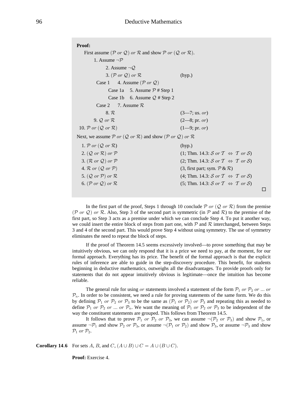| Proof:                                                                                                                  |                                                                   |  |
|-------------------------------------------------------------------------------------------------------------------------|-------------------------------------------------------------------|--|
| First assume ( $\mathcal P$ or $\mathcal Q$ ) or $\mathcal R$ and show $\mathcal P$ or $(\mathcal Q$ or $\mathcal R)$ . |                                                                   |  |
| 1. Assume $\neg \mathcal{P}$                                                                                            |                                                                   |  |
| 2. Assume $\neg Q$                                                                                                      |                                                                   |  |
| 3. (P or Q) or $\mathcal{R}$                                                                                            | (hyp.)                                                            |  |
| Case 1 4. Assume $(\mathcal{P}$ or $\mathcal{Q})$                                                                       |                                                                   |  |
| Case 1a 5. Assume $P \#$ Step 1                                                                                         |                                                                   |  |
| Case 1b 6. Assume $Q \#$ Step 2                                                                                         |                                                                   |  |
| Case 2 7. Assume $\mathcal{R}$                                                                                          |                                                                   |  |
| 8. R                                                                                                                    | $(3 - 7; \text{us. or})$                                          |  |
| $9. Q$ or $R$                                                                                                           | $(2-8; pr. or)$                                                   |  |
| 10. $P$ or $(Q$ or $R)$                                                                                                 | $(1-9; pr. or)$                                                   |  |
| Next, we assume $P$ or $(Q$ or $R)$ and show $(P$ or $Q)$ or $R$                                                        |                                                                   |  |
| 1. P or $(Q \text{ or } R)$                                                                                             | (hyp.)                                                            |  |
| 2. $(Q \text{ or } R)$ or $P$                                                                                           | $(1; Thm. 14.3: S \text{ or } T \Leftrightarrow T \text{ or } S)$ |  |
| 3. $(\mathcal{R}$ or $\mathcal{Q})$ or $\mathcal{P}$                                                                    | (2; Thm. 14.3: S or $T \Leftrightarrow T$ or S)                   |  |
| 4. $\mathcal R$ or $(\mathcal Q$ or $\mathcal P)$                                                                       | $(3,$ first part; sym. $P \& R$ )                                 |  |
| 5. $(Q \text{ or } P)$ or $R$                                                                                           | (4; Thm. 14.3: S or $T \Leftrightarrow T$ or S)                   |  |
| 6. $(\mathcal{P}$ or $\mathcal{Q})$ or $\mathcal{R}$                                                                    | (5; Thm. 14.3: S or $T \Leftrightarrow T$ or S)                   |  |
|                                                                                                                         |                                                                   |  |

In the first part of the proof, Steps 1 through 10 conclude  $\mathcal P$  or  $(\mathcal Q$  or  $\mathcal R)$  from the premise (P or Q) or R. Also, Step 3 of the second part is symmetric (in P and R) to the premise of the first part, so Step 3 acts as a premise under which we can conclude Step 4. To put it another way, we could insert the entire block of steps from part one, with  $P$  and  $R$  interchanged, between Steps 3 and 4 of the second part. This would prove Step 4 without using symmetry. The use of symmetry eliminates the need to repeat the block of steps.

If the proof of Theorem 14.5 seems excessively involved—to prove something that may be intuitively obvious, we can only respond that it is a price we need to pay, at the moment, for our formal approach. Everything has its price. The benefit of the formal approach is that the explicit rules of inference are able to guide in the step-discovery procedure. This benefit, for students beginning in deductive mathematics, outweighs all the disadvantages. To provide proofs only for statements that do not appear intuitively obvious is legitimate—once the intuition has become reliable.

The general rule for using or statements involved a statement of the form  $\mathcal{P}_1$  or  $\mathcal{P}_2$  or ... or  $\mathcal{P}_n$ . In order to be consistent, we need a rule for proving statements of the same form. We do this by defining  $P_1$  or  $P_2$  or  $P_3$  to be the same as  $(P_1$  or  $P_2)$  or  $P_3$  and repeating this as needed to define  $P_1$  or  $P_2$  or ... or  $P_n$ . We want the meaning of  $P_1$  or  $P_2$  or  $P_3$  to be independent of the way the constituent statements are grouped. This follows from Theorem 14.5.

It follows that to prove  $P_1$  or  $P_2$  or  $P_3$ , we can assume  $\neg (P_2$  or  $P_3)$  and show  $P_1$ , or assume  $\neg P_1$  and show  $P_2$  or  $P_3$ , or assume  $\neg (P_1$  or  $P_2)$  and show  $P_3$ , or assume  $\neg P_3$  and show  $\mathcal{P}_1$  or  $\mathcal{P}_2$ .

**Corollary 14.6** For sets A, B, and C,  $(A \cup B) \cup C = A \cup (B \cup C)$ .

**Proof:** Exercise 4.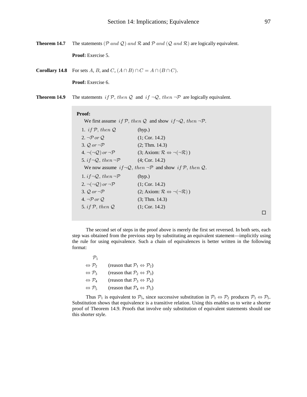Theorem 14.7 The statements (P and Q) and R and P and (Q and R) are logically equivalent.

Proof: Exercise 5.

**Corollary 14.8** For sets A, B, and C,  $(A \cap B) \cap C = A \cap (B \cap C)$ .

Proof: Exercise 6.

The statements if P, then Q and if  $\neg Q$ , then  $\neg P$  are logically equivalent. Theorem 14.9

#### Proof:

|                                          | We first assume if P, then Q and show if $\neg Q$ , then $\neg P$ |
|------------------------------------------|-------------------------------------------------------------------|
| 1. <i>if</i> $P$ , then $Q$              | (hyp.)                                                            |
| 2. $\neg P$ or $Q$                       | (1; Cor. 14.2)                                                    |
| 3. $Q$ or $\neg \mathcal{P}$             | (2; Thm. 14.3)                                                    |
| 4. $\neg(\neg Q)$ or $\neg \mathcal{P}$  | $(3; Axiom: \mathcal{R} \Leftrightarrow \neg(\neg \mathcal{R})$ ) |
| 5. if $\neg Q$ , then $\neg \mathcal{P}$ | (4; Cor. 14.2)                                                    |
|                                          | We now assume $if \neg Q, then \neg P$ and show if P, then Q      |
| 1. $if\neg Q, then \neg P$               | (hyp.)                                                            |
| 2. $\neg(\neg Q)$ or $\neg \mathcal{P}$  | (1; Cor. 14.2)                                                    |
| 3. $Q$ or $\neg \mathcal{P}$             | $(2; Axiom: \mathcal{R} \Leftrightarrow \neg(\neg \mathcal{R}))$  |
| 4. $\neg P$ or $Q$                       | (3; Thm. 14.3)                                                    |
| 5. if $P$ , then $Q$                     | (1; Cor. 14.2)                                                    |
|                                          |                                                                   |

 $\Box$ 

The second set of steps in the proof above is merely the first set reversed. In both sets, each step was obtained from the previous step by substituting an equivalent statement—implicitly using the rule for using equivalence. Such a chain of equivalences is better written in the following format:

| $\mathcal{P}_1$                   |                                                              |
|-----------------------------------|--------------------------------------------------------------|
| $\Leftrightarrow$ $\mathcal{P}_2$ | (reason that $\mathcal{P}_1 \Leftrightarrow \mathcal{P}_2$ ) |
| $\Leftrightarrow$ $\mathcal{P}_3$ | (reason that $\mathcal{P}_2 \Leftrightarrow \mathcal{P}_3$ ) |
| $\Leftrightarrow$ $\mathcal{P}_4$ | (reason that $\mathcal{P}_3 \Leftrightarrow \mathcal{P}_4$ ) |
| $\Leftrightarrow$ $\mathcal{P}_5$ | (reason that $\mathcal{P}_4 \Leftrightarrow \mathcal{P}_5$ ) |

 $\overline{a}$ 

Thus  $P_1$  is equivalent to  $P_5$ , since successive substitution in  $P_1 \Leftrightarrow P_2$  produces  $P_1 \Leftrightarrow P_5$ . Substitution shows that equivalence is a transitive relation. Using this enables us to write a shorter proof of Theorem 14.9. Proofs that involve only substitution of equivalent statements should use this shorter style.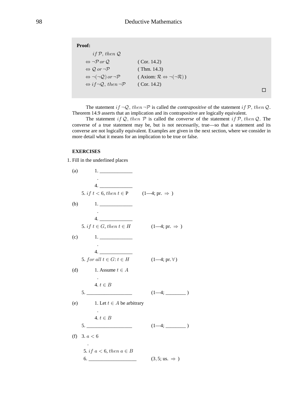| <b>Proof:</b> |  |
|---------------|--|
|               |  |

| if P, then Q                                            |                                                               |
|---------------------------------------------------------|---------------------------------------------------------------|
| $\Leftrightarrow \neg P$ or Q.                          | (Cor. 14.2)                                                   |
| $\Leftrightarrow$ Q or $\neg \mathcal{P}$               | (Thm. $14.3$ )                                                |
| $\Leftrightarrow \neg(\neg Q)$ or $\neg \mathcal{P}$    | $(Axiom: \mathcal{R} \Leftrightarrow \neg(\neg \mathcal{R}))$ |
| $\Leftrightarrow$ if $\neg Q$ , then $\neg \mathcal{P}$ | (Cor. 14.2)                                                   |

 $\Box$ 

The statement if  $\neg Q$ , then  $\neg P$  is called the *contrapositive* of the statement if P, then Q. Theorem 14.9 asserts that an implication and its contrapositive are logically equivalent.

The statement if Q, then  $P$  is called the *converse* of the statement if  $P$ , then Q. The converse of a true statement may be, but is not necessarily, true-so that a statement and its converse are not logically equivalent. Examples are given in the next section, where we consider in more detail what it means for an implication to be true or false.

# **EXERCISES**

1. Fill in the underlined places

| (a) |                                                                |                                 |
|-----|----------------------------------------------------------------|---------------------------------|
|     |                                                                |                                 |
|     | 4.<br>5. if $t < 6$ , then $t \in P$ (1—4; pr. $\Rightarrow$ ) |                                 |
| (b) | $1. \underline{\hspace{2.0cm}}$                                |                                 |
|     |                                                                |                                 |
|     | 5. if $t \in G$ , then $t \in H$                               | $(1-4; pr. \Rightarrow )$       |
| (c) | $1. \underline{\hspace{2cm}}$                                  |                                 |
|     | 4.                                                             |                                 |
|     | 5. for all $t \in G$ : $t \in H$                               | $(1-4; pr. \forall)$            |
| (d) | 1. Assume $t \in A$                                            |                                 |
|     | 4. $t \in B$                                                   |                                 |
|     | $\frac{1}{1}$                                                  | $(1-4;$                         |
|     | (e) 1. Let $t \in A$ be arbitrary                              |                                 |
|     | 4. $t \in B$                                                   |                                 |
|     |                                                                |                                 |
|     | (f) 3. $a < 6$                                                 |                                 |
|     | 5. if $a < 6$ , then $a \in B$                                 |                                 |
|     | 6.                                                             | $(3.5; \text{us.} \Rightarrow)$ |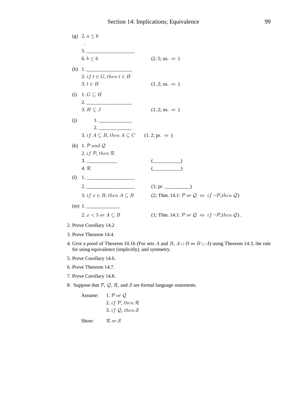(g) 
$$
2. a \le 6
$$
  
\n5.  
\n6.  $b \le 6$   
\n(i) 1.  
\n $2. if t \in G, then t \in H$   
\n3.  $t \in H$   
\n4.  $\pi$   
\n(ii) 1.  $G \subseteq H$   
\n(iii) 1.  $G \subseteq H$   
\n(ii) 2.  
\n(iii) 1.  $G \subseteq H$   
\n(iiii) 2.  
\n(ii) 1.  
\n(iii) 1.  
\n(ii) 2.  
\n(iii) 1.  
\n(ii) 1.  
\n(iii) 2.  
\n(ii) 1.  $\pi$  and Q  
\n(iii) 1.  $\pi$  and Q  
\n(iii) 1.  $\pi$  and Q  
\n(ii) 1.  
\n(iii) 2.  
\n(ii) 1.  
\n(iii) 2.  
\n(ii) 1.  
\n(iii) 2.  
\n(ii) 1.  
\n(iii) 2.  
\n(ii) 1.  $\pi$   
\n(iii) 2.  
\n(ii) 1.  $\pi$   
\n(iii) 2.  
\n(ii) 1.  $\pi$   
\n(iii) 2.  
\n(ii) 1.  $\pi$   
\n(iii) 1.  $\pi$   
\n(ii) 1.  $\pi$   
\n(iii) 1.  $\pi$   
\n(ii) 1.  $\pi$   
\n(iii) 1.  $\pi$   
\n(ii) 1.  $\pi$   
\n(iii) 1.  $\pi$   
\n(ii) 1.  $\pi$   
\n(iii) 1.  $\pi$   
\n(ii) 1.  $\pi$   
\n(iii) 1.  $\pi$   
\n(ii) 1.  $\pi$   
\n(iii) 1.  $\pi$   
\n(ii) 1.  $\pi$   
\n(iii) 1.  $\pi$   
\n(ii) 1.  $\pi$   
\n(iii) 1.  $\pi$   
\n(ii) 1.  $\pi$   
\n(iii) 1.  $\pi$   
\n(ii) 1.  $\pi$   
\n(iii) 1.  $\pi$   
\n(ii) 1.  $\pi$   
\n(i

- 3. Prove Theorem 14.4.
- 4. Give a proof of Theorem 10.1b (For sets A and B,  $A \cup B = B \cup A$ ) using Theorem 14.3, the rule for using equivalence (implicitly), and symmetry.
- 5. Prove Corollary 14.6.
- 6. Prove Theorem 14.7.
- 7. Prove Corollary 14.8.
- 8. Suppose that  $P$ ,  $Q$ ,  $R$ , and  $S$  are formal language statements.

1.  $P$  or  $Q$ Assume: 2. if  $P$ , then  $R$ 3. if  $Q$ , then  $S$ 

Show:  ${\mathcal R}$  or  ${\mathcal S}$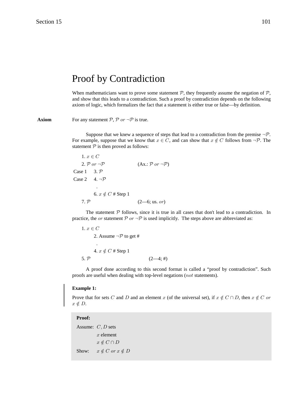# Proof by Contradiction

When mathematicians want to prove some statement  $P$ , they frequently assume the negation of  $P$ , and show that this leads to a contradiction. Such a proof by contradiction depends on the following axiom of logic, which formalizes the fact that a statement is either true or false—by definition.

**Axiom** For any statement  $P$ ,  $P$  or  $\neg P$  is true.

Suppose that we knew a sequence of steps that lead to a contradiction from the premise  $\neg \mathcal{P}$ . For example, suppose that we know that  $x \in C$ , and can show that  $x \notin C$  follows from  $\neg \mathcal{P}$ . The statement  $P$  is then proved as follows:

1.  $x \in C$ 2. P or  $\neg \mathcal{P}$  (Ax.: P or  $\neg \mathcal{P}$ ) Case 1  $3. \mathcal{P}$ Case 2  $4. \neg P$  . 6.  $x \notin C$  # Step 1 7.  $P$  (2—6; us. or)

The statement  $P$  follows, since it is true in all cases that don't lead to a contradiction. In practice, the *or* statement  $\mathcal{P}$  or  $\neg \mathcal{P}$  is used implicitly. The steps above are abbreviated as:

```
1. x \in C2. Assume \neg \mathcal{P} to get #
 .
        4. x \notin C # Step 1
   5. P (2—4; #)
```
A proof done according to this second format is called a "proof by contradiction". Such proofs are useful when dealing with top-level negations ( $not$  statements).

#### **Example 1:**

Prove that for sets C and D and an element x (of the universal set), if  $x \notin C \cap D$ , then  $x \notin C$  or  $x \notin D$ .

 **Proof:**

Assume:  $C, D$  sets  $x$  element  $x \notin C \cap D$ Show:  $x \notin C$  or  $x \notin D$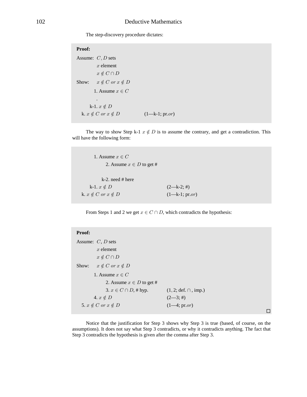The step-discovery procedure dictates:

 **Proof:** Assume:  $C, D$  sets  $x$  element  $x \notin C \cap D$ Show:  $x \notin C$  or  $x \notin D$ 1. Assume  $x \in C$  . k-1.  $x \notin D$ k.  $x \notin C$  or  $x \notin D$   $(1-k-1; pr. or)$ 

The way to show Step k-1  $x \notin D$  is to assume the contrary, and get a contradiction. This will have the following form:

```
1. Assume x \in C2. Assume x \in D to get #
        k-2. need # here
   k-1. x \notin D (2—k-2; #)
k. x \notin C or x \notin D (1—k-1; pr. or)
```
From Steps 1 and 2 we get  $x \in C \cap D$ , which contradicts the hypothesis:

| <b>Proof:</b>                         |                                         |  |  |
|---------------------------------------|-----------------------------------------|--|--|
| Assume: $C, D$ sets                   |                                         |  |  |
| $x$ element                           |                                         |  |  |
| $x \notin C \cap D$                   |                                         |  |  |
| $x \notin C$ or $x \notin D$<br>Show: |                                         |  |  |
| 1. Assume $x \in C$                   |                                         |  |  |
| 2. Assume $x \in D$ to get #          |                                         |  |  |
| 3. $x \in C \cap D$ , # hyp.          | $(1, 2; \text{def.} \cap, \text{imp.})$ |  |  |
| 4. $x \notin D$                       | $(2-3; 4)$                              |  |  |
| 5. $x \notin C$ or $x \notin D$       | $(1-4; pr. or)$                         |  |  |
|                                       |                                         |  |  |

Notice that the justification for Step 3 shows why Step 3 is true (based, of course, on the assumptions). It does not say what Step 3 contradicts, or why it contradicts anything. The fact that Step 3 contradicts the hypothesis is given after the comma after Step 3.

 $\Box$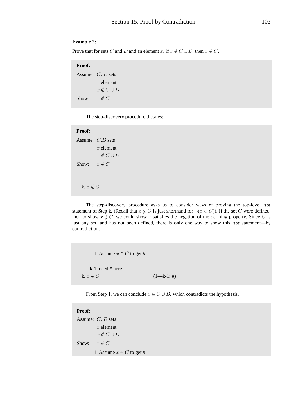# **Example 2:**

Prove that for sets C and D and an element x, if  $x \notin C \cup D$ , then  $x \notin C$ .

# **Proof:**

Assume:  $C, D$  sets  $x$  element  $x \notin C \cup D$ Show:  $x \notin C$ 

The step-discovery procedure dictates:

# **Proof:**

```
Assume: C, D sets
           x element
          x \notin C \cup DShow: x \notin Ck. x \notin C
```
The step-discovery procedure asks us to consider ways of proving the top-level  $not$ statement of Step k. (Recall that  $x \notin C$  is just shorthand for  $\neg(x \in C)$ ). If the set C were defined, then to show  $x \notin C$ , we could show x satisfies the negation of the defining property. Since C is just any set, and has not been defined, there is only one way to show this  $not$  statement-by contradiction.

1. Assume  $x \in C$  to get # . k-1. need # here k.  $x \notin C$   $(1-k-1; \#)$ 

From Step 1, we can conclude  $x \in C \cup D$ , which contradicts the hypothesis.

| <b>Proof:</b> |                              |
|---------------|------------------------------|
|               | Assume: $C, D$ sets          |
|               | $x$ element                  |
|               | $x \notin C \cup D$          |
| Show:         | $x \notin C$                 |
|               | 1. Assume $x \in C$ to get # |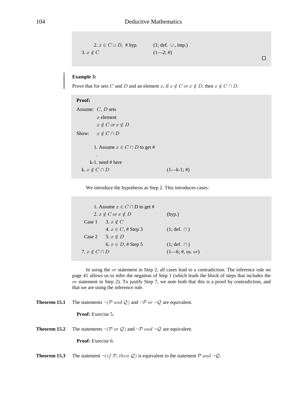```
2. x \in C \cup D, # hyp. (1; def. \cup, imp.)
3. x \notin C (1-2; 4)
```
 $\Box$ 

# **Example 3:**

Prove that for sets C and D and an element x, if  $x \notin C$  or  $x \notin D$ , then  $x \notin C \cap D$ .

| Proof:                              |               |
|-------------------------------------|---------------|
| Assume: $C, D$ sets                 |               |
| $x$ element                         |               |
| $x \notin C$ or $x \notin D$        |               |
| $x \notin C \cap D$<br>Show:        |               |
| 1. Assume $x \in C \cap D$ to get # |               |
| ٠                                   |               |
| $k-1$ need # here                   |               |
| k. $x \notin C \cap D$              | $(1-k-1; \#)$ |

We introduce the hypothesis as Step 2. This introduces cases:

```
1. Assume x \in C \cap D to get #
    2. x \notin C or x \notin D (hyp.)
 Case 1 3. x \notin C4. x \in C, # Step 3 (1; def. \cap)
Case 2 5. x \notin D6. x \in D, # Step 5 (1; def. ∩)
7. x \notin C \cap D (1—6; #, us. or)
```
In using the  $or$  statement in Step 2, all cases lead to a contradiction. The inference rule on page 41 allows us to infer the negation of Step 1 (which leads the block of steps that includes the  $\alpha$  statement in Step 2). To justify Step 7, we note both that this is a proof by contradiction, and that we are using the inference rule.

**Theorem 15.1** The statements  $\neg(\mathcal{P} \text{ and } \mathcal{Q})$  and  $\neg \mathcal{P} \text{ or } \neg \mathcal{Q}$  are equivalent.

**Proof:** Exercise 5.

**Theorem 15.2** The statements  $\neg(\mathcal{P} \text{ or } \mathcal{Q})$  and  $\neg \mathcal{P} \text{ and } \neg \mathcal{Q}$  are equivalent.

**Proof:** Exercise 6.

**Theorem 15.3** The statement  $\neg (if \mathcal{P}, then \mathcal{Q})$  is equivalent to the statement  $\mathcal{P}$  and  $\neg \mathcal{Q}$ .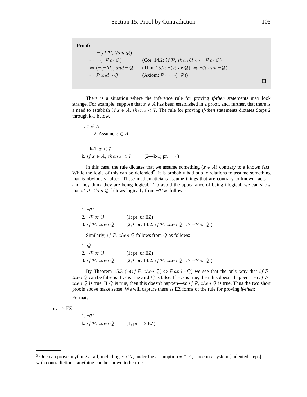| <b>Proof:</b>                                                     |                                                                                                                           |  |
|-------------------------------------------------------------------|---------------------------------------------------------------------------------------------------------------------------|--|
| $\neg (if \, P, then \, Q)$                                       |                                                                                                                           |  |
| $\Leftrightarrow \neg(\neg P \text{ or } Q)$                      | (Cor. 14.2: if P, then $\mathcal{Q} \Leftrightarrow \neg \mathcal{P}$ or $\mathcal{Q}$ )                                  |  |
| $\Leftrightarrow (\neg(\neg \mathcal{P}))$ and $\neg \mathcal{Q}$ | (Thm. 15.2: $\neg (\mathcal{R} \text{ or } \mathcal{Q}) \Leftrightarrow \neg \mathcal{R} \text{ and } \neg \mathcal{Q}$ ) |  |
| $\Leftrightarrow \mathcal{P}$ and $\neg \mathcal{Q}$ .            | $(Axiom: \mathcal{P} \Leftrightarrow \neg(\neg \mathcal{P}))$                                                             |  |
|                                                                   |                                                                                                                           |  |

There is a situation where the inference rule for proving if-then statements may look strange. For example, suppose that  $x \notin A$  has been established in a proof, and, further, that there is a need to establish if  $x \in A$ , then  $x < 7$ . The rule for proving if-then statements dictates Steps 2 through k-1 below.

1. 
$$
x \notin A
$$
  
\n2. Assume  $x \in A$   
\n  
\n k-1.  $x < 7$   
\nk.  $if x \in A, then x < 7$  (2—k-1; pr.  $\Rightarrow$ )

In this case, the rule dictates that we assume something  $(x \in A)$  contrary to a known fact. While the logic of this can be defended<sup>5</sup>, it is probably bad public relations to assume something that is obviously false: "These mathematicians assume things that are contrary to known factsand they think they are being logical." To avoid the appearance of being illogical, we can show that if P, then Q follows logically from  $\neg P$  as follows:

| 1. $\neg \mathcal{P}$ |                                                                                              |
|-----------------------|----------------------------------------------------------------------------------------------|
| 2. $\neg P$ or Q.     | (1; pr. or EZ)                                                                               |
| 3. if $P$ , then $Q$  | $(2; \text{Cor. } 14.2: \text{if } P, \text{ then } Q \Leftrightarrow \neg P \text{ or } Q)$ |

Similarly, if  $P$ , then  $Q$  follows from  $Q$  as follows:

| $\perp$ . $\cup$     |                                                                                              |
|----------------------|----------------------------------------------------------------------------------------------|
| 2. $\neg P$ or Q.    | (1; pr. or EZ)                                                                               |
| 3. if $P$ , then $Q$ | $(2; \text{Cor. } 14.2: \text{if } P, \text{ then } Q \Leftrightarrow \neg P \text{ or } Q)$ |

By Theorem 15.3  $(\neg (if \mathcal{P}, then \mathcal{Q}) \Leftrightarrow \mathcal{P} \text{ and } \neg \mathcal{Q})$  we see that the only way that if  $\mathcal{P}$ , then Q can be false is if P is true and Q is false. If  $\neg P$  is true, then this doesn't happen—so if P, then Q is true. If Q is true, then this doesn't happen—so if P, then Q is true. Thus the two short proofs above make sense. We will capture these as EZ forms of the rule for proving if-then:

Formats:

pr.  $\Rightarrow$  EZ

1. 
$$
\neg \mathcal{P}
$$
  
k. *if* P, *then* Q (1; pr.  $\Rightarrow$  EZ)

<sup>&</sup>lt;sup>5</sup> One can prove anything at all, including  $x < 7$ , under the assumption  $x \in A$ , since in a system [indented steps] with contradictions, anything can be shown to be true.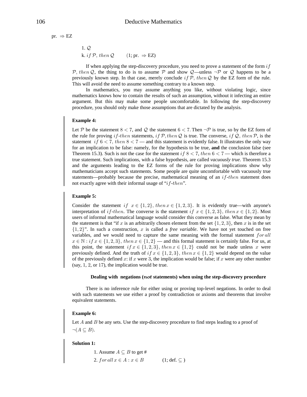$$
pr. \Rightarrow EZ
$$

 $1.Q$ k. if  $P$ , then  $Q$  $(1; pr. \Rightarrow EZ)$ 

If when applying the step-discovery procedure, you need to prove a statement of the form  $if$ P, then Q, the thing to do is to assume P and show Q—unless  $\neg P$  or Q happens to be a previously known step. In that case, merely conclude if  $\mathcal{P}$ , then Q by the EZ form of the rule. This will avoid the need to assume something contrary to a known step.

In mathematics, you may assume anything you like, without violating logic, since mathematics knows how to contain the results of such an assumption, without it infecting an entire argument. But this may make some people uncomfortable. In following the step-discovery procedure, you should only make those assumptions that are dictated by the analysis.

# **Example 4:**

Let P be the statement  $8 < 7$ , and Q the statement  $6 < 7$ . Then  $\neg P$  is true, so by the EZ form of the rule for proving if-then statements, if  $\mathcal{P}$ , then  $\mathcal Q$  is true. The converse, if  $\mathcal Q$ , then  $\mathcal P$ , is the statement if  $6 < 7$ , then  $8 < 7$  — and this statement is evidently false. It illustrates the only way for an implication to be false: namely, for the hypothesis to be true, and the conclusion false (see Theorem 15.3). Such is not the case for the statement if  $8 < 7$ , then  $6 < 7$  — which is therefore a true statement. Such implications, with a false hypothesis, are called *vacuously true*. Theorem 15.3 and the arguments leading to the EZ forms of the rule for proving implications show why mathematicians accept such statements. Some people are quite uncomfortable with vacuously true statements—probably because the precise, mathematical meaning of an  $if$ -then statement does not exactly agree with their informal usage of " $if$ -then".

# **Example 5:**

Consider the statement if  $x \in \{1,2\}$ , then  $x \in \{1,2,3\}$ . It is evidently true—with anyone's interpretation of *if-then*. The converse is the statement *if*  $x \in \{1,2,3\}$ , then  $x \in \{1,2\}$ . Most users of informal mathematical language would consider this converse as false. What they mean by the statement is that "if x is an arbitrarily chosen element from the set  $\{1, 2, 3\}$ , then x is in the set  $\{1,2\}$ ". In such a construction, x is called a *free variable*. We have not yet touched on free variables, and we would need to capture the same meaning with the formal statement for all  $x \in \mathbb{N} : if x \in \{1,2,3\}, then x \in \{1,2\}$  — and this formal statement is certainly false. For us, at this point, the statement if  $x \in \{1,2,3\}$ , then  $x \in \{1,2\}$  could not be made unless x were previously defined. And the truth of if  $x \in \{1,2,3\}$ , then  $x \in \{1,2\}$  would depend on the value of the previously defined x: if x were 3, the implication would be false; if x were any other number  $(say, 1, 2, or 17)$ , the implication would be true.

## Dealing with negations (not statements) when using the step-discovery procedure

There is no inference rule for either using or proving top-level negations. In order to deal with such statements we use either a proof by contradiction or axioms and theorems that involve equivalent statements.

## **Example 6:**

Let  $A$  and  $B$  be any sets. Use the step-discovery procedure to find steps leading to a proof of  $\neg (A \subseteq B).$ 

## **Solution 1:**

1. Assume 
$$
A \subseteq B
$$
 to get #  
2. for all  $x \in A : x \in B$  (1; def.  $\subseteq$ )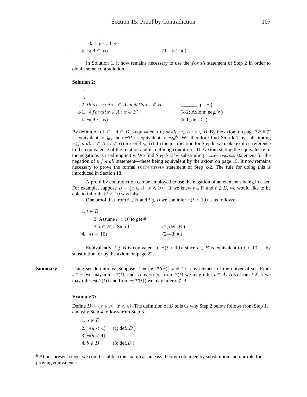k-1. get # here  
k. 
$$
\neg(A \subseteq B)
$$
  $(1-k-1; \#)$ 

In Solution 1, it now remains necessary to use the  $for all$  statement of Step 2 in order to obtain some contradiction.

## **Solution 2:**

| k-2. there exists $x \in A$ such that $x \notin B$ | $(m; pr. \exists)$           |
|----------------------------------------------------|------------------------------|
| k-1. $\neg(for all x \in A : x \in B)$             | $(k-2; Axiom: neg. \forall)$ |
| k. $\neg(A \subseteq B)$                           | $(k-1; def. \subset)$        |

By definition of  $\subseteq A \subseteq B$  is equivalent to  $for all x \in A : x \in B$ . By the axiom on page 22: if P is equivalent to Q, then  $\neg \mathcal{P}$  is equivalent to  $\neg \mathcal{Q}^6$ . We therefore find Step k-1 by substituting  $\neg (for all x \in A : x \in B)$  for  $\neg (A \subseteq B)$ . In the justification for Step k, we make explicit reference to the equivalence of the relation and its defining condition. The axiom stating the equivalence of the negations is used implicitly. We find Step k-2 by substituting a *there exists* statement for the negation of a *for all* statement—these being equivalent by the axiom on page 15. It now remains necessary to prove the formal *there exists* statement of Step k-2. The rule for doing this is introduced in Section 18.

A proof by contradiction can be employed to use the negation of an element's being in a set. For example, suppose  $B = \{x \in \mathbb{N} \mid x < 10\}$ . If we knew  $t \in \mathbb{N}$  and  $t \notin B$ , we would like to be able to infer that  $t < 10$  was false.

One proof that from  $t \in \mathbb{N}$  and  $t \notin B$  we can infer  $\neg (t < 10)$  is as follows:

 $1. t \notin B$ 2. Assume  $t < 10$  to get # 3.  $t \in B$ , # Step 1  $(2; \text{def. } B)$  $(2-3; 4)$  $4. \neg (t < 10)$ 

Equivalently,  $t \notin B$  is equivalent to  $\neg (t < 10)$ , since  $t \in B$  is equivalent to  $t < 10$  — by substitution, or by the axiom on page 22.

**Summary** 

Using set definitions: Suppose  $A = \{x \mid \mathcal{P}(x)\}\$ and t is any element of the universal set. From  $t \in A$  we may infer  $\mathcal{P}(t)$ , and, conversely, from  $\mathcal{P}(t)$  we may infer  $t \in A$ . Also from  $t \notin A$  we may infer  $\neg(\mathcal{P}(t))$  and from  $\neg(\mathcal{P}(t))$  we may infer  $t \notin A$ .

# **Example 7:**

Define  $D = \{x \in \mathbb{N} \mid x < 4\}$ . The definition of D tells us why Step 2 below follows from Step 1, and why Step 4 follows from Step 3.

1.  $a \notin D$ <br>
2.  $\neg(a < 4)$  (1; def. *D*)<br>
3.  $\neg(b < 4)$ <br>
4.  $b \notin D$  (3; def.*D*)

<sup>&</sup>lt;sup>6</sup> At our present stage, we could establish this axiom as an easy theorem obtained by substitution and our rule for proving equivalence.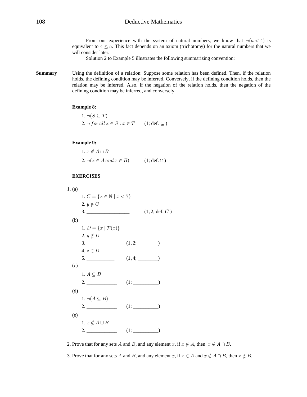From our experience with the system of natural numbers, we know that  $\neg (a < 4)$  is equivalent to  $4 \le a$ . This fact depends on an axiom (trichotomy) for the natural numbers that we will consider later.

Solution 2 to Example 5 illustrates the following summarizing convention:

**Summary** Using the definition of a relation: Suppose some relation has been defined. Then, if the relation holds, the defining condition may be inferred. Conversely, if the defining condition holds, then the relation may be inferred. Also, if the negation of the relation holds, then the negation of the defining condition may be inferred, and conversely.

# **Example 8:**

1. 
$$
\neg (S \subseteq T)
$$
  
2.  $\neg$  for all  $x \in S : x \in T$  (1; def.  $\subseteq$ )

**Example 9:**<br>  $1. x \notin A \cap B$ <br>  $2. \neg(x \in A \text{ and } x \in B)$  (1; def.  $\cap$ )

## **EXERCISES**

1. (a)  
\n1. 
$$
C = \{x \in \mathbb{N} \mid x < 7\}
$$
  
\n2.  $y \notin C$   
\n3. (1, 2; def. C)  
\n(b)  
\n1.  $D = \{x \mid \mathcal{P}(x)\}$   
\n2.  $y \notin D$   
\n3. (1, 2; ...)  
\n4.  $z \in D$   
\n5. (1, 4; ...)  
\n(c)  
\n1.  $A \subseteq B$   
\n2. (1; ...)  
\n(d)  
\n1.  $\neg(A \subseteq B)$   
\n2. (1; ...)  
\n(e)  
\n1.  $x \notin A \cup B$   
\n2. (1; ...)

2. Prove that for any sets A and B, and any element x, if  $x \notin A$ , then  $x \notin A \cap B$ .

3. Prove that for any sets A and B, and any element x, if  $x \in A$  and  $x \notin A \cap B$ , then  $x \notin B$ .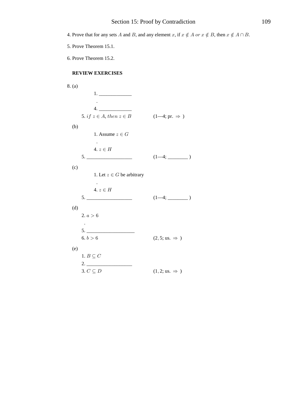4. Prove that for any sets A and B, and any element x, if  $x \notin A$  or  $x \notin B$ , then  $x \notin A \cap B$ .

- 5. Prove Theorem 15.1.
- 6. Prove Theorem 15.2.

# **REVIEW EXERCISES**

| 8. (a) |                                                                                                                                             |                                  |
|--------|---------------------------------------------------------------------------------------------------------------------------------------------|----------------------------------|
|        |                                                                                                                                             |                                  |
|        | 4.                                                                                                                                          |                                  |
|        | 5. if $z \in A$ , then $z \in B$                                                                                                            | $(1-4; pr. \Rightarrow )$        |
| (b)    |                                                                                                                                             |                                  |
|        | 1. Assume $z \in G$                                                                                                                         |                                  |
|        | $4. z \in H$                                                                                                                                |                                  |
|        | $\begin{tabular}{c} 5. & \begin{tabular}{@{}c@{}} \textbf{---} & \textbf{---} & \textbf{---} & \textbf{---} \\ \end{tabular} \end{tabular}$ | $(1-4;$                          |
| (c)    |                                                                                                                                             |                                  |
|        | 1. Let $z \in G$ be arbitrary                                                                                                               |                                  |
|        |                                                                                                                                             |                                  |
|        | $4. z \in H$<br>$5. \underline{\hspace{2cm}}$                                                                                               | $(1-4;$                          |
|        |                                                                                                                                             |                                  |
| (d)    | 2. a > 6                                                                                                                                    |                                  |
|        |                                                                                                                                             |                                  |
|        | 5.                                                                                                                                          |                                  |
|        | 6. $b > 6$                                                                                                                                  | $(2, 5; \text{us.} \Rightarrow)$ |
| (e)    |                                                                                                                                             |                                  |
|        | 1. $B\subseteq C$                                                                                                                           |                                  |
|        |                                                                                                                                             |                                  |
|        | 3. $C \subseteq D$                                                                                                                          | $(1, 2; \text{us.} \Rightarrow)$ |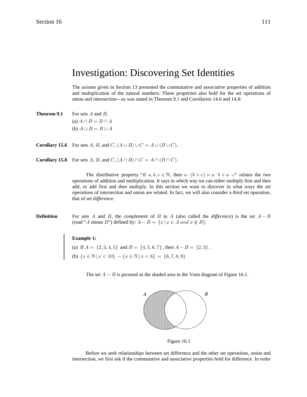# Investigation: Discovering Set Identities

The axioms given in Section 13 presented the commutative and associative properties of addition and multiplication of the natural numbers. These properties also hold for the set operations of union and intersection—as was stated in Theorem 9.1 and Corollaries 14.6 and 14.8:

**Theorem 9.1** For sets  $A$  and  $B$ , (a)  $A \cap B = B \cap A$ (b)  $A \cup B = B \cup A$ 

**Corollary 15.6** For sets A, B, and C,  $(A \cup B) \cup C = A \cup (B \cup C)$ .

**Corollary 15.8** For sets A, B, and C,  $(A \cap B) \cap C = A \cap (B \cap C)$ .

The distributive property "if  $a, b, c \in \mathbb{N}$ , then  $a \cdot (b + c) = a \cdot b + a \cdot c$ " relates the two operations of addition and multiplication. It says in which way we can either multiply first and then add, or add first and then multiply. In this section we want to discover in what ways the set operations of intersection and union are related. In fact, we will also consider a third set operation, that of set difference.

**Definition** For sets A and B, the *complement* of B in A (also called the difference) is the set  $A - B$ (read "A minus B") defined by:  $A - B = \{x \mid x \in A \text{ and } x \notin B\}.$ 

# **Example 1:**

(a) If  $A = \{2, 3, 4, 5\}$  and  $B = \{4, 5, 6, 7\}$ , then  $A - B = \{2, 3\}$ . (b)  $\{x \in \mathbb{N} \mid x < 10\} - \{x \in \mathbb{N} \mid x < 6\} = \{6, 7, 8, 9\}$ 

The set  $A - B$  is pictured as the shaded area in the Venn diagram of Figure 16.1.



Figure 16.1

Before we seek relationships between set difference and the other set operations, union and intersection, we first ask if the commutative and associative properties hold for difference. In order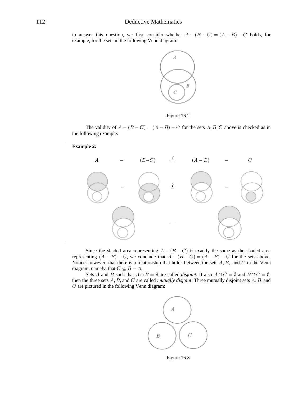to answer this question, we first consider whether  $A - (B - C) = (A - B) - C$  holds, for example, for the sets in the following Venn diagram:



Figure 16.2

The validity of  $A - (B - C) = (A - B) - C$  for the sets  $A, B, C$  above is checked as in the following example:



Since the shaded area representing  $A - (B - C)$  is exactly the same as the shaded area representing  $(A - B) - C$ , we conclude that  $A - (B - C) = (A - B) - C$  for the sets above. Notice, however, that there is a relationship that holds between the sets  $A, B$ , and  $C$  in the Venn diagram, namely, that  $C \subseteq B - A$ .

Sets A and B such that  $A \cap B = \emptyset$  are called *disjoint*. If also  $A \cap C = \emptyset$  and  $B \cap C = \emptyset$ , then the three sets  $A, B$ , and  $C$  are called *mutually disjoint*. Three mutually disjoint sets  $A, B$ , and  $C$  are pictured in the following Venn diagram:



Figure 16.3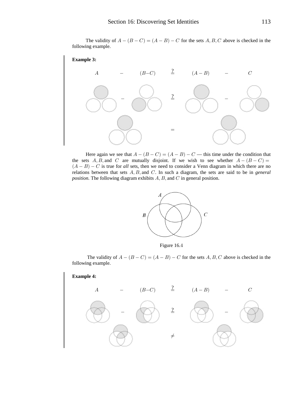The validity of  $A - (B - C) = (A - B) - C$  for the sets  $A, B, C$  above is checked in the following example.



Here again we see that  $A - (B - C) = (A - B) - C$  this time under the condition that the sets A, B, and C are mutually disjoint. If we wish to see whether  $A - (B - C) =$  $(A - B) - C$  is true for all sets, then we need to consider a Venn diagram in which there are no relations between that sets  $A, B$ , and  $C$ . In such a diagram, the sets are said to be in *general position.* The following diagram exhibits  $A, B$ , and  $C$  in general position.



Figure 16.4

The validity of  $A - (B - C) = (A - B) - C$  for the sets A, B, C above is checked in the following example.

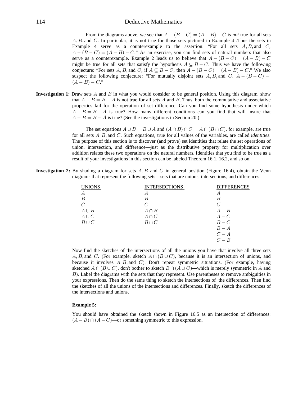# 114 Deductive Mathematics

From the diagrams above, we see that  $A - (B - C) = (A - B) - C$  is not true for all sets  $A, B$ , and  $C$ . In particular, it is not true for those sets pictured in Example 4. Thus the sets in Example 4 serve as a counterexample to the assertion: "For all sets  $A, B$ , and  $C$ ,  $A - (B - C) = (A - B) - C$ ." As an exercise, you can find sets of natural numbers that also serve as a counterexample. Example 2 leads us to believe that  $A - (B - C) = (A - B) - C$ might be true for all sets that satisfy the hypothesis  $A \subseteq B - C$ . Thus we have the following conjecture: "For sets A, B, and C, if  $A \subseteq B - C$ , then  $A - (B - C) = (A - B) - C$ ." We also suspect the following conjecture: "For mutually disjoint sets A, B, and C,  $A - (B - C) =$  $(A - B) - C$ ."

**Investigation 1:** Draw sets  $\vec{A}$  and  $\vec{B}$  in what you would consider to be general position. Using this diagram, show that  $A - B = B - A$  is not true for all sets A and B. Thus, both the commutative and associative properties fail for the operation of set difference. Can you find some hypothesis under which  $A - B = B - A$  is true? How many different conditions can you find that will insure that  $A - B = B - A$  is true? (See the investigations in Section 20.)

> The set equations  $A \cup B = B \cup A$  and  $(A \cap B) \cap C = A \cap (B \cap C)$ , for example, are true for all sets  $A, B$ , and  $C$ . Such equations, true for all values of the variables, are called *identities*. The purpose of this section is to discover (and prove) set identities that relate the set operations of union, intersection, and difference—just as the distributive property for multiplication over addition relates these two operations on the natural numbers. Identities that you find to be true as a result of your investigations in this section can be labeled Theorem 16.1, 16.2, and so on.

**Investigation 2:** By shading a diagram for sets  $A, B$ , and  $C$  in general position (Figure 16.4), obtain the Venn diagrams that represent the following sets—sets that are unions, intersections, and differences.

| <b>UNIONS</b> | <b>INTERSECTIONS</b> | <b>DIFFERENCES</b> |
|---------------|----------------------|--------------------|
| А             | А                    | А                  |
| B             | B                    |                    |
| C             | C                    |                    |
| $A \cup B$    | $A \cap B$           | $A - B$            |
| $A\cup C$     | $A \cap C$           | $A-C$              |
| $B\cup C$     | $B \cap C$           | $B-C$              |
|               |                      | $B - A$            |
|               |                      | $C - A$            |
|               |                      | $C-B$              |
|               |                      |                    |

Now find the sketches of the intersections of all the unions you have that involve all three sets A, B, and C. (For example, sketch  $A \cap (B \cup C)$ , because it is an intersection of unions, and because it involves  $A, B$ , and C). Don't repeat symmetric situations. (For example, having sketched  $A \cap (B \cup C)$ , don't bother to sketch  $B \cap (A \cup C)$ —which is merely symmetric in A and  $B$ ). Label the diagrams with the sets that they represent. Use parentheses to remove ambiguities in your expressions. Then do the same thing to sketch the intersections of the differences. Then find the sketches of all the unions of the intersections and differences. Finally, sketch the differences of the intersections and unions.

## **Example 5:**

You should have obtained the sketch shown in Figure 16.5 as an intersection of differences:  $(A - B) \cap (A - C)$ —or something symmetric to this expression.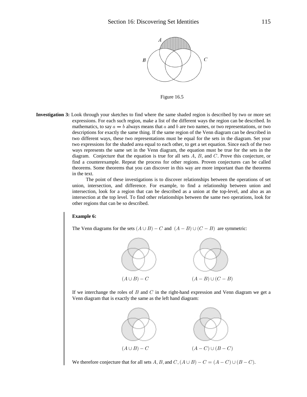

Figure 16.5

**Investigation 3:** Look through your sketches to find where the same shaded region is described by two or more set expressions. For each such region, make a list of the different ways the region can be described. In mathematics, to say  $a = b$  always means that a and b are two names, or two representations, or two descriptions for exactly the same thing. If the same region of the Venn diagram can be described in two different ways, these two representations must be equal for the sets in the diagram. Set your two expressions for the shaded area equal to each other, to get a set equation. Since each of the two ways represents the same set in the Venn diagram, the equation must be true for the sets in the diagram. Conjecture that the equation is true for all sets  $A, B$ , and  $C$ . Prove this conjecture, or find a counterexample. Repeat the process for other regions. Proven conjectures can be called theorems. Some theorems that you can discover in this way are more important than the theorems in the text.

> The point of these investigations is to discover relationships between the operations of set union, intersection, and difference. For example, to find a relationship between union and intersection, look for a region that can be described as a union at the top-level, and also as an intersection at the top level. To find other relationships between the same two operations, look for other regions that can be so described.

# **Example 6:**

The Venn diagrams for the sets  $(A \cup B) - C$  and  $(A - B) \cup (C - B)$  are symmetric:



If we interchange the roles of  $B$  and  $C$  in the right-hand expression and Venn diagram we get a Venn diagram that is exactly the same as the left hand diagram:



We therefore conjecture that for all sets A, B, and  $C$ ,  $(A \cup B) - C = (A - C) \cup (B - C)$ .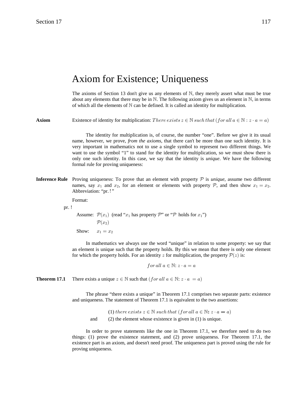# Axiom for Existence; Uniqueness

The axioms of Section 13 don't give us any elements of  $N$ , they merely assert what must be true about any elements that there may be in  $\mathbb N$ . The following axiom gives us an element in  $\mathbb N$ , in terms of which all the elements of  $N$  can be defined. It is called an identity for multiplication.

**Axiom** Existence of identity for multiplication: There exists  $z \in \mathbb{N}$  such that (for all  $a \in \mathbb{N} : z \cdot a = a$ )

The identity for multiplication is, of course, the number "one". Before we give it its usual name, however, we prove, *from the axioms*, that there can't be more than one such identity. It is very important in mathematics not to use a single symbol to represent two different things. We want to use the symbol "1" to stand for the identity for multiplication, so we must show there is only one such identity. In this case, we say that the identity is *unique*. We have the following formal rule for proving uniqueness:

**Inference Rule** Proving uniqueness: To prove that an element with property  $P$  is *unique*, assume two different names, say  $x_1$  and  $x_2$ , for an element or elements with property  $P$ , and then show  $x_1 = x_2$ . Abbreviation: "pr.!"

Format:

pr. !

Assume:  $\mathcal{P}(x_1)$  (read " $x_1$  has property  $\mathcal{P}$ " or " $\mathcal{P}$  holds for  $x_1$ ")  $\mathcal{P}(x_2)$ Show:  $x_1 = x_2$ 

In mathematics we always use the word "unique" in relation to some property: we say that an element is unique such that the property holds. By this we mean that there is only one element for which the property holds. For an identity z for multiplication, the property  $P(z)$  is:

for all  $a \in \mathbb{N}$ :  $z \cdot a = a$ 

**Theorem 17.1** There exists a unique  $z \in \mathbb{N}$  such that  $(for all a \in \mathbb{N}: z \cdot a = a)$ 

The phrase "there exists a unique" in Theorem 17.1 comprises two separate parts: existence and uniqueness. The statement of Theorem 17.1 is equivalent to the two assertions:

(1) there exists  $z \in \mathbb{N}$  such that  $(for all a \in \mathbb{N}: z \cdot a = a)$ and (2) the element whose existence is given in (1) is unique.

In order to prove statements like the one in Theorem 17.1, we therefore need to do two things: (1) prove the existence statement, and (2) prove uniqueness. For Theorem 17.1, the existence part is an axiom, and doesn't need proof. The uniqueness part is proved using the rule for proving uniqueness.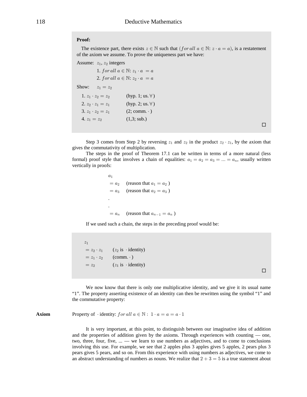## **Proof:**

The existence part, there exists  $z \in \mathbb{N}$  such that  $(for all a \in \mathbb{N} : z \cdot a = a)$ , is a restatement of the axiom we assume. To prove the uniqueness part we have:

```
Assume: z_1, z_2 integers
```

```
1. for all a \in \mathbb{N}: z_1 \cdot a = a2. for all a \in \mathbb{N}: z_2 \cdot a = aShow: z_1 = z_21. z_1 \cdot z_2 = z_2 (hyp. 1; us. \forall)
  2. z_2 \cdot z_1 = z_1 (hyp. 2; us. \forall)
  3. z_1 \cdot z_2 = z_1 (2; comm. · )
  4. z_1 = z_2 (1,3; sub.)
```
 $\Box$ 

Step 3 comes from Step 2 by reversing  $z_1$  and  $z_2$  in the product  $z_2 \cdot z_1$ , by the axiom that gives the commutativity of multiplication.

The steps in the proof of Theorem 17.1 can be written in terms of a more natural (less formal) proof style that involves a chain of equalities:  $a_1 = a_2 = a_3 = ... = a_n$ , usually written vertically in proofs:

 $a_1$  $= a_2$  (reason that  $a_1 = a_2$ )  $= a_3$  (reason that  $a_2 = a_3$ ) . .  $= a_n$  (reason that  $a_{n-1} = a_n$ )

If we used such a chain, the steps in the preceding proof would be:

 $z_1$  $= z_2 \cdot z_1$   $(z_2 \text{ is } \cdot \text{identity})$  $= z_1 \cdot z_2$  (comm.  $\cdot$  )  $= z_2$   $(z_1 \text{ is } \cdot \text{identity})$ 

 $\Box$ 

We now know that there is only one multiplicative identity, and we give it its usual name "1". The property asserting existence of an identity can then be rewritten using the symbol "1" and the commutative property:

**Axiom** Property of  $\cdot$  identity:  $for all  $a \in \mathbb{N}: 1 \cdot a = a = a \cdot 1$$ 

It is very important, at this point, to distinguish between our imaginative idea of addition and the properties of addition given by the axioms. Through experiences with counting — one, two, three, four, five, ... — we learn to use numbers as adjectives, and to come to conclusions involving this use. For example, we see that 2 apples plus 3 apples gives 5 apples, 2 pears plus 3 pears gives 5 pears, and so on. From this experience with using numbers as adjectives, we come to an abstract understanding of numbers as nouns. We realize that  $2 + 3 = 5$  is a true statement about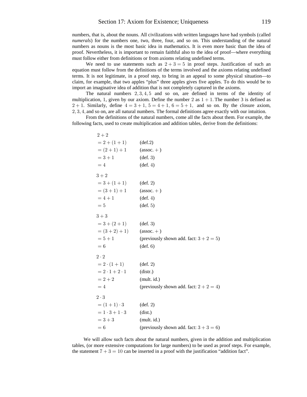numbers, that is, about the nouns. All civilizations with written languages have had symbols (called *numerals*) for the numbers one, two, three, four, and so on. This understanding of the natural numbers as nouns is the most basic idea in mathematics. It is even more basic than the idea of proof. Nevertheless, it is important to remain faithful also to the idea of proof—where everything must follow either from definitions or from axioms relating undefined terms.

We need to use statements such as  $2+3=5$  in proof steps. Justification of such an equation must follow from the definitions of the terms involved and the axioms relating undefined terms. It is not legitimate, in a proof step, to bring in an appeal to some physical situation—to claim, for example, that two apples "plus" three apples gives five apples. To do this would be to import an imaginative idea of addition that is not completely captured in the axioms.

The natural numbers  $2,3,4,5$  and so on, are defined in terms of the identity of multiplication, 1, given by our axiom. Define the number 2 as  $1 + 1$ . The number 3 is defined as  $2 + 1$ . Similarly, define  $4 = 3 + 1$ ,  $5 = 4 + 1$ ,  $6 = 5 + 1$ , and so on. By the closure axiom,  $2, 3, 4$ , and so on, are all natural numbers. The formal definitions agree exactly with our intuition.

From the definitions of the natural numbers, come all the facts about them. For example, the following facts, used to create multiplication and addition tables, derive from the definitions:

| $2 + 2$                   |                                            |
|---------------------------|--------------------------------------------|
| $= 2 + (1 + 1)$           | $(\text{def.2})$                           |
| $=(2+1)+1$                | $(\text{assoc.} +)$                        |
| $= 3 + 1$                 | $(\text{def. } 3)$                         |
| $=4$                      | $(\text{def. } 4)$                         |
| $3 + 2$                   |                                            |
| $=3+(1+1)$                | $(\text{def. } 2)$                         |
| $=(3+1)+1$                | $(\text{assoc.} +)$                        |
| $= 4 + 1$                 | $(\text{def. } 4)$                         |
| $= 5$                     | $(\text{def. } 5)$                         |
| $3 + 3$                   |                                            |
| $= 3 + (2 + 1)$           | $(\text{def. } 3)$                         |
| $=(3+2)+1)$               | $(\text{assoc.} +)$                        |
| $= 5 + 1$                 | (previously shown add. fact: $3 + 2 = 5$ ) |
| $= 6$                     | $(\text{def. } 6)$                         |
| $2 \cdot 2$               |                                            |
| $= 2 \cdot (1 + 1)$       | $(\text{def. } 2)$                         |
| $= 2 \cdot 1 + 2 \cdot 1$ | (distr.)                                   |
| $= 2 + 2$                 | (mult. id.)                                |
| $=4$                      | (previously shown add. fact: $2 + 2 = 4$ ) |
| $2 \cdot 3$               |                                            |
| $= (1 + 1) \cdot 3$       | $(\text{def. } 2)$                         |
| $= 1 \cdot 3 + 1 \cdot 3$ | (dist.)                                    |
| $= 3 + 3$                 | (mult. id.)                                |
| $= 6$                     | (previously shown add. fact: $3 + 3 = 6$ ) |

We will allow such facts about the natural numbers, given in the addition and multiplication tables, (or more extensive computations for large numbers) to be used as proof steps. For example, the statement  $7 + 3 = 10$  can be inserted in a proof with the justification "addition fact".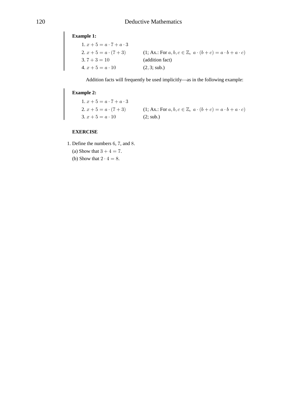# **Example 1:**

| 1. $x + 5 = a \cdot 7 + a \cdot 3$ |                                                                               |
|------------------------------------|-------------------------------------------------------------------------------|
| 2. $x + 5 = a \cdot (7 + 3)$       | $(1; Ax.: For a, b, c \in \mathbb{Z}, a \cdot (b+c) = a \cdot b + a \cdot c)$ |
| $3.7 + 3 = 10$                     | (addition fact)                                                               |
| $4. x + 5 = a \cdot 10$            | (2, 3; sub.)                                                                  |

Addition facts will frequently be used implicitly—as in the following example:

# **Example 2:**

1.  $x + 5 = a \cdot 7 + a \cdot 3$ 2.  $x + 5 = a \cdot (7 + 3)$  (1; Ax.: For  $a, b, c \in \mathbb{Z}$ ,  $a \cdot (b + c) = a \cdot b + a \cdot c$ ) 3.  $x + 5 = a \cdot 10$  (2; sub.)

# **EXERCISE**

- 1. Define the numbers  $6, 7$ , and  $8$ .
	- (a) Show that  $3 + 4 = 7$ .
	- (b) Show that  $2 \cdot 4 = 8$ .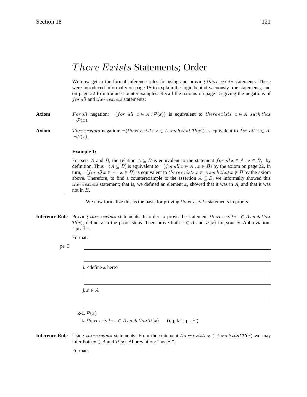# There Exists Statements; Order

We now get to the formal inference rules for using and proving *there exists* statements. These were introduced informally on page 15 to explain the logic behind vacuously true statements, and on page 22 to introduce counterexamples. Recall the axioms on page 15 giving the negations of for all and there exists statements:

#### For all negation:  $\neg (for all x \in A : \mathcal{P}(x))$  is equivalent to there exists  $x \in A$  such that Axiom  $\neg \mathcal{P}(x)$ .

**Axiom** 

There exists negation:  $\neg$ (there exists  $x \in A$  such that  $\mathcal{P}(x)$ ) is equivalent to for all  $x \in A$ :  $\neg \mathcal{P}(x)$ .

# **Example 1:**

For sets A and B, the relation  $A \subseteq B$  is equivalent to the statement  $for all x \in A : x \in B$ , by definition. Thus  $\neg (A \subseteq B)$  is equivalent to  $\neg$  (*for all*  $x \in A : x \in B$ ) by the axiom on page 22. In turn,  $\neg (for all x \in A : x \in B)$  is equivalent to there exists  $x \in A$  such that  $x \notin B$  by the axiom above. Therefore, to find a counterexample to the assertion  $A \subseteq B$ , we informally showed this *there exists* statement; that is, we defined an element  $x$ , showed that it was in  $A$ , and that it was not in  $B$ .

We now formalize this as the basis for proving *there exists* statements in proofs.

**Inference Rule** Proving there exists statements: In order to prove the statement there exists  $x \in A$  such that  $\mathcal{P}(x)$ , define x in the proof steps. Then prove both  $x \in A$  and  $\mathcal{P}(x)$  for your x. Abbreviation: "pr. ∃".

Format:

pr.  $\exists$ 

i. < define  $x$  here>

 $i \in A$ 

k-1.  $\mathcal{P}(x)$ k. there exists  $x \in A$  such that  $\mathcal{P}(x)$  (i, j, k-1; pr.  $\exists$ )

**Inference Rule** Using there exists statements: From the statement there exists  $x \in A$  such that  $\mathcal{P}(x)$  we may infer both  $x \in A$  and  $\mathcal{P}(x)$ . Abbreviation: "us.  $\exists$ ".

Format: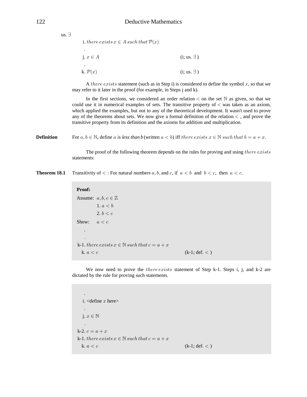us.  $\exists$ 

| i. there exists $x \in A$ such that $\mathcal{P}(x)$ |                    |
|------------------------------------------------------|--------------------|
| i. $x \in A$                                         | $(i; us. \exists)$ |
| ٠<br>k. $\mathcal{P}(x)$                             | $(i; us. \exists)$ |

A there exists statement (such as in Step i) is considered to define the symbol  $x$ , so that we may refer to it later in the proof (for example, in Steps j and k).

In the first sections, we considered an order relation  $\lt$  on the set  $\mathbb N$  as given, so that we could use it in numerical examples of sets. The transitive property of  $<$  was taken as an axiom, which applied the examples, but not to any of the theoretical development. It wasn't used to prove any of the theorems about sets. We now give a formal definition of the relation  $\lt$ , and prove the transitive property from its definition and the axioms for addition and multiplication.

**Definition** For  $a, b \in \mathbb{N}$ , define a is less than b (written  $a < b$ ) iff there exists  $x \in \mathbb{N}$  such that  $b = a + x$ .

The proof of the following theorem depends on the rules for proving and using *there exists* statements:

**Theorem 18.1** Transitivity of  $\lt$ : For natural numbers a, b, and c, if  $a \lt b$  and  $b \lt c$ , then  $a \lt c$ .

| Proof:     |                                                            |                 |
|------------|------------------------------------------------------------|-----------------|
|            | Assume: $a, b, c \in \mathbb{Z}$                           |                 |
|            | 1, a < b                                                   |                 |
|            | 2, b < c                                                   |                 |
| Show:      | a < c                                                      |                 |
| $\bullet$  |                                                            |                 |
| $\bullet$  |                                                            |                 |
|            | k-1. there exists $x \in \mathbb{N}$ such that $c = a + x$ |                 |
| k. $a < c$ |                                                            | $(k-1; def. <)$ |

We now need to prove the *there exists* statement of Step k-1. Steps i, j, and k-2 are dictated by the rule for proving such statements.

 . i.  $\triangleleft$ define x here $>$  . j.  $x \in \mathbb{N}$ Þ k-2.  $c = a + x$ k-1. there exists  $x \in \mathbb{N}$  such that  $c = a + x$ k.  $a < c$  (k-1; def. < )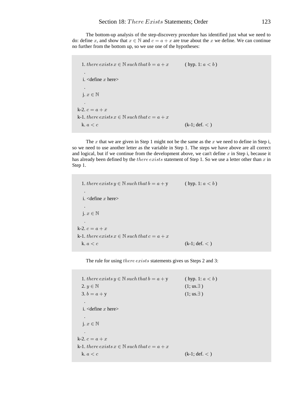The bottom-up analysis of the step-discovery procedure has identified just what we need to do: define x, and show that  $x \in \mathbb{N}$  and  $c = a + x$  are true about the x we define. We can continue no further from the bottom up, so we use one of the hypotheses:

```
1. there exists x \in \mathbb{N} such that b = a + x (hyp. 1: a < b)
 .
  i. \triangleleftdefine x here> .
  j. x \in \mathbb{N}\ddot{\phantom{0}}k-2. c = a + xk-1. there exists\ x\in\mathbb{N} such that c=a+xk. a < c (k-1; def. < )
```
The x that we are given in Step 1 might not be the same as the x we need to define in Step i, so we need to use another letter as the variable in Step 1. The steps we have above are all correct and logical, but if we continue from the development above, we can't define  $x$  in Step i, because it has already been defined by the *there exists* statement of Step 1. So we use a letter other than  $x$  in Step 1.

1. there exists  $y \in \mathbb{N}$  such that  $b = a + y$  (hyp. 1:  $a < b$ ) . i.  $\triangleleft$ define x here $>$  . j.  $x \in \mathbb{N}$  $\ddot{\phantom{0}}$ k-2.  $c = a + x$ k-1. there exists  $x \in \mathbb{N}$  such that  $c = a + x$ k.  $a < c$  (k-1; def. < )

The rule for using there exists statements gives us Steps 2 and 3:

1. there exists  $y \in \mathbb{N}$  such that  $b = a + y$  (hyp. 1:  $a < b$ )  $2. y \in \mathbb{N}$  (1; us.  $\exists$ ) 3.  $b = a + y$  (1; us.  $\exists$ ) . i.  $\triangleleft$ define x here $>$  . j.  $x \in \mathbb{N}$ Þ k-2.  $c = a + x$ k-1. there exists  $x \in \mathbb{N}$  such that  $c = a + x$ k.  $a < c$  (k-1; def. < )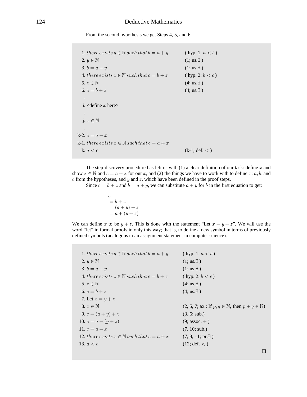From the second hypothesis we get Steps 4, 5, and 6:

1. there exists  $y \in \mathbb{N}$  such that  $b = a + y$  (hyp. 1:  $a < b$ )  $2. y \in \mathbb{N}$  (1; us.  $\exists$ ) 3.  $b = a + y$  (1; us.  $\exists$ ) 4. there exists  $z \in \mathbb{N}$  such that  $c = b + z$  (hyp. 2:  $b < c$ )  $5. z \in \mathbb{N}$  (4; us.  $\exists$ ) 6.  $c = b + z$  (4; us.  $\exists$ ) . i.  $\triangleleft$ define x here $>$  . j.  $x \in \mathbb{N}$  $\mathbf{L}$ k-2.  $c = a + x$ k-1. there exists  $x\in\mathbb{N}$  such that  $c=a+x$ k.  $a < c$  (k-1; def. < )

The step-discovery procedure has left us with  $(1)$  a clear definition of our task: define x and show  $x \in \mathbb{N}$  and  $c = a + x$  for our x, and (2) the things we have to work with to define x: a, b, and  $c$  from the hypotheses, and  $y$  and  $z$ , which have been defined in the proof steps.

Since  $c = b + z$  and  $b = a + y$ , we can substitute  $a + y$  for b in the first equation to get:

$$
c = b + z
$$
  
=  $(a + y) + z$   
=  $a + (y + z)$ 

We can define x to be  $y + z$ . This is done with the statement "Let  $x = y + z$ ". We will use the word "let" in formal proofs in only this way; that is, to define a new symbol in terms of previously defined symbols (analogous to an assignment statement in computer science).

1. there exists  $y \in \mathbb{N}$  such that  $b = a + y$  (hyp. 1:  $a < b$ )  $2. y \in \mathbb{N}$  (1; us.  $\exists$ )  $3. b = a + y$  (1; us.  $\exists$ ) 4. there exists  $z \in \mathbb{N}$  such that  $c = b + z$  (hyp. 2:  $b < c$ )  $5. z \in \mathbb{N}$  (4; us.  $\exists$ ) 6.  $c = b + z$  (4; us.  $\exists$ ) 7. Let  $x = y + z$ 8.  $x \in \mathbb{N}$  (2, 5, 7; ax.: If  $p, q \in \mathbb{N}$ , then  $p + q \in \mathbb{N}$ ) 9.  $c = (a + y) + z$  (3, 6; sub.) 10.  $c = a + (y + z)$  (9; assoc. +) 11.  $c = a + x$  (7, 10; sub.) 12. there exists  $x \in \mathbb{N}$  such that  $c = a + x$  (7, 8, 11; pr.  $\exists$ ) 13.  $a < c$  (12; def.  $<$ )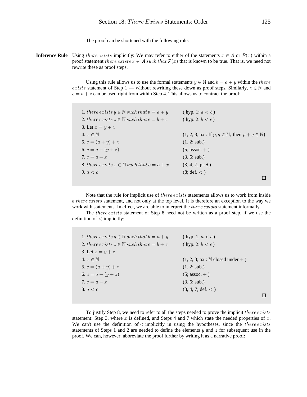The proof can be shortened with the following rule:

**Inference Rule** Using there exists implicitly: We may refer to either of the statements  $x \in A$  or  $\mathcal{P}(x)$  within a proof statement there exists  $x \in A$  such that  $\mathcal{P}(x)$  that is known to be true. That is, we need not rewrite these as proof steps.

> Using this rule allows us to use the formal statements  $y \in \mathbb{N}$  and  $b = a + y$  within the there *exists* statement of Step 1 — without rewriting these down as proof steps. Similarly,  $z \in \mathbb{N}$  and  $c = b + z$  can be used right from within Step 4. This allows us to contract the proof:

| 1. there exists $y \in \mathbb{N}$ such that $b = a + y$ | (hyp. 1: $a < b$ )                                                                   |
|----------------------------------------------------------|--------------------------------------------------------------------------------------|
| 2. there exists $z \in \mathbb{N}$ such that $c = b + z$ | (hyp. 2: $b < c$ )                                                                   |
| 3. Let $x = y + z$                                       |                                                                                      |
| 4. $x \in \mathbb{N}$                                    | $(1, 2, 3; \text{ax.: If } p, q \in \mathbb{N}, \text{ then } p + q \in \mathbb{N})$ |
| 5. $c = (a + y) + z$                                     | (1, 2; sub.)                                                                         |
| 6. $c = a + (y + z)$                                     | $(5; assoc. + )$                                                                     |
| 7. $c = a + x$                                           | (3, 6; sub.)                                                                         |
| 8. there exists $x \in \mathbb{N}$ such that $c = a + x$ | $(3, 4, 7; pr. \exists)$                                                             |
| 9. $a < c$                                               | (8; def. <)                                                                          |
|                                                          |                                                                                      |

Note that the rule for implicit use of there exists statements allows us to work from inside a *there exists* statement, and not only at the top level. It is therefore an exception to the way we work with statements. In effect, we are able to interpret the *there exists* statement informally.

The *there exists* statement of Step 8 need not be written as a proof step, if we use the definition of  $\langle$  implicitly:

| 1. there exists $y \in \mathbb{N}$ such that $b = a + y$ | (hyp. 1: $a < b$ )                         |  |
|----------------------------------------------------------|--------------------------------------------|--|
| 2. there exists $z \in \mathbb{N}$ such that $c = b + z$ | (hyp. 2: $b < c$ )                         |  |
| 3. Let $x = y + z$                                       |                                            |  |
| 4. $x \in \mathbb{N}$                                    | $(1, 2, 3; \text{ax.: N closed under + })$ |  |
| 5. $c = (a + y) + z$                                     | (1, 2; sub.)                               |  |
| 6. $c = a + (y + z)$                                     | $(5;$ assoc. $+$ )                         |  |
| 7. $c = a + x$                                           | (3, 6; sub.)                               |  |
| 8. $a < c$                                               | $(3, 4, 7; \text{def.} <)$                 |  |
|                                                          |                                            |  |

To justify Step 8, we need to refer to all the steps needed to prove the implicit *there exists* statement: Step 3, where  $x$  is defined, and Steps 4 and 7 which state the needed properties of  $x$ . We can't use the definition of  $\lt$  implicitly in using the hypotheses, since the *there exists* statements of Steps 1 and 2 are needed to define the elements y and  $\zeta$  for subsequent use in the proof. We can, however, abbreviate the proof further by writing it as a narrative proof: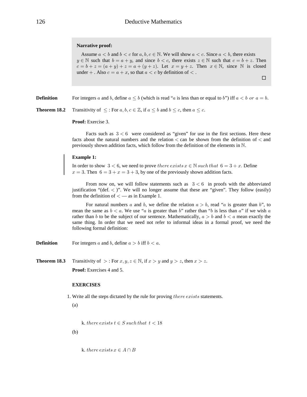## **Narrative proof:**

Assume  $a < b$  and  $b < c$  for  $a, b, c \in \mathbb{N}$ . We will show  $a < c$ . Since  $a < b$ , there exists  $y \in \mathbb{N}$  such that  $b = a + y$ , and since  $b < c$ , there exists  $z \in \mathbb{N}$  such that  $c = b + z$ . Then  $c = b + z = (a + y) + z = a + (y + z)$ . Let  $x = y + z$ . Then  $x \in \mathbb{N}$ , since  $\mathbb{N}$  is closed under  $+$ . Also  $c = a + x$ , so that  $a < c$  by definition of  $<$ .  $\Box$ 

**Definition** For integers a and b, define  $a \leq b$  (which is read "a is less than or equal to b") iff  $a \leq b$  or  $a = b$ .

**Theorem 18.2** Transitivity of  $\leq$ : For  $a, b, c \in \mathbb{Z}$ , if  $a \leq b$  and  $b \leq c$ , then  $a \leq c$ .

**Proof:** Exercise 3.

Facts such as  $3 < 6$  were considered as "given" for use in the first sections. Here these facts about the natural numbers and the relation  $\langle$  can be shown from the definition of  $\langle$  and previously shown addition facts, which follow from the definition of the elements in  $N$ .

# **Example 1:**

In order to show 3 < 6, we need to prove *there exists*  $x \in \mathbb{N}$  such that  $6 = 3 + x$ . Define  $x = 3$ . Then  $6 = 3 + x = 3 + 3$ , by one of the previously shown addition facts.

From now on, we will follow statements such as  $3 < 6$  in proofs with the abbreviated justification "(def.  $\langle$ )". We will no longer assume that these are "given". They follow (easily) from the definition of  $\lt$  — as in Example 1.

For natural numbers a and b, we define the relation  $a > b$ , read "a is greater than b", to mean the same as  $b < a$ . We use "a is greater than b" rather than "b is less than a" if we wish a rather than b to be the subject of our sentence. Mathematically,  $a > b$  and  $b < a$  mean exactly the same thing. In order that we need not refer to informal ideas in a formal proof, we need the following formal definition:

**Definition** For integers a and b, define  $a > b$  iff  $b < a$ .

**Theorem 18.3** Transitivity of >: For  $x, y, z \in \mathbb{N}$ , if  $x > y$  and  $y > z$ , then  $x > z$ .

Proof: Exercises 4 and 5.

# **EXERCISES**

1. Write all the steps dictated by the rule for proving  $there exists$  statements.

(a)

k. there exists  $t \in S$  such that  $t < 18$ 

(b)

k. there exists  $x \in A \cap B$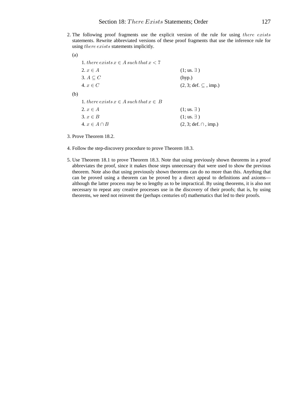2. The following proof fragments use the explicit version of the rule for using there exists statements. Rewrite abbreviated versions of these proof fragments that use the inference rule for using there exists statements implicitly.

(a) 1. there exists  $x \in A$  such that  $x < 7$  $2. x \in A$  (1; us.  $\exists$ ) 3.  $A \subseteq C$  (hyp.) 4.  $x \in C$  (2, 3; def. ⊆, imp.) (b) 1. there exists  $x \in A$  such that  $x \in B$ 2.  $x \in A$  (1; us.  $\exists$ ) 3.  $x \in B$  (1; us.  $\exists$ ) 4.  $x \in A \cap B$  (2, 3; def.  $\cap$ , imp.)

3. Prove Theorem 18.2.

- 4. Follow the step-discovery procedure to prove Theorem 18.3.
- 5. Use Theorem 18.1 to prove Theorem 18.3. Note that using previously shown theorems in a proof abbreviates the proof, since it makes those steps unnecessary that were used to show the previous theorem. Note also that using previously shown theorems can do no more than this. Anything that can be proved using a theorem can be proved by a direct appeal to definitions and axioms although the latter process may be so lengthy as to be impractical. By using theorems, it is also not necessary to repeat any creative processes use in the discovery of their proofs; that is, by using theorems, we need not reinvent the (perhaps centuries of) mathematics that led to their proofs.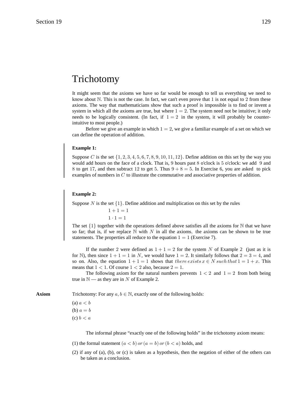# Trichotomy

It might seem that the axioms we have so far would be enough to tell us everything we need to know about  $\mathbb N$ . This is not the case. In fact, we can't even prove that 1 is not equal to 2 from these axioms. The way that mathematicians show that such a proof is impossible is to find or invent a system in which all the axioms are true, but where  $1 = 2$ . The system need not be intuitive; it only needs to be logically consistent. (In fact, if  $1 = 2$  in the system, it will probably be counterintuitive to most people.)

Before we give an example in which  $1 = 2$ , we give a familiar example of a set on which we can define the operation of addition.

# **Example 1:**

Suppose C is the set  $\{1, 2, 3, 4, 5, 6, 7, 8, 9, 10, 11, 12\}$ . Define addition on this set by the way you would add hours on the face of a clock. That is,  $9$  hours past  $8$  o'clock is  $5$  o'clock: we add  $9$  and 8 to get 17, and then subtract 12 to get 5. Thus  $9 + 8 = 5$ . In Exercise 6, you are asked to pick examples of numbers in  $C$  to illustrate the commutative and associative properties of addition.

# **Example 2:**

Suppose N is the set  $\{1\}$ . Define addition and multiplication on this set by the rules

 $1 + 1 = 1$  $1 \cdot 1 = 1$ 

The set  $\{1\}$  together with the operations defined above satisfies all the axioms for N that we have so far; that is, if we replace  $\mathbb N$  with  $N$  in all the axioms, the axioms can be shown to be true statements. The properties all reduce to the equation  $1 = 1$  (Exercise 7).

If the number 2 were defined as  $1 + 1 = 2$  for the system N of Example 2 (just as it is for N), then since  $1 + 1 = 1$  in N, we would have  $1 = 2$ . It similarly follows that  $2 = 3 = 4$ , and so on. Also, the equation  $1 + 1 = 1$  shows that there exists  $x \in N$  such that  $1 = 1 + x$ . This means that  $1 < 1$ . Of course  $1 < 2$  also, because  $2 = 1$ .

The following axiom for the natural numbers prevents  $1 < 2$  and  $1 = 2$  from both being true in  $\mathbb{N}$  — as they are in N of Example 2.

**Axiom** Trichotomy: For any  $a, b \in \mathbb{N}$ , exactly one of the following holds:

(a)  $a < b$ (b)  $a = b$ (c)  $b < a$ 

The informal phrase "exactly one of the following holds" in the trichotomy axiom means:

- (1) the formal statement  $(a < b)$  or  $(a = b)$  or  $(b < a)$  holds, and
- (2) if any of (a), (b), or (c) is taken as a hypothesis, then the negation of either of the others can be taken as a conclusion.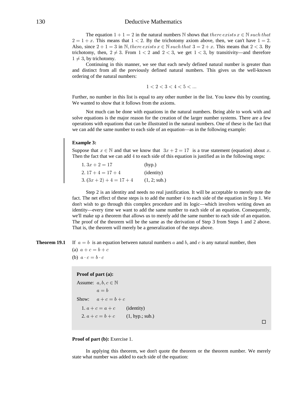# 130 Deductive Mathematics

The equation  $1 + 1 = 2$  in the natural numbers N shows that there exists  $x \in \mathbb{N}$  such that  $2 = 1 + x$ . This means that  $1 < 2$ . By the trichotomy axiom above, then, we can't have  $1 = 2$ . Also, since  $2 + 1 = 3$  in N, there exists  $x \in \mathbb{N}$  such that  $3 = 2 + x$ . This means that  $2 < 3$ . By trichotomy, then,  $2 \neq 3$ . From  $1 < 2$  and  $2 < 3$ , we get  $1 < 3$ , by transitivity—and therefore  $1 \neq 3$ , by trichotomy.

Continuing in this manner, we see that each newly defined natural number is greater than and distinct from all the previously defined natural numbers. This gives us the well-known ordering of the natural numbers:

$$
1 < 2 < 3 < 4 < 5 < \dots
$$

Further, no number in this list is equal to any other number in the list. You knew this by counting. We wanted to show that it follows from the axioms.

Not much can be done with equations in the natural numbers. Being able to work with and solve equations is the major reason for the creation of the larger number systems. There are a few operations with equations that can be illustrated in the natural numbers. One of these is the fact that we can add the same number to each side of an equation—as in the following example:

#### **Example 3:**

Suppose that  $x \in \mathbb{N}$  and that we know that  $3x + 2 = 17$  is a true statement (equation) about x. Then the fact that we can add  $4$  to each side of this equation is justified as in the following steps:

| $1.3x + 2 = 17$            | (hyp.)              |
|----------------------------|---------------------|
| $2.17+4=17+4$              | ( <i>identity</i> ) |
| 3. $(3x + 2) + 4 = 17 + 4$ | (1, 2; sub.)        |

Step 2 is an identity and needs no real justification. It will be acceptable to merely note the fact. The net effect of these steps is to add the number  $4$  to each side of the equation in Step 1. We don't wish to go through this complex procedure and its logic—which involves writing down an identity—every time we want to add the same number to each side of an equation. Consequently, we'll make up a theorem that allows us to merely add the same number to each side of an equation. The proof of the theorem will be the same as the derivation of Step 3 from Steps 1 and 2 above. That is, the theorem will merely be a generalization of the steps above.

**Theorem 19.1** If  $a = b$  is an equation between natural numbers a and b, and c is any natural number, then

(a)  $a + c = b + c$ (b)  $a \cdot c = b \cdot c$ 

# **Proof of part (a):**

```
Assume: a, b, c \in \mathbb{N}a = bShow: a+c=b+c1. a + c = a + c (identity)
  2. a + c = b + c (1, hyp.; sub.)
```
 $\Box$ 

# **Proof of part (b):** Exercise 1.

In applying this theorem, we don't quote the theorem or the theorem number. We merely state what number was added to each side of the equation: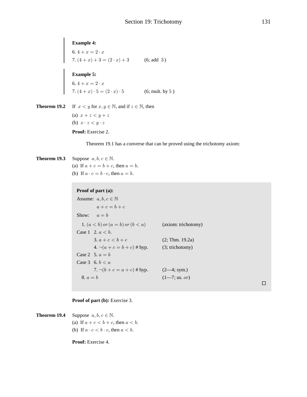**Example 4:**<br>
6.  $4 + x = 2 \cdot x$ <br>
7.  $(4 + x) + 3 = (2 \cdot x) + 3$  (6; add 3)

**Example 5:**<br>
6.  $4 + x = 2 \cdot x$ <br>
7.  $(4 + x) \cdot 5 = (2 \cdot x) \cdot 5$  (6; mult. by 5)

```
Theorem 19.2 If x < y for x, y \in \mathbb{N}, and if z \in \mathbb{N}, then
                     (a) x + z < y + z(b) x \cdot z < y \cdot zProof: Exercise 2.
```
Theorem 19.1 has a converse that can be proved using the trichotomy axiom:

### Theorem 19.3 Suppose  $a, b, c \in \mathbb{N}$ . (a) If  $a + c = b + c$ , then  $a = b$ . (b) If  $a \cdot c = b \cdot c$ , then  $a = b$ .

# Proof of part (a):

```
Assume: a, b, c \in \mathbb{N}a+c=b+cShow: a = b1. (a < b) or (a = b) or (b < a)(axiom: trichotomy)
Case 1 2. a < b.
       3. a + c < b + c(2; Thm. 19.2a)4. \neg(a + c = b + c) # hyp.
                                        (3; trichotomy)
Case 2 5. a = bCase 3 6. b < a7. \neg(b + c = a + c) # hyp.
                                        (2-4; sym.)8. a = b(1 - 7; us. or)
```
 $\Box$ 

## **Proof of part (b):** Exercise 3.

Theorem 19.4 Suppose  $a, b, c \in \mathbb{N}$ . (a) If  $a + c < b + c$ , then  $a < b$ . (b) If  $a \cdot c < b \cdot c$ , then  $a < b$ .

Proof: Exercise 4.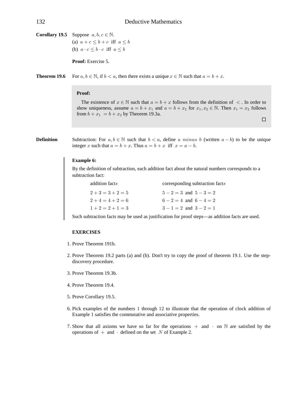**Corollary 19.5** Suppose  $a, b, c \in \mathbb{N}$ . (a)  $a+c < b+c$  iff  $a < b$ (b)  $a \cdot c \leq b \cdot c$  iff  $a \leq b$ 

**Proof:** Exercise 5.

**Theorem 19.6** For  $a, b \in \mathbb{N}$ , if  $b < a$ , then there exists a unique  $x \in \mathbb{N}$  such that  $a = b + x$ .

## **Proof:**

The existence of  $x \in \mathbb{N}$  such that  $a = b + x$  follows from the definition of  $\lt$ . In order to show uniqueness, assume  $a = b + x_1$  and  $a = b + x_2$  for  $x_1, x_2 \in \mathbb{N}$ . Then  $x_1 = x_2$  follows from  $b + x_1 = b + x_2$  by Theorem 19.3a.

 $\Box$ 

**Definition** Subtraction: For  $a, b \in \mathbb{N}$  such that  $b < a$ , define a minus b (written  $a - b$ ) to be the unique integer x such that  $a = b + x$ . Thus  $a = b + x$  iff  $x = a - b$ .

# **Example 6:**

By the definition of subtraction, each addition fact about the natural numbers corresponds to a subtraction fact:

| addition facts | corresponding subtraction facts |
|----------------|---------------------------------|
| $2+3=3+2=5$    | $5-2=3$ and $5-3=2$             |
| $2+4=4+2=6$    | $6 - 2 = 4$ and $6 - 4 = 2$     |
| $1+2=2+1=3$    | $3-1=2$ and $3-2=1$             |

Such subtraction facts may be used as justification for proof steps—as addition facts are used.

## **EXERCISES**

- 1. Prove Theorem 191b.
- 2. Prove Theorem 19.2 parts (a) and (b). Don't try to copy the proof of theorem 19.1. Use the stepdiscovery procedure.
- 3. Prove Theorem 19.3b.
- 4. Prove Theorem 19.4.
- 5. Prove Corollary 19.5.
- 6. Pick examples of the numbers  $1$  through  $12$  to illustrate that the operation of clock addition of Example 1 satisfies the commutative and associative properties.
- 7. Show that all axioms we have so far for the operations  $+$  and  $\cdot$  on  $\mathbb N$  are satisfied by the operations of  $+$  and  $\cdot$  defined on the set N of Example 2.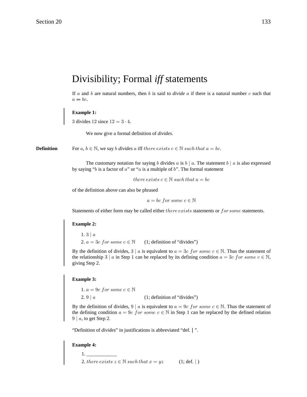# Divisibility; Formal iff statements

If a and b are natural numbers, then b is said to *divide* a if there is a natural number c such that  $a = bc$ .

# **Example 1:**

3 divides 12 since  $12 = 3 \cdot 4$ .

We now give a formal definition of *divides*.

**Definition** For  $a, b \in \mathbb{N}$ , we say b divides a iff there exists  $c \in \mathbb{N}$  such that  $a = bc$ .

The customary notation for saying b divides a is  $b \mid a$ . The statement  $b \mid a$  is also expressed by saying " $b$  is a factor of  $a$ " or " $a$  is a multiple of  $b$ ". The formal statement

there exists  $c \in \mathbb{N}$  such that  $a = bc$ 

of the definition above can also be phrased

 $a = bc$  for some  $c \in \mathbb{N}$ 

Statements of either form may be called either there exists statements or for some statements.

## **Example 2:**

 $1.3 | a$ 2.  $a = 3c$  for some  $c \in \mathbb{N}$  (1; definition of "divides")

By the definition of divides,  $3 \mid a$  is equivalent to  $a = 3c$  for some  $c \in \mathbb{N}$ . Thus the statement of the relationship 3 | a in Step 1 can be replaced by its defining condition  $a = 3c$  for some  $c \in \mathbb{N}$ , giving Step 2.

## **Example 3:**

1.  $a = 9c$  for some  $c \in \mathbb{N}$ 2.  $9 \mid a$  (1; definition of "divides")

By the definition of divides,  $9 \mid a$  is equivalent to  $a = 9c$  for some  $c \in \mathbb{N}$ . Thus the statement of the defining condition  $a = 9c$  for some  $c \in \mathbb{N}$  in Step 1 can be replaced by the defined relation  $9 | a$ , to get Step 2.

"Definition of *divides*" in justifications is abbreviated "def. | ".

## **Example 4:**

 1. \_\_\_\_\_\_\_\_\_\_\_\_ 2. there exists  $z \in \mathbb{N}$  such that  $x = yz$  (1; def. | )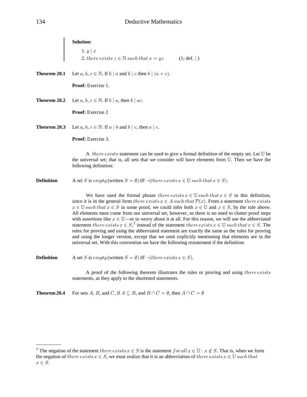|                   | Solution:<br>1. $y \mid x$                                                                                                                                                                                                                                                                                                                                                                                                                                                                                                                                                                                                                                                                                                                                                                                                                                                                                                                                                                                                              |
|-------------------|-----------------------------------------------------------------------------------------------------------------------------------------------------------------------------------------------------------------------------------------------------------------------------------------------------------------------------------------------------------------------------------------------------------------------------------------------------------------------------------------------------------------------------------------------------------------------------------------------------------------------------------------------------------------------------------------------------------------------------------------------------------------------------------------------------------------------------------------------------------------------------------------------------------------------------------------------------------------------------------------------------------------------------------------|
|                   | 2. there exists $z \in \mathbb{N}$ such that $x = yz$<br>(1; def.   )                                                                                                                                                                                                                                                                                                                                                                                                                                                                                                                                                                                                                                                                                                                                                                                                                                                                                                                                                                   |
| Theorem 20.1      | Let a, b, $c \in \mathbb{N}$ . If $b \mid a$ and $b \mid c$ then $b \mid (a + c)$ .                                                                                                                                                                                                                                                                                                                                                                                                                                                                                                                                                                                                                                                                                                                                                                                                                                                                                                                                                     |
|                   | Proof: Exercise 1.                                                                                                                                                                                                                                                                                                                                                                                                                                                                                                                                                                                                                                                                                                                                                                                                                                                                                                                                                                                                                      |
| Theorem 20.2      | Let $a, b, c \in \mathbb{N}$ . If $b \mid a$ , then $b \mid ac$ .                                                                                                                                                                                                                                                                                                                                                                                                                                                                                                                                                                                                                                                                                                                                                                                                                                                                                                                                                                       |
|                   | Proof: Exercise 2                                                                                                                                                                                                                                                                                                                                                                                                                                                                                                                                                                                                                                                                                                                                                                                                                                                                                                                                                                                                                       |
| Theorem 20.3      | Let $a, b, c \in \mathbb{N}$ . If $a \mid b$ and $b \mid c$ , then $a \mid c$ .                                                                                                                                                                                                                                                                                                                                                                                                                                                                                                                                                                                                                                                                                                                                                                                                                                                                                                                                                         |
|                   | Proof: Exercise 3.                                                                                                                                                                                                                                                                                                                                                                                                                                                                                                                                                                                                                                                                                                                                                                                                                                                                                                                                                                                                                      |
|                   | A <i>there exists</i> statement can be used to give a formal definition of the empty set. Let $U$ be<br>the universal set; that is, all sets that we consider will have elements from U. Then we have the<br>following definition:                                                                                                                                                                                                                                                                                                                                                                                                                                                                                                                                                                                                                                                                                                                                                                                                      |
| <b>Definition</b> | A set S is empty (written $S = \emptyset$ ) iff $\neg$ ( <i>there exists</i> $x \in \mathbb{U}$ <i>such that</i> $x \in S$ ).                                                                                                                                                                                                                                                                                                                                                                                                                                                                                                                                                                                                                                                                                                                                                                                                                                                                                                           |
|                   | We have used the formal phrase there exists $x \in \mathbb{U}$ such that $x \in S$ in this definition,<br>since it is in the general form there exists $x \in A$ such that $\mathcal{P}(x)$ . From a statement there exists<br>$x \in \mathbb{U}$ such that $x \in S$ in some proof, we could infer both $x \in \mathbb{U}$ and $x \in S$ , by the rule above.<br>All elements must come from our universal set, however, so there is no need to clutter proof steps<br>with assertions like $x \in \mathbb{U}$ —or to worry about it at all. For this reason, we will use the abbreviated<br>statement there exists $x \in S$ , <sup>7</sup> instead of the statement there exists $x \in \mathbb{U}$ such that $x \in S$ . The<br>rules for proving and using the abbreviated statement are exactly the same as the rules for proving<br>and using the longer version, except that we omit explicitly mentioning that elements are in the<br>universal set. With this convention we have the following restatement if the definition: |
| <b>Definition</b> | A set S is empty (written $S = \emptyset$ ) iff $\neg$ (there exists $x \in S$ ).                                                                                                                                                                                                                                                                                                                                                                                                                                                                                                                                                                                                                                                                                                                                                                                                                                                                                                                                                       |
|                   | A proof of the following theorem illustrates the rules or proving and using there exists<br>statements, as they apply to the shortened statements.                                                                                                                                                                                                                                                                                                                                                                                                                                                                                                                                                                                                                                                                                                                                                                                                                                                                                      |

**Theorem 20.4** For sets A, B, and C, if  $A \subseteq B$ , and  $B \cap C = \emptyset$ , then  $A \cap C = \emptyset$ 

<sup>7</sup> The negation of the statement there exists  $x \in S$  is the statement  $for all x \in \mathbb{U} : x \notin S$ . That is, when we form the negation of there exists  $x \in S$ , we must realize that it is an abbreviation of there exists  $x \in \mathbb{U}$  such that  $x \in S$ .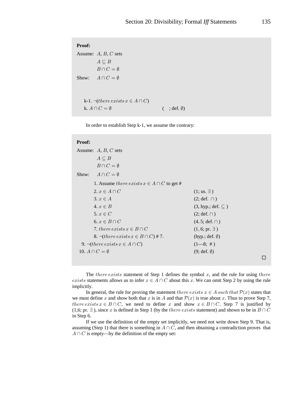# **Proof:**

```
Assume: A, B, C sets
          A\subseteq BB \cap C = \emptysetShow: A \cap C = \emptysetk-1. \neg(there exists x \in A \cap C)
    k. A \cap C = \emptyset (; def. \emptyset)
```
In order to establish Step k-1, we assume the contrary:

# **Proof:**

| Assume: $A, B, C$ sets                                 |                             |  |
|--------------------------------------------------------|-----------------------------|--|
| $A \subseteq B$                                        |                             |  |
| $B \cap C = \emptyset$                                 |                             |  |
| Show: $A \cap C = \emptyset$                           |                             |  |
| 1. Assume there exists $x \in A \cap C$ to get #       |                             |  |
| 2. $x \in A \cap C$                                    | $(1; \text{us. } \exists)$  |  |
| $3, x \in A$                                           | $(2; def. \cap)$            |  |
| $4, x \in B$                                           | $(3, hyp.; def. \subseteq)$ |  |
| 5. $x \in C$                                           | $(2; def. \cap)$            |  |
| 6. $x \in B \cap C$                                    | $(4, 5; def. \cap)$         |  |
| 7. there exists $x \in B \cap C$                       | $(1, 6; pr. \exists)$       |  |
| 8. $\neg$ ( <i>there exists</i> $x \in B \cap C$ ) #7. | $(hyp.; def. \emptyset)$    |  |
| 9. $\neg$ ( <i>there exists</i> $x \in A \cap C$ )     | $(1-8;  #)$                 |  |
| 10. $A \cap C = \emptyset$                             | $(9; def. \emptyset)$       |  |
|                                                        |                             |  |

The there exists statement of Step 1 defines the symbol  $x$ , and the rule for using there *exists* statements allows us to infer  $x \in A \cap C$  about this x. We can omit Step 2 by using the rule implicitly.

In general, the rule for proving the statement there exists  $x \in A$  such that  $\mathcal{P}(x)$  states that we must define x and show both that x is in A and that  $\mathcal{P}(x)$  is true about x. Thus to prove Step 7, there exists  $x \in B \cap C$ , we need to define x and show  $x \in B \cap C$ . Step 7 is justified by (1,6; pr.  $\exists$ ), since x is defined in Step 1 (by the there exists statement) and shown to be in  $B \cap C$ in Step 6.

If we use the definition of the empty set implicitly, we need not write down Step 9. That is, assuming (Step 1) that there is something in  $A \cap C$ , and then obtaining a contradiction proves that  $A \cap C$  is empty—by the definition of the empty set: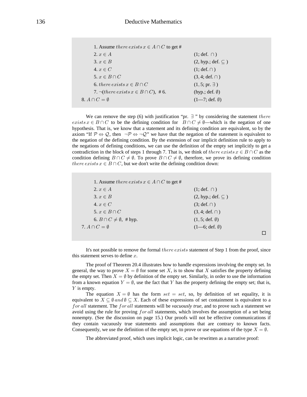| 1. Assume there exists $x \in A \cap C$ to get #                        |                                 |
|-------------------------------------------------------------------------|---------------------------------|
| $2, x \in A$                                                            | $(1; def. \cap)$                |
| $3, x \in B$                                                            | $(2, hyp.; def. \subseteq)$     |
| 4. $x \in C$                                                            | $(1; def. \cap)$                |
| 5. $x \in B \cap C$                                                     | $(3, 4; \text{def.} \cap)$      |
| 6. there exists $x \in B \cap C$                                        | $(1, 5; pr. \exists)$           |
| 7. $\neg$ ( <i>there exists x</i> $\in$ <i>B</i> $\cap$ <i>C</i> ), #6. | (hyp.; def. $\emptyset$ )       |
| 8. $A \cap C = \emptyset$                                               | $(1-7; \text{def. } \emptyset)$ |

We can remove the step (6) with justification "pr.  $\exists$  " by considering the statement *there* exists  $x \in B \cap C$  to be the defining condition for  $B \cap C \neq \emptyset$ —which is the negation of one hypothesis. That is, we know that a statement and its defining condition are equivalent, so by the axiom "If  $\mathcal{P} \Leftrightarrow \mathcal{Q}$ , then  $\neg \mathcal{P} \Leftrightarrow \neg \mathcal{Q}$ " we have that the negation of the statement is equivalent to the negation of the defining condition. By the extension of our implicit definition rule to apply to the negations of defining conditions, we can use the definition of the empty set implicitly to get a contradiction in the block of steps 1 through 7. That is, we think of there exists  $x \in B \cap C$  as the condition defining  $B \cap C \neq \emptyset$ . To prove  $B \cap C \neq \emptyset$ , therefore, we prove its defining condition there exists  $x \in B \cap C$ , but we don't write the defining condition down:

| 1. Assume there exists $x \in A \cap C$ to get # |                                  |  |
|--------------------------------------------------|----------------------------------|--|
| $2, x \in A$                                     | $(1; \text{def.} \cap)$          |  |
| $3, x \in B$                                     | $(2, hyp.; def. \subseteq)$      |  |
| 4. $x \in C$                                     | $(3; def. \cap)$                 |  |
| 5. $x \in B \cap C$                              | $(3, 4; \text{def.} \cap)$       |  |
| 6. $B \cap C \neq \emptyset$ , #hyp.             | $(1, 5; \text{def. } \emptyset)$ |  |
| 7. $A \cap C = \emptyset$                        | $(1-6; \text{def. } \emptyset)$  |  |
|                                                  |                                  |  |

It's not possible to remove the formal there exists statement of Step 1 from the proof, since this statement serves to define  $x$ .

The proof of Theorem 20.4 illustrates how to handle expressions involving the empty set. In general, the way to prove  $X = \emptyset$  for some set X, is to show that X satisfies the property defining the empty set. Then  $X = \emptyset$  by definition of the empty set. Similarly, in order to use the information from a known equation  $Y = \emptyset$ , use the fact that Y has the property defining the empty set; that is,  $Y$  is empty.

The equation  $X = \emptyset$  has the form set = set, so, by definition of set equality, it is equivalent to  $X \subseteq \emptyset$  and  $\emptyset \subseteq X$ . Each of these expressions of set containment is equivalent to a for all statement. The for all statements will be *vacuously true*, and to prove such a statement we avoid using the rule for proving for all statements, which involves the assumption of a set being nonempty. (See the discussion on page 15.) Our proofs will not be effective communications if they contain vacuously true statements and assumptions that are contrary to known facts. Consequently, we use the definition of the empty set, to prove or use equations of the type  $X = \emptyset$ .

The abbreviated proof, which uses implicit logic, can be rewritten as a narrative proof: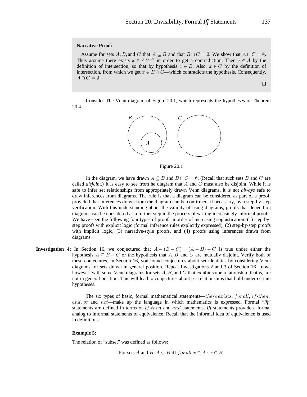## **Narrative Proof:**

Assume for sets A, B, and C that  $A \subseteq B$  and that  $B \cap C = \emptyset$ . We show that  $A \cap C = \emptyset$ . Thus assume there exists  $x \in A \cap C$  in order to get a contradiction. Then  $x \in A$  by the definition of intersection, so that by hypothesis  $x \in B$ . Also,  $x \in C$  by the definition of intersection, from which we get  $x \in B \cap C$ —which contradicts the hypothesis. Consequently,  $A \cap C = \emptyset$ .

Consider The Venn diagram of Figure 20.1, which represents the hypotheses of Theorem 20.4.



Figure 20.1

In the diagram, we have drawn  $A \subseteq B$  and  $B \cap C = \emptyset$ . (Recall that such sets B and C are called *disjoint*.) It is easy to see from he diagram that  $A$  and  $C$  must also be disjoint. While it is safe to infer set relationships from appropriately drawn Venn diagrams, it is not *always* safe to draw inferences from diagrams. The rule is that a diagram can be considered as part of a proof, provided that inferences drawn from the diagram can be confirmed, if necessary, by a step-by-step verification. With this understanding about the validity of using diagrams, proofs that depend on diagrams can be considered as a further step in the process of writing increasingly informal proofs. We have seen the following four types of proof, in order of increasing sophistication: (1) step-bystep proofs with explicit logic (formal inference rules explicitly expressed), (2) step-by-step proofs with implicit logic, (3) narrative-style proofs, and (4) proofs using inferences drawn from diagrams.

**Investigation 4:** In Section 16, we conjectured that  $A - (B - C) = (A - B) - C$  is true under either the hypothesis  $A \subseteq B - C$  or the hypothesis that A, B, and C are mutually disjoint. Verify both of these conjectures. In Section 16, you found conjectures about set identities by considering Venn diagrams for sets drawn in general position. Repeat Investigations 2 and 3 of Section 16—now, however, with some Venn diagrams for sets  $A, B$ , and C that exhibit some relationship; that is, are not in general position. This will lead to conjectures about set relationships that hold under certain hypotheses.

> The six types of basic, formal mathematical statements—there exists, for all, if-then, and, or, and not—make up the language in which mathematics is expressed. Formal " $iff$ " statements are defined in terms of  $if$ -then and and statements. Iff statements provide a formal analog to informal statements of equivalence. Recall that the informal idea of equivalence is used in definitions.

## **Example 5:**

The relation of "subset" was defined as follows:

For sets A and B,  $A \subseteq B$  iff for all  $x \in A : x \in B$ .

 $\Box$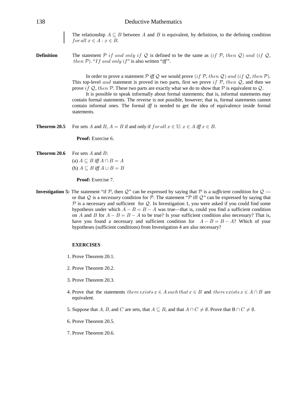The relationship  $A \subseteq B$  between A and B is equivalent, by definition, to the defining condition for all  $x \in A : x \in B$ .

**Definition** The statement P if and only if Q is defined to be the same as (if P, then Q) and (if Q, then  $P$ ). "If and only if" is also written "iff".

> In order to prove a statement  $\mathcal P$  iff  $\mathcal Q$  we would prove  $(if \mathcal P, then \mathcal Q)$  and  $(if \mathcal Q, then \mathcal P)$ . This top-level and statement is proved in two parts, first we prove if  $P$ , then  $Q$ , and then we prove if Q, then P. These two parts are exactly what we do to show that P is equivalent to Q.

> It is possible to speak informally about formal statements; that is, informal statements may contain formal statements. The reverse is not possible, however; that is, formal statements cannot contain informal ones. The formal  $iff$  is needed to get the idea of equivalence inside formal statements.

**Theorem 20.5** For sets A and B,  $A = B$  if and only if  $for all x \in \mathbb{U}$ :  $x \in A$  iff  $x \in B$ .

**Proof:** Exercise 6.

# **Theorem 20.6** For sets  $A$  and  $B$ :

(a)  $A \subseteq B$  iff  $A \cap B = A$ (b)  $A \subseteq B$  iff  $A \cup B = B$ 

**Proof:** Exercise 7.

**Investigation 5:** The statement "if P, then Q" can be expressed by saying that P is a *sufficient* condition for  $Q$  or that  $Q$  is a *necessary* condition for  $P$ . The statement " $P$  iff  $Q$ " can be expressed by saying that  $\mathcal P$  is a necessary and sufficient for  $\mathcal Q$ . In Investigation 1, you were asked if you could find some hypothesis under which  $A - B = B - A$  was true—that is, could you find a sufficient condition on A and B for  $A - B = B - A$  to be true? Is your sufficient condition also necessary? That is, have you found a necessary and sufficient condition for  $A - B = B - A$ ? Which of your hypotheses (sufficient conditions) from Investigation 4 are also necessary?

## **EXERCISES**

- 1. Prove Theorem 20.1.
- 2. Prove Theorem 20.2.
- 3. Prove Theorem 20.3.
- 4. Prove that the statements there exists  $x \in A$  such that  $x \in B$  and there exists  $x \in A \cap B$  are equivalent.
- 5. Suppose that A, B, and C are sets, that  $A \subseteq B$ , and that  $A \cap C \neq \emptyset$ . Prove that  $B \cap C \neq \emptyset$ .
- 6. Prove Theorem 20.5.
- 7. Prove Theorem 20.6.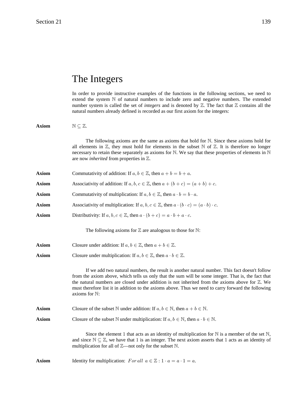# The Integers

In order to provide instructive examples of the functions in the following sections, we need to extend the system  $N$  of natural numbers to include zero and negative numbers. The extended number system is called the set of *integers* and is denoted by  $\mathbb{Z}$ . The fact that  $\mathbb{Z}$  contains all the natural numbers already defined is recorded as our first axiom for the integers:

**Axiom**  $N \subseteq \mathbb{Z}$ . The following axioms are the same as axioms that hold for  $N$ . Since these axioms hold for all elements in  $\mathbb{Z}$ , they must hold for elements in the subset  $\mathbb N$  of  $\mathbb Z$ . It is therefore no longer necessary to retain these separately as axioms for  $\mathbb N$ . We say that these properties of elements in  $\mathbb N$ are now *inherited* from properties in  $\mathbb{Z}$ . **Axiom** Commutativity of addition: If  $a, b \in \mathbb{Z}$ , then  $a + b = b + a$ . **Axiom** Associativity of addition: If  $a, b, c \in \mathbb{Z}$ , then  $a + (b + c) = (a + b) + c$ . **Axiom** Commutativity of multiplication: If  $a, b \in \mathbb{Z}$ , then  $a \cdot b = b \cdot a$ . **Axiom** Associativity of multiplication: If  $a, b, c \in \mathbb{Z}$ , then  $a \cdot (b \cdot c) = (a \cdot b) \cdot c$ . **Axiom** Distributivity: If  $a, b, c \in \mathbb{Z}$ , then  $a \cdot (b + c) = a \cdot b + a \cdot c$ . The following axioms for  $\mathbb Z$  are analogous to those for  $\mathbb N$ : **Axiom** Closure under addition: If  $a, b \in \mathbb{Z}$ , then  $a + b \in \mathbb{Z}$ . **Axiom** Closure under multiplication: If  $a, b \in \mathbb{Z}$ , then  $a \cdot b \in \mathbb{Z}$ . If we add two natural numbers, the result is another natural number. This fact doesn't follow from the axiom above, which tells us only that the sum will be some integer. That is, the fact that the natural numbers are closed under addition is not inherited from the axioms above for  $\mathbb{Z}$ . We must therefore list it in addition to the axioms above. Thus we need to carry forward the following axioms for  $\mathbb{N}$ : **Axiom** Closure of the subset N under addition: If  $a, b \in \mathbb{N}$ , then  $a + b \in \mathbb{N}$ . **Axiom** Closure of the subset N under multiplication: If  $a, b \in \mathbb{N}$ , then  $a \cdot b \in \mathbb{N}$ . Since the element 1 that acts as an identity of multiplication for  $\mathbb N$  is a member of the set  $\mathbb N$ , and since  $\mathbb{N} \subset \mathbb{Z}$ , we have that 1 is an integer. The next axiom asserts that 1 acts as an identity of multiplication for all of  $\mathbb{Z}$ —not only for the subset  $\mathbb{N}$ . **Axiom** Identity for multiplication:  $For all  $a \in \mathbb{Z} : 1 \cdot a = a \cdot 1 = a$ .$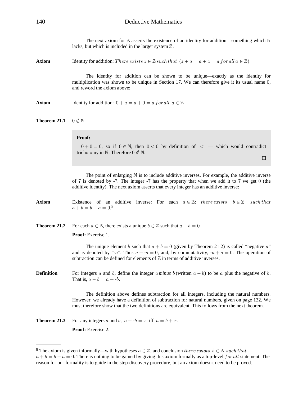The next axiom for  $\mathbb Z$  asserts the existence of an identity for addition—something which  $\mathbb N$ lacks, but which is included in the larger system  $Z$ .

**Axiom** Identity for addition: There exists  $z \in \mathbb{Z}$  such that  $(z + a = a + z = a$  for all  $a \in \mathbb{Z}$ ).

The identity for addition can be shown to be unique—exactly as the identity for multiplication was shown to be unique in Section 17. We can therefore give it its usual name  $0$ , and reword the axiom above:

**Axiom** Identity for addition:  $0 + a = a + 0 = a$  for all  $a \in \mathbb{Z}$ .

```
Theorem 21.1 0 \notin \mathbb{N}.
```
## **Proof:**

 $0 + 0 = 0$ , so if  $0 \in \mathbb{N}$ , then  $0 < 0$  by definition of  $\lt$  — which would contradict trichotomy in  $\mathbb N$ . Therefore  $0 \notin \mathbb N$ .

 $\Box$ 

The point of enlarging  $N$  is to include additive inverses. For example, the additive inverse of 7 is denoted by  $-7$ . The integer  $-7$  has the property that when we add it to 7 we get 0 (the additive identity). The next axiom asserts that every integer has an additive inverse:

**Axiom** Existence of an additive inverse: For each  $a \in \mathbb{Z}$ : there exists  $b \in \mathbb{Z}$  such that  $a + b = b + a = 0.8$ 

**Theorem 21.2** For each  $a \in \mathbb{Z}$ , there exists a unique  $b \in \mathbb{Z}$  such that  $a + b = 0$ .

Proof: Exercise 1.

The unique element b such that  $a + b = 0$  (given by Theorem 21.2) is called "negative a" and is denoted by "-a". Thus  $a + -a = 0$ , and, by commutativity,  $-a + a = 0$ . The operation of subtraction can be defined for elements of  $\mathbb Z$  in terms of additive inverses.

**Definition** For integers a and b, define the integer  $\alpha$  minus  $\beta$  (written  $a - b$ ) to be  $\alpha$  plus the negative of  $\beta$ . That is,  $a - b = a + b$ .

> The definition above defines subtraction for all integers, including the natural numbers. However, we already have a definition of subtraction for natural numbers, given on page 132. We must therefore show that the two definitions are equivalent. This follows from the next theorem.

**Theorem 21.3** For any integers a and b,  $a + -b = x$  iff  $a = b + x$ . Proof: Exercise 2.

<sup>&</sup>lt;sup>8</sup> The axiom is given informally—with hypotheses  $a \in \mathbb{Z}$ , and conclusion there exists  $b \in \mathbb{Z}$  such that  $a + b = b + a = 0$ . There is nothing to be gained by giving this axiom formally as a top-level for all statement. The reason for our formality is to guide in the step-discovery procedure, but an axiom doesn't need to be proved.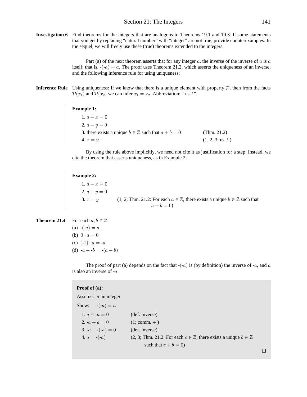**Investigation 6** Find theorems for the integers that are analogous to Theorems 19.1 and 19.3. If some statements that you get by replacing "natural number" with "integer" are not true, provide counterexamples. In the sequel, we will freely use these (true) theorems extended to the integers.

> Part (a) of the next theorem asserts that for any integer  $a$ , the inverse of the inverse of  $a$  is  $a$ itself; that is,  $-(-a) = a$ . The proof uses Theorem 21.2, which asserts the uniqueness of an inverse, and the following inference rule for using uniqueness:

**Inference Rule** Using uniqueness: If we know that there is a unique element with property  $P$ , then from the facts  $\mathcal{P}(x_1)$  and  $\mathcal{P}(x_2)$  we can infer  $x_1 = x_2$ . Abbreviation: "us.!".

#### **Example 1:**

1.  $a + x = 0$ 2.  $a+y=0$ 3. there exists a unique  $b \in \mathbb{Z}$  such that  $a + b = 0$  (Thm. 21.2)  $(1, 2, 3; \text{us.}!)$ 

By using the rule above implicitly, we need not cite it as justification for a step. Instead, we cite the theorem that asserts uniqueness, as in Example 2:

### **Example 2:**

1.  $a + x = 0$ 2.  $a+y=0$ 3.  $x = y$  (1, 2; Thm. 21.2: For each  $a \in \mathbb{Z}$ , there exists a unique  $b \in \mathbb{Z}$  such that  $a + b = 0$ 

**Theorem 21.4** For each 
$$
a, b \in \mathbb{Z}
$$
:  
\n(a)  $-(-a) = a$ .  
\n(b)  $0 \cdot a = 0$   
\n(c)  $(-1) \cdot a = -a$   
\n(d)  $-a + -b = -(a + b)$ 

The proof of part (a) depends on the fact that  $-(-a)$  is (by definition) the inverse of  $-a$ , and  $a$ is also an inverse of  $-a$ :

## **Proof of (a):**

Assume:  $a$  an integer Show:  $-(-a) = a$ 1.  $a + -a = 0$  (def. inverse) 2.  $-a + a = 0$  (1; comm. +) 3.  $-a + (-a) = 0$  (def. inverse) 4.  $a = -(a)$   $(2, 3; Thm. 21.2: For each  $c \in \mathbb{Z}$ , there exists a unique  $b \in \mathbb{Z}$$ such that  $c + b = 0$ )

 $\Box$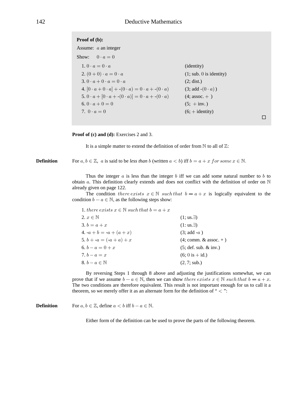# Proof of (b):

Assume:  $a$  an integer Show:  $0 \cdot a = 0$  $1.0 \cdot a = 0 \cdot a$ (identity) 2.  $(0+0) \cdot a = 0 \cdot a$  $(1; sub. 0 is identity)$  $3.0 \cdot a + 0 \cdot a = 0 \cdot a$  $(2; dist.)$ 4.  $[0 \cdot a + 0 \cdot a] + -(0 \cdot a) = 0 \cdot a + -(0 \cdot a)$  $(3; add -(0 \cdot a))$ 5.  $0 \cdot a + [0 \cdot a + -(0 \cdot a)] = 0 \cdot a + -(0 \cdot a)$  $(4;$  assoc.  $+$ ) 6.  $0 \cdot a + 0 = 0$  $(5; +inv.)$ 7.  $0 \cdot a = 0$  $(6; + identity)$ 

**Proof of (c) and (d):** Exercises 2 and 3.

It is a simple matter to extend the definition of order from  $\mathbb N$  to all of  $\mathbb Z$ :

**Definition** For  $a, b \in \mathbb{Z}$ , a is said to be less than b (written  $a < b$ ) iff  $b = a + x$  for some  $x \in \mathbb{N}$ .

> Thus the integer  $a$  is less than the integer b iff we can add some natural number to b to obtain a. This definition clearly extends and does not conflict with the definition of order on  $\mathbb N$ already given on page 122.

> The condition *there exists*  $x \in \mathbb{N}$  *such that*  $b = a + x$  is logically equivalent to the condition  $b - a \in \mathbb{N}$ , as the following steps show:

| 1. there exists $x \in \mathbb{N}$ such that $b = a + x$ |                                  |
|----------------------------------------------------------|----------------------------------|
| 2. $x \in \mathbb{N}$                                    | $(1; us. \exists)$               |
| 3. $b = a + x$                                           | $(1:us.\exists)$                 |
| 4. $-a + b = -a + (a + x)$                               | $(3; add -a)$                    |
| 5. $b + -a = (-a + a) + x$                               | $(4;$ comm. & assoc. $+$ )       |
| 6. $b - a = 0 + x$                                       | (5; def. sub. & inv.)            |
| 7. $b - a = x$                                           | $(6; 0 \text{ is } + \text{id})$ |
| 8. $b-a\in\mathbb{N}$                                    | (2, 7; sub.)                     |

By reversing Steps 1 through 8 above and adjusting the justifications somewhat, we can prove that if we assume  $b-a \in \mathbb{N}$ , then we can show there exists  $x \in \mathbb{N}$  such that  $b = a + x$ . The two conditions are therefore equivalent. This result is not important enough for us to call it a theorem, so we merely offer it as an alternate form for the definition of " $\langle$ ":

**Definition** For  $a, b \in \mathbb{Z}$ , define  $a < b$  iff  $b - a \in \mathbb{N}$ .

Either form of the definition can be used to prove the parts of the following theorem.

 $\Box$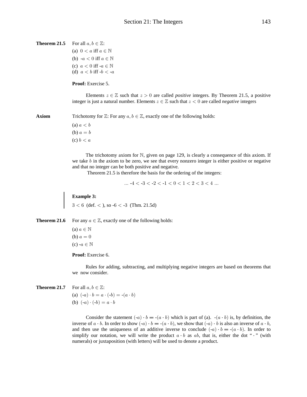```
Theorem 21.5 For all a, b \in \mathbb{Z}:
                    (a) 0 < a iff a \in \mathbb{N}(b) -a < 0 iff a \in \mathbb{N}(c) a < 0 iff -a \in \mathbb{N}(d) a < b iff -b < aProof: Exercise 5.
                            Elements z \in \mathbb{Z} such that z > 0 are called positive integers. By Theorem 21.5, a positive
                    integer is just a natural number. Elements z \in \mathbb{Z} such that z < 0 are called negative integers
Axiom Trichotomy for \mathbb{Z}: For any a, b \in \mathbb{Z}, exactly one of the following holds:
                    (a) a < b
```
(b)  $a = b$ (c)  $b < a$ 

The trichotomy axiom for  $N$ , given on page 129, is clearly a consequence of this axiom. If we take  $b$  in the axiom to be zero, we see that every nonzero integer is either positive or negative and that no integer can be both positive and negative.

Theorem 21.5 is therefore the basis for the ordering of the integers:

 $m - 4 < -3 < -2 < -1 < 0 < 1 < 2 < 3 < 4$ ...

# **Example 3:**

**Example 3:**<br> $3 < 6$  (def.  $<$ ), so  $-6 < -3$  (Thm. 21.5d)

**Theorem 21.6** For any  $a \in \mathbb{Z}$ , exactly one of the following holds:

(a)  $a \in \mathbb{N}$ (b)  $a = 0$  $(c)$  - $a \in \mathbb{N}$ 

## Proof: Exercise 6.

Rules for adding, subtracting, and multiplying negative integers are based on theorems that we now consider.

**Theorem 21.7** For all  $a, b \in \mathbb{Z}$ :

(a)  $(-a) \cdot b = a \cdot (-b) = -(a \cdot b)$ (b)  $(-a) \cdot (-b) = a \cdot b$ 

Consider the statement  $(-a) \cdot b = -(a \cdot b)$  which is part of (a).  $-(a \cdot b)$  is, by definition, the inverse of  $a \cdot b$ . In order to show  $(-a) \cdot b = -(a \cdot b)$ , we show that  $(-a) \cdot b$  is also an inverse of  $a \cdot b$ , and then use the uniqueness of an additive inverse to conclude  $(-a) \cdot b = -(a \cdot b)$ . In order to simplify our notation, we will write the product  $a \cdot b$  as  $ab$ , that is, either the dot " $\cdot$  " (with numerals) or juxtaposition (with letters) will be used to denote a product.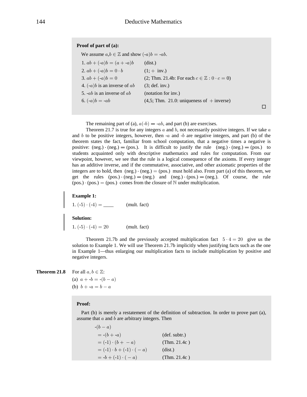# **Proof of part of (a):**

| We assume $a,b \in \mathbb{Z}$ and show $(-a)b = -ab$ . |                                                             |
|---------------------------------------------------------|-------------------------------------------------------------|
| 1. $ab + (-a)b = (a + -a)b$                             | (dist.)                                                     |
| 2. $ab + (-a)b = 0 \cdot b$                             | $(1; + inv.)$                                               |
| 3. $ab + (-a)b = 0$                                     | $(2; Thm. 21.4b: For each c \in \mathbb{Z}: 0 \cdot c = 0)$ |
| 4. $(-a)b$ is an inverse of ab                          | (3; def. inv.)                                              |
| 5. $-ab$ is an inverse of $ab$                          | (notation for inv.)                                         |
| 6. $(-a)b = -ab$                                        | $(4,5;$ Thm. 21.0: uniqueness of $+$ inverse)               |
|                                                         |                                                             |

The remaining part of (a),  $a(-b) = -ab$ , and part (b) are exercises.

Theorem 21.7 is true for any integers  $a$  and  $b$ , not necessarily positive integers. If we take  $a$ and b to be positive integers, however, then  $-a$  and  $-b$  are negative integers, and part (b) of the theorem states the fact, familiar from school computation, that a negative times a negative is positive:  $(neg) \cdot (neg) = (pos)$ . It is difficult to justify the rule  $(neg) \cdot (neg) = (pos)$  to students acquainted only with descriptive mathematics and rules for computation. From our viewpoint, however, we see that the rule is a logical consequence of the axioms. If every integer has an additive inverse, and if the commutative, associative, and other axiomatic properties of the integers are to hold, then  $(neg.) \cdot (neg.) = (pos.)$  must hold also. From part (a) of this theorem, we get the rules  $(pos.) \cdot (neg.) = (neg.)$  and  $(neg.) \cdot (pos.) = (neg.)$ . Of course, the rule  $(pos.) \cdot (pos.) = (pos.)$  comes from the closure of N under multiplication.

 $\Box$ 

## **Example 1:**

 $1. (-5) \cdot (-4) =$  (mult. fact)

## **Solution:**

1.  $(-5) \cdot (-4) = 20$  (mult. fact)

Theorem 21.7b and the previously accepted multiplication fact  $5 \cdot 4 = 20$  give us the solution to Example 1. We will use Theorem 21.7b implicitly when justifying facts such as the one in Example 1—thus enlarging our multiplication facts to include multiplication by positive and negative integers.

**Theorem 21.8** For all  $a, b \in \mathbb{Z}$ :

(a)  $a + -b = -(b - a)$ (b)  $b + -a = b - a$ 

 $(h \circ a)$ 

## **Proof:**

 Part (b) is merely a restatement of the definition of subtraction. In order to prove part (a), assume that  $a$  and  $b$  are arbitrary integers. Then

| $-10 - u$                          |                        |
|------------------------------------|------------------------|
| $= -(b + -a)$                      | $(\text{def.} subtr.)$ |
| $= (-1) \cdot (b + -a)$            | (Thm. $21.4c$ )        |
| $= (-1) \cdot b + (-1) \cdot (-a)$ | (dist.)                |
| $= -b + (-1) \cdot (-a)$           | (Thm. $21.4c$ )        |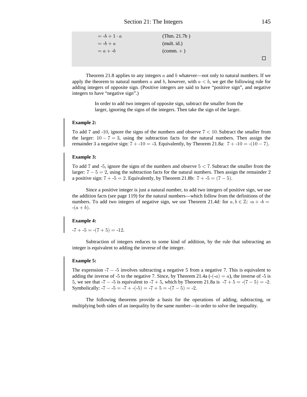| $= -b + 1 \cdot a$ | (Thm. $21.7b$ )            |  |
|--------------------|----------------------------|--|
| $= -b + a$         | (mult. id.)                |  |
| $= a + -b$         | $\text{(comm.} + \text{)}$ |  |
|                    |                            |  |

Theorem 21.8 applies to any integers  $a$  and  $b$  whatever—not only to natural numbers. If we apply the theorem to natural numbers a and b, however, with  $a < b$ , we get the following rule for adding integers of opposite sign. (Positive integers are said to have "positive sign", and negative integers to have "negative sign".)

> In order to add two integers of opposite sign, subtract the smaller from the larger, ignoring the signs of the integers. Then take the sign of the larger.

#### **Example 2:**

To add 7 and -10, ignore the signs of the numbers and observe  $7 < 10$ . Subtract the smaller from the larger:  $10 - 7 = 3$ , using the subtraction facts for the natural numbers. Then assign the remainder 3 a negative sign:  $7 + -10 = -3$ . Equivalently, by Theorem 21.8a:  $7 + -10 = -(10 - 7)$ .

## **Example 3:**

To add 7 and -5, ignore the signs of the numbers and observe  $5 < 7$ . Subtract the smaller from the larger:  $7 - 5 = 2$ , using the subtraction facts for the natural numbers. Then assign the remainder 2 a positive sign:  $7 + -5 = 2$ . Equivalently, by Theorem 21.8b:  $7 + -5 = (7 - 5)$ .

Since a positive integer is just a natural number, to add two integers of positive sign, we use the addition facts (see page 119) for the natural numbers—which follow from the definitions of the numbers. To add two integers of negative sign, we use Theorem 21.4d: for  $a, b \in \mathbb{Z}$ : - $a + b =$  $-(a + b).$ 

## **Example 4:**

 $-7 + -5 = -(7 + 5) = -12.$ 

Subtraction of integers reduces to some kind of addition, by the rule that subtracting an integer is equivalent to adding the inverse of the integer.

#### **Example 5:**

The expression  $-7 - -5$  involves subtracting a negative 5 from a negative 7. This is equivalent to adding the inverse of -5 to the negative 7. Since, by Theorem 21.4a  $\left(\frac{-a}{a}\right) = a$ , the inverse of -5 is 5, we see that  $-7 - 5$  is equivalent to  $-7 + 5$ , which by Theorem 21.8a is  $-7 + 5 = -(7 - 5) = -2$ . Symbolically:  $-7 - (-5) = -7 + (-5) = -7 + (-5) = -7 - (-5) = -2$ .

The following theorems provide a basis for the operations of adding, subtracting, or multiplying both sides of an inequality by the same number—in order to solve the inequality.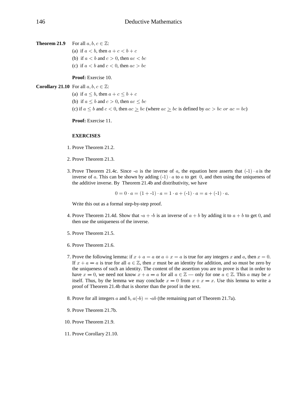**Theorem 21.9** For all  $a, b, c \in \mathbb{Z}$ :

(a) if  $a < b$ , then  $a + c < b + c$ 

- (b) if  $a < b$  and  $c > 0$ , then  $ac < bc$
- (c) if  $a < b$  and  $c < 0$ , then  $ac > bc$

# Proof: Exercise 10.

# **Corollary 21.10** For all  $a, b, c \in \mathbb{Z}$ :

(a) if  $a \leq b$ , then  $a + c \leq b + c$ (b) if  $a \leq b$  and  $c > 0$ , then  $ac \leq bc$ (c) if  $a \leq b$  and  $c < 0$ , then  $ac \geq bc$  (where  $ac \geq bc$  is defined by  $ac > bc$  or  $ac = bc$ )

Proof: Exercise 11.

# **EXERCISES**

- 1. Prove Theorem 21.2.
- 2. Prove Theorem 21.3.
- 3. Prove Theorem 21.4c. Since  $-a$  is the inverse of a, the equation here asserts that  $(-1) \cdot a$  is the inverse of a. This can be shown by adding  $(-1) \cdot a$  to a to get 0, and then using the uniqueness of the additive inverse. By Theorem 21.4b and distributivity, we have

 $0 = 0 \cdot a = (1 + -1) \cdot a = 1 \cdot a + (-1) \cdot a = a + (-1) \cdot a$ .

Write this out as a formal step-by-step proof.

- 4. Prove Theorem 21.4d. Show that  $-a + b$  is an inverse of  $a + b$  by adding it to  $a + b$  to get 0, and then use the uniqueness of the inverse.
- 5. Prove Theorem 21.5.
- 6. Prove Theorem 21.6.
- 7. Prove the following lemma: if  $x + a = a$  or  $a + x = a$  is true for any integers x and a, then  $x = 0$ . If  $x + a = a$  is true for all  $a \in \mathbb{Z}$ , then x must be an identity for addition, and so must be zero by the uniqueness of such an identity. The content of the assertion you are to prove is that in order to have  $x = 0$ , we need not know  $x + a = a$  for all  $a \in \mathbb{Z}$  — only for one  $a \in \mathbb{Z}$ . This a may be x itself. Thus, by the lemma we may conclude  $x = 0$  from  $x + x = x$ . Use this lemma to write a proof of Theorem 21.4b that is shorter than the proof in the text.
- 8. Prove for all integers a and b,  $a(-b) = -ab$  (the remaining part of Theorem 21.7a).
- 9. Prove Theorem 21.7b.
- 10. Prove Theorem 21.9.
- 11. Prove Corollary 21.10.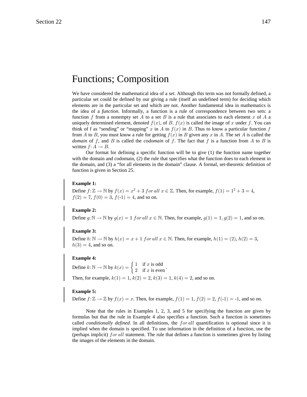# **Functions**; Composition

We have considered the mathematical idea of a set. Although this term was not formally defined, a particular set could be defined by our giving a rule (itself an undefined term) for deciding which elements are in the particular set and which are not. Another fundamental idea in mathematics is the idea of a *function*. Informally, a function is a rule of correspondence between two sets: a function f from a nonempty set A to a set B is a rule that associates to each element x of A a uniquely determined element, denoted  $f(x)$ , of B.  $f(x)$  is called the image of x under f. You can think of f as "sending" or "mapping" x in A to  $f(x)$  in B. Thus to know a particular function f from A to B, you must know a rule for getting  $f(x)$  in B given any x in A. The set A is called the domain of f, and B is called the *codomain* of f. The fact that f is a function from A to B is written  $f: A \rightarrow B$ .

Our format for defining a specific function will be to give (1) the function name together with the domain and codomain, (2) the rule that specifies what the function does to each element in the domain, and (3) a "for all elements in the domain" clause. A formal, set-theoretic definition of function is given in Section 25.

## **Example 1:**

Define  $f: \mathbb{Z} \to \mathbb{N}$  by  $f(x) = x^2 + 3$  for all  $x \in \mathbb{Z}$ . Then, for example,  $f(1) = 1^2 + 3 = 4$ ,  $f(2) = 7$ ,  $f(0) = 3$ ,  $f(-1) = 4$ , and so on.

## **Example 2:**

Define  $g: \mathbb{N} \to \mathbb{N}$  by  $g(x) = 1$  for all  $x \in \mathbb{N}$ . Then, for example,  $g(1) = 1, g(2) = 1$ , and so on.

## **Example 3:**

Define  $h: \mathbb{N} \to \mathbb{N}$  by  $h(x) = x + 1$  for all  $x \in \mathbb{N}$ . Then, for example,  $h(1) = (2)$ ,  $h(2) = 3$ ,  $h(3) = 4$ , and so on.

## **Example 4:**

Define  $k: \mathbb{N} \to \mathbb{N}$  by  $k(x) = \begin{cases} 1 & \text{if } x \text{ is odd} \\ 2 & \text{if } x \text{ is even} \end{cases}$ . Then, for example,  $k(1) = 1$ ,  $k(2) = 2$ ,  $k(3) = 1$ ,  $k(4) = 2$ , and so on.

## **Example 5:**

Define  $f: \mathbb{Z} \to \mathbb{Z}$  by  $f(x) = x$ . Then, for example,  $f(1) = 1$ ,  $f(2) = 2$ ,  $f(-1) = -1$ , and so on.

Note that the rules in Examples 1, 2, 3, and 5 for specifying the function are given by formulas but that the rule in Example 4 also specifies a function. Such a function is sometimes called *conditionally defined*. In all definitions, the *for all* quantification is optional since it is implied when the domain is specified. To use information in the definition of a function, use the (perhaps implicit) for all statement. The rule that defines a function is sometimes given by listing the images of the elements in the domain.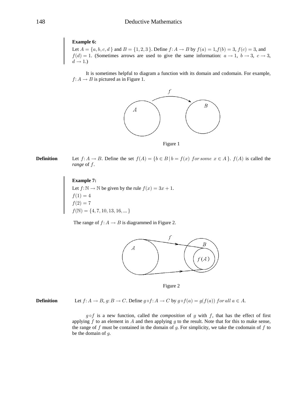# **Example 6:**

Let  $A = \{a, b, c, d\}$  and  $B = \{1, 2, 3\}$ . Define  $f: A \rightarrow B$  by  $f(a) = 1, f(b) = 3, f(c) = 3$ , and  $f(d) = 1$ . (Sometimes arrows are used to give the same information:  $a \rightarrow 1$ ,  $b \rightarrow 3$ ,  $c \rightarrow 3$ ,  $d \rightarrow 1.$ 

It is sometimes helpful to diagram a function with its domain and codomain. For example,  $f: A \rightarrow B$  is pictured as in Figure 1.



Figure 1

Let  $f: A \to B$ . Define the set  $f(A) = \{b \in B \mid b = f(x) \text{ for some } x \in A\}$ .  $f(A)$  is called the **Definition** range of  $f$ .

# **Example 7:**

Let  $f: \mathbb{N} \to \mathbb{N}$  be given by the rule  $f(x) = 3x + 1$ .<br>  $f(1) = 4$ <br>  $f(2) = 7$  $f(\mathbb{N}) = \{4, 7, 10, 13, 16, ...\}$ 

The range of  $f: A \rightarrow B$  is diagrammed in Figure 2.



Figure 2

Let  $f: A \to B$ ,  $g: B \to C$ . Define  $g \circ f: A \to C$  by  $g \circ f(a) = g(f(a))$  for all  $a \in A$ . **Definition** 

> $g \circ f$  is a new function, called the *composition* of g with f, that has the effect of first applying  $f$  to an element in  $A$  and then applying  $g$  to the result. Note that for this to make sense, the range of  $f$  must be contained in the domain of  $g$ . For simplicity, we take the codomain of  $f$  to be the domain of  $g$ .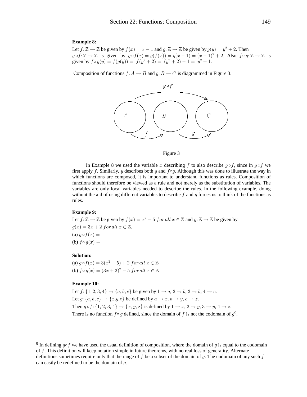## **Example 8:**

Let  $f: \mathbb{Z} \to \mathbb{Z}$  be given by  $f(x) = x - 1$  and  $g: \mathbb{Z} \to \mathbb{Z}$  be given by  $g(y) = y^2 + 2$ . Then  $g \circ f: \mathbb{Z} \to \mathbb{Z}$  is given by  $g \circ f(x) = g(f(x)) = g(x - 1) = (x - 1)^2 + 2$ . Also  $f \circ g: \mathbb{Z} \to \mathbb{Z}$  is given by  $f \circ g(y) = f(g(y)) = f(y$ 

Composition of functions  $f: A \to B$  and  $g: B \to C$  is diagrammed in Figure 3.



#### Figure 3

In Example 8 we used the variable x describing f to also describe  $q \circ f$ , since in  $q \circ f$  we first apply f. Similarly, y describes both g and  $f \circ g$ . Although this was done to illustrate the way in which functions are composed, it is important to understand functions as rules. Composition of functions should therefore be viewed as a rule and not merely as the substitution of variables. The variables are only local variables needed to describe the rules. In the following example, doing without the aid of using different variables to describe  $f$  and  $g$  forces us to think of the functions as rules.

## **Example 9:**

Let  $f: \mathbb{Z} \to \mathbb{Z}$  be given by  $f(x) = x^2 - 5$  for all  $x \in \mathbb{Z}$  and  $g: \mathbb{Z} \to \mathbb{Z}$  be given by  $g(x) = 3x + 2$  for all  $x \in \mathbb{Z}$ .<br>
(a)  $g \circ f(x) =$ (b)  $f \circ q(x) =$ 

## **Solution:**

(a)  $g \circ f(x) = 3(x^2 - 5) + 2$  for all  $x \in \mathbb{Z}$ <br>(b)  $f \circ g(x) = (3x + 2)^2 - 5$  for all  $x \in \mathbb{Z}$ 

# **Example 10:**

Let  $f: \{1, 2, 3, 4\} \rightarrow \{a, b, c\}$  be given by  $1 \rightarrow a, 2 \rightarrow b, 3 \rightarrow b, 4 \rightarrow c$ .<br>Let  $g: \{a, b, c\} \rightarrow \{x, y, z\}$  be defined by  $a \rightarrow x, b \rightarrow y, c \rightarrow z$ .<br>Then  $g \circ f: \{1, 2, 3, 4\} \rightarrow \{x, y, z\}$  is defined by  $1 \rightarrow x, 2 \rightarrow y, 3 \rightarrow y, 4 \rightarrow z$ .<br>There is n

<sup>&</sup>lt;sup>9</sup> In defining  $q \circ f$  we have used the usual definition of composition, where the domain of g is equal to the codomain of f. This definition will keep notation simple in future theorems, with no real loss of generality. Alternate definitions sometimes require only that the range of  $f$  be a subset of the domain of  $g$ . The codomain of any such  $f$ can easily be redefined to be the domain of  $q$ .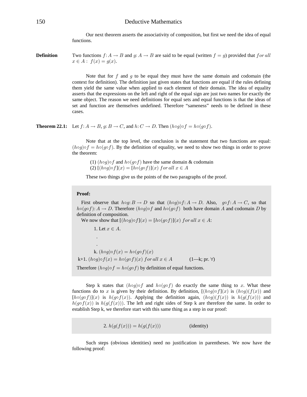Our next theorem asserts the associativity of composition, but first we need the idea of equal functions.

Two functions  $f: A \to B$  and  $g: A \to B$  are said to be equal (written  $f = g$ ) provided that for all **Definition**  $x \in A : f(x) = q(x).$ 

> Note that for  $f$  and  $g$  to be equal they must have the same domain and codomain (the context for definition). The definition just given states that functions are equal if the rules defining them yield the same value when applied to each element of their domain. The idea of equality asserts that the expressions on the left and right of the equal sign are just two names for exactly the same object. The reason we need definitions for equal sets and equal functions is that the ideas of set and function are themselves undefined. Therefore "sameness" needs to be defined in these cases.

**Theorem 22.1:** Let  $f: A \to B$ ,  $g: B \to C$ , and  $h: C \to D$ . Then  $(h \circ g) \circ f = h \circ (g \circ f)$ .

Note that at the top level, the conclusion is the statement that two functions are equal:  $(h \circ g) \circ f = h \circ (g \circ f)$ . By the definition of equality, we need to show two things in order to prove the theorem:

(1)  $(h \circ g) \circ f$  and  $h \circ (g \circ f)$  have the same domain & codomain (2)  $[(h \circ q) \circ f](x) = [h \circ (q \circ f)](x)$  for all  $x \in A$ 

These two things give us the points of the two paragraphs of the proof.

## Proof:

First observe that  $h \circ q: B \to D$  so that  $(h \circ q) \circ f: A \to D$ . Also,  $q \circ f: A \to C$ , so that  $h \circ (g \circ f) : A \to D$ . Therefore  $(h \circ g) \circ f$  and  $h \circ (g \circ f)$  both have domain A and codomain D by definition of composition.

We now show that  $[(h \circ g) \circ f](x) = [h \circ (g \circ f)](x)$  for all  $x \in A$ :

1. Let  $x \in A$ .

 $\ddot{\phantom{a}}$ 

k.  $(h \circ q) \circ f(x) = h \circ (q \circ f)(x)$ k+1.  $(h \circ g) \circ f(x) = h \circ (g \circ f)(x)$  for all  $x \in A$  $(1-k; pr. \forall)$ Therefore  $(h \circ q) \circ f = h \circ (q \circ f)$  by definition of equal functions.

Step k states that  $(h \circ g) \circ f$  and  $h \circ (g \circ f)$  do exactly the same thing to x. What these functions do to x is given by their definition. By definition,  $[(h \circ g) \circ f](x)$  is  $(h \circ g)(f(x))$  and  $[h\circ (g\circ f)](x)$  is  $h(g\circ f(x))$ . Applying the definition again,  $(h\circ g)(f(x))$  is  $h(g(f(x)))$  and  $h(g \circ f(x))$  is  $h(g(f(x)))$ . The left and right sides of Step k are therefore the same. In order to establish Step k, we therefore start with this same thing as a step in our proof:

> 2.  $h(g(f(x))) = h(g(f(x)))$ (identity)

Such steps (obvious identities) need no justification in parentheses. We now have the following proof: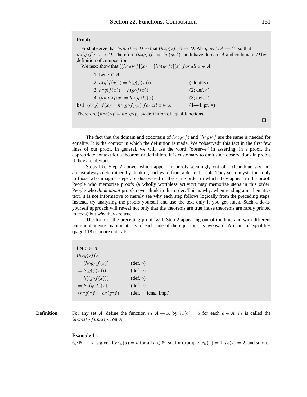## **Proof:**

First observe that  $h \circ g : B \to D$  so that  $(h \circ g) \circ f : A \to D$ . Also,  $g \circ f : A \to C$ , so that  $h \circ (g \circ f) : A \to D$ . Therefore  $(h \circ g) \circ f$  and  $h \circ (g \circ f)$  both have domain A and codomain D by definition of composition.

We next show that  $[(h \circ g) \circ f](x) = [h \circ (g \circ f)](x)$  for all  $x \in A$ :

| 1. Let $x \in A$ .                                                       |                      |
|--------------------------------------------------------------------------|----------------------|
| 2. $h(g(f(x))) = h(g(f(x)))$                                             | ( <i>identity</i> )  |
| 3. $h \circ g(f(x)) = h(g \circ f(x))$                                   | $(2; def. \circ)$    |
| 4. $(h \circ g) \circ f(x) = h \circ (g \circ f)(x)$                     | $(3; def. \circ)$    |
| k+1. $(h \circ g) \circ f(x) = h \circ (g \circ f)(x)$ for all $x \in A$ | $(1-4; pr. \forall)$ |
|                                                                          |                      |

Therefore  $(h \circ g) \circ f = h \circ (g \circ f)$  by definition of equal functions.

The fact that the domain and codomain of  $h \circ (q \circ f)$  and  $(h \circ q) \circ f$  are the same is needed for equality. It is the context in which the definition is made. We "observed" this fact in the first few lines of our proof. In general, we will use the word "observe" in asserting, in a proof, the appropriate context for a theorem or definition. It is customary to omit such observations in proofs if they are obvious.

Steps like Step 2 above, which appear in proofs seemingly out of a clear blue sky, are almost always determined by thinking backward from a desired result. They seem mysterious only to those who imagine steps are discovered in the same order in which they appear in the proof. People who memorize proofs (a wholly worthless activity) may memorize steps in this order. People who *think about* proofs never think in this order. This is why, when reading a mathematics text, it is not informative to merely see why each step follows logically from the preceding steps. Instead, try analyzing the proofs yourself and use the text only if you get stuck. Such a do-ityourself approach will reveal not only that the theorems are true (false theorems are rarely printed in texts) but *why* they are true.

The form of the preceding proof, with Step 2 appearing out of the blue and with different but simultaneous manipulations of each side of the equations, is awkward. A chain of equalities (page 118) is more natural:

| Let $x \in A$ .                             |                        |
|---------------------------------------------|------------------------|
| $(h \circ g) \circ f(x)$                    |                        |
| $=(h\circ g)(f(x))$                         | $(\text{def. } \circ)$ |
| $= h(g(f(x)))$                              | $(\text{def. } \circ)$ |
| $= h((g \circ f(x)))$                       | $(\text{def. } \circ)$ |
| $= h \circ (g \circ f)(x)$                  | $(\text{def. } \circ)$ |
| $(h \circ g) \circ f = h \circ (g \circ f)$ | $(det. = fons., imp.)$ |

**Definition** For any set A, define the function  $i_A: A \to A$  by  $i_A(a) = a$  for each  $a \in A$ .  $i_A$  is called the  $identity function on A.$ 

## **Example 11:**

 $i_{\mathbb{N}}: \mathbb{N} \to \mathbb{N}$  is given by  $i_{\mathbb{N}}(a) = a$  for all  $a \in \mathbb{N}$ , so, for example,  $i_{\mathbb{N}}(1) = 1$ ,  $i_{\mathbb{N}}(2) = 2$ , and so on.

 $\Box$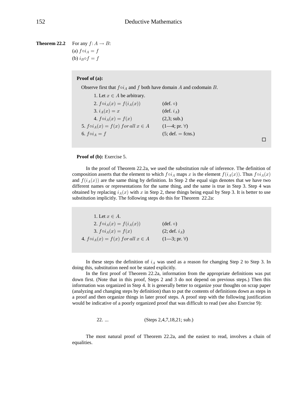**Theorem 22.2** For any  $f: A \rightarrow B$ : (a)  $f \circ i_A = f$ (b)  $i_B \circ f = f$ 

## **Proof of (a):**

Observe first that  $f \circ i_A$  and f both have domain A and codomain B.

1. Let  $x \in A$  be arbitrary. 2.  $f \circ i_A(x) = f(i_A(x))$  (def.  $\circ)$ 3.  $i_A(x) = x$  (def.  $i_A$ ) 4.  $f \circ i_A(x) = f(x)$  (2,3; sub.) 5.  $f \circ i_A(x) = f(x)$  for all  $x \in A$  (1—4; pr.  $\forall$ ) 6.  $f \circ i_A = f$  (5; def. = fcns.)

 $\Box$ 

# **Proof of (b):** Exercise 5.

In the proof of Theorem 22.2a, we used the substitution rule of inference. The definition of composition asserts that the element to which  $f \circ i_A$  maps x is the element  $f(i_A(x))$ . Thus  $f \circ i_A(x)$ and  $f(i_A(x))$  are the same thing by definition. In Step 2 the equal sign denotes that we have two different names or representations for the same thing, and the same is true in Step 3. Step 4 was obtained by replacing  $i_A(x)$  with x in Step 2, these things being equal by Step 3. It is better to use substitution implicitly. The following steps do this for Theorem 22.2a:

1. Let  $x \in A$ . 2.  $f \circ i_A(x) = f(i_A(x))$  (def.  $\circ$ )<br>3.  $f \circ i_A(x) = f(x)$  (2; def. 3.  $f \circ i_A(x) = f(x)$  (2; def.  $i_A$ ) 4.  $f \circ i_A(x) = f(x)$  for all  $x \in A$  (1-3; pr.  $\forall$ )

In these steps the definition of  $i_A$  was used as a reason for changing Step 2 to Step 3. In doing this, substitution need not be stated explicitly.

In the first proof of Theorem 22.2a, information from the appropriate definitions was put down first. (Note that in this proof, Steps 2 and 3 do not depend on previous steps.) Then this information was organized in Step 4. It is generally better to organize your thoughts on scrap paper (analyzing and changing steps by definition) than to put the contents of definitions down as steps in a proof and then organize things in later proof steps. A proof step with the following justification would be indicative of a poorly organized proof that was difficult to read (see also Exercise 9):

$$
22. \ldots \t\t (Steps 2, 4, 7, 18, 21; sub.)
$$

The most natural proof of Theorem 22.2a, and the easiest to read, involves a chain of equalities.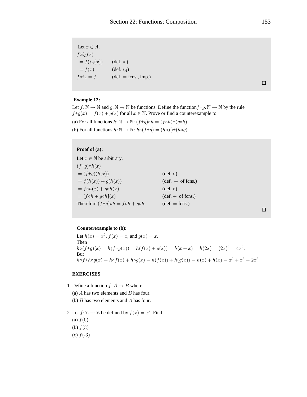Let  $x \in A$ .  $f\circ i_A(x)$  $= f(i_A(x))$  (def.  $\circ$ )  $= f(x)$  $(\text{def. } i_A)$  $f \circ i_A = f$  $(\text{def.} = \text{fcns.}, \text{imp.})$ 

 $\Box$ 

# **Example 12:**

Let  $f: \mathbb{N} \to \mathbb{N}$  and  $g: \mathbb{N} \to \mathbb{N}$  be functions. Define the function  $f + g: \mathbb{N} \to \mathbb{N}$  by the rule  $f+g(x) = f(x) + g(x)$  for all  $x \in \mathbb{N}$ . Prove or find a counterexample to (a) For all functions  $h: \mathbb{N} \to \mathbb{N}: (f+g)\circ h = (f \circ h)+(g \circ h)$ . (b) For all functions  $h: \mathbb{N} \to \mathbb{N}$ :  $h \circ (f+g) = (h \circ f) + (h \circ g)$ .

# Proof of (a):

Let  $x \in \mathbb{N}$  be arbitrary.  $(f+g) \circ h(x)$  $= (f+g)(h(x))$  $(\text{def. } \circ)$  $= f(h(x)) + g(h(x))$  $(\text{def.} + \text{of f} \cdot \text{cns.})$  $= f \circ h(x) + g \circ h(x)$  $(\text{def. } \circ)$  $=[f\circ h+g\circ h](x)$  $(\text{def.} + \text{ of } \text{fcns.})$ Therefore  $(f+g)\circ h = f \circ h + g \circ h$ .  $(\text{def.} = \text{fcns.})$ 

 $\hfill \square$ 

# Counterexample to (b):

Let  $h(x) = x^2$ ,  $f(x) = x$ , and  $g(x) = x$ . Then  $h \circ (f+g)(x) = h(f+g(x)) = h(f(x) + g(x)) = h(x+x) = h(2x) = (2x)^2 = 4x^2.$ But  $h \circ f + h \circ g(x) = h \circ f(x) + h \circ g(x) = h(f(x)) + h(g(x)) = h(x) + h(x) = x^2 + x^2 = 2x^2$ 

## **EXERCISES**

1. Define a function  $f: A \rightarrow B$  where

(a)  $A$  has two elements and  $B$  has four.

- (b)  $B$  has two elements and  $A$  has four.
- 2. Let  $f: \mathbb{Z} \to \mathbb{Z}$  be defined by  $f(x) = x^2$ . Find (a)  $f(0)$ (b)  $f(3)$ (c)  $f(-3)$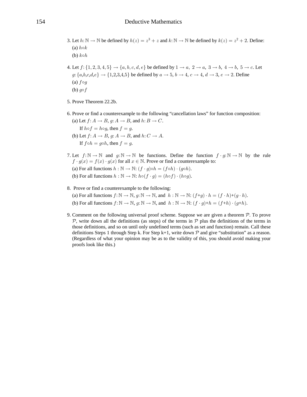- 3. Let  $h: \mathbb{N} \to \mathbb{N}$  be defined by  $h(z) = z^3 + z$  and  $k: \mathbb{N} \to \mathbb{N}$  be defined by  $k(z) = z^2 + 2$ . Define: (a)  $h \circ k$ (b)  $k \circ h$
- 4. Let  $f: \{1,2,3,4,5\} \rightarrow \{a,b,c,d,e\}$  be defined by  $1 \rightarrow a$ ,  $2 \rightarrow a$ ,  $3 \rightarrow b$ ,  $4 \rightarrow b$ ,  $5 \rightarrow c$ . Let  $g: \{a,b,c,d,e\} \rightarrow \{1,2,3,4,5\}$  be defined by  $a \rightarrow 5$ ,  $b \rightarrow 4$ ,  $c \rightarrow 4$ ,  $d \rightarrow 3$ ,  $e \rightarrow 2$ . Define (a)  $f \circ g$ (b)  $g \circ f$
- 5. Prove Theorem 22.2b.
- 6. Prove or find a counterexample to the following "cancellation laws" for function composition: (a) Let  $f: A \rightarrow B$ ,  $g: A \rightarrow B$ , and  $h: B \rightarrow C$ .
	- If  $h \circ f = h \circ q$ , then  $f = q$ . (b) Let  $f: A \rightarrow B$ ,  $q: A \rightarrow B$ , and  $h: C \rightarrow A$ . If  $f \circ h = g \circ h$ , then  $f = g$ .
- 7. Let  $f: \mathbb{N} \to \mathbb{N}$  and  $g: \mathbb{N} \to \mathbb{N}$  be functions. Define the function  $f \cdot g: \mathbb{N} \to \mathbb{N}$  by the rule  $f \cdot g(x) = f(x) \cdot g(x)$  for all  $x \in \mathbb{N}$ . Prove or find a counterexample to:

(a) For all functions  $h : \mathbb{N} \to \mathbb{N}$ :  $(f \cdot g) \circ h = (f \circ h) \cdot (g \circ h)$ .

- (b) For all functions  $h : \mathbb{N} \to \mathbb{N}$ :  $h \circ (f \cdot g) = (h \circ f) \cdot (h \circ g)$ .
- 8. Prove or find a counterexample to the following: (a) For all functions  $f: \mathbb{N} \to \mathbb{N}$ ,  $g: \mathbb{N} \to \mathbb{N}$ , and  $h: \mathbb{N} \to \mathbb{N}$ :  $(f+g) \cdot h = (f \cdot h) + (g \cdot h)$ . (b) For all functions  $f: \mathbb{N} \to \mathbb{N}$ ,  $g: \mathbb{N} \to \mathbb{N}$ , and  $h: \mathbb{N} \to \mathbb{N}$ :  $(f \cdot g) + h = (f+h) \cdot (g+h)$ .
- 9. Comment on the following universal proof scheme. Suppose we are given a theorem  $P$ . To prove  $P$ , write down all the definitions (as steps) of the terms in  $P$  plus the definitions of the terms in those definitions, and so on until only undefined terms (such as set and function) remain. Call these definitions Steps 1 through Step k. For Step k+1, write down  $\mathcal P$  and give "substitution" as a reason. (Regardless of what your opinion may be as to the validity of this, you should avoid making your proofs look like this.)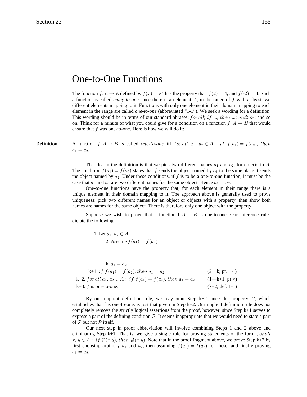# **One-to-One Functions**

The function  $f: \mathbb{Z} \to \mathbb{Z}$  defined by  $f(x) = x^2$  has the property that  $f(2) = 4$ , and  $f(-2) = 4$ . Such a function is called *many-to-one* since there is an element, 4, in the range of  $f$  with at least two different elements mapping to it. Functions with only one element in their domain mapping to each element in the range are called *one-to-one* (abbreviated "1-1"). We seek a wording for a definition. This wording should be in terms of our standard phrases:  $for all; if ..., then ...; and; or;$  and so on. Think for a minute of what you could give for a condition on a function  $f: A \rightarrow B$  that would ensure that  $f$  was one-to-one. Here is how we will do it:

**Definition** A function  $f: A \to B$  is called one-to-one iff for all  $a_1, a_2 \in A$  : if  $f(a_1) = f(a_2)$ , then  $a_1 = a_2.$ 

> The idea in the definition is that we pick two different names  $a_1$  and  $a_2$ , for objects in A. The condition  $f(a_1) = f(a_2)$  states that f sends the object named by  $a_1$  to the same place it sends the object named by  $a_2$ . Under these conditions, if f is to be a one-to-one function, it must be the case that  $a_1$  and  $a_2$  are two different names for the same object. Hence  $a_1 = a_2$ .

> One-to-one functions have the property that, for each element in their range there is a unique element in their domain mapping to it. The approach above is generally used to prove uniqueness: pick two different names for an object or objects with a property, then show both names are names for the same object. There is therefore only one object with the property.

> Suppose we wish to prove that a function f:  $A \rightarrow B$  is one-to-one. Our inference rules dictate the following:

1. Let 
$$
a_1, a_2 \in A
$$
.  
\n2. Assume  $f(a_1) = f(a_2)$   
\n
$$
\vdots
$$
\n
$$
k. a_1 = a_2
$$
\n
$$
k+1. if f(a_1) = f(a_2), then a_1 = a_2
$$
\n
$$
k+2. for all a_1, a_2 \in A: if f(a_1) = f(a_2), then a_1 = a_2 \qquad (2-k; pr. \Rightarrow)
$$
\n
$$
k+3. f is one-to-one \qquad (k+2; def 1-1)
$$

By our implicit definition rule, we may omit Step k+2 since the property  $\mathcal{P}$ , which establishes that f is one-to-one, is just that given in Step  $k+2$ . Our implicit definition rule does not completely remove the strictly logical assertions from the proof, however, since Step  $k+1$  serves to express a part of the defining condition  $P$ . It seems inappropriate that we would need to state a part of  $P$  but not  $P$  itself.

Our next step in proof abbreviation will involve combining Steps 1 and 2 above and eliminating Step k+1. That is, we give a single rule for proving statements of the form  $for all$  $x, y \in A:$  if  $\mathcal{P}(x,y)$ , then  $\mathcal{Q}(x,y)$ . Note that in the proof fragment above, we prove Step k+2 by first choosing arbitrary  $a_1$  and  $a_2$ , then assuming  $f(a_1) = f(a_2)$  for these, and finally proving  $a_1 = a_2.$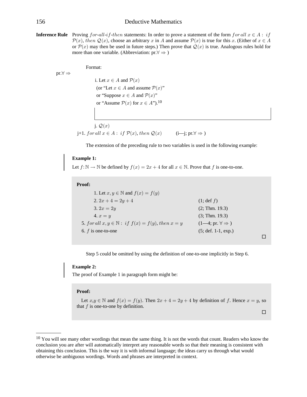# **Deductive Mathematics**

**Inference Rule** Proving  $for$ -all-if-then statements: In order to prove a statement of the form  $for$  all  $x \in A$ : if  $\mathcal{P}(x)$ , then  $\mathcal{Q}(x)$ , choose an arbitrary x in A and assume  $\mathcal{P}(x)$  is true for this x. (Either of  $x \in A$ or  $\mathcal{P}(x)$  may then be used in future steps.) Then prove that  $\mathcal{Q}(x)$  is true. Analogous rules hold for more than one variable. (Abbreviation:  $pr.\forall \Rightarrow$ )

Format:

 $\text{pr.} \forall \Rightarrow$ 

i. Let  $x \in A$  and  $\mathcal{P}(x)$ (or "Let  $x \in A$  and assume  $\mathcal{P}(x)$ " or "Suppose  $x \in A$  and  $\mathcal{P}(x)$ " or "Assume  $\mathcal{P}(x)$  for  $x \in A$ ").<sup>10</sup>

j.  $\mathcal{Q}(x)$ i+1. for all  $x \in A$ : if  $\mathcal{P}(x)$ , then  $\mathcal{Q}(x)$  (i-j; pr. $\forall \Rightarrow$ )

The extension of the preceding rule to two variables is used in the following example:

## **Example 1:**

Let  $f: \mathbb{N} \to \mathbb{N}$  be defined by  $f(x) = 2x + 4$  for all  $x \in \mathbb{N}$ . Prove that f is one-to-one.

### Proof:

1. Let  $x, y \in \mathbb{N}$  and  $f(x) = f(y)$ 2.  $2x + 4 = 2y + 4$  $(1; \text{def } f)$  $3.2x = 2y$  $(2; Thm. 19.3)$ 4.  $x = y$  $(3; Thm. 19.3)$ 5. for all  $x, y \in \mathbb{N}$ : if  $f(x) = f(y)$ , then  $x = y$  $(1-4; pr. \forall \Rightarrow)$ 6.  $f$  is one-to-one  $(5; def. 1-1, exp.)$  $\Box$ 

Step 5 could be omitted by using the definition of one-to-one implicitly in Step 6.

## **Example 2:**

The proof of Example 1 in paragraph form might be:

### Proof:

Let  $x, y \in \mathbb{N}$  and  $f(x) = f(y)$ . Then  $2x + 4 = 2y + 4$  by definition of f. Hence  $x = y$ , so that  $f$  is one-to-one by definition.

 $\Box$ 

 $10$  You will see many other wordings that mean the same thing. It is not the words that count. Readers who know the conclusion you are after will automatically interpret any reasonable words so that their meaning is consistent with obtaining this conclusion. This is the way it is with informal language; the ideas carry us through what would otherwise be ambiguous wordings. Words and phrases are interpreted in context.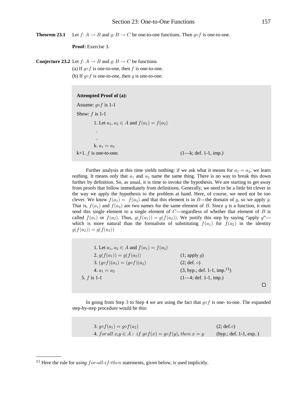**Theorem 23.1** Let  $f: A \to B$  and  $g: B \to C$  be one-to-one functions. Then  $g \circ f$  is one-to-one.

**Proof:** Exercise 3.

**Conjecture 23.2** Let  $f: A \rightarrow B$  and  $g: B \rightarrow C$  be functions.

(a) If  $g \circ f$  is one-to-one, then f is one-to-one. (b) If  $g \circ f$  is one-to-one, then g is one-to-one.

#### **Attempted Proof of (a):**

Assume:  $g \circ f$  is 1-1 Show:  $f$  is 1-1 1. Let  $a_1, a_2 \in A$  and  $f(a_1) = f(a_2)$  . . k.  $a_1 = a_2$ k+1.  $f$  is one-to-one. (1—k; def. 1-1, imp.)

Further analysis at this time yields nothing: if we ask what it means for  $a_1 = a_2$ , we learn nothing. It means only that  $a_1$  and  $a_2$  name the same thing. There is no way to break this down further by definition. So, as usual, it is time to invoke the hypothesis. We are starting to get away from proofs that follow immediately from definitions. Generally, we need to be a little bit clever in the way we apply the hypothesis to the problem at hand. Here, of course, we need not be too clever. We know  $f(a_1) = f(a_2)$  and that this element is in B—the domain of g, so we apply g. That is,  $f(a_1)$  and  $f(a_2)$  are two names for the same element of B. Since g is a function, it must send this single element to a single element of  $C$ —regardless of whether that element of  $B$  is called  $f(a_1)$  or  $f(a_2)$ . Thus,  $g(f(a_1)) = g(f(a_2))$ . We justify this step by saying "apply g" which is more natural than the formalism of substituting  $f(a_1)$  for  $f(a_2)$  in the identity  $g(f(a_2)) = g(f(a_2))$ 

1. Let  $a_1, a_2 \in A$  and  $f(a_1) = f(a_2)$ 2.  $g(f(a_1)) = g(f(a_2))$  (1; apply g) 3.  $(g \circ f)(a_1) = (g \circ f)(a_2)$  (2; def.  $\circ$ ) 4.  $a_1 = a_2$  (3, hyp.; def. 1-1, imp.<sup>11</sup>) 5.  $f$  is 1-1 (1—4; def. 1-1, imp.)  $\Box$ 

In going from Step 3 to Step 4 we are using the fact that  $g \circ f$  is one- to-one. The expanded step-by-step procedure would be this:

| 3. $g \circ f(a_1) = g \circ f(a_2)$                                     | $(2; def. \circ)$         |
|--------------------------------------------------------------------------|---------------------------|
| 4. for all $x,y \in A$ : if $g \circ f(x) = g \circ f(y)$ , then $x = y$ | (hyp.; def. $1-1$ , exp.) |

<sup>&</sup>lt;sup>11</sup> Here the rule for *using for-all-if-then* statements, given below, is used implicitly.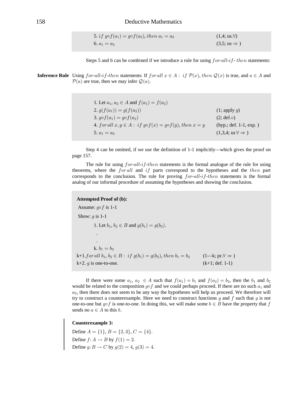5. if 
$$
g \circ f(a_1) = g \circ f(a_2)
$$
, then  $a_1 = a_2$    
 (1,4; us.7)  
6.  $a_1 = a_2$    
 (3,5; us  $\Rightarrow$ )

Steps 5 and 6 can be combined if we introduce a rule for using  $for$ -all-if-then statements:

**Inference Rule** Using *for-all-if-then* statements: If *for all*  $x \in A$ : *if*  $\mathcal{P}(x)$ *, then*  $\mathcal{Q}(x)$  is true, and  $a \in A$  and  $\mathcal{P}(a)$  are true, then we may infer  $\mathcal{Q}(a)$ .

| 1. Let $a_1, a_2 \in A$ and $f(a_1) = f(a_2)$                             |                                            |
|---------------------------------------------------------------------------|--------------------------------------------|
| 2. $g(f(a_1)) = g(f(a_2))$                                                | $(1;$ apply q)                             |
| 3. $g \circ f(a_1) = g \circ f(a_2)$                                      | $(2; def. \circ)$                          |
| 4. for all $x, y \in A$ : if $g \circ f(x) = g \circ f(y)$ , then $x = y$ | $(hyp.; def. 1-1, exp.)$                   |
| 5. $a_1 = a_2$                                                            | $(1,3,4; \text{ us } \forall \Rightarrow)$ |

Step 4 can be omitted, if we use the definition of 1-1 implicitly—which gives the proof on page 157.

The rule for using *for-all-if-then* statements is the formal analogue of the rule for using theorems, where the *for all* and *if* parts correspond to the hypotheses and the *then* part corresponds to the conclusion. The rule for proving for-all-if-then statements is the formal analog of our informal procedure of assuming the hypotheses and showing the conclusion.

# **Attempted Proof of (b):** Assume:  $q \circ f$  is 1-1 Show:  $g$  is 1-1 1. Let  $b_1, b_2 \in B$  and  $g(b_1) = g(b_2)$ . k.  $b_1 = b_2$ k+1.for all  $b_1, b_2 \in B$ : if  $g(b_1) = g(b_2)$ , then  $b_1 = b_2$  (1—k; pr. $\forall \Rightarrow$ )  $(k+1; def. 1-1)$ k+2.  $q$  is one-to-one.

If there were some  $a_1, a_2 \in A$  such that  $f(a_1) = b_1$  and  $f(a_2) = b_2$ , then the  $b_1$  and  $b_2$ would be related to the composition  $g \circ f$  and we could perhaps proceed. If there are no such  $a_1$  and  $a_2$ , then there does not seem to be any way the hypotheses will help us proceed. We therefore will try to construct a counterexample. Here we need to construct functions  $q$  and  $f$  such that  $q$  is not one-to-one but  $q \circ f$  is one-to-one. In doing this, we will make some  $b \in B$  have the property that f sends no  $a \in A$  to this b.

## **Counterexample 3:**

Define  $A = \{1\}$ ,  $B = \{2, 3\}$ ,  $C = \{4\}$ .<br>Define  $f: A \rightarrow B$  by  $f(1) = 2$ . Define  $g: B \to C$  by  $g(2) = 4$ ,  $g(3) = 4$ .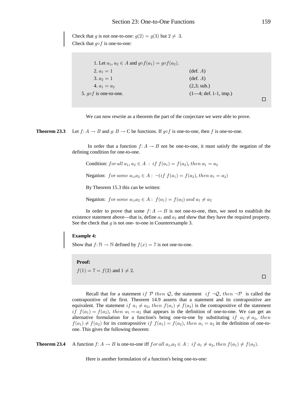Check that g is not one-to-one:  $g(2) = g(3)$  but  $2 \neq 3$ . Check that  $q \circ f$  is one-to-one:

| 1. Let $a_1, a_2 \in A$ and $g \circ f(a_1) = g \circ f(a_2)$ . |                                        |  |
|-----------------------------------------------------------------|----------------------------------------|--|
| 2. $a_1 = 1$                                                    | $(\text{def. } A)$                     |  |
| 3. $a_2 = 1$                                                    | $(\text{def. } A)$                     |  |
| 4. $a_1 = a_2$                                                  | (2,3; sub.)                            |  |
| 5. $q \circ f$ is one-to-one.                                   | $(1-4; \text{def. } 1-1, \text{imp.})$ |  |
|                                                                 |                                        |  |

We can now rewrite as a theorem the part of the conjecture we were able to prove.

Theorem 23.3 Let  $f: A \to B$  and  $g: B \to C$  be functions. If  $g \circ f$  is one-to-one, then f is one-to-one.

> In order that a function  $f: A \to B$  not be one-to-one, it must satisfy the negation of the defining condition for one-to-one.

Condition: for all 
$$
a_1, a_2 \in A
$$
: if  $f(a_1) = f(a_2)$ , then  $a_1 = a_2$ 

Negation: for some  $a_1, a_2 \in A$ :  $\neg (if f(a_1) = f(a_2), then a_1 = a_2)$ 

By Theorem 15.3 this can be written:

Negation: for some  $a_1, a_2 \in A$ :  $f(a_1) = f(a_2)$  and  $a_1 \neq a_2$ 

In order to prove that some  $f: A \to B$  is not one-to-one, then, we need to establish the existence statement above—that is, define  $a_1$  and  $a_2$  and show that they have the required property. See the check that  $q$  is not one- to-one in Counterexample 3.

## **Example 4:**

Show that  $f: \mathbb{N} \to \mathbb{N}$  defined by  $f(x) = 7$  is not one-to-one.

## Proof:

 $f(1) = 7 = f(2)$  and  $1 \neq 2$ .

 $\Box$ 

Recall that for a statement if  $P$  then Q, the statement if  $\neg Q$ , then  $\neg P$  is called the contrapositive of the first. Theorem 14.9 asserts that a statement and its contrapositive are equivalent. The statement if  $a_1 \neq a_2$ , then  $f(a_1) \neq f(a_2)$  is the contrapositive of the statement if  $f(a_1) = f(a_2)$ , then  $a_1 = a_2$  that appears in the definition of one-to-one. We can get an alternative formulation for a function's being one-to-one by substituting if  $a_1 \neq a_2$ , then  $f(a_1) \neq f(a_2)$  for its contrapositive if  $f(a_1) = f(a_2)$ , then  $a_1 = a_2$  in the definition of one-toone. This gives the following theorem:

Theorem 23.4 A function  $f: A \to B$  is one-to-one iff  $for all$   $a_1, a_2 \in A: if$   $a_1 \neq a_2, then$   $f(a_1) \neq f(a_2)$ .

Here is another formulation of a function's being one-to-one: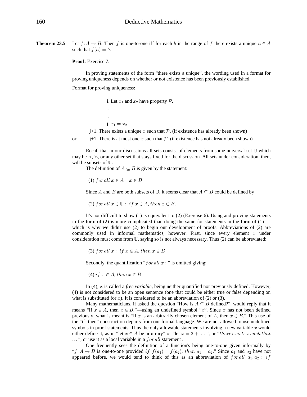**Theorem 23.5** Let  $f: A \to B$ . Then f is one-to-one iff for each b in the range of f there exists a unique  $a \in A$ such that  $f(a) = b$ .

**Proof:** Exercise 7.

 . .

In proving statements of the form "there exists a unique", the wording used in a format for proving uniqueness depends on whether or not existence has been previously established.

Format for proving uniqueness:

i. Let  $x_1$  and  $x_2$  have property  $P$ .

j.  $x_1 = x_2$ 

 $j+1$ . There exists a unique x such that P. (if existence has already been shown)

or j+1. There is at most one x such that P. (if existence has not already been shown)

Recall that in our discussions all sets consist of elements from some universal set  $\mathbb U$  which may be  $\mathbb{N}, \mathbb{Z}$ , or any other set that stays fixed for the discussion. All sets under consideration, then, will be subsets of  $U$ .

The definition of  $A \subseteq B$  is given by the statement:

(1) for all  $x \in A : x \in B$ 

Since A and B are both subsets of U, it seems clear that  $A \subseteq B$  could be defined by

(2) for all  $x \in \mathbb{U}$ : if  $x \in A$ , then  $x \in B$ .

It's not difficult to show (1) is equivalent to (2) (Exercise 6). Using and proving statements in the form of (2) is more complicated than doing the same for statements in the form of  $(1)$  which is why we didn't use (2) to begin our development of proofs. Abbreviations of (2) are commonly used in informal mathematics, however. First, since every element  $x$  under consideration must come from  $\mathbb{U}$ , saying so is not always necessary. Thus (2) can be abbreviated:

(3) for all  $x:$  if  $x \in A$ , then  $x \in B$ 

Secondly, the quantification " $for all x$ : " is omitted giving:

(4) if  $x \in A$ , then  $x \in B$ 

In  $(4)$ , x is called a *free variable*, being neither quantified nor previously defined. However, (4) is not considered to be an open sentence (one that could be either true or false depending on what is substituted for x). It is considered to be an abbreviation of (2) or (3).

Many mathematicians, if asked the question "How is  $A \subseteq B$  defined?", would reply that it means "If  $x \in A$ , then  $x \in B$ ."—using an undefined symbol "x". Since x has not been defined previously, what is meant is "If x is an arbitrarily chosen element of A, then  $x \in B$ ." This use of the "if- then" construction departs from our formal language. We are not allowed to use undefined symbols in proof statements. Thus the only allowable statements involving a new variable  $x$  would either define it, as in "let  $x \in A$  be arbitrary" or "let  $x = 2 + ...$ ", or "there exists x such that ...", or use it as a local variable in a for all statement.

One frequently sees the definition of a function's being one-to-one given informally by " $f: A \to B$  is one-to-one provided if  $f(a_1) = f(a_2)$ , then  $a_1 = a_2$ ." Since  $a_1$  and  $a_2$  have not appeared before, we would tend to think of this as an abbreviation of  $for all$   $a_1, a_2 : if$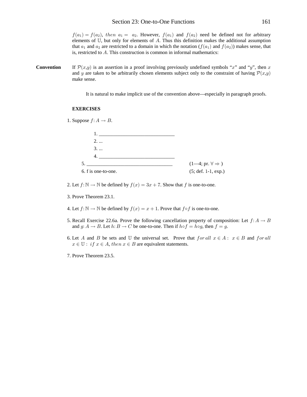$f(a_1) = f(a_2)$ , then  $a_1 = a_2$ . However,  $f(a_1)$  and  $f(a_2)$  need be defined not for arbitrary elements of  $\mathbb{U}$ , but only for elements of A. Thus this definition makes the additional assumption that  $a_1$  and  $a_2$  are restricted to a domain in which the notation  $(f(a_1)$  and  $f(a_2))$  makes sense, that is, restricted to  $A$ . This construction is common in informal mathematics:

**Convention** If  $\mathcal{P}(x,y)$  is an assertion in a proof involving previously undefined symbols "x" and "y", then x and y are taken to be arbitrarily chosen elements subject only to the constraint of having  $\mathcal{P}(x,y)$ make sense.

It is natural to make implicit use of the convention above—especially in paragraph proofs.

## **EXERCISES**

1. Suppose  $f: A \rightarrow B$ .

| 2                   |                                  |
|---------------------|----------------------------------|
| $3. \dots$          |                                  |
|                     |                                  |
|                     | $(1-4; pr. \forall \Rightarrow)$ |
| 6. f is one-to-one. | $(5; def. 1-1, exp.)$            |

- 2. Let  $f: \mathbb{N} \to \mathbb{N}$  be defined by  $f(x) = 3x + 7$ . Show that f is one-to-one.
- 3. Prove Theorem 23.1.
- 4. Let  $f: \mathbb{N} \to \mathbb{N}$  be defined by  $f(x) = x + 1$ . Prove that  $f \circ f$  is one-to-one.
- 5. Recall Exercise 22.6a. Prove the following cancellation property of composition: Let  $f: A \rightarrow B$ and  $g: A \to B$ . Let  $h: B \to C$  be one-to-one. Then if  $h \circ f = h \circ g$ , then  $f = g$ .
- 6. Let A and B be sets and U the universal set. Prove that  $for all x \in A: x \in B$  and  $for all$  $x \in \mathbb{U}$ : if  $x \in A$ , then  $x \in B$  are equivalent statements.
- 7. Prove Theorem 23.5.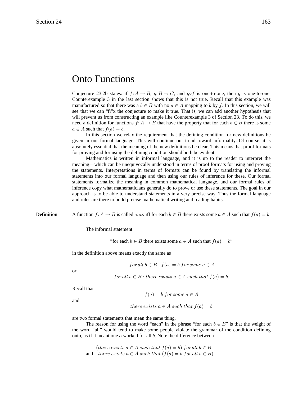# Onto Functions

Conjecture 23.2b states: if  $f: A \rightarrow B$ ,  $g: B \rightarrow C$ , and  $g \circ f$  is one-to-one, then g is one-to-one. Counterexample 3 in the last section shows that this is not true. Recall that this example was manufactured so that there was a  $b \in B$  with no  $a \in A$  mapping to b by f. In this section, we will see that we can "fi"x the conjecture to make it true. That is, we can add another hypothesis that will prevent us from constructing an example like Counterexample 3 of Section 23. To do this, we need a definition for functions  $f: A \to B$  that have the property that for each  $b \in B$  there is some  $a \in A$  such that  $f(a) = b$ .

In this section we relax the requirement that the defining condition for new definitions be given in our formal language. This will continue our trend toward informality. Of course, it is absolutely essential that the meaning of the new definitions be clear. This means that proof formats for proving and for using the defining condition should both be evident.

Mathematics is written in informal language, and it is up to the reader to interpret the meaning—which can be unequivocally understood in terms of proof formats for using and proving the statements. Interpretations in terms of formats can be found by translating the informal statements into our formal language and then using our rules of inference for these. Our formal statements formalize the meaning in common mathematical language, and our formal rules of inference copy what mathematicians generally do to prove or use these statements. The goal in our approach is to be able to understand statements in a very precise way. Thus the formal language and rules are there to build precise mathematical writing and reading habits.

**Definition** A function  $f: A \to B$  is called *onto* iff for each  $b \in B$  there exists some  $a \in A$  such that  $f(a) = b$ .

The informal statement

"for each  $b \in B$  there exists some  $a \in A$  such that  $f(a) = b$ "

in the definition above means exactly the same as

$$
for all b \in B : f(a) = b \text{ for some } a \in A
$$

or

for all  $b \in B$ : there exists  $a \in A$  such that  $f(a) = b$ .

Recall that

and

$$
f(a) = b \text{ for some } a \in A
$$

there exists  $a \in A$  such that  $f(a) = b$ 

are two formal statements that mean the same thing.

The reason for using the word "each" in the phrase "for each  $b \in B$ " is that the weight of the word "all" would tend to make some people violate the grammar of the condition defining onto, as if it meant one  $a$  worked for all  $b$ . Note the difference between

(there exists  $a \in A$  such that  $f(a) = b$ ) for all  $b \in B$ and there exists  $a \in A$  such that  $(f(a) = b$  for all  $b \in B)$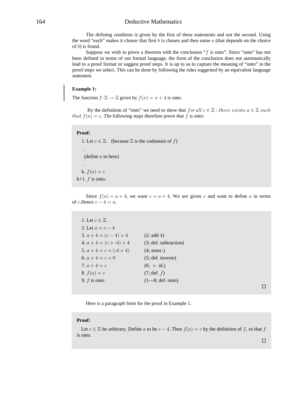# 164 Deductive Mathematics

The defining condition is given by the first of these statements and not the second. Using the word "each" makes it clearer that first  $b$  is chosen and then some  $a$  (that depends on the choice of  $b$ ) is found.

Suppose we wish to prove a theorem with the conclusion " $f$  is onto". Since "onto" has not been defined in terms of our formal language, the form of the conclusion does not automatically lead to a proof format or suggest proof steps. It is up to us to capture the meaning of "onto" in the proof steps we select. This can be done by following the rules suggested by an equivalent language statement.

# **Example 1:**

The function  $f: \mathbb{Z} \to \mathbb{Z}$  given by  $f(x) = x + 4$  is onto.

By the definition of "onto" we need to show that  $for all$   $c \in \mathbb{Z}$ : there exists  $a \in \mathbb{Z}$  such that  $f(a) = c$ . The following steps therefore prove that f is onto:

# **Proof:**

1. Let  $c \in \mathbb{Z}$ . (because  $\mathbb Z$  is the codomain of f) . (define  $a$  in here) . k.  $f(a) = c$ k+1.  $f$  is onto.

Since  $f(a) = a + 4$ , we want  $c = a + 4$ . We are given c and want to define a in terms of c.Hence  $c - 4 = a$ .

| 1. Let $c \in \mathbb{Z}$ . |                           |
|-----------------------------|---------------------------|
| 2. Let $a = c - 4$          |                           |
| 3. $a + 4 = (c - 4) + 4$    | (2: add 4)                |
| 4. $a + 4 = (c + -4) + 4$   | (3; def. subtraction)     |
| 5. $a + 4 = c + (-4 + 4)$   | $(4;$ assoc.)             |
| 6. $a + 4 = c + 0$          | (5; def. inverse)         |
| 7. $a + 4 = c$              | $(6; + id.)$              |
| 8. $f(a) = c$               | (7; def. f)               |
| 9. $f$ is onto              | $(1-8; \text{def. onto})$ |
|                             |                           |

 $\Box$ 

Here is a paragraph form for the proof in Example 1.

#### **Proof:**

Let  $c \in \mathbb{Z}$  be arbitrary. Define a to be  $c - 4$ . Then  $f(a) = c$  by the definition of f, so that f is onto.  $\Box$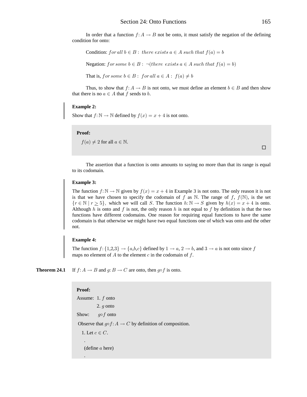In order that a function  $f: A \to B$  not be onto, it must satisfy the negation of the defining condition for onto:

Condition: for all  $b \in B$ : there exists  $a \in A$  such that  $f(a) = b$ Negation: for some  $b \in B$ :  $\neg$ (there exists  $a \in A$  such that  $f(a) = b$ ) That is, for some  $b \in B$ : for all  $a \in A$ :  $f(a) \neq b$ 

Thus, to show that  $f: A \to B$  is not onto, we must define an element  $b \in B$  and then show that there is no  $a \in A$  that f sends to b.

## **Example 2:**

Show that  $f: \mathbb{N} \to \mathbb{N}$  defined by  $f(x) = x + 4$  is not onto.

## Proof:

 $f(a) \neq 2$  for all  $a \in \mathbb{N}$ .

 $\Box$ 

The assertion that a function is onto amounts to saying no more than that its range is equal to its codomain.

## **Example 3:**

The function  $f: \mathbb{N} \to \mathbb{N}$  given by  $f(x) = x + 4$  in Example 3 is not onto. The only reason it is not is that we have chosen to specify the codomain of f as N. The range of f,  $f(N)$ , is the set  $\{r \in \mathbb{N} \mid r \ge 5\}$ , which we will call S. The function  $h: \mathbb{N} \to S$  given by  $h(x) = x + 4$  is onto. Although h is onto and f is not, the only reason h is not equal to f by definition is that the two functions have different codomains. One reason for requiring equal functions to have the same codomain is that otherwise we might have two equal functions one of which was onto and the other not.

## **Example 4:**

The function  $f: \{1,2,3\} \rightarrow \{a,b,c\}$  defined by  $1 \rightarrow a$ ,  $2 \rightarrow b$ , and  $3 \rightarrow a$  is not onto since f maps no element of  $A$  to the element  $c$  in the codomain of  $f$ .

If  $f: A \to B$  and  $g: B \to C$  are onto, then  $g \circ f$  is onto. Theorem 24.1

> Proof: Assume: 1.  $f$  onto 2.  *onto*  $q \circ f$  onto Show: Observe that  $q \circ f : A \to C$  by definition of composition. 1. Let  $c \in C$ .  $(define a here)$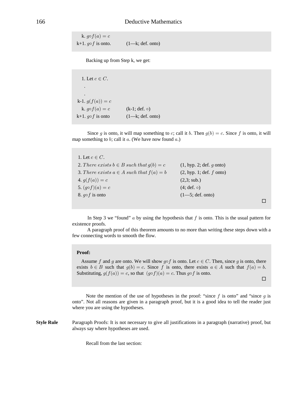k.  $g \circ f(a) = c$ k+1.  $g \circ f$  is onto. (1—k; def. onto)

Backing up from Step k, we get:

1. Let  $c \in C$ . . . k-1.  $g(f(a)) = c$ k.  $g \circ f(a) = c$  (k-1; def.  $\circ$ ) k+1.  $q \circ f$  is onto (1—k; def. onto)

Since g is onto, it will map something to c; call it b. Then  $g(b) = c$ . Since f is onto, it will map something to  $b$ ; call it  $a$ . (We have now found  $a$ .)

1. Let  $c \in C$ . 2. There exists  $b \in B$  such that  $g(b) = c$  (1, hyp. 2; def. g onto) 3. There exists  $a \in A$  such that  $f(a) = b$  (2, hyp. 1; def. f onto) 4.  $q(f(a)) = c$  (2,3; sub.) 5.  $(g \circ f)(a) = c$  (4; def.  $\circ$ ) 8.  $g \circ f$  is onto (1—5; def. onto)

In Step 3 we "found"  $a$  by using the hypothesis that  $f$  is onto. This is the usual pattern for existence proofs.

 $\Box$ 

 $\Box$ 

 A paragraph proof of this theorem amounts to no more than writing these steps down with a few connecting words to smooth the flow.

## **Proof:**

Assume f and g are onto. We will show g $\circ$ f is onto. Let  $c \in C$ . Then, since g is onto, there exists  $b \in B$  such that  $g(b) = c$ . Since f is onto, there exists  $a \in A$  such that  $f(a) = b$ . Substituting,  $g(f(a)) = c$ , so that  $(g \circ f)(a) = c$ . Thus  $g \circ f$  is onto.

Note the mention of the use of hypotheses in the proof: "since f is onto" and "since g is onto". Not all reasons are given in a paragraph proof, but it is a good idea to tell the reader just where you are using the hypotheses.

**Style Rule** Paragraph Proofs: It is not necessary to give all justifications in a paragraph (narrative) proof, but always say where hypotheses are used.

Recall from the last section: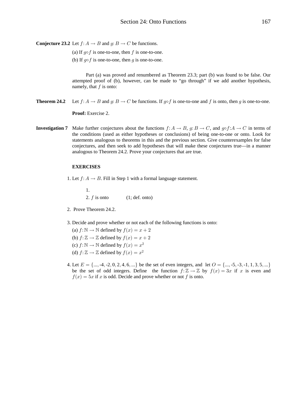**Conjecture 23.2** Let  $f: A \rightarrow B$  and  $g: B \rightarrow C$  be functions.

(a) If  $g \circ f$  is one-to-one, then f is one-to-one.

(b) If  $g \circ f$  is one-to-one, then g is one-to-one.

Part (a) was proved and renumbered as Theorem 23.3; part (b) was found to be false. Our attempted proof of (b), however, can be made to "go through" if we add another hypothesis, namely, that  $f$  is onto:

Let  $f: A \to B$  and  $g: B \to C$  be functions. If  $g \circ f$  is one-to-one and f is onto, then g is one-to-one. Theorem 24.2

Proof: Exercise 2.

**Investigation 7** Make further conjectures about the functions  $f: A \to B$ ,  $g: B \to C$ , and  $g \circ f: A \to C$  in terms of the conditions (used as either hypotheses or conclusions) of being one-to-one or onto. Look for statements analogous to theorems in this and the previous section. Give counterexamples for false conjectures, and then seek to add hypotheses that will make these conjectures true—in a manner analogous to Theorem 24.2. Prove your conjectures that are true.

## **EXERCISES**

1. Let  $f: A \rightarrow B$ . Fill in Step 1 with a formal language statement.

1. 2.  $f$  is onto  $(1; def. onto)$ 

- 2. Prove Theorem 24.2.
- 3. Decide and prove whether or not each of the following functions is onto:

(a)  $f: \mathbb{N} \to \mathbb{N}$  defined by  $f(x) = x + 2$ (b)  $f: \mathbb{Z} \to \mathbb{Z}$  defined by  $f(x) = x + 2$ (c)  $f: \mathbb{N} \to \mathbb{N}$  defined by  $f(x) = x^2$ (d)  $f: \mathbb{Z} \to \mathbb{Z}$  defined by  $f(x) = x^2$ 

4. Let  $E = \{..., -4, -2, 0, 2, 4, 6, ...\}$  be the set of even integers, and let  $O = \{..., -5, -3, -1, 1, 3, 5, ...\}$ be the set of odd integers. Define the function  $f: \mathbb{Z} \to \mathbb{Z}$  by  $f(x) = 3x$  if x is even and  $f(x) = 5x$  if x is odd. Decide and prove whether or not f is onto.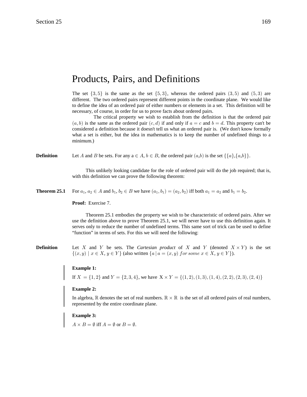# Products, Pairs, and Definitions

The set  $\{3,5\}$  is the same as the set  $\{5,3\}$ , whereas the ordered pairs  $(3,5)$  and  $(5,3)$  are different. The two ordered pairs represent different points in the coordinate plane. We would like to define the idea of an ordered pair of either numbers or elements in a set. This definition will be necessary, of course, in order for us to prove facts about ordered pairs.

 The critical property we wish to establish from the definition is that the ordered pair  $(a, b)$  is the same as the ordered pair  $(c, d)$  if and only if  $a = c$  and  $b = d$ . This property can't be considered a definition because it doesn't tell us what an ordered pair is. (We don't know formally what a set is either, but the idea in mathematics is to keep the number of undefined things to a minimum.)

**Definition** Let A and B be sets. For any  $a \in A$ ,  $b \in B$ , the ordered pair  $(a,b)$  is the set  $\{\{a\},\{a,b\}\}\$ .

This unlikely looking candidate for the role of ordered pair will do the job required; that is, with this definition we can prove the following theorem:

**Theorem 25.1** For  $a_1, a_2 \in A$  and  $b_1, b_2 \in B$  we have  $(a_1, b_1) = (a_2, b_2)$  iff both  $a_1 = a_2$  and  $b_1 = b_2$ .

**Proof:** Exercise 7.

Theorem 25.1 embodies the property we wish to be characteristic of ordered pairs. After we use the definition above to prove Theorem 25.1, we will never have to use this definition again. It serves only to reduce the number of undefined terms. This same sort of trick can be used to define "function" in terms of sets. For this we will need the following:

**Definition** Let X and Y be sets. The Cartesian product of X and Y (denoted  $X \times Y$ ) is the set  $\{(x, y) \mid x \in X, y \in Y\}$  (also written  $\{a \mid a = (x, y) \text{ for some } x \in X, y \in Y\}$ ).

## **Example 1:**

If  $X = \{1, 2\}$  and  $Y = \{2, 3, 4\}$ , we have  $X \times Y = \{(1, 2), (1, 3), (1, 4), (2, 2), (2, 3), (2, 4)\}$ 

# **Example 2:**

In algebra,  $\mathbb R$  denotes the set of real numbers.  $\mathbb R \times \mathbb R$  is the set of all ordered pairs of real numbers, represented by the entire coordinate plane.

## **Example 3:**

 $A \times B = \emptyset$  iff  $A = \emptyset$  or  $B = \emptyset$ .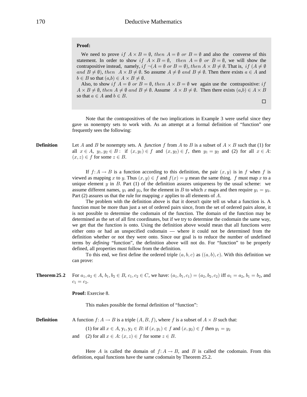## Proof:

We need to prove if  $A \times B = \emptyset$ , then  $A = \emptyset$  or  $B = \emptyset$  and also the converse of this statement. In order to show if  $A \times B = \emptyset$ , then  $A = \emptyset$  or  $B = \emptyset$ , we will show the contrapositive instead, namely, if  $\neg(A = \emptyset \text{ or } B = \emptyset)$ , then  $A \times B \neq \emptyset$ . That is, if  $(A \neq \emptyset)$ and  $B \neq \emptyset$ ), then  $A \times B \neq \emptyset$ . So assume  $A \neq \emptyset$  and  $B \neq \emptyset$ . Then there exists  $a \in A$  and  $b \in B$  so that  $(a,b) \in A \times B \neq \emptyset$ .

Also, to show if  $A = \emptyset$  or  $B = \emptyset$ , then  $A \times B = \emptyset$  we again use the contrapositive: if  $A \times B \neq \emptyset$ , then  $A \neq \emptyset$  and  $B \neq \emptyset$ . Assume  $A \times B \neq \emptyset$ . Then there exists  $(a,b) \in A \times B$ so that  $a \in A$  and  $b \in B$ .

Note that the contrapositives of the two implications in Example 3 were useful since they gave us nonempty sets to work with. As an attempt at a formal definition of "function" one frequently sees the following:

## **Definition**

Let A and B be nonempty sets. A function f from A to B is a subset of  $A \times B$  such that (1) for all  $x \in A$ ,  $y_1, y_2 \in B$ : if  $(x, y_1) \in f$  and  $(x, y_2) \in f$ , then  $y_1 = y_2$  and (2) for all  $x \in A$ :  $(x, z) \in f$  for some  $z \in B$ .

If  $f: A \to B$  is a function according to this definition, the pair  $(x, y)$  is in f when f is viewed as mapping x to y. Thus  $(x, y) \in f$  and  $f(x) = y$  mean the same thing. f must map x to a unique element  $y$  in  $B$ . Part (1) of the definition assures uniqueness by the usual scheme: we assume different names,  $y_1$  and  $y_2$ , for the element in B to which x maps and then require  $y_1 = y_2$ . Part (2) assures us that the rule for mapping x applies to all elements of A.

The problem with the definition above is that it doesn't quite tell us what a function is. A function must be more than just a set of ordered pairs since, from the set of ordered pairs alone, it is not possible to determine the codomain of the function. The domain of the function may be determined as the set of all first coordinates, but if we try to determine the codomain the same way, we get that the function is onto. Using the definition above would mean that all functions were either onto or had an unspecified codomain — where it could not be determined from the definition whether or not they were onto. Since our goal is to reduce the number of undefined terms by *defining* "function", the definition above will not do. For "function" to be properly defined, all properties must follow from the definition.

To this end, we first define the ordered triple  $(a, b, c)$  as  $((a, b), c)$ . With this definition we can prove:

For  $a_1, a_2 \in A$ ,  $b_1, b_2 \in B$ ,  $c_1, c_2 \in C$ , we have:  $(a_1, b_1, c_1) = (a_2, b_2, c_2)$  iff  $a_1 = a_2$ ,  $b_1 = b_2$ , and Theorem 25.2  $c_1 = c_2.$ 

**Proof:** Exercise 8.

This makes possible the formal definition of "function":

A function  $f: A \to B$  is a triple  $(A, B, f)$ , where f is a subset of  $A \times B$  such that: **Definition** 

(1) for all  $x \in A$ ,  $y_1, y_2 \in B$ : if  $(x, y_1) \in f$  and  $(x, y_2) \in f$  then  $y_1 = y_2$ 

(2) for all  $x \in A$ :  $(x, z) \in f$  for some  $z \in B$ . and

Here A is called the domain of  $f: A \rightarrow B$ , and B is called the codomain. From this definition, equal functions have the same codomain by Theorem 25.2.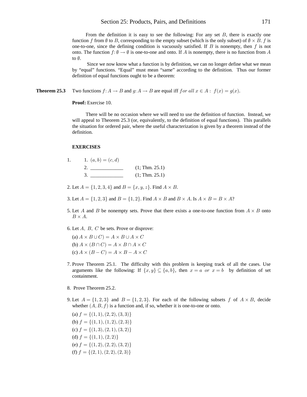# Section 25: Products, Pairs, and Definitions

From the definition it is easy to see the following: For any set  $B$ , there is exactly one function f from  $\emptyset$  to B, corresponding to the empty subset (which is the only subset) of  $\emptyset \times B$ . f is one-to-one, since the defining condition is vacuously satisfied. If  $B$  is nonempty, then  $f$  is not onto. The function  $f: \emptyset \to \emptyset$  is one-to-one and onto. If A is nonempty, there is no function from A to  $\emptyset$ .

Since we now know what a function is by definition, we can no longer define what we mean by "equal" functions. "Equal" must mean "same" according to the definition. Thus our former definition of equal functions ought to be a theorem:

Two functions  $f: A \to B$  and  $g: A \to B$  are equal iff  $for all x \in A: f(x) = g(x)$ . Theorem 25.3

Proof: Exercise 10.

There will be no occasion where we will need to use the definition of function. Instead, we will appeal to Theorem 25.3 (or, equivalently, to the definition of equal functions). This parallels the situation for ordered pair, where the useful characterization is given by a theorem instead of the definition.

#### **EXERCISES**

1.

| 1. $(a,b)=(c,d)$ |                |
|------------------|----------------|
|                  | (1; Thm. 25.1) |
|                  | (1; Thm. 25.1) |

2. Let  $A = \{1, 2, 3, 4\}$  and  $B = \{x, y, z\}$ . Find  $A \times B$ .

3. Let  $A = \{1, 2, 3\}$  and  $B = \{1, 2\}$ . Find  $A \times B$  and  $B \times A$ . Is  $A \times B = B \times A$ ?

- 5. Let A and B be nonempty sets. Prove that there exists a one-to-one function from  $A \times B$  onto  $B \times A$ .
- 6. Let  $A$ ,  $B$ ,  $C$  be sets. Prove or disprove:

(a)  $A \times B \cup C$  =  $A \times B \cup A \times C$ (b)  $A \times (B \cap C) = A \times B \cap A \times C$ (c)  $A \times (B - C) = A \times B - A \times C$ 

- 7. Prove Theorem 25.1. The difficulty with this problem is keeping track of all the cases. Use arguments like the following: If  $\{x, y\} \subseteq \{a, b\}$ , then  $x = a$  or  $x = b$  by definition of set containment.
- 8. Prove Theorem 25.2.
- 9. Let  $A = \{1, 2, 3\}$  and  $B = \{1, 2, 3\}$ . For each of the following subsets f of  $A \times B$ , decide whether  $(A, B, f)$  is a function and, if so, whether it is one-to-one or onto.

(a)  $f = \{(1, 1), (2, 2), (3, 3)\}\$ (b)  $f = \{(1, 1), (1, 2), (2, 3)\}\$ (c)  $f = \{(1,3), (2,1), (3,2)\}\$ (d)  $f = \{(1, 1), (2, 2)\}\$ (e)  $f = \{(1, 2), (2, 2), (3, 2)\}\$ (f)  $f = \{(2, 1), (2, 2), (2, 3)\}\$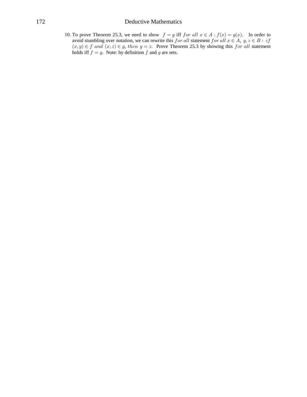# **Deductive Mathematics**

10. To prove Theorem 25.3, we need to show  $f = g$  iff for all  $x \in A : f(x) = g(x)$ . In order to avoid stumbling over notation, we can rewrite this for all statement for all  $x \in A$ ,  $y, z \in B$ : if  $(x, y) \in f$  and  $(x, z) \in g$ , then  $y = z$ . Prove Theorem 25.3 by showing this for all statement holds iff  $f = g$ . Note: by definition f and g are sets.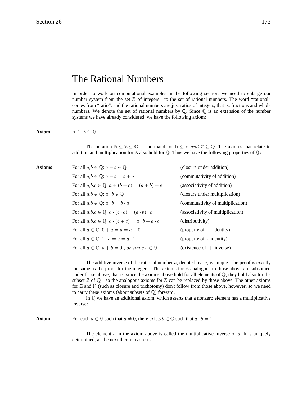# The Rational Numbers

In order to work on computational examples in the following section, we need to enlarge our number system from the set  $Z$  of integers—to the set of rational numbers. The word "rational" comes from "ratio", and the rational numbers are just ratios of integers, that is, fractions and whole numbers. We denote the set of rational numbers by  $\mathbb Q$ . Since  $\mathbb Q$  is an extension of the number systems we have already considered, we have the following axiom:

**Axiom**  $N \subseteq \mathbb{Z} \subseteq \mathbb{Q}$ 

The notation  $\mathbb{N} \subseteq \mathbb{Z} \subseteq \mathbb{Q}$  is shorthand for  $\mathbb{N} \subseteq \mathbb{Z}$  and  $\mathbb{Z} \subseteq \mathbb{Q}$ . The axioms that relate to addition and multiplication for  $\mathbb{Z}$  also hold for  $\mathbb{Q}$ . Thus we have the following properties of  $\mathbb{Q}$ :

| Axioms | For all $a,b \in \mathbb{Q}$ : $a+b \in \mathbb{Q}$                          | (closure under addition)          |
|--------|------------------------------------------------------------------------------|-----------------------------------|
|        | For all $a,b \in \mathbb{Q}$ : $a+b=b+a$                                     | (commutativity of addition)       |
|        | For all $a, b, c \in \mathbb{Q}$ : $a + (b + c) = (a + b) + c$               | (associativity of addition)       |
|        | For all $a,b \in \mathbb{Q}$ : $a \cdot b \in \mathbb{Q}$                    | (closure under multiplication)    |
|        | For all $a,b \in \mathbb{Q}$ : $a \cdot b = b \cdot a$                       | (commutativity of multiplication) |
|        | For all $a,b,c \in \mathbb{Q}$ : $a \cdot (b \cdot c) = (a \cdot b) \cdot c$ | (associativity of multiplication) |
|        | For all $a,b,c \in \mathbb{Q}$ : $a \cdot (b+c) = a \cdot b + a \cdot c$     | (distributivity)                  |
|        | For all $a \in \mathbb{O}$ : $0 + a = a = a + 0$                             | (property of $+$ identity)        |
|        | For all $a \in \mathbb{Q}$ : $1 \cdot a = a = a \cdot 1$                     | (property of $\cdot$ identity)    |
|        | For all $a \in \mathbb{Q}$ : $a + b = 0$ for some $b \in \mathbb{Q}$         | $(existence of + inverse)$        |
|        |                                                                              |                                   |

The additive inverse of the rational number  $a$ , denoted by  $-a$ , is unique. The proof is exactly the same as the proof for the integers. The axioms for  $\mathbb Z$  analogous to those above are subsumed under those above; that is, since the axioms above hold for all elements of  $\mathbb Q$ , they hold also for the subset  $\mathbb Z$  of  $\mathbb Q$ —so the analogous axioms for  $\mathbb Z$  can be replaced by those above. The other axioms for  $\mathbb Z$  and  $\mathbb N$  (such as closure and trichotomy) don't follow from those above, however, so we need to carry these axioms (about subsets of  $\mathbb{Q}$ ) forward.

In  $\mathbb Q$  we have an additional axiom, which asserts that a nonzero element has a multiplicative inverse:

**Axiom** For each  $a \in \mathbb{Q}$  such that  $a \neq 0$ , there exists  $b \in \mathbb{Q}$  such that  $a \cdot b = 1$ 

The element  $b$  in the axiom above is called the multiplicative inverse of  $a$ . It is uniquely determined, as the next theorem asserts.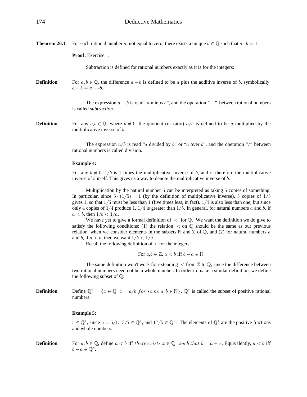**Theorem 26.1** For each rational number a, not equal to zero, there exists a unique  $b \in \mathbb{Q}$  such that  $a \cdot b = 1$ .

**Proof:** Exercise 1.

Subtraction is defined for rational numbers exactly as it is for the integers:

**Definition** For  $a, b \in \mathbb{Q}$ , the difference  $a - b$  is defined to be a plus the additive inverse of b, symbolically:  $a - b = a + -b.$ 

> The expression  $a - b$  is read "a minus b", and the operation "-" between rational numbers is called *subtraction.*

**Definition** For any  $a, b \in \mathbb{Q}$ , where  $b \neq 0$ , the quotient (or ratio)  $a/b$  is defined to be a multiplied by the multiplicative inverse of *.* 

> The expression  $a/b$  is read "a divided by b" or "a over b", and the operation "/" between rational numbers is called division.

# **Example 4:**

For any  $b \neq 0, 1/b$  is 1 times the multiplicative inverse of b, and is therefore the multiplicative inverse of  $b$  itself. This gives us a way to denote the multiplicative inverse of  $b$ .

Multiplication by the natural number  $5$  can be interpreted as taking  $5$  copies of something. In particular, since  $5 \cdot (1/5) = 1$  (by the definition of multiplicative inverse), 5 copies of  $1/5$ gives 1, so that  $1/5$  must be less than 1 (five times less, in fact).  $1/4$  is also less than one, but since only 4 copies of  $1/4$  produce 1,  $1/4$  is greater than  $1/5$ . In general, for natural numbers a and b, if  $a < b$ , then  $1/b < 1/a$ .

We have yet to give a formal definition of  $\langle$  for  $\mathbb{Q}$ . We want the definition we do give to satisfy the following conditions: (1) the relation  $\langle$  on  $\mathbb{Q}$  should be the same as our previous relation, when we consider elements in the subsets  $\mathbb N$  and  $\mathbb Z$  of  $\mathbb Q$ , and (2) for natural numbers a and b, if  $a < b$ , then we want  $1/b < 1/a$ .

Recall the following definition of  $\leq$  for the integers:

For  $a, b \in \mathbb{Z}$ ,  $a < b$  iff  $b - a \in \mathbb{N}$ .

The same definition won't work for extending  $\lt$  from  $\mathbb Z$  to  $\mathbb Q$ , since the difference between two rational numbers need not be a whole number. In order to make a similar definition, we define the following subset of  $\mathbb{Q}$ :

**Definition** Define  $\mathbb{Q}^+ = \{x \in \mathbb{Q} \mid x = a/b \text{ for some } a, b \in \mathbb{N} \}$ .  $\mathbb{Q}^+$  is called the subset of positive rational numbers.

## **Example 5:**

 $5 \in \mathbb{Q}^+$ , since  $5 = 5/1$ .  $3/7 \in \mathbb{Q}^+$ , and  $17/5 \in \mathbb{Q}^+$ . The elements of  $\mathbb{Q}^+$  are the positive fractions and whole numbers.

# **Definition** For  $a, b \in \mathbb{Q}$ , define  $a < b$  iff there exists  $x \in \mathbb{Q}^+$  such that  $b = a + x$ . Equivalently,  $a < b$  iff  $b - a \in \mathbb{O}^+.$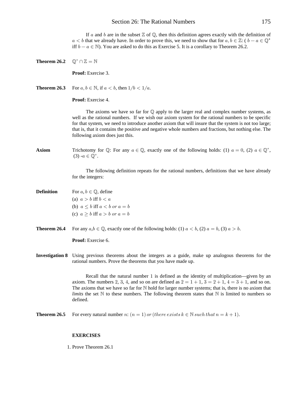If a and b are in the subset  $\mathbb Z$  of  $\mathbb Q$ , then this definition agrees exactly with the definition of  $a < b$  that we already have. In order to prove this, we need to show that for  $a, b \in \mathbb{Z}$ :  $(b - a \in \mathbb{Q}^+$ iff  $b - a \in \mathbb{N}$ ). You are asked to do this as Exercise 5. It is a corollary to Theorem 26.2.

**Theorem 26.2**  $\mathbb{Q}^+ \cap \mathbb{Z} = \mathbb{N}$ **Proof:** Exercise 3. **Theorem 26.3** For  $a, b \in \mathbb{N}$ , if  $a < b$ , then  $1/b < 1/a$ . **Proof:** Exercise 4. The axioms we have so far for  $\mathbb Q$  apply to the larger real and complex number systems, as well as the rational numbers. If we wish our axiom system for the rational numbers to be specific for that system, we need to introduce another axiom that will insure that the system is not too large; that is, that it contains the positive and negative whole numbers and fractions, but nothing else. The following axiom does just this. **Axiom** Trichotomy for  $\mathbb{Q}$ : For any  $a \in \mathbb{Q}$ , exactly one of the following holds: (1)  $a = 0$ , (2)  $a \in \mathbb{Q}^+$ ,  $(3)$  - $a \in \mathbb{Q}^+$ . The following definition repeats for the rational numbers, definitions that we have already for the integers: **Definition** For  $a, b \in \mathbb{Q}$ , define (a)  $a > b$  iff  $b < a$ (b)  $a \leq b$  iff  $a \leq b$  or  $a = b$ (c)  $a > b$  iff  $a > b$  or  $a = b$ **Theorem 26.4** For any  $a, b \in \mathbb{Q}$ , exactly one of the following holds: (1)  $a < b$ , (2)  $a = b$ , (3)  $a > b$ . **Proof:** Exercise 6. **Investigation 8** Using previous theorems about the integers as a guide, make up analogous theorems for the rational numbers. Prove the theorems that you have made up. Recall that the natural number  $1$  is defined as the identity of multiplication—given by an axiom. The numbers 2, 3, 4, and so on are defined as  $2 = 1 + 1$ ,  $3 = 2 + 1$ ,  $4 = 3 + 1$ , and so on. The axioms that we have so far for  $\mathbb N$  hold for larger number systems; that is, there is no axiom that *limits* the set  $\mathbb N$  to these numbers. The following theorem states that  $\mathbb N$  is limited to numbers so defined. **Theorem 26.5** For every natural number n:  $(n = 1)$  or (there exists  $k \in \mathbb{N}$  such that  $n = k + 1$ ).

#### **EXERCISES**

1. Prove Theorem 26.1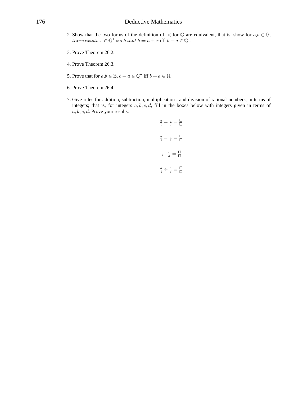- 2. Show that the two forms of the definition of  $\langle$  for  $\mathbb Q$  are equivalent, that is, show for  $a, b \in \mathbb Q$ ,  $there exists x \in \mathbb{Q}^+ such that b = a + x$  iff  $b - a \in \mathbb{Q}^+.$
- 3. Prove Theorem 26.2.
- 4. Prove Theorem 26.3.
- 5. Prove that for  $a, b \in \mathbb{Z}$ ,  $b a \in \mathbb{Q}^+$  iff  $b a \in \mathbb{N}$ .
- 6. Prove Theorem 26.4.
- 7. Give rules for addition, subtraction, multiplication , and division of rational numbers, in terms of integers; that is, for integers  $a, b, c, d$ , fill in the boxes below with integers given in terms of  $a, b, c, d$ . Prove your results.

$$
\frac{a}{b} + \frac{c}{d} = \frac{\Box}{\Box}
$$
\n
$$
\frac{a}{b} - \frac{c}{d} = \frac{\Box}{\Box}
$$
\n
$$
\frac{a}{b} \cdot \frac{c}{d} = \frac{\Box}{\Box}
$$
\n
$$
\frac{a}{b} \div \frac{c}{d} = \frac{\Box}{\Box}
$$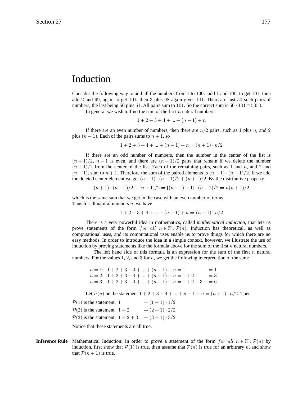### Induction

Consider the following way to add all the numbers from 1 to 100: add 1 and 100, to get 101, then add 2 and 99, again to get 101, then 3 plus 98 again gives 101. There are just 50 such pairs of numbers, the last being 50 plus 51. All pairs sum to 101. So the correct sum is  $50 \cdot 101 = 5050$ .

In general we wish to find the sum of the first  $n$  natural numbers:

$$
1+2+3+4+...+(n-1)+n
$$

If there are an even number of numbers, then there are  $n/2$  pairs, such as 1 plus n, and 2 plus  $(n-1)$ . Each of the pairs sums to  $n + 1$ , so

$$
1+2+3+4+...+(n-1)+n=(n+1)\cdot n/2
$$

If there are an odd number of numbers, then the number in the center of the list is  $(n+1)/2$ ,  $n-1$  is even, and there are  $(n-1)/2$  pairs that remain if we delete the number  $(n+1)/2$  from the center of the list. Each of the remaining pairs, such as 1 and n, and 2 and  $(n-1)$ , sum to  $n+1$ . Therefore the sum of the paired elements is  $(n+1) \cdot (n-1)/2$ . If we add the deleted center element we get  $(n + 1) \cdot (n - 1)/2 + (n + 1)/2$ . By the distributive property

 $(n+1) \cdot (n-1)/2 + (n+1)/2 = [(n-1)+1] \cdot (n+1)/2 = n(n+1)/2$ 

which is the same sum that we get in the case with an even number of terms. Thus for all natural numbers  $n$ , we have

$$
1 + 2 + 3 + 4 + \dots + (n - 1) + n = (n + 1) \cdot n/2
$$

There is a very powerful idea in mathematics, called *mathematical induction*, that lets us prove statements of the form for all  $n \in \mathbb{N}$ :  $\mathcal{P}(n)$ . Induction has theoretical, as well as computational uses, and its computational uses enable us to prove things for which there are no easy methods. In order to introduce the idea in a simple context, however, we illustrate the use of induction by proving statements like the formula above for the sum of the first  $n$  natural numbers.

The left hand side of this formula is an expression for the sum of the first  $n$  natural numbers. For the values 1, 2, and 3 for  $n$ , we get the following interpretation of the sum:

```
n = 1: 1 + 2 + 3 + 4 + \dots + (n - 1) + n = 1= 1n = 2: 1 + 2 + 3 + 4 + \dots + (n - 1) + n = 1 + 2= 3
n = 3: 1 + 2 + 3 + 4 + ... + (n - 1) + n = 1 + 2 + 3 = 6
```
Let  $P(n)$  be the statement  $1 + 2 + 3 + 4 + ... + n - 1 + n = (n + 1) \cdot n/2$ . Then

```
\mathcal{P}(1) is the statement 1
                                       =(1+1)\cdot 1/2\mathcal{P}(2) is the statement 1+2=(2+1)\cdot 2/2
```
 $\mathcal{P}(3)$  is the statement  $1+2+3 = (3+1)\cdot 3/2$ 

Notice that these statements are all true.

**Inference Rule** Mathematical Induction: In order to prove a statement of the form for all  $n \in \mathbb{N}$ :  $\mathcal{P}(n)$  by induction, first show that  $\mathcal{P}(1)$  is true, then assume that  $\mathcal{P}(n)$  is true for an arbitrary n, and show that  $P(n + 1)$  is true.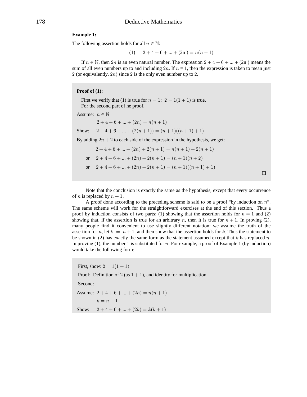#### 178 Deductive Mathematics

#### **Example 1:**

The following assertion holds for all  $n \in \mathbb{N}$ :

(1)  $2+4+6+\ldots+(2n) = n(n+1)$ 

If  $n \in \mathbb{N}$ , then  $2n$  is an even natural number. The expression  $2 + 4 + 6 + ... + (2n)$  means the sum of all even numbers up to and including  $2n$ . If  $n = 1$ , then the expression is taken to mean just 2 (or equivalently,  $2n$ ) since 2 is the only even number up to 2.

#### **Proof of (1):**

First we verify that (1) is true for  $n = 1$ :  $2 = 1(1 + 1)$  is true. For the second part of he proof,

```
Assume: n \in \mathbb{N}
```
 $2 + 4 + 6 + \ldots + (2n) = n(n + 1)$ Show:  $2 + 4 + 6 + ... + (2(n + 1)) = (n + 1)((n + 1) + 1)$ 

By adding  $2n + 2$  to each side of the expression in the hypothesis, we get:

$$
2 + 4 + 6 + \dots + (2n) + 2(n+1) = n(n+1) + 2(n+1)
$$
  
or 
$$
2 + 4 + 6 + \dots + (2n) + 2(n+1) = (n+1)(n+2)
$$
  
or 
$$
2 + 4 + 6 + \dots + (2n) + 2(n+1) = (n+1)((n+1) + 1)
$$

 $\Box$ 

Note that the conclusion is exactly the same as the hypothesis, except that every occurrence of *n* is replaced by  $n + 1$ .

A proof done according to the preceding scheme is said to be a proof "by induction on  $n$ ". The same scheme will work for the straightforward exercises at the end of this section. Thus a proof by induction consists of two parts: (1) showing that the assertion holds for  $n = 1$  and (2) showing that, if the assertion is true for an arbitrary n, then it is true for  $n + 1$ . In proving (2), many people find it convenient to use slightly different notation: we assume the truth of the assertion for n, let  $k = n + 1$ , and then show that the assertion holds for k. Thus the statement to be shown in (2) has exactly the same form as the statement assumed except that  $k$  has replaced  $n$ . In proving  $(1)$ , the number 1 is substituted for *n*. For example, a proof of Example 1 (by induction) would take the following form:

First, show:  $2 = 1(1 + 1)$ Proof: Definition of 2 (as  $1 + 1$ ), and identity for multiplication. Second: Assume:  $2 + 4 + 6 + \dots + (2n) = n(n+1)$  $k=n+1$ Show:  $2 + 4 + 6 + ... + (2k) = k(k+1)$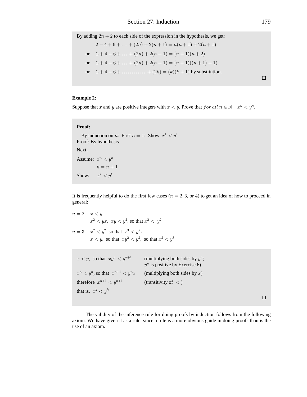By adding  $2n + 2$  to each side of the expression in the hypothesis, we get:

$$
2+4+6+\dots+(2n) + 2(n+1) = n(n+1) + 2(n+1)
$$
  
or 
$$
2+4+6+\dots+(2n) + 2(n+1) = (n+1)(n+2)
$$
  
or 
$$
2+4+6+\dots+(2n) + 2(n+1) = (n+1)((n+1)+1)
$$
  
or 
$$
2+4+6+\dots+\dots+(2k) = (k)(k+1)
$$
 by substitution.

 $\Box$ 

### **Example 2:**

Suppose that x and y are positive integers with  $x < y$ . Prove that for all  $n \in \mathbb{N}$ :  $x^n < y^n$ .

#### Proof:

By induction on n: First  $n = 1$ : Show:  $x^1 < y^1$ Proof: By hypothesis. Next. Assume:  $x^n < y^n$  $k = n + 1$  $x^k < y^k$ Show:

It is frequently helpful to do the first few cases ( $n = 2, 3$ , or 4) to get an idea of how to proceed in general:

```
n=2: x < yx^2 < yx, xy < y^2, so that x^2 < y^2n = 3: x^2 < y^2, so that x^3 < y^2xx < y, so that xy^2 < y^3, so that x^3 < y^3
```

| $x < y$ , so that $xy^n < y^{n+1}$            | (multiplying both sides by $y^n$ ;<br>$y^n$ is positive by Exercise 6) |
|-----------------------------------------------|------------------------------------------------------------------------|
| $x^n \leq y^n$ , so that $x^{n+1} \leq y^n x$ | (multiplying both sides by $x$ )                                       |
| therefore $x^{n+1} < y^{n+1}$                 | (transitivity of $\langle$ )                                           |
| that is, $x^k < y^k$                          |                                                                        |
|                                               |                                                                        |

The validity of the inference rule for doing proofs by induction follows from the following axiom. We have given it as a rule, since a rule is a more obvious guide in doing proofs than is the use of an axiom.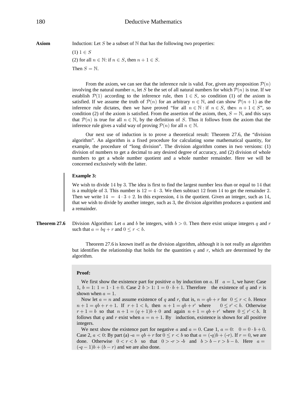**Axiom** Induction: Let S be a subset of  $N$  that has the following two properties:

 $(1) 1 \in S$ (2) for all  $n \in \mathbb{N}$ : if  $n \in S$ , then  $n + 1 \in S$ . Then  $S = N$ .

From the axiom, we can see that the inference rule is valid. For, given any proposition  $\mathcal{P}(n)$ involving the natural number n, let S be the set of all natural numbers for which  $\mathcal{P}(n)$  is true. If we establish  $\mathcal{P}(1)$  according to the inference rule, then  $1 \in S$ , so condition (1) of the axiom is satisfied. If we assume the truth of  $\mathcal{P}(n)$  for an arbitrary  $n \in \mathbb{N}$ , and can show  $\mathcal{P}(n+1)$  as the inference rule dictates, then we have proved "for all  $n \in \mathbb{N}$ : if  $n \in S$ , then  $n + 1 \in S$ ", so condition (2) of the axiom is satisfied. From the assertion of the axiom, then,  $S = N$ , and this says that  $\mathcal{P}(n)$  is true for all  $n \in \mathbb{N}$ , by the definition of S. Thus it follows from the axiom that the inference rule gives a valid way of proving  $P(n)$  for all  $n \in \mathbb{N}$ .

Our next use of induction is to prove a theoretical result: Theorem 27.6, the "division algorithm". An algorithm is a fixed procedure for calculating some mathematical quantity, for example, the procedure of "long division". The division algorithm comes in two versions: (1) division of numbers to get a decimal to any desired degree of accuracy, and (2) division of whole numbers to get a whole number quotient and a whole number remainder. Here we will be concerned exclusively with the latter.

#### **Example 3:**

We wish to divide  $14$  by 3. The idea is first to find the largest number less than or equal to  $14$  that is a multiple of 3. This number is  $12 = 4 \cdot 3$ . We then subtract 12 from 14 to get the remainder 2. Then we write  $14 = 4 \cdot 3 + 2$ . In this expression, 4 is the quotient. Given an integer, such as 14, that we wish to divide by another integer, such as 3, the division algorithm produces a quotient and a remainder.

**Theorem 27.6** Division Algorithm: Let a and b be integers, with  $b > 0$ . Then there exist unique integers q and r such that  $a = bq + r$  and  $0 \le r < b$ .

> Theorem 27.6 is known itself as the division algorithm, although it is not really an algorithm but identifies the relationship that holds for the quantities  $q$  and  $r$ , which are determined by the algorithm.

#### **Proof:**

We first show the existence part for positive a by induction on a. If  $a = 1$ , we have: Case 1,  $b = 1$ :  $1 = 1 \cdot 1 + 0$ . Case  $2 b > 1$ :  $1 = 0 \cdot b + 1$ . Therefore the existence of q and r is shown when  $a = 1$ .

Now let  $a = n$  and assume existence of q and r, that is,  $n = qb + r$  for  $0 \le r < b$ . Hence  $n+1 = qb + r + 1$ . If  $r+1 < b$ , then  $n+1 = qb + r'$  where  $0 \le r' < b$ . Otherwise  $r+1=b$  so that  $n+1=(q+1)b+0$  and again  $n+1=qb+r'$  where  $0 \le r' < b$ . It follows that q and r exist when  $a = n + 1$ . By induction, existence is shown for all positive integers.

We next show the existence part for negative a and  $a = 0$ . Case 1,  $a = 0$ :  $0 = 0 \cdot b + 0$ . Case 2,  $a < 0$ : By part (a)  $-a = qb + r$  for  $0 \le r < b$  so that  $a = (-q)b + (-r)$ . If  $r = 0$ , we are done. Otherwise  $0 < r < b$  so that  $0 > -r > -b$  and  $b > b - r > b - b$ . Here  $a =$  $(-q-1)b + (b - r)$  and we are also done.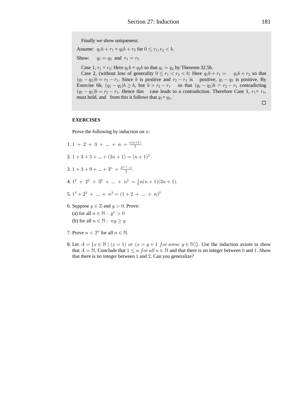Finally we show uniqueness:

Assume:  $q_1b + r_1 = q_2b + r_2$  for  $0 \le r_1, r_2 < b$ .

Show:  $q_1 = q_2$  and  $r_1 = r_2$ 

Case 1,  $r_1 = r_2$ : Here  $q_1b = q_2b$  so that  $q_1 = q_2$  by Theorem 32.5b.

Case 2, (without loss of generality  $0 \le r_1 < r_2 < b$ : Here  $q_1b + r_1 = q_2b + r_2$  so that  $(q_1 - q_2)b = r_2 - r_1$ . Since b is positive and  $r_2 - r_1$  is positive,  $q_1 - q_2$  is positive. By Exercise 6b,  $(q_1 - q_2)b \geq b$ , but  $b > r_2 - r_1$  so that  $(q_1 - q_2)b > r_2 - r_1$  contradicting  $(q_1 - q_2)b = r_2 - r_1$ . Hence this case leads to a contradiction. Therefore Case 1,  $r_1 = r_2$ , must hold, and from this it follows that  $q_1 = q_2$ .

 $\Box$ 

#### **EXERCISES**

Prove the following by induction on  $n$ :

- 1. 1 + 2 + 3 + ... +  $n = \frac{n(n+1)}{2}$ . 2.  $1+3+5+...+(2n+1)=(n+1)^2$ . 3. 1 + 3 + 9 + ... +  $3^n = \frac{3^{n+1}-1}{2}$ . 4.  $1^2 + 2^2 + 3^2 + \dots + n^2 = \frac{1}{6}n(n+1)(2n+1)$ . 5.  $1^3 + 2^3 + \dots + n^3 = (1 + 2 + \dots + n)^2$ 6. Suppose  $y \in \mathbb{Z}$  and  $y > 0$ . Prove: (a) for all  $n \in \mathbb{N}$ :  $y^n > 0$ (b) for all  $n \in \mathbb{N}$ :  $ny \geq y$
- 7. Prove  $n < 2^n$  for all  $n \in \mathbb{N}$ .
- 8. Let  $A = \{x \in \mathbb{N} \mid (x = 1) \text{ or } (x = y + 1 \text{ for some } y \in \mathbb{N})\}.$  Use the induction axiom to show that  $A = \mathbb{N}$ . Conclude that  $1 \leq n$  for all  $n \in \mathbb{N}$  and that there is no integer between 0 and 1. Show that there is no integer between 1 and 2. Can you generalize?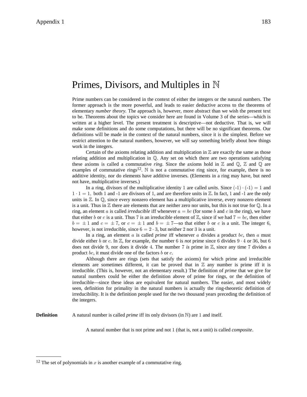### Primes, Divisors, and Multiples in  $\mathbb N$

Prime numbers can be considered in the context of either the integers or the natural numbers. The former approach is the more powerful, and leads to easier deductive access to the theorems of elementary *number theory*. The approach is, however, more abstract than we wish the present text to be. Theorems about the topics we consider here are found in Volume 3 of the series—which is written at a higher level. The present treatment is descriptive—not deductive. That is, we will make some definitions and do some computations, but there will be no significant theorems. Our definitions will be made in the context of the natural numbers, since it is the simplest. Before we restrict attention to the natural numbers, however, we will say something briefly about how things work in the integers.

Certain of the axioms relating addition and multiplication in  $\mathbb Z$  are exactly the same as those relating addition and multiplication in  $\mathbb{Q}$ . Any set on which there are two operations satisfying these axioms is called a commutative *ring*. Since the axioms hold in  $\mathbb Z$  and  $\mathbb Q$ ,  $\mathbb Z$  and  $\mathbb Q$  are examples of commutative rings<sup>12</sup>. N is not a commutative ring since, for example, there is no additive identity, nor do elements have additive inverses. (Elements in a ring may have, but need not have, multiplicative inverses.)

In a ring, divisors of the multiplicative identity 1 are called *units*. Since  $(-1) \cdot (-1) = 1$  and  $1 \cdot 1 = 1$ , both 1 and -1 are divisors of 1, and are therefore units in  $\mathbb{Z}$ . In fact, 1 and -1 are the only units in  $\mathbb{Z}$ . In  $\mathbb{Q}$ , since every nonzero element has a multiplicative inverse, every nonzero element is a unit. Thus in  $\mathbb Z$  there are elements that are neither zero nor units, but this is not true for  $\mathbb Q$ . In a ring, an element a is called *irreducible* iff whenever  $a = bc$  (for some b and c in the ring), we have that either b or c is a unit. Thus 7 is an irreducible element of  $\mathbb{Z}$ , since if we had  $7 = bc$ , then either  $b = \pm 1$  and  $c = \pm 7$ , or  $c = \pm 1$  and  $b = \pm 7$ —so that either b or c is a unit. The integer 6, however, is not irreducible, since  $6 = 2 \cdot 3$ , but neither 2 nor 3 is a unit.

In a ring, an element  $\alpha$  is called *prime* iff whenever  $\alpha$  divides a product  $\alpha$ , then  $\alpha$  must divide either b or c. In  $\mathbb{Z}$ , for example, the number 6 is *not* prime since 6 divides  $9 \cdot 4$  or 36, but 6 does not divide 9, nor does it divide 4. The number 7 *is* prime in  $\mathbb{Z}$ , since any time 7 divides a product bc, it must divide one of the factors b or  $c$ .

Although there are rings (sets that satisfy the axioms) for which prime and irreducible elements are sometimes different, it can be proved that in  $\mathbb Z$  any number is prime iff it is irreducible. (This is, however, not an elementary result.) The definition of *prime* that we give for natural numbers could be either the definition above of prime for rings, or the definition of irreducible—since these ideas are equivalent for natural numbers. The easier, and most widely seen, definition for primality in the natural numbers is actually the ring-theoretic definition of irreducibility. It is the definition people used for the two thousand years preceding the definition of the integers.

**Definition** A natural number is called *prime* iff its only divisors (in  $\mathbb{N}$ ) are 1 and itself.

A natural number that is not prime and not 1 (that is, not a unit) is called *composite*.

<sup>&</sup>lt;sup>12</sup> The set of polynomials in  $x$  is another example of a commutative ring.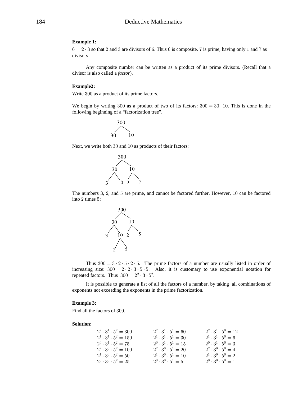#### **Example 1:**

 $6 = 2 \cdot 3$  so that 2 and 3 are divisors of 6. Thus 6 is composite. 7 is prime, having only 1 and 7 as divisors

Any composite number can be written as a product of its prime divisors. (Recall that a divisor is also called a *factor*).

#### Example2:

Write 300 as a product of its prime factors.

We begin by writing 300 as a product of two of its factors:  $300 = 30 \cdot 10$ . This is done in the following beginning of a "factorization tree".



Next, we write both 30 and 10 as products of their factors:



The numbers 3, 2, and 5 are prime, and cannot be factored further. However, 10 can be factored into 2 times 5:



Thus  $300 = 3 \cdot 2 \cdot 5 \cdot 2 \cdot 5$ . The prime factors of a number are usually listed in order of increasing size:  $300 = 2 \cdot 2 \cdot 3 \cdot 5 \cdot 5$ . Also, it is customary to use exponential notation for repeated factors. Thus  $300 = 2^2 \cdot 3 \cdot 5^2$ .

It is possible to generate a list of all the factors of a number, by taking all combinations of exponents not exceeding the exponents in the prime factorization.

#### **Example 3:**

Find all the factors of 300.

#### **Solution:**

| $2^2 \cdot 3^1 \cdot 5^2 = 300$ | $2^2 \cdot 3^1 \cdot 5^1 = 60$ | $2^2 \cdot 3^1 \cdot 5^0 = 12$ |
|---------------------------------|--------------------------------|--------------------------------|
| $2^1 \cdot 3^1 \cdot 5^2 = 150$ | $2^1 \cdot 3^1 \cdot 5^1 = 30$ | $2^1 \cdot 3^1 \cdot 5^0 = 6$  |
| $2^0 \cdot 3^1 \cdot 5^2 = 75$  | $2^0 \cdot 3^1 \cdot 5^1 = 15$ | $2^0 \cdot 3^1 \cdot 5^0 = 3$  |
| $2^2 \cdot 3^0 \cdot 5^2 = 100$ | $2^2 \cdot 3^0 \cdot 5^1 = 20$ | $2^2 \cdot 3^0 \cdot 5^0 = 4$  |
| $2^1 \cdot 3^0 \cdot 5^2 = 50$  | $2^1 \cdot 3^0 \cdot 5^1 = 10$ | $2^1 \cdot 3^0 \cdot 5^0 = 2$  |
| $2^0 \cdot 3^0 \cdot 5^2 = 25$  | $2^0 \cdot 3^0 \cdot 5^1 = 5$  | $2^0 \cdot 3^0 \cdot 5^0 = 1$  |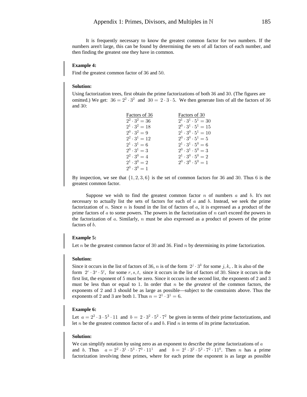It is frequently necessary to know the greatest common factor for two numbers. If the numbers aren't large, this can be found by determining the sets of all factors of each number, and then finding the greatest one they have in common.

#### **Example 4:**

Find the greatest common factor of 36 and 50.

#### **Solution:**

Using factorization trees, first obtain the prime factorizations of both 36 and 30. (The figures are omitted.) We get:  $36 = 2^2 \cdot 3^2$  and  $30 = 2 \cdot 3 \cdot 5$ . We then generate lists of all the factors of 36 and  $30$ :

| Factors of 36        | Factors of 30                  |
|----------------------|--------------------------------|
| $2^2 \cdot 3^2 = 36$ | $2^1 \cdot 3^1 \cdot 5^1 = 30$ |
| $2^1 \cdot 3^2 = 18$ | $2^0 \cdot 3^1 \cdot 5^1 = 15$ |
| $2^0 \cdot 3^2 = 9$  | $2^1 \cdot 3^0 \cdot 5^1 = 10$ |
| $2^2 \cdot 3^1 = 12$ | $2^0 \cdot 3^0 \cdot 5^1 = 5$  |
| $2^1 \cdot 3^1 = 6$  | $2^1 \cdot 3^1 \cdot 5^0 = 6$  |
| $2^0 \cdot 3^1 = 3$  | $2^0 \cdot 3^1 \cdot 5^0 = 3$  |
| $2^2 \cdot 3^0 = 4$  | $2^1 \cdot 3^0 \cdot 5^0 = 2$  |
| $2^1 \cdot 3^0 = 2$  | $2^0 \cdot 3^0 \cdot 5^0 = 1$  |
| $2^0$ , $2^0 = 1$    |                                |

By inspection, we see that  $\{1, 2, 3, 6\}$  is the set of common factors for 36 and 30. Thus 6 is the greatest common factor.

Suppose we wish to find the greatest common factor  $n$  of numbers  $a$  and  $b$ . It's not necessary to actually list the sets of factors for each of  $a$  and  $b$ . Instead, we seek the prime factorization of n. Since n is found in the list of factors of  $a$ , it is expressed as a product of the prime factors of  $\alpha$  to some powers. The powers in the factorization of  $\eta$  can't exceed the powers in the factorization of a. Similarly,  $n$  must be also expressed as a product of powers of the prime factors of b.

#### **Example 5:**

Let  $n$  be the greatest common factor of 30 and 36. Find  $n$  by determining its prime factorization.

#### **Solution:**

Since it occurs in the list of factors of 36, n is of the form  $2^{j} \cdot 3^{k}$  for some j, k, . It is also of the form  $2^r \tcdot 3^s \tcdot 5^t$ , for some r, s, t, since it occurs in the list of factors of 30. Since it occurs in the first list, the exponent of 5 must be zero. Since it occurs in the second list, the exponents of 2 and 3 must be less than or equal to 1. In order that  $n$  be the *greatest* of the common factors, the exponents of 2 and 3 should be as large as possible—subject to the constraints above. Thus the exponents of 2 and 3 are both 1. Thus  $n = 2^1 \cdot 3^1 = 6$ .

#### **Example 6:**

Let  $a = 2^2 \cdot 3 \cdot 5^3 \cdot 11$  and  $b = 2 \cdot 3^2 \cdot 5^2 \cdot 7^2$  be given in terms of their prime factorizations, and let  $n$  be the greatest common factor of  $a$  and  $b$ . Find  $n$  in terms of its prime factorization.

#### **Solution:**

We can simplify notation by using zero as an exponent to describe the prime factorizations of  $a$ and b. Thus  $a = 2^2 \cdot 3^1 \cdot 5^3 \cdot 7^0 \cdot 11^1$  and  $b = 2^1 \cdot 3^2 \cdot 5^2 \cdot 7^2 \cdot 11^0$ . Then *n* has a prime factorization involving these primes, where for each prime the exponent is as large as possible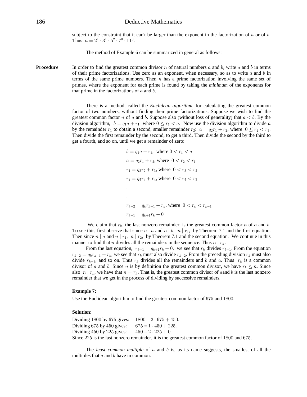subject to the constraint that it can't be larger than the exponent in the factorization of  $\alpha$  or of  $\beta$ . Thus  $n = 2^1 \cdot 3^1 \cdot 5^2 \cdot 7^0 \cdot 11^0$ .

The method of Example 6 can be summarized in general as follows:

**Procedure** In order to find the greatest common divisor n of natural numbers a and b, write a and b in terms of their prime factorizations. Use zero as an exponent, when necessary, so as to write  $a$  and  $b$  in terms of the same prime numbers. Then  $n$  has a prime factorization involving the same set of primes, where the exponent for each prime is found by taking the *minimum* of the exponents for that prime in the factorizations of  $a$  and  $b$ .

> There is a method, called the *Euclidean algorithm*, for calculating the greatest common factor of two numbers, without finding their prime factorizations: Suppose we wish to find the greatest common factor n of a and b. Suppose also (without loss of generality) that  $a < b$ . By the division algorithm,  $b = q_1 a + r_1$  where  $0 \le r_1 < a$ . Now use the division algorithm to divide a by the remainder  $r_1$  to obtain a second, smaller remainder  $r_2$ :  $a = q_2r_1 + r_2$ , where  $0 \le r_2 < r_1$ . Then divide the first remainder by the second, to get a third. Then divide the second by the third to get a fourth, and so on, until we get a remainder of zero:

> > $b = q_1 a + r_1$ , where  $0 < r_1 < a$  $a = q_2 r_1 + r_2$ , where  $0 < r_2 < r_1$  $r_1 = q_3 r_2 + r_3$ , where  $0 < r_3 < r_2$  $r_2 = q_4 r_3 + r_4$ , where  $0 < r_4 < r_3$ Þ Þ  $r_{k-2} = q_k r_{k-1} + r_k$ , where  $0 < r_k < r_{k-1}$  $r_{k-1} = q_{k+1}r_k + 0$

We claim that  $r_k$ , the last nonzero remainder, is the greatest common factor n of a and b. To see this, first observe that since  $n \mid a$  and  $n \mid b$ ,  $n \mid r_1$ , by Theorem 7.1 and the first equation. Then since n | a and n |  $r_1$ , n |  $r_2$ , by Theorem 7.1 and the second equation. We continue in this manner to find that *n* divides all the remainders in the sequence. Thus  $n \mid r_k$ .

From the last equation,  $r_{k-1} = q_{k+1}r_k + 0$ , we see that  $r_k$  divides  $r_{k-1}$ . From the equation  $r_{k-2} = q_k r_{k-1} + r_k$ , we see that  $r_k$  must also divide  $r_{k-2}$ . From the preceding division  $r_k$  must also divide  $r_{k-3}$ , and so on. Thus  $r_k$  divides all the remainders and b and a. Thus  $r_k$  is a common divisor of a and b. Since n is by definition the greatest common divisor, we have  $r_k \le n$ . Since also  $n | r_k$ , we have that  $n = r_k$ . That is, the greatest common divisor of a and b is the last nonzero remainder that we get in the process of dividing by successive remainders.

#### **Example 7:**

Use the Euclidean algorithm to find the greatest common factor of  $675$  and  $1800$ .

#### **Solution:**

Dividing 1800 by 675 gives:  $1800 = 2 \cdot 675 + 450$ . Dividing 675 by 450 gives:  $675 = 1 \cdot 450 + 225$ . Dividing 450 by 225 gives:  $450 = 2 \cdot 225 + 0$ . Since  $225$  is the last nonzero remainder, it is the greatest common factor of  $1800$  and  $675$ .

The *least common multiple* of  $\alpha$  and  $\beta$  is, as its name suggests, the smallest of all the multiples that  $a$  and  $b$  have in common.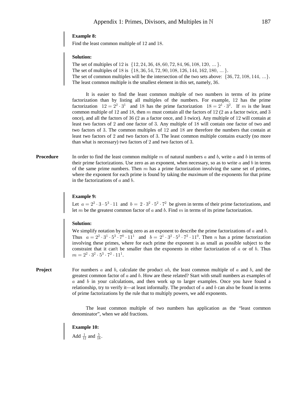Find the least common multiple of 12 and 18.

#### **Solution:**

The set of multiples of 12 is  $\{12, 24, 36, 48, 60, 72, 84, 96, 108, 120, \dots\}$ . The set of multiples of 18 is  $\{18, 36, 54, 72, 90, 108, 126, 144, 162, 180, \dots\}$ . The set of common multiples will be the intersection of the two sets above:  $\{36, 72, 108, 144, ...\}$ . The least common multiple is the smallest element in this set, namely, 36.

It is easier to find the least common multiple of two numbers in terms of its prime factorization than by listing all multiples of the numbers. For example,  $12$  has the prime factorization  $12 = 2^2 \cdot 3^1$  and 18 has the prime factorization  $18 = 2^1 \cdot 3^2$ . If m is the least common multiple of 12 and 18, then m must contain all the factors of 12 (2 as a factor twice, and 3 once), and all the factors of  $36$  ( $2$  as a factor once, and  $3$  twice). Any multiple of  $12$  will contain at least two factors of 2 and one factor of 3. Any multiple of 18 will contain one factor of two and two factors of 3. The common multiples of  $12$  and  $18$  are therefore the numbers that contain at least two factors of 2 and two factors of 3. The least common multiple contains exactly (no more than what is necessary) two factors of  $2$  and two factors of  $3$ .

**Procedure** In order to find the least common multiple  $m$  of natural numbers  $a$  and  $b$ , write  $a$  and  $b$  in terms of their prime factorizations. Use zero as an exponent, when necessary, so as to write  $a$  and  $b$  in terms of the same prime numbers. Then  $m$  has a prime factorization involving the same set of primes, where the exponent for each prime is found by taking the *maximum* of the exponents for that prime in the factorizations of  $a$  and  $b$ .

#### **Example 9:**

Let  $a = 2^2 \cdot 3 \cdot 5^3 \cdot 11$  and  $b = 2 \cdot 3^2 \cdot 5^2 \cdot 7^2$  be given in terms of their prime factorizations, and let  $m$  be the greatest common factor of  $a$  and  $b$ . Find  $m$  in terms of its prime factorization.

#### **Solution:**

We simplify notation by using zero as an exponent to describe the prime factorizations of  $a$  and  $b$ . Thus  $a = 2^2 \cdot 3^1 \cdot 5^3 \cdot 7^0 \cdot 11^1$  and  $b = 2^1 \cdot 3^2 \cdot 5^2 \cdot 7^2 \cdot 11^0$ . Then *n* has a prime factorization involving these primes, where for each prime the exponent is as small as possible subject to the constraint that it can't be smaller than the exponents in either factorization of  $a$  or of  $b$ . Thus  $m = 2^2 \cdot 3^2 \cdot 5^3 \cdot 7^2 \cdot 11^1$ .

**Project** For numbers a and b, calculate the product ab, the least common multiple of a and b, and the greatest common factor of  $a$  and  $b$ . How are these related? Start with small numbers as examples of  $a$  and  $b$  in your calculations, and then work up to larger examples. Once you have found a relationship, try to verify it—at least informally. The product of  $a$  and  $b$  can also be found in terms of prime factorizations by the rule that to multiply powers, we add exponents.

> The least common multiple of two numbers has application as the "least common denominator", when we add fractions.

#### **Example 10:**

Add  $\frac{1}{12}$  and  $\frac{5}{18}$ .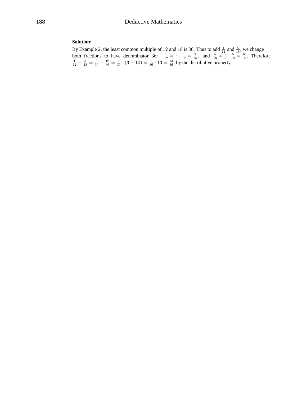**Solution:**<br>By Example 2, the least common multiple of 12 and 18 is 36. Thus to add  $\frac{1}{12}$  and  $\frac{5}{18}$ , we change<br>both fractions to have denominator 36:  $\frac{1}{12} = \frac{3}{3} \cdot \frac{1}{12} = \frac{3}{36}$ , and  $\frac{5}{18} = \frac{2}{2} \$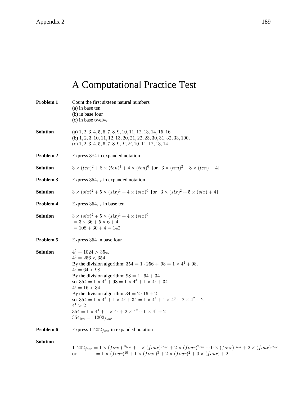# A Computational Practice Test

| Problem 1       | Count the first sixteen natural numbers<br>(a) in base ten<br>(b) in base four<br>(c) in base twelve                                                                                                                                                                                                                                                                                                                                                                                                                                                        |
|-----------------|-------------------------------------------------------------------------------------------------------------------------------------------------------------------------------------------------------------------------------------------------------------------------------------------------------------------------------------------------------------------------------------------------------------------------------------------------------------------------------------------------------------------------------------------------------------|
| <b>Solution</b> | (a) $1, 2, 3, 4, 5, 6, 7, 8, 9, 10, 11, 12, 13, 14, 15, 16$<br>(b) $1, 2, 3, 10, 11, 12, 13, 20, 21, 22, 23, 30, 31, 32, 33, 100,$<br>(c) $1, 2, 3, 4, 5, 6, 7, 8, 9, T, E, 10, 11, 12, 13, 14$                                                                                                                                                                                                                                                                                                                                                             |
| Problem 2       | Express 384 in expanded notation                                                                                                                                                                                                                                                                                                                                                                                                                                                                                                                            |
| <b>Solution</b> | $3 \times (ten)^2 + 8 \times (ten)^1 + 4 \times (ten)^0$ [or $3 \times (ten)^2 + 8 \times (ten) + 4$ ]                                                                                                                                                                                                                                                                                                                                                                                                                                                      |
| Problem 3       | Express $354_{\text{six}}$ in expanded notation                                                                                                                                                                                                                                                                                                                                                                                                                                                                                                             |
| Solution        | $3 \times (six)^2 + 5 \times (six)^1 + 4 \times (six)^0$ [or $3 \times (six)^2 + 5 \times (six) + 4$ ]                                                                                                                                                                                                                                                                                                                                                                                                                                                      |
| Problem 4       | Express $354_{\text{six}}$ in base ten                                                                                                                                                                                                                                                                                                                                                                                                                                                                                                                      |
| <b>Solution</b> | $3 \times (six)^2 + 5 \times (six)^1 + 4 \times (six)^0$<br>$= 3 \times 36 + 5 \times 6 + 4$<br>$= 108 + 30 + 4 = 142$                                                                                                                                                                                                                                                                                                                                                                                                                                      |
| Problem 5       | Express 354 in base four                                                                                                                                                                                                                                                                                                                                                                                                                                                                                                                                    |
| <b>Solution</b> | $4^5 = 1024 > 354.$<br>$4^4 = 256 < 354$<br>By the division algorithm: $354 = 1 \cdot 256 + 98 = 1 \times 4^4 + 98$ .<br>$4^3 = 64 < 98$<br>By the division algorithm: $98 = 1 \cdot 64 + 34$<br>so $354 = 1 \times 4^4 + 98 = 1 \times 4^4 + 1 \times 4^3 + 34$<br>$4^2 = 16 < 34$<br>By the division algorithm: $34 = 2 \cdot 16 + 2$<br>so $354 = 1 \times 4^4 + 1 \times 4^3 + 34 = 1 \times 4^4 + 1 \times 4^3 + 2 \times 4^2 + 2$<br>$4^1 > 2$<br>$354 = 1 \times 4^4 + 1 \times 4^3 + 2 \times 4^2 + 0 \times 4^1 + 2$<br>$354_{ten} = 11202_{four}$ |
| Problem 6       | Express $11202_{four}$ in expanded notation                                                                                                                                                                                                                                                                                                                                                                                                                                                                                                                 |
| <b>Solution</b> | $11202_{four} = 1 \times (four)^{10_{four}} + 1 \times (four)^{3_{four}} + 2 \times (four)^{2_{four}} + 0 \times (four)^{1_{four}} + 2 \times (four)^{0_{four}}$<br>$= 1 \times (four)^{10} + 1 \times (four)^3 + 2 \times (four)^2 + 0 \times (four) + 2$<br>or                                                                                                                                                                                                                                                                                            |
|                 |                                                                                                                                                                                                                                                                                                                                                                                                                                                                                                                                                             |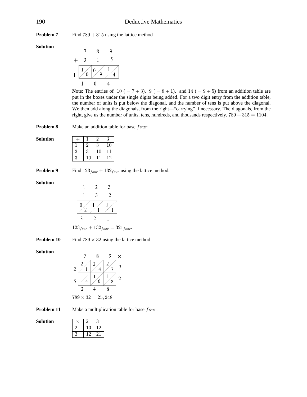**Problem 7** Find  $789 + 315$  using the lattice method

**Solution** 

$$
\begin{array}{@{}c@{\hspace{1em}}c@{\hspace{1em}}c@{\hspace{1em}}c@{\hspace{1em}}}\n & 7 & 8 & 9 \\
+ & 3 & 1 & 5 \\
+ & 3 & 1 & 5 \\
\hline\n1 & 0 & 9 & 1 & 4 \\
\hline\n1 & 0 & 4 & 4 & 4\n\end{array}
$$

Note: The entries of  $10 (= 7 + 3)$ ,  $9 (= 8 + 1)$ , and  $14 (= 9 + 5)$  from an addition table are put in the boxes under the single digits being added. For a two digit entry from the addition table, the number of units is put below the diagonal, and the number of tens is put above the diagonal. We then add along the diagonals, from the right—"carrying" if necessary. The diagonals, from the right, give us the number of units, tens, hundreds, and thousands respectively.  $789 + 315 = 1104$ .

**Problem 8** Make an addition table for base four.

| Solution |  |  |
|----------|--|--|
|          |  |  |
|          |  |  |
|          |  |  |

**Problem 9** Find  $123_{four} + 132_{four}$  using the lattice method.

**Solution** 

$$
\begin{array}{c|cc}\n & 1 & 2 & 3 \\
+ & 1 & 3 & 2 \\
\hline\n0 & 1 & 1 & 1 \\
3 & 2 & 1 & \\
\end{array}
$$

 $123_{four} + 132_{four} = 321_{four}$ .

**Problem 10** Find  $789 \times 32$  using the lattice method

**Solution** 

$$
\begin{array}{@{}c@{\hspace{1em}}c@{\hspace{1em}}c@{\hspace{1em}}c@{\hspace{1em}}}\n & 7 & 8 & 9 & \times \\
 & & 2 & 2 & 2 & 3 \\
 & 2 & 1 & 4 & 7 & 3 \\
 & 1 & 1 & 6 & 1 & 3 \\
 & 2 & 4 & 8 & 2 \\
 & 789 & \times 32 & = 25,248\n \end{array}
$$

**Problem 11** Make a multiplication table for base four.

 $12$ 21

| <b>Solution</b> |    |
|-----------------|----|
|                 | 10 |
|                 |    |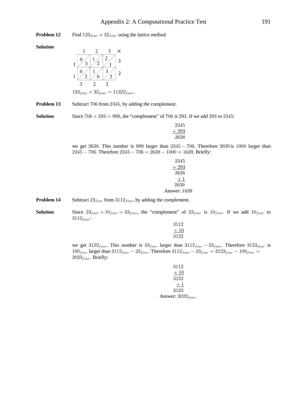Find  $123_{four} \times 32_{four}$  using the lattice method Problem 12

#### Solution

$$
\begin{array}{ccc}\n & 1 & 2 & 3 & \times \\
1 & 9 & 1 & 2 & 3 \\
 & 0 & 1 & 3 & 3 \\
 & 0 & 1 & 1 & 3 \\
 & 3 & 2 & 2 & 2\n\end{array}
$$
\n
$$
123_{four} \times 32_{four} = 11322_{four}.
$$

Problem 13 Subtract 706 from 2345, by adding the complement.

**Solution** Since  $706 + 293 = 999$ , the "complement" of 706 is 293. If we add 293 to 2345:

| 2345  |
|-------|
| - 293 |
| 638   |

we get 2638. This number is 999 larger than  $2345 - 706$ . Therefore 2639 is 1000 larger than  $2345 - 706$ . Therefore  $2345 - 706 = 2639 - 1000 = 1639$ . Briefly:

| 2345                |
|---------------------|
| $+293$              |
| 2638                |
| $+1$                |
| 2639                |
| <b>Answer: 1639</b> |

Subtract  $23_{four}$  from  $3112_{four}$ , by adding the complement. Problem 14

**Solution** Since  $23_{four} + 10_{four} = 33_{four}$ , the "complement" of  $23_{four}$  is  $10_{four}$ . If we add  $10_{four}$  to  $3112_{four}$ :

$$
\begin{array}{c}3112\\ \underline{+10}\\ 3122\end{array}
$$

we get  $3122_{four}$ . This number is  $33_{four}$  larger than  $3112_{four} - 23_{four}$ . Therefore  $3123_{four}$  is  $100_{four}$  larger than  $3112_{four} - 23_{four}$ . Therefore  $3112_{four} - 23_{four} = 3123_{four} - 100_{four} =$  $3023_{four}$ . Briefly:

$$
3112\n+10\n3122\n+1\n3123
$$
\nAnswer: 
$$
3023_{four}
$$
.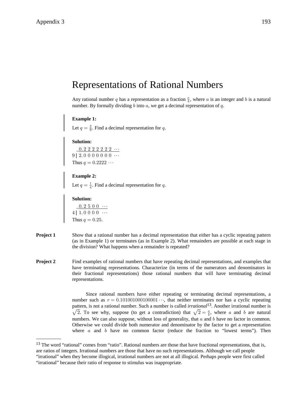### Representations of Rational Numbers

Any rational number q has a representation as a fraction  $\frac{a}{b}$ , where a is an integer and b is a natural number. By formally dividing b into a, we get a decimal representation of q.

#### **Example 1:**

Let  $q = \frac{2}{9}$ . Find a decimal representation for q.

#### **Solution:**

 $-0.2222222...$ 9 | 2.0 0 0 0 0 0 0 ··· Thus  $q = 0.2222 \cdots$ 

#### **Example 2:**

Let  $q = \frac{1}{4}$ . Find a decimal representation for q.

#### **Solution:**

 $-0.2500...$  $4 | 1.0000 \dots$ Thus  $q = 0.25$ .

- **Project 1** Show that a rational number has a decimal representation that either has a cyclic repeating pattern (as in Example 1) or terminates (as in Example 2). What remainders are possible at each stage in the division? What happens when a remainder is repeated?
- **Project 2** Find examples of rational numbers that have repeating decimal representations, and examples that have terminating representations. Characterize (in terms of the numerators and denominators in their fractional representations) those rational numbers that will have terminating decimal representations.

Since rational numbers have either repeating or terminating decimal representations, a number such as  $r = 0.10100100010001 \dots$ , that neither terminates nor has a cyclic repeating pattern, is not a rational number. Such a number is called *irrational*<sup>13</sup>. Another irrational number is  $\sqrt{2}$ . To see why, suppose (to get a contradiction) that  $\sqrt{2} = \frac{a}{b}$ , where a and b are natural numbers. We can also suppose, without loss of generality, that  $a$  and  $b$  have no factor in common. Otherwise we could divide both numerator and denominator by the factor to get a representation where  $a$  and  $b$  have no common factor (reduce the fraction to "lowest terms"). Then

<sup>&</sup>lt;sup>13</sup> The word "rational" comes from "ratio". Rational numbers are those that have fractional representations, that is, are ratios of integers. Irrational numbers are those that have no such representations. Although we call people "irrational" when they become illogical, irrational numbers are not at all illogical. Perhaps people were first called

<sup>&</sup>quot;irrational" because their ratio of response to stimulus was inappropriate.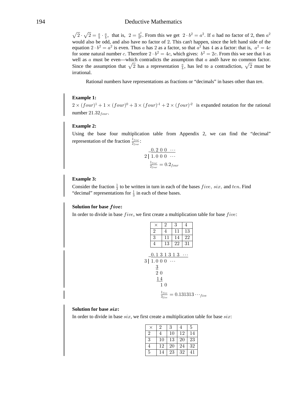#### **Deductive Mathematics**

 $\sqrt{2} \cdot \sqrt{2} = \frac{a}{b} \cdot \frac{a}{b}$ , that is,  $2 = \frac{a^2}{b^2}$ . From this we get  $2 \cdot b^2 = a^2$ . If a had no factor of 2, then  $a^2$ would also be odd, and also have no factor of 2. This can't happen, since the left hand side of the equation  $2 \cdot b^2 = a^2$  is even. Thus a has 2 as a factor, so that  $a^2$  has 4 as a factor: that is,  $a^2 = 4c$ for some natural number c. Therefore  $2 \cdot b^2 = 4c$ , which gives:  $b^2 = 2c$ . From this we see that b as well as  $a$  must be even—which contradicts the assumption that  $a$  and have no common factor. Since the assumption that  $\sqrt{2}$  has a representation  $\frac{a}{b}$ , has led to a contradiction,  $\sqrt{2}$  must be irrational.

Rational numbers have representations as fractions or "decimals" in bases other than *ten*.

#### **Example 1:**

 $2 \times (four)^1 + 1 \times (four)^0 + 3 \times (four)^{-1} + 2 \times (four)^{-2}$  is expanded notation for the rational number  $21.32_{four}$ .

#### **Example 2:**

Using the base four multiplication table from Appendix 2, we can find the "decimal" representation of the fraction  $\frac{1_{four}}{2_{few}}$ :

$$
\frac{0.200 \cdots}{2 \mid 1.000 \cdots}
$$

$$
\frac{1_{four}}{2_{four}} = 0.2_{fov}
$$

#### **Example 3:**

Consider the fraction  $\frac{1}{3}$  to be written in turn in each of the bases *five*, *six*, and *ten*. Find "decimal" representations for  $\frac{1}{3}$  in each of these bases.

#### Solution for base five:

In order to divide in base  $five$ , we first create a multiplication table for base  $five$ :

| $\times$                                                            | 2  | 3        | 4  |                                                 |
|---------------------------------------------------------------------|----|----------|----|-------------------------------------------------|
| $\boldsymbol{2}$                                                    | 4  | 11       | 13 |                                                 |
| 3                                                                   | 11 | 14       | 22 |                                                 |
| 4                                                                   | 13 | $22\,$   | 31 |                                                 |
| 0.131313<br>3   1.0 0 0<br>$\overline{3}$<br>$\overline{2}$ 0<br>14 | 10 | $\ldots$ |    |                                                 |
|                                                                     |    |          |    | $\frac{1_{five}}{3_{five}}=0.131313\cdots$ five |

#### Solution for base six:

In order to divide in base  $six$ , we first create a multiplication table for base  $six$ :

|                | $\overline{2}$ | 3  |    | 5  |
|----------------|----------------|----|----|----|
| $\overline{2}$ |                | 10 | 12 | 14 |
| 3              | 10             | 13 | 20 | 23 |
| 4              | 12             | 20 | 24 | 32 |
| 5              | 14             | 23 | 32 |    |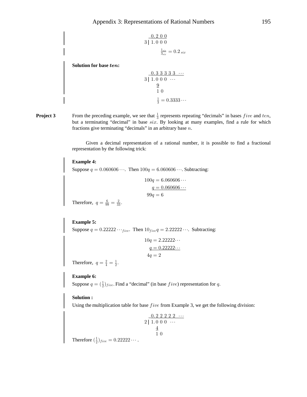3

$$
\frac{0.2 \ 0 \ 0}{1.0 \ 0 \ 0}
$$

$$
\frac{1_{\text{size}}}{3_{\text{size}}} = 0.2 \ \text{size}
$$

Solution for base ten:

$$
\begin{array}{r}\n0.333333 \cdots \\
3|1.000 \cdots \\
\hline\n9 \\
10\n\end{array}
$$
\n
$$
\frac{9}{4} = 0.3333 \cdots
$$

From the preceding example, we see that  $\frac{1}{3}$  represents repeating "decimals" in bases *five* and *ten*, Project 3 but a terminating "decimal" in base six. By looking at many examples, find a rule for which fractions give terminating "decimals" in an arbitrary base  $n$ .

> Given a decimal representation of a rational number, it is possible to find a fractional representation by the following trick:

#### **Example 4:**

Suppose  $q = 0.060606 \cdots$ . Then  $100q = 6.060606 \cdots$ . Subtracting:

$$
100q = 6.060606 \cdots
$$
  

$$
q = 0.060606 \cdots
$$
  

$$
99q = 6
$$

Therefore,  $q = \frac{6}{99} = \frac{2}{33}$ .

**Example 5:** Suppose  $q = 0.22222 \cdots$  five. Then  $10$ <sub>five</sub> $q = 2.22222 \cdots$ . Subtracting:

$$
10q = 2.22222\dots
$$
  

$$
q = 0.22222\dots
$$
  

$$
4q = 2
$$

Therefore,  $q = \frac{2}{4} = \frac{1}{2}$ .

#### **Example 6:**

Suppose  $q = (\frac{1}{2})_{five}$ . Find a "decimal" (in base *five*) representation for q.

#### Solution:

Using the multiplication table for base  $five$  from Example 3, we get the following division:

$$
\begin{array}{r} 0.2 \ 2 \ 2 \ 2 \ 2 \ \cdots \\ 2 \ 1.0 \ 0 \ 0 \ \cdots \\ \frac{4}{1} \ 0 \end{array}
$$

Therefore  $(\frac{1}{2})_{five} = 0.22222...$ .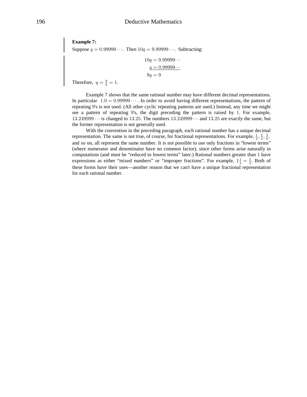**Example 7:**

Suppose  $q = 0.99999...$  Then  $10q = 9.99999...$  Subtracting:

$$
10q = 9.99999...
$$

$$
q = 0.99999...
$$

$$
9q = 9
$$

Therefore,  $q = \frac{9}{9} = 1$ .

Example 7 shows that the same rational number may have different decimal representations. In particular  $1.0 = 0.99999 \cdots$ . In order to avoid having different representations, the pattern of repeating 9's is not used. (All other cyclic repeating patterns are used.) Instead, any time we might see a pattern of repeating 9's, the digit preceding the pattern is raised by 1. For example,  $13.249999...$  is changed to 13.25. The numbers  $13.249999...$  and  $13.25$  are exactly the same, but the former representation is not generally used.

With the convention in the preceding paragraph, each rational number has a unique decimal representation. The same is not true, of course, for fractional representations. For example,  $\frac{1}{2}$ ,  $\frac{2}{4}$ ,  $\frac{3}{6}$ , and so on, all represent the same number. It is not possible to use only fractions in "lowest terms" (where numerator and denominator have no common factor), since other forms arise naturally in computations (and must be "reduced to lowest terms" later.) Rational numbers greater than 1 have expressions as either "mixed numbers" or "improper fractions". For example,  $1\frac{1}{3} = \frac{4}{3}$ . Both of these forms have their uses—another reason that we can't have a unique fractional representation for each rational number.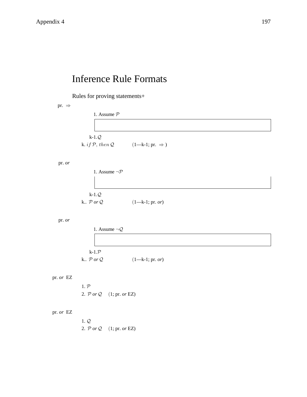## **Inference Rule Formats**

Rules for proving statements+

pr.  $\Rightarrow$ 

1. Assume  $\mathcal P$  $k-1.Q$ k. if  $P$ , then  $Q$  $(1-k-1; pr. \Rightarrow)$ 

pr. or

1. Assume  $\neg \mathcal{P}$  $k-1.Q$ k..  $\mathcal{P}$  or  $\mathcal{Q}$  $(1 - k - 1; pr. or)$ 

pr. or

| 1. Assume $\neg Q$               |                   |
|----------------------------------|-------------------|
|                                  |                   |
|                                  |                   |
| k-1. $\mathcal{P}$               |                   |
| k $\mathcal{P}$ or $\mathcal{Q}$ | $(1—k-1; pr. or)$ |

pr. or EZ

 $1. P$ 2.  $\mathcal{P}$  or  $\mathcal{Q}$  (1; pr. or EZ)

#### pr. or EZ

 $1.Q$ 2.  $\mathcal{P}$  or  $\mathcal{Q}$  (1; pr. or EZ)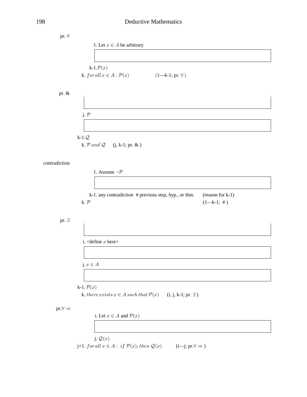| pr. $\forall$            |                                                                                    |
|--------------------------|------------------------------------------------------------------------------------|
|                          | 1. Let $x \in A$ be arbitrary                                                      |
|                          |                                                                                    |
|                          |                                                                                    |
|                          | k-1. $\mathcal{P}(x)$                                                              |
|                          | k. for all $x \in A : \mathcal{P}(x)$<br>$(1—k-1; pr. \forall)$                    |
|                          |                                                                                    |
| pr. &                    |                                                                                    |
|                          |                                                                                    |
|                          |                                                                                    |
|                          | j. $P$                                                                             |
|                          |                                                                                    |
|                          |                                                                                    |
|                          | $k-1.Q$                                                                            |
|                          | k. $P$ and $Q$ (j, k-1; pr. & )                                                    |
|                          |                                                                                    |
| contradiction            |                                                                                    |
|                          |                                                                                    |
|                          | 1. Assume $\neg \mathcal{P}$                                                       |
|                          |                                                                                    |
|                          |                                                                                    |
|                          | k-1. any contradiction # previous step, hyp., or thm.<br>(reason for k-1)          |
|                          | $(1-k-1;  #)$<br>k. P                                                              |
|                          |                                                                                    |
| pr. $\exists$            |                                                                                    |
|                          |                                                                                    |
|                          |                                                                                    |
|                          | i. < define $x$ here>                                                              |
|                          |                                                                                    |
|                          |                                                                                    |
|                          | j. $x\in A$                                                                        |
|                          |                                                                                    |
|                          |                                                                                    |
|                          | k-1. $\mathcal{P}(x)$                                                              |
|                          | k. there exists $x \in A$ such that $\mathcal{P}(x)$<br>$(i, j, k-1; pr. \exists)$ |
| $pr.\forall \Rightarrow$ |                                                                                    |
|                          | i. Let $x \in A$ and $\mathcal{P}(x)$                                              |
|                          |                                                                                    |
|                          |                                                                                    |

j.  $\mathcal{Q}(x)$ 

 $\text{\j}+1.\;for\,all\;x\in A:\;if\;\mathcal{P}(x),\,then\;\mathcal{Q}(x)\qquad \quad (\text{i—j};\,\text{pr.}\forall\Rightarrow)$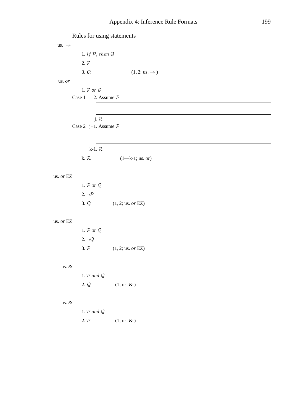Rules for using statements

us.  $\Rightarrow$ 1. if  $P$ , then  $Q$  $2. P$  $3.Q$  $(1, 2; \text{us.} \Rightarrow)$ 

us. or

1.  ${\mathcal P}$  or  ${\mathcal Q}$ Case 1 2. Assume  $P$ 

### j.  $\mathcal{R}$ Case 2 j+1. Assume  $P$

#### k-1.  $\mathcal{R}$

k.  $\mathcal{R}$  $(1-k-1;$  us. or)

#### us. $or$   $\mathbf{EZ}$

| 1. $\mathcal{P}$ or $\mathcal{Q}$ |                            |
|-----------------------------------|----------------------------|
| $2. \neg P$                       |                            |
| $3. \mathcal{Q}$                  | $(1, 2; \text{us. or EZ})$ |

#### us. or EZ

| 1. $\mathcal{P}$ or $\mathcal{Q}$ . |                            |
|-------------------------------------|----------------------------|
| $2. \neg Q$                         |                            |
| 3. P                                | $(1, 2; \text{us. or EZ})$ |

#### us.  $\&$

| 1. $P$ and $Q$ |                       |
|----------------|-----------------------|
| 2. Q           | $(1; \text{us.} \& )$ |

#### us.  $&$

| 1. $P$ and $Q$ . |                       |
|------------------|-----------------------|
| 2. P             | $(1; \text{us.} \& )$ |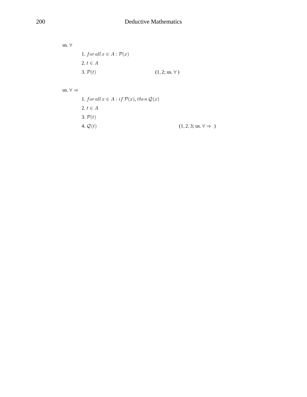us.  $\forall$ 1.  $for all x \in A : \mathcal{P}(x)$ 2.  $t \in A$  $3. P(t)$  $(1, 2; \text{us. } \forall)$ 

us.  $\forall \Rightarrow$ 

1. for all  $x \in A : if \mathcal{P}(x)$ , then  $\mathcal{Q}(x)$ 2.  $t \in A$  $3. P(t)$ 4.  $\mathcal{Q}(t)$  $(1, 2, 3; \text{us.} \forall \Rightarrow )$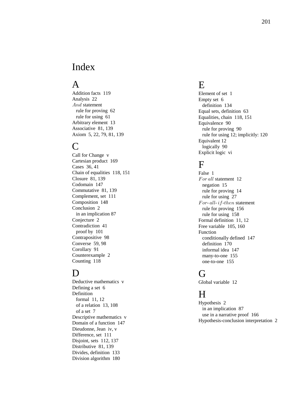### Index

### A

Addition facts 119 Analysis 22  $And$  statement rule for proving 62 rule for using 61 Arbitrary element 13 Associative 81, 139 Axiom 5, 22, 79, 81, 139

### $\mathbf C$

Call for Change v Cartesian product 169 Cases 36, 41 Chain of equalities 118, 151 Closure 81, 139 Codomain 147 Commutative 81, 139 Complement, set 111 Composition 148 Conclusion 2 in an implication 87 Conjecture 2 Contradiction 41 proof by 101 Contrapositive 98 Converse 59, 98 Corollary 91 Counterexample 2 Counting 118

### $\mathbf D$

Deductive mathematics v Defining a set 6 Definition formal 11, 12 of a relation 13, 108 of a set 7 Descriptive mathematics v Domain of a function 147 Dieudonne, Jean iv, v Difference, set 111 Disjoint, sets 112, 137 Distributive 81, 139 Divides, definition 133 Division algorithm 180

### E

Element of set 1 Empty set 6 definition 134 Equal sets, definition 63 Equalities, chain 118, 151 Equivalence 90 rule for proving 90 rule for using 12; implicitly: 120 Equivalent 12 logically 90 Explicit logic vi

### $\mathbf F$

False 1 For all statement 12 negation 15 rule for proving 14 rule for using 27  $For-all-if-then statement$  rule for proving 156 rule for using 158 Formal definition 11, 12 Free variable 105, 160 Function conditionally defined 147 definition 170 informal idea 147 many-to-one 155 one-to-one 155

### $\vec{r}$

Global variable 12

### H

Hypothesis 2 in an implication 87 use in a narrative proof 166 Hypothesis-conclusion interpretation 2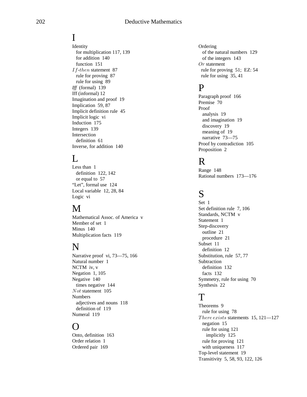### I

Identity for multiplication 117, 139 for addition 140 function 151  $If$ -then statement 87 rule for proving 87 rule for using 89 *Iff* (formal) 139 Iff (informal) 12 Imagination and proof 19 Implication 59, 87 Implicit definition rule 45 Implicit logic vi Induction 175 Integers 139 Intersection definition 61 Inverse, for addition 140

### L

Less than 1 definition 122, 142 or equal to 57 "Let", formal use 124 Local variable 12, 28, 84 Logic vi

### M

Mathematical Assoc. of America v Member of set 1 Minus 140 Multiplication facts 119

### N

Narrative proof vi, 73—75, 166 Natural number 1 NCTM iv, v Negation 1, 105 Negative 140 times negative 144 Not statement 105 Numbers adjectives and nouns 118 definition of 119 Numeral 119

### $\overline{\phantom{0}}$

Onto, definition 163 Order relation 1 Ordered pair 169

**Ordering**  of the natural numbers 129 of the integers 143  $Or$  statement rule for proving 51; EZ: 54 rule for using 35, 41

### P

Paragraph proof 166 Premise 70 Proof analysis 19 and imagination 19 discovery 19 meaning of 19 narrative 73—75 Proof by contradiction 105 Proposition 2

### R

Range 148 Rational numbers 173—176

## S

Set 1 Set definition rule 7, 106 Standards, NCTM v Statement 1 Step-discovery outline 21 procedure 21 Subset 11 definition 12 Substitution, rule 57, 77 Subtraction definition 132 facts 132 Symmetry, rule for using 70 Synthesis 22

### T

Theorems 9 rule for using 78 There exists statements  $15, 121-127$  negation 15 rule for using 121 implicitly 125 rule for proving 121 with uniqueness 117 Top-level statement 19 Transitivity 5, 58, 93, 122, 126